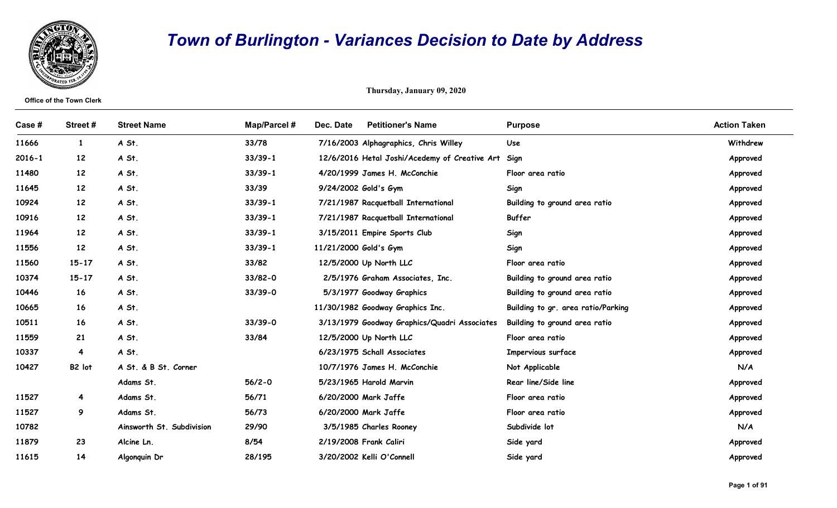

## Town of Burlington - Variances Decision to Date by Address

|            |                                 | <b>Town of Burlington - Variances Decision to Date by Address</b> |              |                                                    |                                    |                     |  |  |  |
|------------|---------------------------------|-------------------------------------------------------------------|--------------|----------------------------------------------------|------------------------------------|---------------------|--|--|--|
|            | <b>Office of the Town Clerk</b> |                                                                   |              | Thursday, January 09, 2020                         |                                    |                     |  |  |  |
| Case #     | Street#                         | <b>Street Name</b>                                                | Map/Parcel # | Dec. Date<br><b>Petitioner's Name</b>              | <b>Purpose</b>                     | <b>Action Taken</b> |  |  |  |
| 11666      | $\mathbf{1}$                    | A St.                                                             | 33/78        | 7/16/2003 Alphagraphics, Chris Willey              | Use                                | Withdrew            |  |  |  |
| $2016 - 1$ | 12                              | A St.                                                             | $33/39-1$    | 12/6/2016 Hetal Joshi/Acedemy of Creative Art Sign |                                    | Approved            |  |  |  |
| 11480      | 12 <sup>2</sup>                 | A St.                                                             | $33/39-1$    | 4/20/1999 James H. McConchie                       | Floor area ratio                   | Approved            |  |  |  |
| 11645      | 12 <sup>2</sup>                 | A St.                                                             | 33/39        | 9/24/2002 Gold's Gym                               | Sign                               | Approved            |  |  |  |
| 10924      | 12 <sup>2</sup>                 | A St.                                                             | $33/39-1$    | 7/21/1987 Racquetball International                | Building to ground area ratio      | Approved            |  |  |  |
| 10916      | 12 <sup>2</sup>                 | A St.                                                             | $33/39-1$    | 7/21/1987 Racquetball International                | Buffer                             | Approved            |  |  |  |
| 11964      | 12 <sup>2</sup>                 | A St.                                                             | $33/39-1$    | 3/15/2011 Empire Sports Club                       | Sign                               | Approved            |  |  |  |
| 11556      | 12                              | A St.                                                             | $33/39-1$    | 11/21/2000 Gold's Gym                              | Sign                               | Approved            |  |  |  |
| 11560      | $15 - 17$                       | A St.                                                             | 33/82        | 12/5/2000 Up North LLC                             | Floor area ratio                   | Approved            |  |  |  |
| 10374      | $15 - 17$                       | A St.                                                             | 33/82-0      | 2/5/1976 Graham Associates, Inc.                   | Building to ground area ratio      | Approved            |  |  |  |
| 10446      | 16                              | A St.                                                             | $33/39 - 0$  | 5/3/1977 Goodway Graphics                          | Building to ground area ratio      | Approved            |  |  |  |
| 10665      | 16                              | A St.                                                             |              | 11/30/1982 Goodway Graphics Inc.                   | Building to gr. area ratio/Parking | Approved            |  |  |  |
| 10511      | 16                              | A St.                                                             | $33/39 - 0$  | 3/13/1979 Goodway Graphics/Quadri Associates       | Building to ground area ratio      | Approved            |  |  |  |
| 11559      | 21                              | A St.                                                             | 33/84        | 12/5/2000 Up North LLC                             | Floor area ratio                   | Approved            |  |  |  |
| 10337      | $\overline{\mathbf{4}}$         | A St.                                                             |              | 6/23/1975 Schall Associates                        | Impervious surface                 | Approved            |  |  |  |
| 10427      | B2 lot                          | A St. & B St. Corner                                              |              | 10/7/1976 James H. McConchie                       | Not Applicable                     | N/A                 |  |  |  |
|            |                                 | Adams St.                                                         | $56/2 - 0$   | 5/23/1965 Harold Marvin                            | Rear line/Side line                | Approved            |  |  |  |
| 11527      | $\overline{4}$                  | Adams St.                                                         | 56/71        | 6/20/2000 Mark Jaffe                               | Floor area ratio                   | Approved            |  |  |  |
| 11527      | 9                               | Adams St.                                                         | 56/73        | 6/20/2000 Mark Jaffe                               | Floor area ratio                   | Approved            |  |  |  |
| 10782      |                                 | Ainsworth St. Subdivision                                         | 29/90        | 3/5/1985 Charles Rooney                            | Subdivide lot                      | N/A                 |  |  |  |
| 11879      | 23                              | Alcine Ln.                                                        | 8/54         | 2/19/2008 Frank Caliri                             | Side yard                          | Approved            |  |  |  |
| 11615      | 14                              | Algonquin Dr                                                      | 28/195       | 3/20/2002 Kelli O'Connell                          | Side yard                          | Approved            |  |  |  |
|            |                                 |                                                                   |              |                                                    |                                    | Page 1 of 91        |  |  |  |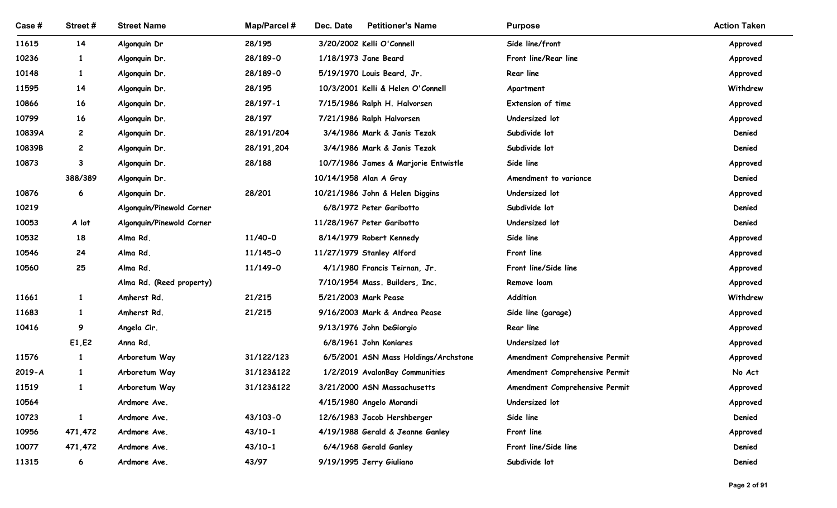| Case #         | Street #          | <b>Street Name</b>        | <b>Map/Parcel#</b> | Dec. Date<br><b>Petitioner's Name</b>              | <b>Purpose</b>                         | <b>Action Taken</b>  |
|----------------|-------------------|---------------------------|--------------------|----------------------------------------------------|----------------------------------------|----------------------|
| 11615          | 14                | Algonquin Dr              | 28/195             | 3/20/2002 Kelli O'Connell                          | Side line/front                        | Approved             |
| 10236          | $\mathbf{1}$      | Algonquin Dr.             | 28/189-0           | 1/18/1973 Jane Beard                               | Front line/Rear line                   | Approved             |
| 10148          | $\mathbf{1}$      | Algonquin Dr.             | 28/189-0           | 5/19/1970 Louis Beard, Jr.                         | Rear line                              | Approved             |
| 11595          | 14                | Algonquin Dr.             | 28/195             | 10/3/2001 Kelli & Helen O'Connell                  | Apartment                              | Withdrew             |
| 10866          | 16                | Algonquin Dr.             | 28/197-1           | 7/15/1986 Ralph H. Halvorsen                       | Extension of time                      | Approved             |
| 10799          | 16                | Algonquin Dr.             | 28/197             | 7/21/1986 Ralph Halvorsen                          | Undersized lot                         | Approved             |
| 10839A         | $\mathbf{2}$      | Algonquin Dr.             | 28/191/204         | 3/4/1986 Mark & Janis Tezak                        | Subdivide lot                          | Denied               |
| 10839B         | $\overline{c}$    | Algonquin Dr.             | 28/191,204         | 3/4/1986 Mark & Janis Tezak                        | Subdivide lot                          | Denied               |
| 10873          | 3                 | Algonquin Dr.             | 28/188             | 10/7/1986 James & Marjorie Entwistle               | Side line                              | Approved             |
|                | 388/389           | Algonquin Dr.             |                    | 10/14/1958 Alan A Gray                             | Amendment to variance                  | Denied               |
| 10876          | 6                 | Algonquin Dr.             | 28/201             | 10/21/1986 John & Helen Diggins                    | Undersized lot                         | Approved             |
| 10219          |                   | Algonquin/Pinewold Corner |                    | 6/8/1972 Peter Garibotto                           | Subdivide lot                          | Denied               |
| 10053          | A lot             | Algonquin/Pinewold Corner |                    | 11/28/1967 Peter Garibotto                         | Undersized lot                         | Denied               |
| 10532          | 18                | Alma Rd.                  | 11/40-0            | 8/14/1979 Robert Kennedy                           | Side line                              | Approved             |
| 10546          | 24                | Alma Rd.                  | 11/145-0           | 11/27/1979 Stanley Alford                          | Front line                             | Approved             |
| 10560          | 25                | Alma Rd.                  | 11/149-0           | 4/1/1980 Francis Teirnan, Jr.                      | Front line/Side line                   | Approved             |
|                |                   | Alma Rd. (Reed property)  |                    | 7/10/1954 Mass. Builders, Inc.                     | Remove loam                            | Approved             |
| 11661          | $\mathbf{1}$      | Amherst Rd.               | 21/215             | 5/21/2003 Mark Pease                               | Addition                               | Withdrew             |
| 11683<br>10416 | $\mathbf{1}$<br>9 | Amherst Rd.               | 21/215             | 9/16/2003 Mark & Andrea Pease                      | Side line (garage)<br><b>Rear line</b> | Approved             |
|                | E1, E2            | Angela Cir.<br>Anna Rd.   |                    | 9/13/1976 John DeGiorgio<br>6/8/1961 John Koniares | Undersized lot                         | Approved             |
| 11576          | $\mathbf{1}$      | Arboretum Way             | 31/122/123         | 6/5/2001 ASN Mass Holdings/Archstone               | Amendment Comprehensive Permit         | Approved<br>Approved |
| $2019 - A$     | $\mathbf{1}$      | Arboretum Way             | 31/123&122         | 1/2/2019 AvalonBay Communities                     | Amendment Comprehensive Permit         | No Act               |
| 11519          | $\mathbf{1}$      | Arboretum Way             | 31/123&122         | 3/21/2000 ASN Massachusetts                        | Amendment Comprehensive Permit         | Approved             |
| 10564          |                   | Ardmore Ave.              |                    | 4/15/1980 Angelo Morandi                           | Undersized lot                         | Approved             |
| 10723          | $\mathbf{1}$      | Ardmore Ave.              | 43/103-0           | 12/6/1983 Jacob Hershberger                        | Side line                              | Denied               |
| 10956          | 471,472           | Ardmore Ave.              | $43/10-1$          | 4/19/1988 Gerald & Jeanne Ganley                   | Front line                             | Approved             |
| 10077          | 471,472           | Ardmore Ave.              | $43/10-1$          | 6/4/1968 Gerald Ganley                             | Front line/Side line                   | Denied               |
| 11315          | $\epsilon$        | Ardmore Ave.              | 43/97              | 9/19/1995 Jerry Giuliano                           | Subdivide lot                          | Denied               |
|                |                   |                           |                    |                                                    |                                        |                      |
|                |                   |                           |                    |                                                    |                                        | Page 2 of 91         |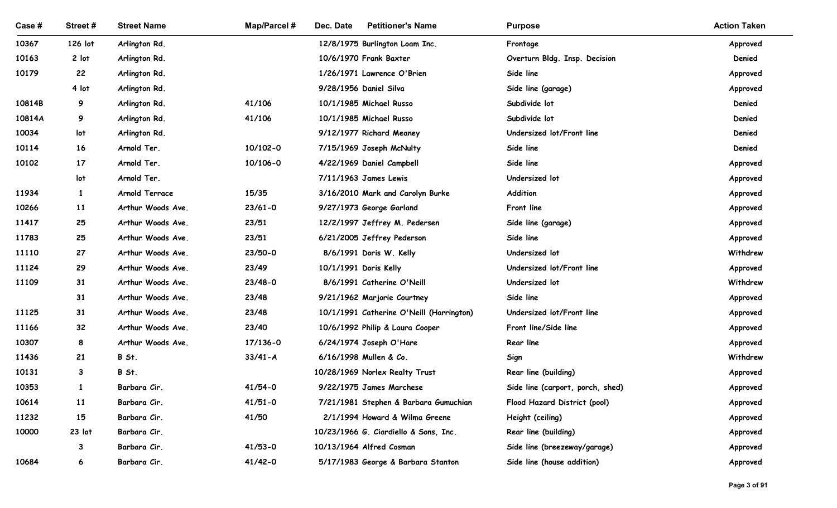| Case #         | Street#          | <b>Street Name</b>                     | <b>Map/Parcel#</b> | Dec. Date<br><b>Petitioner's Name</b>                       | <b>Purpose</b>                   | <b>Action Taken</b>  |
|----------------|------------------|----------------------------------------|--------------------|-------------------------------------------------------------|----------------------------------|----------------------|
| 10367          | 126 lot          | Arlington Rd.                          |                    | 12/8/1975 Burlington Loam Inc.                              | Frontage                         | Approved             |
| 10163          | 2 lot            | Arlington Rd.                          |                    | 10/6/1970 Frank Baxter                                      | Overturn Bldg. Insp. Decision    | Denied               |
| 10179          | 22               | Arlington Rd.                          |                    | 1/26/1971 Lawrence O'Brien                                  | Side line                        | Approved             |
|                | 4 lot            | Arlington Rd.                          |                    | 9/28/1956 Daniel Silva                                      | Side line (garage)               | Approved             |
| 10814B         | 9                | Arlington Rd.                          | 41/106             | 10/1/1985 Michael Russo                                     | Subdivide lot                    | Denied               |
| 10814A         | 9                | Arlington Rd.                          | 41/106             | 10/1/1985 Michael Russo                                     | Subdivide lot                    | Denied               |
| 10034          | lot              | Arlington Rd.                          |                    | 9/12/1977 Richard Meaney                                    | Undersized lot/Front line        | Denied               |
| 10114          | 16               | Arnold Ter.                            | 10/102-0           | 7/15/1969 Joseph McNulty                                    | Side line                        | Denied               |
| 10102          | $17 \,$          | Arnold Ter.                            | 10/106-0           | 4/22/1969 Daniel Campbell                                   | Side line                        | Approved             |
|                | lot              | Arnold Ter.                            |                    | 7/11/1963 James Lewis                                       | Undersized lot                   | Approved             |
| 11934          | $\mathbf{1}$     | Arnold Terrace                         | 15/35              | 3/16/2010 Mark and Carolyn Burke                            | Addition                         | Approved             |
| 10266          | 11               | Arthur Woods Ave.                      | $23/61 - 0$        | 9/27/1973 George Garland                                    | Front line                       | Approved             |
| 11417<br>11783 | 25<br>25         | Arthur Woods Ave.<br>Arthur Woods Ave. | 23/51<br>23/51     | 12/2/1997 Jeffrey M. Pedersen<br>6/21/2005 Jeffrey Pederson | Side line (garage)<br>Side line  | Approved             |
| 11110          | 27               | Arthur Woods Ave.                      | 23/50-0            | 8/6/1991 Doris W. Kelly                                     | Undersized lot                   | Approved<br>Withdrew |
| 11124          | 29               | Arthur Woods Ave.                      | 23/49              | 10/1/1991 Doris Kelly                                       | Undersized lot/Front line        | Approved             |
| 11109          | 31               | Arthur Woods Ave.                      | 23/48-0            | 8/6/1991 Catherine O'Neill                                  | Undersized lot                   | Withdrew             |
|                | 31               | Arthur Woods Ave.                      | 23/48              | 9/21/1962 Marjorie Courtney                                 | Side line                        | Approved             |
| 11125          | 31               | Arthur Woods Ave.                      | 23/48              | 10/1/1991 Catherine O'Neill (Harrington)                    | Undersized lot/Front line        | Approved             |
| 11166          | 32 <sub>2</sub>  | Arthur Woods Ave.                      | 23/40              | 10/6/1992 Philip & Laura Cooper                             | Front line/Side line             | Approved             |
| 10307          | 8                | Arthur Woods Ave.                      | 17/136-0           | 6/24/1974 Joseph O'Hare                                     | Rear line                        | Approved             |
| 11436          | 21               | B St.                                  | $33/41 - A$        | 6/16/1998 Mullen & Co.                                      | Sign                             | Withdrew             |
| 10131          | $\mathbf{3}$     | B St.                                  |                    | 10/28/1969 Norlex Realty Trust                              | Rear line (building)             | Approved             |
| 10353          | $\mathbf{1}$     | Barbara Cir.                           | $41/54 - 0$        | 9/22/1975 James Marchese                                    | Side line (carport, porch, shed) | Approved             |
| 10614          | 11               | Barbara Cir.                           | $41/51 - 0$        | 7/21/1981 Stephen & Barbara Gumuchian                       | Flood Hazard District (pool)     | Approved             |
| 11232          | 15               | Barbara Cir.                           | 41/50              | 2/1/1994 Howard & Wilma Greene                              | Height (ceiling)                 | Approved             |
| 10000          | 23 lot           | Barbara Cir.                           |                    | 10/23/1966 G. Ciardiello & Sons, Inc.                       | Rear line (building)             | Approved             |
|                | $\mathbf{3}$     | Barbara Cir.                           | $41/53 - 0$        | 10/13/1964 Alfred Cosman                                    | Side line (breezeway/garage)     | Approved             |
| 10684          | $\boldsymbol{6}$ | Barbara Cir.                           | $41/42 - 0$        | 5/17/1983 George & Barbara Stanton                          | Side line (house addition)       | Approved             |
|                |                  |                                        |                    |                                                             |                                  |                      |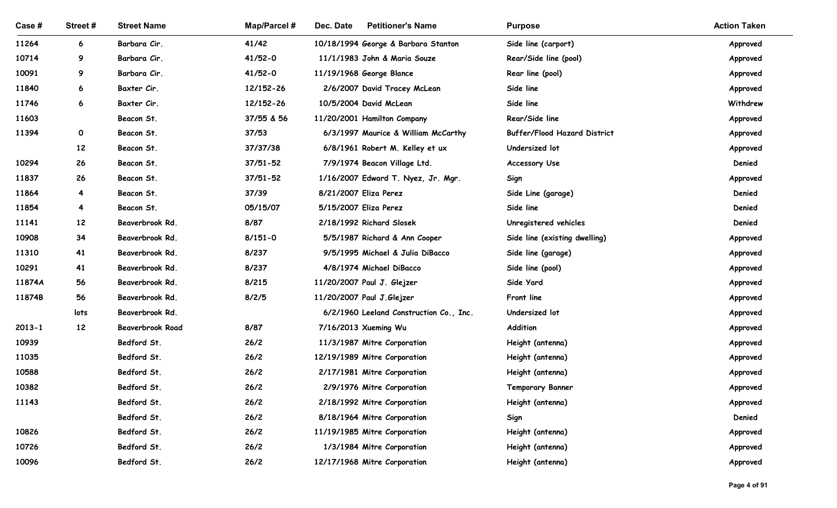| Case #     | Street #                | <b>Street Name</b>                 | Map/Parcel # | Dec. Date<br><b>Petitioner's Name</b>                                | <b>Purpose</b>                      | <b>Action Taken</b>  |
|------------|-------------------------|------------------------------------|--------------|----------------------------------------------------------------------|-------------------------------------|----------------------|
| 11264      | 6                       | Barbara Cir.                       | 41/42        | 10/18/1994 George & Barbara Stanton                                  | Side line (carport)                 | Approved             |
| 10714      | 9                       | Barbara Cir.                       | $41/52 - 0$  | 11/1/1983 John & Maria Souze                                         | Rear/Side line (pool)               | Approved             |
| 10091      | 9                       | Barbara Cir.                       | 41/52-0      | 11/19/1968 George Blance                                             | Rear line (pool)                    | Approved             |
| 11840      | 6                       | Baxter Cir.                        | 12/152-26    | 2/6/2007 David Tracey McLean                                         | Side line                           | Approved             |
| 11746      | 6                       | Baxter Cir.                        | 12/152-26    | 10/5/2004 David McLean                                               | Side line                           | Withdrew             |
| 11603      |                         | Beacon St.                         | 37/55 & 56   | 11/20/2001 Hamilton Company                                          | Rear/Side line                      | Approved             |
| 11394      | $\mathbf{o}$            | Beacon St.                         | 37/53        | 6/3/1997 Maurice & William McCarthy                                  | <b>Buffer/Flood Hazard District</b> | Approved             |
|            | 12                      | Beacon St.                         | 37/37/38     | 6/8/1961 Robert M. Kelley et ux                                      | Undersized lot                      | Approved             |
| 10294      | 26                      | Beacon St.                         | 37/51-52     | 7/9/1974 Beacon Village Ltd.                                         | <b>Accessory Use</b>                | Denied               |
| 11837      | 26                      | Beacon St.                         | 37/51-52     | 1/16/2007 Edward T. Nyez, Jr. Mgr.                                   | Sign                                | Approved             |
| 11864      | 4                       | Beacon St.                         | 37/39        | 8/21/2007 Eliza Perez                                                | Side Line (garage)                  | Denied               |
| 11854      | $\overline{\mathbf{4}}$ | Beacon St.                         | 05/15/07     | 5/15/2007 Eliza Perez                                                | Side line                           | Denied               |
| 11141      | 12                      | Beaverbrook Rd.                    | 8/87         | 2/18/1992 Richard Slosek                                             | Unregistered vehicles               | Denied               |
| 10908      | 34                      | Beaverbrook Rd.                    | $8/151 - 0$  | 5/5/1987 Richard & Ann Cooper                                        | Side line (existing dwelling)       | Approved             |
| 11310      | 41                      | Beaverbrook Rd.                    | 8/237        | 9/5/1995 Michael & Julia DiBacco                                     | Side line (garage)                  | Approved             |
| 10291      | 41                      | Beaverbrook Rd.                    | 8/237        | 4/8/1974 Michael DiBacco                                             | Side line (pool)                    | Approved             |
| 11874A     | 56                      | Beaverbrook Rd.                    | 8/215        | 11/20/2007 Paul J. Glejzer                                           | Side Yard                           | Approved             |
| 11874B     | 56<br>lots              | Beaverbrook Rd.<br>Beaverbrook Rd. | 8/2/5        | 11/20/2007 Paul J.Glejzer<br>6/2/1960 Leeland Construction Co., Inc. | Front line<br>Undersized lot        | Approved<br>Approved |
| $2013 - 1$ | 12                      | Beaverbrook Road                   | 8/87         | 7/16/2013 Xueming Wu                                                 | Addition                            | Approved             |
| 10939      |                         | Bedford St.                        | 26/2         | 11/3/1987 Mitre Corporation                                          | Height (antenna)                    | Approved             |
| 11035      |                         | Bedford St.                        | 26/2         | 12/19/1989 Mitre Corporation                                         | Height (antenna)                    | Approved             |
| 10588      |                         | Bedford St.                        | 26/2         | 2/17/1981 Mitre Corporation                                          | Height (antenna)                    | Approved             |
| 10382      |                         | Bedford St.                        | 26/2         | 2/9/1976 Mitre Corporation                                           | <b>Temporary Banner</b>             | Approved             |
| 11143      |                         | Bedford St.                        | 26/2         | 2/18/1992 Mitre Corporation                                          | Height (antenna)                    | Approved             |
|            |                         | Bedford St.                        | 26/2         | 8/18/1964 Mitre Corporation                                          | Sign                                | Denied               |
| 10826      |                         | Bedford St.                        | 26/2         | 11/19/1985 Mitre Corporation                                         | Height (antenna)                    | Approved             |
| 10726      |                         | Bedford St.                        | 26/2         | 1/3/1984 Mitre Corporation                                           | Height (antenna)                    | Approved             |
| 10096      |                         | Bedford St.                        | 26/2         | 12/17/1968 Mitre Corporation                                         | Height (antenna)                    | Approved             |
|            |                         |                                    |              |                                                                      |                                     |                      |
|            |                         |                                    |              |                                                                      |                                     | Page 4 of 91         |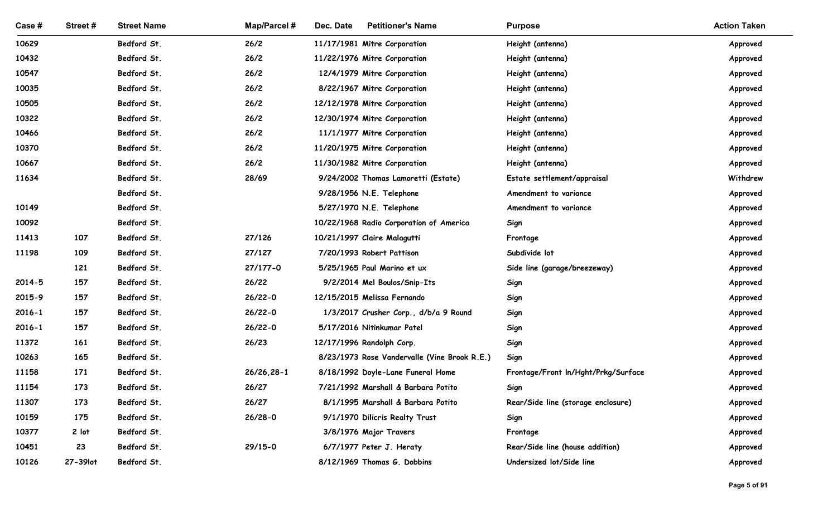| Case#          | Street#    | <b>Street Name</b>         | <b>Map/Parcel#</b> | <b>Petitioner's Name</b><br>Dec. Date                    | <b>Purpose</b>                      | <b>Action Taken</b>  |
|----------------|------------|----------------------------|--------------------|----------------------------------------------------------|-------------------------------------|----------------------|
| 10629          |            | Bedford St.                | 26/2               | 11/17/1981 Mitre Corporation                             | Height (antenna)                    | Approved             |
| 10432          |            | Bedford St.                | 26/2               | 11/22/1976 Mitre Corporation                             | Height (antenna)                    | Approved             |
| 10547          |            | Bedford St.                | 26/2               | 12/4/1979 Mitre Corporation                              | Height (antenna)                    | Approved             |
| 10035          |            | Bedford St.                | 26/2               | 8/22/1967 Mitre Corporation                              | Height (antenna)                    | Approved             |
| 10505          |            | Bedford St.                | 26/2               | 12/12/1978 Mitre Corporation                             | Height (antenna)                    | Approved             |
| 10322          |            | Bedford St.                | 26/2               | 12/30/1974 Mitre Corporation                             | Height (antenna)                    | Approved             |
| 10466          |            | Bedford St.                | 26/2               | 11/1/1977 Mitre Corporation                              | Height (antenna)                    | Approved             |
| 10370          |            | Bedford St.                | 26/2               | 11/20/1975 Mitre Corporation                             | Height (antenna)                    | Approved             |
| 10667          |            | Bedford St.                | 26/2               | 11/30/1982 Mitre Corporation                             | Height (antenna)                    | Approved             |
| 11634          |            | Bedford St.                | 28/69              | 9/24/2002 Thomas Lamoretti (Estate)                      | Estate settlement/appraisal         | Withdrew             |
|                |            | Bedford St.                |                    | 9/28/1956 N.E. Telephone                                 | Amendment to variance               | Approved             |
| 10149          |            | Bedford St.                |                    | 5/27/1970 N.E. Telephone                                 | Amendment to variance               | Approved             |
| 10092          |            | Bedford St.                |                    | 10/22/1968 Radio Corporation of America                  | Sign                                | Approved             |
| 11413<br>11198 | 107<br>109 | Bedford St.<br>Bedford St. | 27/126<br>27/127   | 10/21/1997 Claire Malagutti<br>7/20/1993 Robert Pattison | Frontage<br>Subdivide lot           | Approved             |
|                | 121        | Bedford St.                | 27/177-0           | 5/25/1965 Paul Marino et ux                              | Side line (garage/breezeway)        | Approved<br>Approved |
| $2014 - 5$     | 157        | Bedford St.                | 26/22              | 9/2/2014 Mel Boulos/Snip-Its                             | Sign                                | Approved             |
| 2015-9         | 157        | Bedford St.                | $26/22 - 0$        | 12/15/2015 Melissa Fernando                              | Sign                                | Approved             |
| $2016 - 1$     | 157        | Bedford St.                | $26/22 - 0$        | 1/3/2017 Crusher Corp., d/b/a 9 Round                    | Sign                                | Approved             |
| $2016 - 1$     | 157        | Bedford St.                | $26/22 - 0$        | 5/17/2016 Nitinkumar Patel                               | Sign                                | Approved             |
| 11372          | 161        | Bedford St.                | 26/23              | 12/17/1996 Randolph Corp.                                | Sign                                | Approved             |
| 10263          | 165        | Bedford St.                |                    | 8/23/1973 Rose Vandervalle (Vine Brook R.E.)             | Sign                                | Approved             |
| 11158          | 171        | Bedford St.                | $26/26, 28-1$      | 8/18/1992 Doyle-Lane Funeral Home                        | Frontage/Front In/Hght/Prkg/Surface | Approved             |
| 11154          | 173        | Bedford St.                | 26/27              | 7/21/1992 Marshall & Barbara Potito                      | Sign                                | Approved             |
| 11307          | 173        | Bedford St.                | 26/27              | 8/1/1995 Marshall & Barbara Potito                       | Rear/Side line (storage enclosure)  | Approved             |
| 10159          | 175        | Bedford St.                | $26/28 - 0$        | 9/1/1970 Dilicris Realty Trust                           | Sign                                | Approved             |
| 10377          | 2 lot      | Bedford St.                |                    | 3/8/1976 Major Travers                                   | Frontage                            | Approved             |
| 10451          | 23         | Bedford St.                | $29/15 - 0$        | 6/7/1977 Peter J. Heraty                                 | Rear/Side line (house addition)     | Approved             |
| 10126          | 27-39lot   | Bedford St.                |                    | 8/12/1969 Thomas G. Dobbins                              | Undersized lot/Side line            | Approved             |
|                |            |                            |                    |                                                          |                                     | Page 5 of 91         |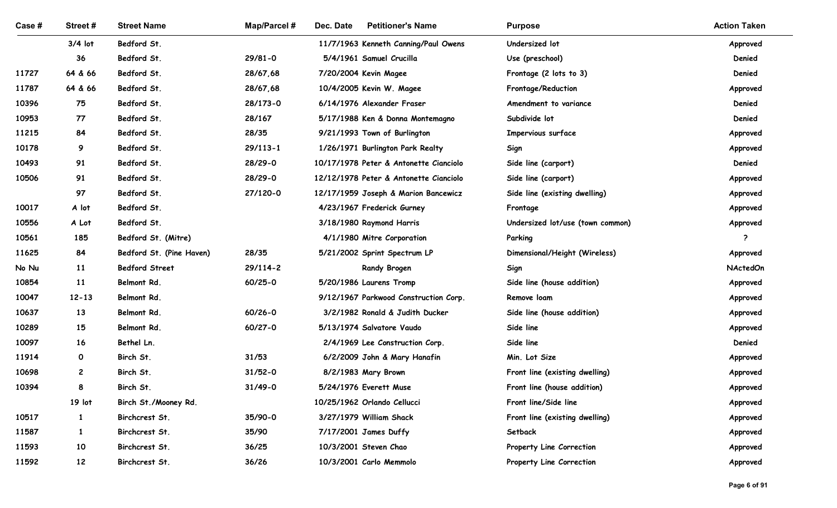| Case #         | Street#      | <b>Street Name</b>       | <b>Map/Parcel#</b> | Dec. Date<br><b>Petitioner's Name</b>                           | <b>Purpose</b>                   | <b>Action Taken</b>  |
|----------------|--------------|--------------------------|--------------------|-----------------------------------------------------------------|----------------------------------|----------------------|
|                | $3/4$ lot    | Bedford St.              |                    | 11/7/1963 Kenneth Canning/Paul Owens                            | Undersized lot                   | Approved             |
|                | 36           | Bedford St.              | $29/81 - 0$        | 5/4/1961 Samuel Crucilla                                        | Use (preschool)                  | Denied               |
| 11727          | 64 & 66      | Bedford St.              | 28/67,68           | 7/20/2004 Kevin Magee                                           | Frontage (2 lots to 3)           | Denied               |
| 11787          | 64 & 66      | Bedford St.              | 28/67,68           | 10/4/2005 Kevin W. Magee                                        | Frontage/Reduction               | Approved             |
| 10396          | 75           | Bedford St.              | 28/173-0           | 6/14/1976 Alexander Fraser                                      | Amendment to variance            | Denied               |
| 10953          | 77           | Bedford St.              | 28/167             | 5/17/1988 Ken & Donna Montemagno                                | Subdivide lot                    | Denied               |
| 11215          | 84           | Bedford St.              | 28/35              | 9/21/1993 Town of Burlington                                    | Impervious surface               | Approved             |
| 10178          | 9            | Bedford St.              | $29/113 - 1$       | 1/26/1971 Burlington Park Realty                                | Sign                             | Approved             |
| 10493          | 91           | Bedford St.              | 28/29-0            | 10/17/1978 Peter & Antonette Cianciolo                          | Side line (carport)              | Denied               |
| 10506          | 91           | Bedford St.              | 28/29-0            | 12/12/1978 Peter & Antonette Cianciolo                          | Side line (carport)              | Approved             |
|                | 97           | Bedford St.              | 27/120-0           | 12/17/1959 Joseph & Marion Bancewicz                            | Side line (existing dwelling)    | Approved             |
| 10017          | A lot        | Bedford St.              |                    | 4/23/1967 Frederick Gurney                                      | Frontage                         | Approved             |
| 10556          | A Lot        | Bedford St.              |                    | 3/18/1980 Raymond Harris                                        | Undersized lot/use (town common) | Approved             |
| 10561          | 185          | Bedford St. (Mitre)      |                    | 4/1/1980 Mitre Corporation                                      | Parking                          | - 2                  |
| 11625          | 84           | Bedford St. (Pine Haven) | 28/35              | 5/21/2002 Sprint Spectrum LP                                    | Dimensional/Height (Wireless)    | Approved             |
| No Nu          | 11           | <b>Bedford Street</b>    | 29/114-2           | <b>Randy Brogen</b>                                             | Sign                             | <b>NActedOn</b>      |
| 10854          | 11           | Belmont Rd.              | 60/25-0            | 5/20/1986 Laurens Tromp                                         | Side line (house addition)       | Approved             |
| 10047          | $12 - 13$    | Belmont Rd.              |                    | 9/12/1967 Parkwood Construction Corp.                           | Remove loam                      | Approved             |
| 10637          | 13           | Belmont Rd.              | $60/26 - 0$        | 3/2/1982 Ronald & Judith Ducker                                 | Side line (house addition)       | Approved             |
| 10289<br>10097 | 15<br>16     | Belmont Rd.              | 60/27-0            | 5/13/1974 Salvatore Vaudo                                       | Side line<br>Side line           | Approved             |
| 11914          | $\mathbf{o}$ | Bethel Ln.<br>Birch St.  | 31/53              | 2/4/1969 Lee Construction Corp.<br>6/2/2009 John & Mary Hanafin | Min. Lot Size                    | Denied               |
| 10698          | $\mathbf{2}$ | Birch St.                | $31/52 - 0$        | 8/2/1983 Mary Brown                                             | Front line (existing dwelling)   | Approved<br>Approved |
| 10394          | 8            | Birch St.                | $31/49 - 0$        | 5/24/1976 Everett Muse                                          | Front line (house addition)      | Approved             |
|                | 19 lot       | Birch St./Mooney Rd.     |                    | 10/25/1962 Orlando Cellucci                                     | Front line/Side line             | Approved             |
| 10517          | $\mathbf{1}$ | Birchcrest St.           | 35/90-0            | 3/27/1979 William Shack                                         | Front line (existing dwelling)   | Approved             |
| 11587          | $\mathbf{1}$ | Birchcrest St.           | 35/90              | 7/17/2001 James Duffy                                           | Setback                          | Approved             |
| 11593          | 10           | Birchcrest St.           | 36/25              | 10/3/2001 Steven Chao                                           | Property Line Correction         | Approved             |
| 11592          | 12           | Birchcrest St.           | 36/26              | 10/3/2001 Carlo Memmolo                                         | Property Line Correction         | Approved             |
|                |              |                          |                    |                                                                 |                                  |                      |
|                |              |                          |                    |                                                                 |                                  |                      |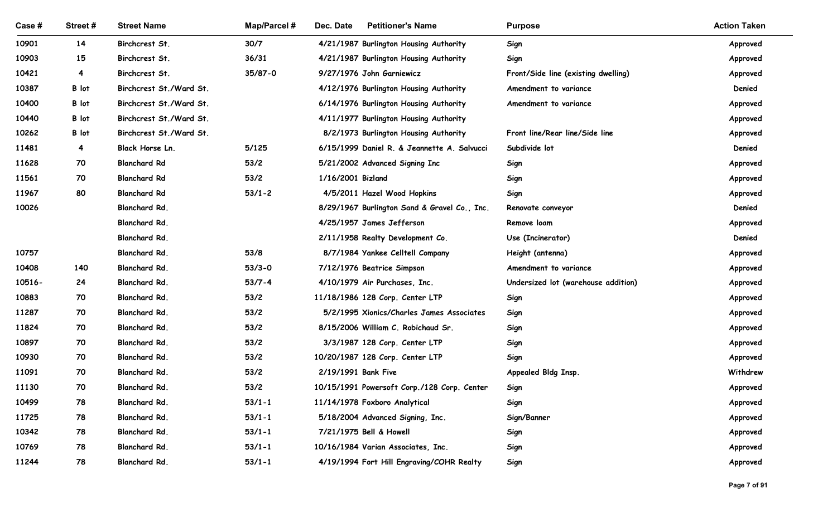| <b>Street Name</b><br>Map/Parcel #<br>Dec. Date<br><b>Petitioner's Name</b><br><b>Action Taken</b><br>Case #<br>Street #<br><b>Purpose</b><br>14<br>Birchcrest St.<br>30/7<br>4/21/1987 Burlington Housing Authority<br>10901<br>Sign<br>Approved<br>15<br>Birchcrest St.<br>36/31<br>Sign<br>10903<br>4/21/1987 Burlington Housing Authority<br>Approved<br>$\overline{4}$<br>Birchcrest St.<br>35/87-0<br>9/27/1976 John Garniewicz<br>10421<br>Front/Side line (existing dwelling)<br>Approved<br>B lot<br>Birchcrest St./Ward St.<br>Denied<br>10387<br>4/12/1976 Burlington Housing Authority<br>Amendment to variance<br>B lot<br>Birchcrest St./Ward St.<br>10400<br>6/14/1976 Burlington Housing Authority<br>Amendment to variance<br>Approved<br>Birchcrest St./Ward St.<br>10440<br>B lot<br>4/11/1977 Burlington Housing Authority<br>Approved<br>B lot<br>Birchcrest St./Ward St.<br>Front line/Rear line/Side line<br>10262<br>8/2/1973 Burlington Housing Authority<br>Approved<br>11481<br>$\overline{4}$<br>Black Horse Ln.<br>5/125<br>Subdivide lot<br>Denied<br>6/15/1999 Daniel R. & Jeannette A. Salvucci<br>70<br><b>Blanchard Rd</b><br>53/2<br>5/21/2002 Advanced Signing Inc<br>11628<br>Sign<br>Approved<br>11561<br>70<br><b>Blanchard Rd</b><br>53/2<br>1/16/2001 Bizland<br>Sign<br>Approved<br>$53/1 - 2$<br><b>Blanchard Rd</b><br>Sign<br>11967<br>80<br>4/5/2011 Hazel Wood Hopkins<br>Approved<br>Blanchard Rd.<br>Denied<br>10026<br>8/29/1967 Burlington Sand & Gravel Co., Inc.<br>Renovate conveyor<br>Blanchard Rd.<br>4/25/1957 James Jefferson<br>Remove loam<br>Approved<br>Blanchard Rd.<br>Denied<br>2/11/1958 Realty Development Co.<br>Use (Incinerator)<br>10757<br>Blanchard Rd.<br>53/8<br>8/7/1984 Yankee Celltell Company<br>Height (antenna)<br>Approved<br>140<br>Blanchard Rd.<br>10408<br>$53/3 - 0$<br>7/12/1976 Beatrice Simpson<br>Amendment to variance<br>Approved<br>24<br>Blanchard Rd.<br>$53/7 - 4$<br>Undersized lot (warehouse addition)<br>10516-<br>4/10/1979 Air Purchases, Inc.<br>Approved<br>Blanchard Rd.<br>10883<br>70<br>53/2<br>11/18/1986 128 Corp. Center LTP<br>Sign<br>Approved<br>Blanchard Rd.<br>53/2<br>11287<br>70<br>5/2/1995 Xionics/Charles James Associates<br>Sign<br>Approved<br>Blanchard Rd.<br>53/2<br>11824<br>70<br>8/15/2006 William C. Robichaud Sr.<br>Sign<br>Approved<br>Blanchard Rd.<br>53/2<br>10897<br>70<br>3/3/1987 128 Corp. Center LTP<br>Sign<br>Approved<br>Blanchard Rd.<br>53/2<br>10/20/1987 128 Corp. Center LTP<br>10930<br>70<br>Sign<br>Approved<br>Blanchard Rd.<br>53/2<br>2/19/1991 Bank Five<br>Withdrew<br>11091<br>70<br>Appealed Bldg Insp.<br>Blanchard Rd.<br>53/2<br>11130<br>70<br>10/15/1991 Powersoft Corp./128 Corp. Center<br>Sign<br>Approved<br>Blanchard Rd.<br>$53/1 - 1$<br>10499<br>78<br>11/14/1978 Foxboro Analytical<br>Sign<br>Approved<br>Blanchard Rd.<br>11725<br>78<br>$53/1 - 1$<br>5/18/2004 Advanced Signing, Inc.<br>Sign/Banner<br>Approved<br>Blanchard Rd.<br>7/21/1975 Bell & Howell<br>10342<br>78<br>$53/1 - 1$<br>Sign<br>Approved<br>Blanchard Rd.<br>78<br>$53/1 - 1$<br>10/16/1984 Varian Associates, Inc.<br>10769<br>Sign<br>Approved<br>78<br>Blanchard Rd.<br>11244<br>$53/1 - 1$<br>4/19/1994 Fort Hill Engraving/COHR Realty<br>Sign<br>Approved |  |  |  |  |
|---------------------------------------------------------------------------------------------------------------------------------------------------------------------------------------------------------------------------------------------------------------------------------------------------------------------------------------------------------------------------------------------------------------------------------------------------------------------------------------------------------------------------------------------------------------------------------------------------------------------------------------------------------------------------------------------------------------------------------------------------------------------------------------------------------------------------------------------------------------------------------------------------------------------------------------------------------------------------------------------------------------------------------------------------------------------------------------------------------------------------------------------------------------------------------------------------------------------------------------------------------------------------------------------------------------------------------------------------------------------------------------------------------------------------------------------------------------------------------------------------------------------------------------------------------------------------------------------------------------------------------------------------------------------------------------------------------------------------------------------------------------------------------------------------------------------------------------------------------------------------------------------------------------------------------------------------------------------------------------------------------------------------------------------------------------------------------------------------------------------------------------------------------------------------------------------------------------------------------------------------------------------------------------------------------------------------------------------------------------------------------------------------------------------------------------------------------------------------------------------------------------------------------------------------------------------------------------------------------------------------------------------------------------------------------------------------------------------------------------------------------------------------------------------------------------------------------------------------------------------------------------------------------------------------------------------------------------------------------------------------------------------------------------------------------------------------------------------------------------------------------------------------------------------------------------------------------------------------------------------------------------------------------------------------------------------------|--|--|--|--|
|                                                                                                                                                                                                                                                                                                                                                                                                                                                                                                                                                                                                                                                                                                                                                                                                                                                                                                                                                                                                                                                                                                                                                                                                                                                                                                                                                                                                                                                                                                                                                                                                                                                                                                                                                                                                                                                                                                                                                                                                                                                                                                                                                                                                                                                                                                                                                                                                                                                                                                                                                                                                                                                                                                                                                                                                                                                                                                                                                                                                                                                                                                                                                                                                                                                                                                                           |  |  |  |  |
|                                                                                                                                                                                                                                                                                                                                                                                                                                                                                                                                                                                                                                                                                                                                                                                                                                                                                                                                                                                                                                                                                                                                                                                                                                                                                                                                                                                                                                                                                                                                                                                                                                                                                                                                                                                                                                                                                                                                                                                                                                                                                                                                                                                                                                                                                                                                                                                                                                                                                                                                                                                                                                                                                                                                                                                                                                                                                                                                                                                                                                                                                                                                                                                                                                                                                                                           |  |  |  |  |
|                                                                                                                                                                                                                                                                                                                                                                                                                                                                                                                                                                                                                                                                                                                                                                                                                                                                                                                                                                                                                                                                                                                                                                                                                                                                                                                                                                                                                                                                                                                                                                                                                                                                                                                                                                                                                                                                                                                                                                                                                                                                                                                                                                                                                                                                                                                                                                                                                                                                                                                                                                                                                                                                                                                                                                                                                                                                                                                                                                                                                                                                                                                                                                                                                                                                                                                           |  |  |  |  |
|                                                                                                                                                                                                                                                                                                                                                                                                                                                                                                                                                                                                                                                                                                                                                                                                                                                                                                                                                                                                                                                                                                                                                                                                                                                                                                                                                                                                                                                                                                                                                                                                                                                                                                                                                                                                                                                                                                                                                                                                                                                                                                                                                                                                                                                                                                                                                                                                                                                                                                                                                                                                                                                                                                                                                                                                                                                                                                                                                                                                                                                                                                                                                                                                                                                                                                                           |  |  |  |  |
|                                                                                                                                                                                                                                                                                                                                                                                                                                                                                                                                                                                                                                                                                                                                                                                                                                                                                                                                                                                                                                                                                                                                                                                                                                                                                                                                                                                                                                                                                                                                                                                                                                                                                                                                                                                                                                                                                                                                                                                                                                                                                                                                                                                                                                                                                                                                                                                                                                                                                                                                                                                                                                                                                                                                                                                                                                                                                                                                                                                                                                                                                                                                                                                                                                                                                                                           |  |  |  |  |
|                                                                                                                                                                                                                                                                                                                                                                                                                                                                                                                                                                                                                                                                                                                                                                                                                                                                                                                                                                                                                                                                                                                                                                                                                                                                                                                                                                                                                                                                                                                                                                                                                                                                                                                                                                                                                                                                                                                                                                                                                                                                                                                                                                                                                                                                                                                                                                                                                                                                                                                                                                                                                                                                                                                                                                                                                                                                                                                                                                                                                                                                                                                                                                                                                                                                                                                           |  |  |  |  |
|                                                                                                                                                                                                                                                                                                                                                                                                                                                                                                                                                                                                                                                                                                                                                                                                                                                                                                                                                                                                                                                                                                                                                                                                                                                                                                                                                                                                                                                                                                                                                                                                                                                                                                                                                                                                                                                                                                                                                                                                                                                                                                                                                                                                                                                                                                                                                                                                                                                                                                                                                                                                                                                                                                                                                                                                                                                                                                                                                                                                                                                                                                                                                                                                                                                                                                                           |  |  |  |  |
|                                                                                                                                                                                                                                                                                                                                                                                                                                                                                                                                                                                                                                                                                                                                                                                                                                                                                                                                                                                                                                                                                                                                                                                                                                                                                                                                                                                                                                                                                                                                                                                                                                                                                                                                                                                                                                                                                                                                                                                                                                                                                                                                                                                                                                                                                                                                                                                                                                                                                                                                                                                                                                                                                                                                                                                                                                                                                                                                                                                                                                                                                                                                                                                                                                                                                                                           |  |  |  |  |
|                                                                                                                                                                                                                                                                                                                                                                                                                                                                                                                                                                                                                                                                                                                                                                                                                                                                                                                                                                                                                                                                                                                                                                                                                                                                                                                                                                                                                                                                                                                                                                                                                                                                                                                                                                                                                                                                                                                                                                                                                                                                                                                                                                                                                                                                                                                                                                                                                                                                                                                                                                                                                                                                                                                                                                                                                                                                                                                                                                                                                                                                                                                                                                                                                                                                                                                           |  |  |  |  |
|                                                                                                                                                                                                                                                                                                                                                                                                                                                                                                                                                                                                                                                                                                                                                                                                                                                                                                                                                                                                                                                                                                                                                                                                                                                                                                                                                                                                                                                                                                                                                                                                                                                                                                                                                                                                                                                                                                                                                                                                                                                                                                                                                                                                                                                                                                                                                                                                                                                                                                                                                                                                                                                                                                                                                                                                                                                                                                                                                                                                                                                                                                                                                                                                                                                                                                                           |  |  |  |  |
|                                                                                                                                                                                                                                                                                                                                                                                                                                                                                                                                                                                                                                                                                                                                                                                                                                                                                                                                                                                                                                                                                                                                                                                                                                                                                                                                                                                                                                                                                                                                                                                                                                                                                                                                                                                                                                                                                                                                                                                                                                                                                                                                                                                                                                                                                                                                                                                                                                                                                                                                                                                                                                                                                                                                                                                                                                                                                                                                                                                                                                                                                                                                                                                                                                                                                                                           |  |  |  |  |
|                                                                                                                                                                                                                                                                                                                                                                                                                                                                                                                                                                                                                                                                                                                                                                                                                                                                                                                                                                                                                                                                                                                                                                                                                                                                                                                                                                                                                                                                                                                                                                                                                                                                                                                                                                                                                                                                                                                                                                                                                                                                                                                                                                                                                                                                                                                                                                                                                                                                                                                                                                                                                                                                                                                                                                                                                                                                                                                                                                                                                                                                                                                                                                                                                                                                                                                           |  |  |  |  |
|                                                                                                                                                                                                                                                                                                                                                                                                                                                                                                                                                                                                                                                                                                                                                                                                                                                                                                                                                                                                                                                                                                                                                                                                                                                                                                                                                                                                                                                                                                                                                                                                                                                                                                                                                                                                                                                                                                                                                                                                                                                                                                                                                                                                                                                                                                                                                                                                                                                                                                                                                                                                                                                                                                                                                                                                                                                                                                                                                                                                                                                                                                                                                                                                                                                                                                                           |  |  |  |  |
|                                                                                                                                                                                                                                                                                                                                                                                                                                                                                                                                                                                                                                                                                                                                                                                                                                                                                                                                                                                                                                                                                                                                                                                                                                                                                                                                                                                                                                                                                                                                                                                                                                                                                                                                                                                                                                                                                                                                                                                                                                                                                                                                                                                                                                                                                                                                                                                                                                                                                                                                                                                                                                                                                                                                                                                                                                                                                                                                                                                                                                                                                                                                                                                                                                                                                                                           |  |  |  |  |
|                                                                                                                                                                                                                                                                                                                                                                                                                                                                                                                                                                                                                                                                                                                                                                                                                                                                                                                                                                                                                                                                                                                                                                                                                                                                                                                                                                                                                                                                                                                                                                                                                                                                                                                                                                                                                                                                                                                                                                                                                                                                                                                                                                                                                                                                                                                                                                                                                                                                                                                                                                                                                                                                                                                                                                                                                                                                                                                                                                                                                                                                                                                                                                                                                                                                                                                           |  |  |  |  |
|                                                                                                                                                                                                                                                                                                                                                                                                                                                                                                                                                                                                                                                                                                                                                                                                                                                                                                                                                                                                                                                                                                                                                                                                                                                                                                                                                                                                                                                                                                                                                                                                                                                                                                                                                                                                                                                                                                                                                                                                                                                                                                                                                                                                                                                                                                                                                                                                                                                                                                                                                                                                                                                                                                                                                                                                                                                                                                                                                                                                                                                                                                                                                                                                                                                                                                                           |  |  |  |  |
|                                                                                                                                                                                                                                                                                                                                                                                                                                                                                                                                                                                                                                                                                                                                                                                                                                                                                                                                                                                                                                                                                                                                                                                                                                                                                                                                                                                                                                                                                                                                                                                                                                                                                                                                                                                                                                                                                                                                                                                                                                                                                                                                                                                                                                                                                                                                                                                                                                                                                                                                                                                                                                                                                                                                                                                                                                                                                                                                                                                                                                                                                                                                                                                                                                                                                                                           |  |  |  |  |
|                                                                                                                                                                                                                                                                                                                                                                                                                                                                                                                                                                                                                                                                                                                                                                                                                                                                                                                                                                                                                                                                                                                                                                                                                                                                                                                                                                                                                                                                                                                                                                                                                                                                                                                                                                                                                                                                                                                                                                                                                                                                                                                                                                                                                                                                                                                                                                                                                                                                                                                                                                                                                                                                                                                                                                                                                                                                                                                                                                                                                                                                                                                                                                                                                                                                                                                           |  |  |  |  |
|                                                                                                                                                                                                                                                                                                                                                                                                                                                                                                                                                                                                                                                                                                                                                                                                                                                                                                                                                                                                                                                                                                                                                                                                                                                                                                                                                                                                                                                                                                                                                                                                                                                                                                                                                                                                                                                                                                                                                                                                                                                                                                                                                                                                                                                                                                                                                                                                                                                                                                                                                                                                                                                                                                                                                                                                                                                                                                                                                                                                                                                                                                                                                                                                                                                                                                                           |  |  |  |  |
|                                                                                                                                                                                                                                                                                                                                                                                                                                                                                                                                                                                                                                                                                                                                                                                                                                                                                                                                                                                                                                                                                                                                                                                                                                                                                                                                                                                                                                                                                                                                                                                                                                                                                                                                                                                                                                                                                                                                                                                                                                                                                                                                                                                                                                                                                                                                                                                                                                                                                                                                                                                                                                                                                                                                                                                                                                                                                                                                                                                                                                                                                                                                                                                                                                                                                                                           |  |  |  |  |
|                                                                                                                                                                                                                                                                                                                                                                                                                                                                                                                                                                                                                                                                                                                                                                                                                                                                                                                                                                                                                                                                                                                                                                                                                                                                                                                                                                                                                                                                                                                                                                                                                                                                                                                                                                                                                                                                                                                                                                                                                                                                                                                                                                                                                                                                                                                                                                                                                                                                                                                                                                                                                                                                                                                                                                                                                                                                                                                                                                                                                                                                                                                                                                                                                                                                                                                           |  |  |  |  |
|                                                                                                                                                                                                                                                                                                                                                                                                                                                                                                                                                                                                                                                                                                                                                                                                                                                                                                                                                                                                                                                                                                                                                                                                                                                                                                                                                                                                                                                                                                                                                                                                                                                                                                                                                                                                                                                                                                                                                                                                                                                                                                                                                                                                                                                                                                                                                                                                                                                                                                                                                                                                                                                                                                                                                                                                                                                                                                                                                                                                                                                                                                                                                                                                                                                                                                                           |  |  |  |  |
|                                                                                                                                                                                                                                                                                                                                                                                                                                                                                                                                                                                                                                                                                                                                                                                                                                                                                                                                                                                                                                                                                                                                                                                                                                                                                                                                                                                                                                                                                                                                                                                                                                                                                                                                                                                                                                                                                                                                                                                                                                                                                                                                                                                                                                                                                                                                                                                                                                                                                                                                                                                                                                                                                                                                                                                                                                                                                                                                                                                                                                                                                                                                                                                                                                                                                                                           |  |  |  |  |
|                                                                                                                                                                                                                                                                                                                                                                                                                                                                                                                                                                                                                                                                                                                                                                                                                                                                                                                                                                                                                                                                                                                                                                                                                                                                                                                                                                                                                                                                                                                                                                                                                                                                                                                                                                                                                                                                                                                                                                                                                                                                                                                                                                                                                                                                                                                                                                                                                                                                                                                                                                                                                                                                                                                                                                                                                                                                                                                                                                                                                                                                                                                                                                                                                                                                                                                           |  |  |  |  |
|                                                                                                                                                                                                                                                                                                                                                                                                                                                                                                                                                                                                                                                                                                                                                                                                                                                                                                                                                                                                                                                                                                                                                                                                                                                                                                                                                                                                                                                                                                                                                                                                                                                                                                                                                                                                                                                                                                                                                                                                                                                                                                                                                                                                                                                                                                                                                                                                                                                                                                                                                                                                                                                                                                                                                                                                                                                                                                                                                                                                                                                                                                                                                                                                                                                                                                                           |  |  |  |  |
|                                                                                                                                                                                                                                                                                                                                                                                                                                                                                                                                                                                                                                                                                                                                                                                                                                                                                                                                                                                                                                                                                                                                                                                                                                                                                                                                                                                                                                                                                                                                                                                                                                                                                                                                                                                                                                                                                                                                                                                                                                                                                                                                                                                                                                                                                                                                                                                                                                                                                                                                                                                                                                                                                                                                                                                                                                                                                                                                                                                                                                                                                                                                                                                                                                                                                                                           |  |  |  |  |
|                                                                                                                                                                                                                                                                                                                                                                                                                                                                                                                                                                                                                                                                                                                                                                                                                                                                                                                                                                                                                                                                                                                                                                                                                                                                                                                                                                                                                                                                                                                                                                                                                                                                                                                                                                                                                                                                                                                                                                                                                                                                                                                                                                                                                                                                                                                                                                                                                                                                                                                                                                                                                                                                                                                                                                                                                                                                                                                                                                                                                                                                                                                                                                                                                                                                                                                           |  |  |  |  |
|                                                                                                                                                                                                                                                                                                                                                                                                                                                                                                                                                                                                                                                                                                                                                                                                                                                                                                                                                                                                                                                                                                                                                                                                                                                                                                                                                                                                                                                                                                                                                                                                                                                                                                                                                                                                                                                                                                                                                                                                                                                                                                                                                                                                                                                                                                                                                                                                                                                                                                                                                                                                                                                                                                                                                                                                                                                                                                                                                                                                                                                                                                                                                                                                                                                                                                                           |  |  |  |  |
|                                                                                                                                                                                                                                                                                                                                                                                                                                                                                                                                                                                                                                                                                                                                                                                                                                                                                                                                                                                                                                                                                                                                                                                                                                                                                                                                                                                                                                                                                                                                                                                                                                                                                                                                                                                                                                                                                                                                                                                                                                                                                                                                                                                                                                                                                                                                                                                                                                                                                                                                                                                                                                                                                                                                                                                                                                                                                                                                                                                                                                                                                                                                                                                                                                                                                                                           |  |  |  |  |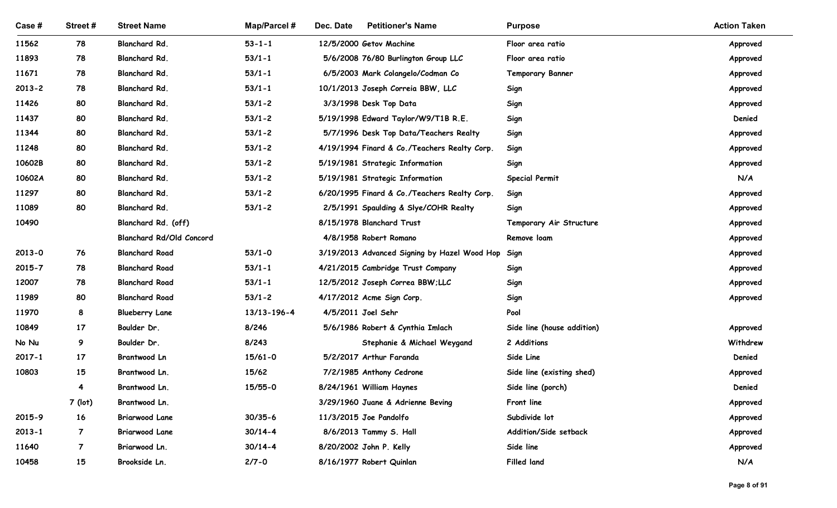| Case#               | Street #       | <b>Street Name</b>              | Map/Parcel #         | <b>Petitioner's Name</b><br>Dec. Date               | <b>Purpose</b>             | <b>Action Taken</b>  |
|---------------------|----------------|---------------------------------|----------------------|-----------------------------------------------------|----------------------------|----------------------|
| 11562               | 78             | Blanchard Rd.                   | $53 - 1 - 1$         | 12/5/2000 Getov Machine                             | Floor area ratio           | Approved             |
| 11893               | 78             | Blanchard Rd.                   | $53/1 - 1$           | 5/6/2008 76/80 Burlington Group LLC                 | Floor area ratio           | Approved             |
| 11671               | 78             | Blanchard Rd.                   | $53/1 - 1$           | 6/5/2003 Mark Colangelo/Codman Co                   | <b>Temporary Banner</b>    | Approved             |
| $2013 - 2$          | 78             | Blanchard Rd.                   | $53/1 - 1$           | 10/1/2013 Joseph Correia BBW, LLC                   | Sign                       | Approved             |
| 11426               | 80             | Blanchard Rd.                   | $53/1 - 2$           | 3/3/1998 Desk Top Data                              | Sign                       | Approved             |
| 11437               | 80             | Blanchard Rd.                   | $53/1 - 2$           | 5/19/1998 Edward Taylor/W9/T1B R.E.                 | Sign                       | Denied               |
| 11344               | 80             | Blanchard Rd.                   | $53/1 - 2$           | 5/7/1996 Desk Top Data/Teachers Realty              | Sign                       | Approved             |
| 11248               | 80             | Blanchard Rd.                   | $53/1 - 2$           | 4/19/1994 Finard & Co./Teachers Realty Corp.        | Sign                       | Approved             |
| 10602B              | 80             | Blanchard Rd.                   | $53/1 - 2$           | 5/19/1981 Strategic Information                     | Sign                       | Approved             |
| 10602A              | 80             | Blanchard Rd.                   | $53/1 - 2$           | 5/19/1981 Strategic Information                     | <b>Special Permit</b>      | N/A                  |
| 11297               | 80             | Blanchard Rd.                   | $53/1 - 2$           | 6/20/1995 Finard & Co./Teachers Realty Corp.        | Sign                       | Approved             |
| 11089               | 80             | Blanchard Rd.                   | $53/1 - 2$           | 2/5/1991 Spaulding & Slye/COHR Realty               | Sign                       | Approved             |
| 10490               |                | Blanchard Rd. (off)             |                      | 8/15/1978 Blanchard Trust                           | Temporary Air Structure    | Approved             |
|                     |                | <b>Blanchard Rd/Old Concord</b> |                      | 4/8/1958 Robert Romano                              | Remove loam                | Approved             |
| $2013 - 0$          | 76             | <b>Blanchard Road</b>           | $53/1 - 0$           | 3/19/2013 Advanced Signing by Hazel Wood Hop Sign   |                            | Approved             |
| $2015 - 7$          | 78             | <b>Blanchard Road</b>           | $53/1 - 1$           | 4/21/2015 Cambridge Trust Company                   | Sign                       | Approved             |
| 12007               | 78             | <b>Blanchard Road</b>           | $53/1 - 1$           | 12/5/2012 Joseph Correa BBW;LLC                     | Sign                       | Approved             |
| 11989               | 80             | <b>Blanchard Road</b>           | $53/1 - 2$           | 4/17/2012 Acme Sign Corp.                           | Sign                       | Approved             |
| 11970               | 8              | <b>Blueberry Lane</b>           | 13/13-196-4          | 4/5/2011 Joel Sehr                                  | Pool                       |                      |
| 10849               | $17 \,$        | Boulder Dr.<br>Boulder Dr.      | 8/246<br>8/243       | 5/6/1986 Robert & Cynthia Imlach                    | Side line (house addition) | Approved<br>Withdrew |
| No Nu               | 9<br>17        |                                 |                      | Stephanie & Michael Weygand                         | 2 Additions<br>Side Line   | Denied               |
| $2017 - 1$<br>10803 | 15             | Brantwood Ln<br>Brantwood Ln.   | $15/61 - 0$<br>15/62 | 5/2/2017 Arthur Faranda<br>7/2/1985 Anthony Cedrone | Side line (existing shed)  | Approved             |
|                     | 4              | Brantwood Ln.                   | $15/55-0$            | 8/24/1961 William Haynes                            | Side line (porch)          | Denied               |
|                     | 7 (lot)        | Brantwood Ln.                   |                      | 3/29/1960 Juane & Adrienne Beving                   | Front line                 | Approved             |
| 2015-9              | 16             | <b>Briarwood Lane</b>           | $30/35 - 6$          | 11/3/2015 Joe Pandolfo                              | Subdivide lot              | Approved             |
| $2013 - 1$          | $\overline{7}$ | <b>Briarwood Lane</b>           | $30/14 - 4$          | 8/6/2013 Tammy S. Hall                              | Addition/Side setback      | Approved             |
| 11640               | $\overline{7}$ | Briarwood Ln.                   | $30/14 - 4$          | 8/20/2002 John P. Kelly                             | Side line                  | Approved             |
| 10458               | 15             | Brookside Ln.                   | $2/7 - 0$            | 8/16/1977 Robert Quinlan                            | <b>Filled land</b>         | N/A                  |
|                     |                |                                 |                      |                                                     |                            |                      |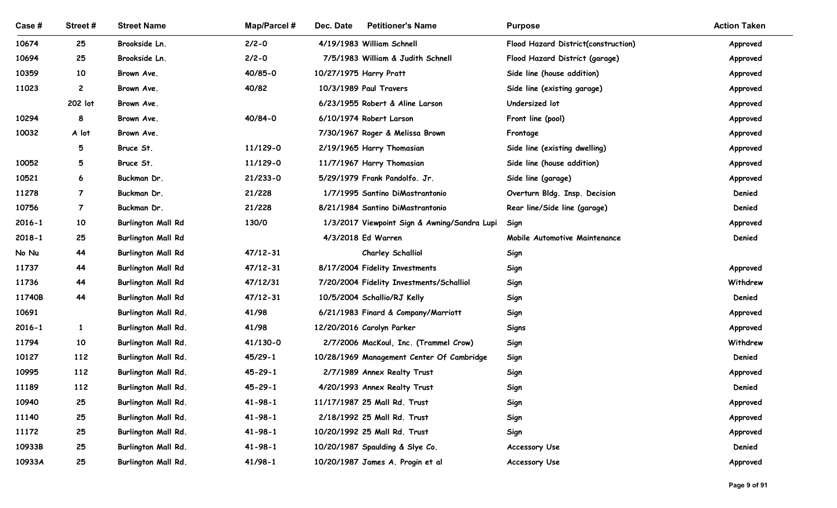| Case #         | Street#        | <b>Street Name</b>                         | <b>Map/Parcel#</b>         | Dec. Date<br><b>Petitioner's Name</b>                        | <b>Purpose</b>                      | <b>Action Taken</b> |
|----------------|----------------|--------------------------------------------|----------------------------|--------------------------------------------------------------|-------------------------------------|---------------------|
| 10674          | 25             | Brookside Ln.                              | $2/2 - 0$                  | 4/19/1983 William Schnell                                    | Flood Hazard District(construction) | Approved            |
| 10694          | 25             | Brookside Ln.                              | $2/2 - 0$                  | 7/5/1983 William & Judith Schnell                            | Flood Hazard District (garage)      | Approved            |
| 10359          | 10             | Brown Ave.                                 | 40/85-0                    | 10/27/1975 Harry Pratt                                       | Side line (house addition)          | Approved            |
| 11023          | $\overline{c}$ | Brown Ave.                                 | 40/82                      | 10/3/1989 Paul Travers                                       | Side line (existing garage)         | Approved            |
|                | 202 lot        | Brown Ave.                                 |                            | 6/23/1955 Robert & Aline Larson                              | Undersized lot                      | Approved            |
| 10294          | 8              | Brown Ave.                                 | 40/84-0                    | 6/10/1974 Robert Larson                                      | Front line (pool)                   | Approved            |
| 10032          | A lot          | Brown Ave.                                 |                            | 7/30/1967 Roger & Melissa Brown                              | Frontage                            | Approved            |
|                | 5              | Bruce St.                                  | 11/129-0                   | 2/19/1965 Harry Thomasian                                    | Side line (existing dwelling)       | Approved            |
| 10052          | 5              | Bruce St.                                  | 11/129-0                   | 11/7/1967 Harry Thomasian                                    | Side line (house addition)          | Approved            |
| 10521          | 6              | Buckman Dr.                                | 21/233-0                   | 5/29/1979 Frank Pandolfo. Jr.                                | Side line (garage)                  | Approved            |
| 11278          | $\overline{7}$ | Buckman Dr.                                | 21/228                     | 1/7/1995 Santino DiMastrantonio                              | Overturn Bldg. Insp. Decision       | Denied              |
| 10756          | $\overline{7}$ | Buckman Dr.                                | 21/228                     | 8/21/1984 Santino DiMastrantonio                             | Rear line/Side line (garage)        | Denied              |
| $2016 - 1$     | 10             | <b>Burlington Mall Rd</b>                  | 130/0                      | 1/3/2017 Viewpoint Sign & Awning/Sandra Lupi                 | Sign                                | Approved            |
| $2018 - 1$     | 25             | <b>Burlington Mall Rd</b>                  |                            | 4/3/2018 Ed Warren                                           | Mobile Automotive Maintenance       | Denied              |
| No Nu          | 44             | <b>Burlington Mall Rd</b>                  | $47/12 - 31$               | <b>Charley Schalliol</b>                                     | Sign                                |                     |
| 11737          | 44             | <b>Burlington Mall Rd</b>                  | $47/12 - 31$               | 8/17/2004 Fidelity Investments                               | Sign                                | Approved            |
| 11736          | 44             | <b>Burlington Mall Rd</b>                  | 47/12/31                   | 7/20/2004 Fidelity Investments/Schalliol                     | Sign                                | Withdrew            |
| 11740B         | 44             | <b>Burlington Mall Rd</b>                  | $47/12 - 31$               | 10/5/2004 Schallio/RJ Kelly                                  | Sign                                | Denied              |
| 10691          |                | Burlington Mall Rd.                        | 41/98                      | 6/21/1983 Finard & Company/Marriott                          | Sign                                | Approved            |
| $2016 - 1$     | $\mathbf{1}$   | Burlington Mall Rd.                        | 41/98                      | 12/20/2016 Carolyn Parker                                    | <b>Signs</b>                        | Approved            |
| 11794          | 10             | Burlington Mall Rd.                        | 41/130-0                   | 2/7/2006 MacKoul, Inc. (Trammel Crow)                        | Sign                                | Withdrew            |
| 10127          | 112<br>112     | Burlington Mall Rd.                        | $45/29-1$<br>$45 - 29 - 1$ | 10/28/1969 Management Center Of Cambridge                    | Sign                                | Denied              |
| 10995<br>11189 | 112            | Burlington Mall Rd.                        | $45 - 29 - 1$              | 2/7/1989 Annex Realty Trust                                  | Sign                                | Approved<br>Denied  |
| 10940          | 25             | Burlington Mall Rd.<br>Burlington Mall Rd. | $41 - 98 - 1$              | 4/20/1993 Annex Realty Trust<br>11/17/1987 25 Mall Rd. Trust | Sign                                | Approved            |
| 11140          | 25             | Burlington Mall Rd.                        | $41 - 98 - 1$              | 2/18/1992 25 Mall Rd. Trust                                  | Sign<br>Sign                        | Approved            |
| 11172          | 25             | Burlington Mall Rd.                        | $41 - 98 - 1$              | 10/20/1992 25 Mall Rd. Trust                                 | Sign                                | Approved            |
| 10933B         | 25             | Burlington Mall Rd.                        | $41 - 98 - 1$              | 10/20/1987 Spaulding & Slye Co.                              | Accessory Use                       | Denied              |
| 10933A         | 25             | Burlington Mall Rd.                        | $41/98-1$                  | 10/20/1987 James A. Progin et al                             | Accessory Use                       | Approved            |
|                |                |                                            |                            |                                                              |                                     |                     |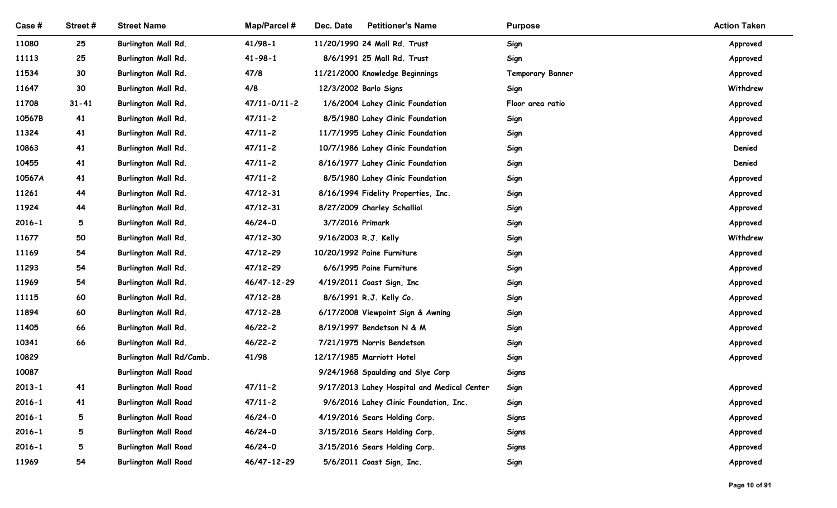| Case #         | Street#         | <b>Street Name</b>                         | <b>Map/Parcel#</b>         | Dec. Date<br><b>Petitioner's Name</b>                          | <b>Purpose</b>          | <b>Action Taken</b>  |
|----------------|-----------------|--------------------------------------------|----------------------------|----------------------------------------------------------------|-------------------------|----------------------|
| 11080          | 25              | Burlington Mall Rd.                        | $41/98-1$                  | 11/20/1990 24 Mall Rd. Trust                                   | Sign                    | Approved             |
| 11113          | 25              | <b>Burlington Mall Rd.</b>                 | $41 - 98 - 1$              | 8/6/1991 25 Mall Rd. Trust                                     | Sign                    | Approved             |
| 11534          | 30              | Burlington Mall Rd.                        | 47/8                       | 11/21/2000 Knowledge Beginnings                                | <b>Temporary Banner</b> | Approved             |
| 11647          | 30              | <b>Burlington Mall Rd.</b>                 | 4/8                        | 12/3/2002 Barlo Signs                                          | Sign                    | Withdrew             |
| 11708          | $31 - 41$       | Burlington Mall Rd.                        | $47/11 - 0/11 - 2$         | 1/6/2004 Lahey Clinic Foundation                               | Floor area ratio        | Approved             |
| 10567B         | 41              | <b>Burlington Mall Rd.</b>                 | $47/11 - 2$                | 8/5/1980 Lahey Clinic Foundation                               | Sign                    | Approved             |
| 11324          | 41              | <b>Burlington Mall Rd.</b>                 | $47/11 - 2$                | 11/7/1995 Lahey Clinic Foundation                              | Sign                    | Approved             |
| 10863          | 41              | Burlington Mall Rd.                        | $47/11 - 2$                | 10/7/1986 Lahey Clinic Foundation                              | Sign                    | Denied               |
| 10455          | 41              | Burlington Mall Rd.                        | $47/11 - 2$                | 8/16/1977 Lahey Clinic Foundation                              | Sign                    | Denied               |
| 10567A         | 41              | Burlington Mall Rd.                        | $47/11 - 2$                | 8/5/1980 Lahey Clinic Foundation                               | Sign                    | Approved             |
| 11261          | 44              | Burlington Mall Rd.                        | $47/12 - 31$               | 8/16/1994 Fidelity Properties, Inc.                            | Sign                    | Approved             |
| 11924          | 44              | Burlington Mall Rd.                        | $47/12 - 31$               | 8/27/2009 Charley Schalliol                                    | Sign                    | Approved             |
| $2016 - 1$     | 5               | Burlington Mall Rd.                        | 46/24-0                    | 3/7/2016 Primark                                               | Sign                    | Approved             |
| 11677          | 50              | Burlington Mall Rd.                        | $47/12 - 30$               | 9/16/2003 R.J. Kelly                                           | Sign                    | Withdrew             |
| 11169          | 54              | Burlington Mall Rd.                        | 47/12-29                   | 10/20/1992 Paine Furniture                                     | Sign                    | Approved             |
| 11293          | 54              | Burlington Mall Rd.                        | 47/12-29                   | 6/6/1995 Paine Furniture                                       | Sign                    | Approved             |
| 11969          | 54              | Burlington Mall Rd.                        | 46/47-12-29                | 4/19/2011 Coast Sign, Inc                                      | Sign                    | Approved             |
| 11115          | 60              | Burlington Mall Rd.                        | $47/12 - 28$               | 8/6/1991 R.J. Kelly Co.                                        | Sign                    | Approved             |
| 11894          | 60<br>66        | Burlington Mall Rd.                        | 47/12-28                   | 6/17/2008 Viewpoint Sign & Awning<br>8/19/1997 Bendetson N & M | Sign                    | Approved             |
| 11405<br>10341 | 66              | Burlington Mall Rd.<br>Burlington Mall Rd. | $46/22 - 2$<br>$46/22 - 2$ | 7/21/1975 Norris Bendetson                                     | Sign                    | Approved             |
| 10829          |                 | Burlington Mall Rd/Camb.                   | 41/98                      | 12/17/1985 Marriott Hotel                                      | Sign<br>Sign            | Approved<br>Approved |
| 10087          |                 | <b>Burlington Mall Road</b>                |                            | 9/24/1968 Spaulding and Slye Corp                              | <b>Signs</b>            |                      |
| $2013 - 1$     | 41              | <b>Burlington Mall Road</b>                | $47/11 - 2$                | 9/17/2013 Lahey Hospital and Medical Center                    | Sign                    | Approved             |
| $2016 - 1$     | 41              | <b>Burlington Mall Road</b>                | $47/11 - 2$                | 9/6/2016 Lahey Clinic Foundation, Inc.                         | Sign                    | Approved             |
| $2016 - 1$     | $5\overline{)}$ | <b>Burlington Mall Road</b>                | 46/24-0                    | 4/19/2016 Sears Holding Corp.                                  | Signs                   | Approved             |
| $2016 - 1$     | 5               | <b>Burlington Mall Road</b>                | 46/24-0                    | 3/15/2016 Sears Holding Corp.                                  | <b>Signs</b>            | Approved             |
| 2016-1         | 5               | <b>Burlington Mall Road</b>                | $46/24 - 0$                | 3/15/2016 Sears Holding Corp.                                  | Signs                   | Approved             |
| 11969          | 54              | <b>Burlington Mall Road</b>                | 46/47-12-29                | 5/6/2011 Coast Sign, Inc.                                      | Sign                    | Approved             |
|                |                 |                                            |                            |                                                                |                         |                      |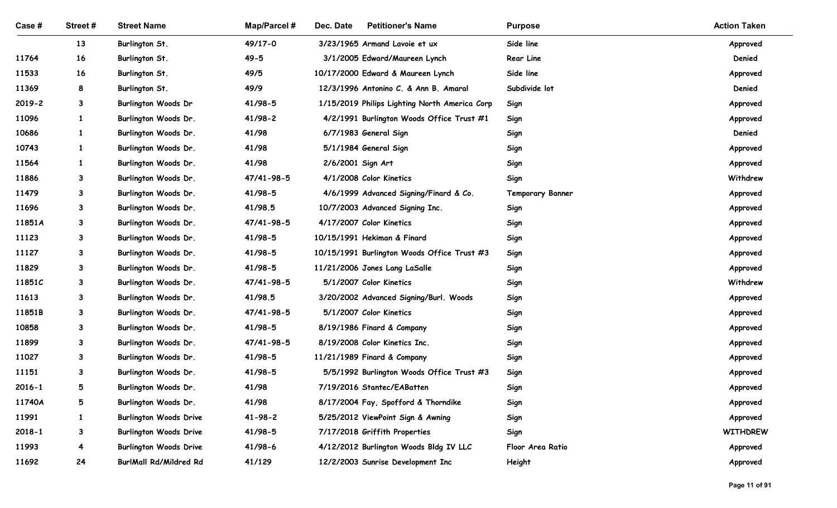| <b>Street Name</b><br>Map/Parcel #<br>Dec. Date<br><b>Petitioner's Name</b><br>Case#<br>Street#<br><b>Purpose</b><br>Side line<br>13<br>Burlington St.<br>49/17-0<br>3/23/1965 Armand Lavoie et ux<br>$49 - 5$<br>Rear Line<br>11764<br>16<br>Burlington St.<br>3/1/2005 Edward/Maureen Lynch<br>49/5<br>Side line<br>16<br>Burlington St.<br>10/17/2000 Edward & Maureen Lynch<br>11533<br>49/9<br>Subdivide lot<br>11369<br>Burlington St.<br>12/3/1996 Antonino C. & Ann B. Amaral<br>8<br>41/98-5<br>$2019 - 2$<br>$\mathbf{3}$<br><b>Burlington Woods Dr</b><br>1/15/2019 Philips Lighting North America Corp<br>Sign<br>11096<br>41/98-2<br>Sign<br>$\mathbf{1}$<br>Burlington Woods Dr.<br>4/2/1991 Burlington Woods Office Trust #1<br>41/98<br>10686<br>6/7/1983 General Sign<br>$\mathbf{1}$<br>Burlington Woods Dr.<br>Sign<br>41/98<br>10743<br>5/1/1984 General Sign<br>$\mathbf{1}$<br>Burlington Woods Dr.<br>Sign<br>41/98<br>11564<br>2/6/2001 Sign Art<br>Burlington Woods Dr.<br>Sign<br>11886<br>47/41-98-5<br>4/1/2008 Color Kinetics<br>Sign<br>Burlington Woods Dr.<br>41/98-5<br>11479<br>Burlington Woods Dr.<br>4/6/1999 Advanced Signing/Finard & Co.<br><b>Temporary Banner</b><br>3<br>41/98.5<br>11696<br>Burlington Woods Dr.<br>10/7/2003 Advanced Signing Inc.<br>3<br>Sign<br>11851A<br>47/41-98-5<br>4/17/2007 Color Kinetics<br>3<br>Burlington Woods Dr.<br>Sign<br>41/98-5<br>10/15/1991 Hekiman & Finard<br>11123<br>Burlington Woods Dr.<br>Sign<br>3<br>11127<br>41/98-5<br>Burlington Woods Dr.<br>10/15/1991 Burlington Woods Office Trust #3<br>Sign<br>3<br>41/98-5<br>11829<br>Burlington Woods Dr.<br>11/21/2006 Jones Lang LaSalle<br>3<br>Sign<br>47/41-98-5<br>5/1/2007 Color Kinetics<br>11851C<br>Burlington Woods Dr.<br>Sign<br>3<br>11613<br>41/98.5<br>Burlington Woods Dr.<br>3/20/2002 Advanced Signing/Burl. Woods<br>Sign<br>3<br>11851B<br>47/41-98-5<br>Burlington Woods Dr.<br>5/1/2007 Color Kinetics<br>3<br>Sign<br>41/98-5<br>10858<br>Burlington Woods Dr.<br>8/19/1986 Finard & Company<br>Sign<br>3 | <b>Action Taken</b><br>Approved<br>Denied<br>Approved<br>Denied<br>Approved<br>Approved<br>Denied<br>Approved<br>Approved<br>Withdrew<br>Approved |
|---------------------------------------------------------------------------------------------------------------------------------------------------------------------------------------------------------------------------------------------------------------------------------------------------------------------------------------------------------------------------------------------------------------------------------------------------------------------------------------------------------------------------------------------------------------------------------------------------------------------------------------------------------------------------------------------------------------------------------------------------------------------------------------------------------------------------------------------------------------------------------------------------------------------------------------------------------------------------------------------------------------------------------------------------------------------------------------------------------------------------------------------------------------------------------------------------------------------------------------------------------------------------------------------------------------------------------------------------------------------------------------------------------------------------------------------------------------------------------------------------------------------------------------------------------------------------------------------------------------------------------------------------------------------------------------------------------------------------------------------------------------------------------------------------------------------------------------------------------------------------------------------------------------------------------------------------------------------------------------------------------------------------------------------------------------------------|---------------------------------------------------------------------------------------------------------------------------------------------------|
|                                                                                                                                                                                                                                                                                                                                                                                                                                                                                                                                                                                                                                                                                                                                                                                                                                                                                                                                                                                                                                                                                                                                                                                                                                                                                                                                                                                                                                                                                                                                                                                                                                                                                                                                                                                                                                                                                                                                                                                                                                                                           |                                                                                                                                                   |
|                                                                                                                                                                                                                                                                                                                                                                                                                                                                                                                                                                                                                                                                                                                                                                                                                                                                                                                                                                                                                                                                                                                                                                                                                                                                                                                                                                                                                                                                                                                                                                                                                                                                                                                                                                                                                                                                                                                                                                                                                                                                           |                                                                                                                                                   |
|                                                                                                                                                                                                                                                                                                                                                                                                                                                                                                                                                                                                                                                                                                                                                                                                                                                                                                                                                                                                                                                                                                                                                                                                                                                                                                                                                                                                                                                                                                                                                                                                                                                                                                                                                                                                                                                                                                                                                                                                                                                                           |                                                                                                                                                   |
|                                                                                                                                                                                                                                                                                                                                                                                                                                                                                                                                                                                                                                                                                                                                                                                                                                                                                                                                                                                                                                                                                                                                                                                                                                                                                                                                                                                                                                                                                                                                                                                                                                                                                                                                                                                                                                                                                                                                                                                                                                                                           |                                                                                                                                                   |
|                                                                                                                                                                                                                                                                                                                                                                                                                                                                                                                                                                                                                                                                                                                                                                                                                                                                                                                                                                                                                                                                                                                                                                                                                                                                                                                                                                                                                                                                                                                                                                                                                                                                                                                                                                                                                                                                                                                                                                                                                                                                           |                                                                                                                                                   |
|                                                                                                                                                                                                                                                                                                                                                                                                                                                                                                                                                                                                                                                                                                                                                                                                                                                                                                                                                                                                                                                                                                                                                                                                                                                                                                                                                                                                                                                                                                                                                                                                                                                                                                                                                                                                                                                                                                                                                                                                                                                                           |                                                                                                                                                   |
|                                                                                                                                                                                                                                                                                                                                                                                                                                                                                                                                                                                                                                                                                                                                                                                                                                                                                                                                                                                                                                                                                                                                                                                                                                                                                                                                                                                                                                                                                                                                                                                                                                                                                                                                                                                                                                                                                                                                                                                                                                                                           |                                                                                                                                                   |
|                                                                                                                                                                                                                                                                                                                                                                                                                                                                                                                                                                                                                                                                                                                                                                                                                                                                                                                                                                                                                                                                                                                                                                                                                                                                                                                                                                                                                                                                                                                                                                                                                                                                                                                                                                                                                                                                                                                                                                                                                                                                           |                                                                                                                                                   |
|                                                                                                                                                                                                                                                                                                                                                                                                                                                                                                                                                                                                                                                                                                                                                                                                                                                                                                                                                                                                                                                                                                                                                                                                                                                                                                                                                                                                                                                                                                                                                                                                                                                                                                                                                                                                                                                                                                                                                                                                                                                                           |                                                                                                                                                   |
|                                                                                                                                                                                                                                                                                                                                                                                                                                                                                                                                                                                                                                                                                                                                                                                                                                                                                                                                                                                                                                                                                                                                                                                                                                                                                                                                                                                                                                                                                                                                                                                                                                                                                                                                                                                                                                                                                                                                                                                                                                                                           |                                                                                                                                                   |
|                                                                                                                                                                                                                                                                                                                                                                                                                                                                                                                                                                                                                                                                                                                                                                                                                                                                                                                                                                                                                                                                                                                                                                                                                                                                                                                                                                                                                                                                                                                                                                                                                                                                                                                                                                                                                                                                                                                                                                                                                                                                           |                                                                                                                                                   |
|                                                                                                                                                                                                                                                                                                                                                                                                                                                                                                                                                                                                                                                                                                                                                                                                                                                                                                                                                                                                                                                                                                                                                                                                                                                                                                                                                                                                                                                                                                                                                                                                                                                                                                                                                                                                                                                                                                                                                                                                                                                                           |                                                                                                                                                   |
|                                                                                                                                                                                                                                                                                                                                                                                                                                                                                                                                                                                                                                                                                                                                                                                                                                                                                                                                                                                                                                                                                                                                                                                                                                                                                                                                                                                                                                                                                                                                                                                                                                                                                                                                                                                                                                                                                                                                                                                                                                                                           |                                                                                                                                                   |
|                                                                                                                                                                                                                                                                                                                                                                                                                                                                                                                                                                                                                                                                                                                                                                                                                                                                                                                                                                                                                                                                                                                                                                                                                                                                                                                                                                                                                                                                                                                                                                                                                                                                                                                                                                                                                                                                                                                                                                                                                                                                           | Approved<br>Approved                                                                                                                              |
|                                                                                                                                                                                                                                                                                                                                                                                                                                                                                                                                                                                                                                                                                                                                                                                                                                                                                                                                                                                                                                                                                                                                                                                                                                                                                                                                                                                                                                                                                                                                                                                                                                                                                                                                                                                                                                                                                                                                                                                                                                                                           | Approved                                                                                                                                          |
|                                                                                                                                                                                                                                                                                                                                                                                                                                                                                                                                                                                                                                                                                                                                                                                                                                                                                                                                                                                                                                                                                                                                                                                                                                                                                                                                                                                                                                                                                                                                                                                                                                                                                                                                                                                                                                                                                                                                                                                                                                                                           | Approved                                                                                                                                          |
|                                                                                                                                                                                                                                                                                                                                                                                                                                                                                                                                                                                                                                                                                                                                                                                                                                                                                                                                                                                                                                                                                                                                                                                                                                                                                                                                                                                                                                                                                                                                                                                                                                                                                                                                                                                                                                                                                                                                                                                                                                                                           | Approved                                                                                                                                          |
|                                                                                                                                                                                                                                                                                                                                                                                                                                                                                                                                                                                                                                                                                                                                                                                                                                                                                                                                                                                                                                                                                                                                                                                                                                                                                                                                                                                                                                                                                                                                                                                                                                                                                                                                                                                                                                                                                                                                                                                                                                                                           | Withdrew                                                                                                                                          |
|                                                                                                                                                                                                                                                                                                                                                                                                                                                                                                                                                                                                                                                                                                                                                                                                                                                                                                                                                                                                                                                                                                                                                                                                                                                                                                                                                                                                                                                                                                                                                                                                                                                                                                                                                                                                                                                                                                                                                                                                                                                                           | Approved                                                                                                                                          |
|                                                                                                                                                                                                                                                                                                                                                                                                                                                                                                                                                                                                                                                                                                                                                                                                                                                                                                                                                                                                                                                                                                                                                                                                                                                                                                                                                                                                                                                                                                                                                                                                                                                                                                                                                                                                                                                                                                                                                                                                                                                                           | Approved                                                                                                                                          |
|                                                                                                                                                                                                                                                                                                                                                                                                                                                                                                                                                                                                                                                                                                                                                                                                                                                                                                                                                                                                                                                                                                                                                                                                                                                                                                                                                                                                                                                                                                                                                                                                                                                                                                                                                                                                                                                                                                                                                                                                                                                                           | Approved                                                                                                                                          |
| 47/41-98-5<br>11899<br>Burlington Woods Dr.<br>8/19/2008 Color Kinetics Inc.<br>Sign<br>3                                                                                                                                                                                                                                                                                                                                                                                                                                                                                                                                                                                                                                                                                                                                                                                                                                                                                                                                                                                                                                                                                                                                                                                                                                                                                                                                                                                                                                                                                                                                                                                                                                                                                                                                                                                                                                                                                                                                                                                 | Approved                                                                                                                                          |
| 41/98-5<br>11/21/1989 Finard & Company<br>11027<br>Burlington Woods Dr.<br>Sign<br>3                                                                                                                                                                                                                                                                                                                                                                                                                                                                                                                                                                                                                                                                                                                                                                                                                                                                                                                                                                                                                                                                                                                                                                                                                                                                                                                                                                                                                                                                                                                                                                                                                                                                                                                                                                                                                                                                                                                                                                                      | Approved                                                                                                                                          |
| 11151<br>41/98-5<br>Burlington Woods Dr.<br>5/5/1992 Burlington Woods Office Trust #3<br>Sign<br>3                                                                                                                                                                                                                                                                                                                                                                                                                                                                                                                                                                                                                                                                                                                                                                                                                                                                                                                                                                                                                                                                                                                                                                                                                                                                                                                                                                                                                                                                                                                                                                                                                                                                                                                                                                                                                                                                                                                                                                        | Approved                                                                                                                                          |
| 41/98<br>$2016 - 1$<br>Burlington Woods Dr.<br>7/19/2016 Stantec/EABatten<br>5<br>Sign                                                                                                                                                                                                                                                                                                                                                                                                                                                                                                                                                                                                                                                                                                                                                                                                                                                                                                                                                                                                                                                                                                                                                                                                                                                                                                                                                                                                                                                                                                                                                                                                                                                                                                                                                                                                                                                                                                                                                                                    | Approved                                                                                                                                          |
| 41/98<br>11740A<br>5<br>Burlington Woods Dr.<br>8/17/2004 Fay, Spofford & Thorndike<br>Sign                                                                                                                                                                                                                                                                                                                                                                                                                                                                                                                                                                                                                                                                                                                                                                                                                                                                                                                                                                                                                                                                                                                                                                                                                                                                                                                                                                                                                                                                                                                                                                                                                                                                                                                                                                                                                                                                                                                                                                               | Approved                                                                                                                                          |
| 11991<br><b>Burlington Woods Drive</b><br>$41 - 98 - 2$<br>5/25/2012 ViewPoint Sign & Awning<br>Sign<br>1                                                                                                                                                                                                                                                                                                                                                                                                                                                                                                                                                                                                                                                                                                                                                                                                                                                                                                                                                                                                                                                                                                                                                                                                                                                                                                                                                                                                                                                                                                                                                                                                                                                                                                                                                                                                                                                                                                                                                                 | Approved                                                                                                                                          |
| 41/98-5<br>$2018 - 1$<br><b>Burlington Woods Drive</b><br>7/17/2018 Griffith Properties<br>Sign<br>3                                                                                                                                                                                                                                                                                                                                                                                                                                                                                                                                                                                                                                                                                                                                                                                                                                                                                                                                                                                                                                                                                                                                                                                                                                                                                                                                                                                                                                                                                                                                                                                                                                                                                                                                                                                                                                                                                                                                                                      | <b>WITHDREW</b>                                                                                                                                   |
| 11993<br><b>Burlington Woods Drive</b><br>41/98-6<br>4/12/2012 Burlington Woods Bldg IV LLC<br>Floor Area Ratio                                                                                                                                                                                                                                                                                                                                                                                                                                                                                                                                                                                                                                                                                                                                                                                                                                                                                                                                                                                                                                                                                                                                                                                                                                                                                                                                                                                                                                                                                                                                                                                                                                                                                                                                                                                                                                                                                                                                                           | Approved                                                                                                                                          |
| 24<br>11692<br><b>BurlMall Rd/Mildred Rd</b><br>41/129<br>12/2/2003 Sunrise Development Inc<br>Height                                                                                                                                                                                                                                                                                                                                                                                                                                                                                                                                                                                                                                                                                                                                                                                                                                                                                                                                                                                                                                                                                                                                                                                                                                                                                                                                                                                                                                                                                                                                                                                                                                                                                                                                                                                                                                                                                                                                                                     | Approved                                                                                                                                          |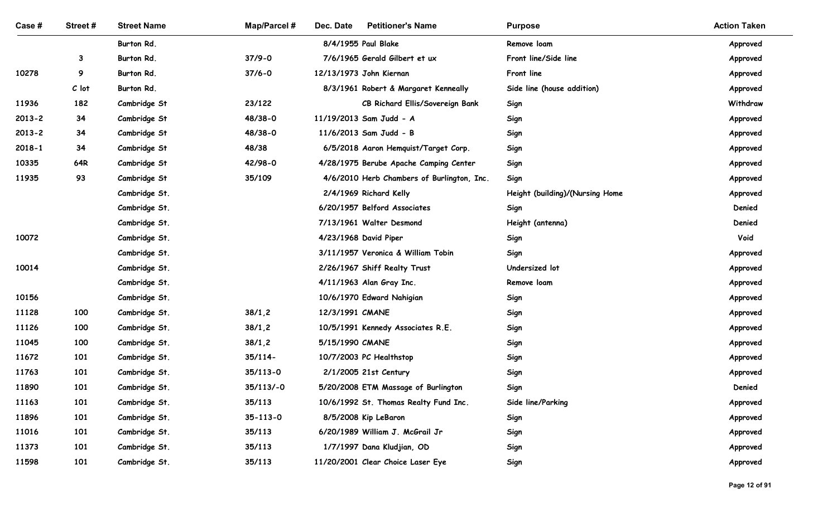| Case #         | Street#      | <b>Street Name</b>             | Map/Parcel #              | <b>Petitioner's Name</b><br>Dec. Date                        | <b>Purpose</b>                  | <b>Action Taken</b> |
|----------------|--------------|--------------------------------|---------------------------|--------------------------------------------------------------|---------------------------------|---------------------|
|                |              | Burton Rd.                     |                           | 8/4/1955 Paul Blake                                          | Remove loam                     | Approved            |
|                | $\mathbf{3}$ | Burton Rd.                     | $37/9 - 0$                | 7/6/1965 Gerald Gilbert et ux                                | Front line/Side line            | Approved            |
| 10278          | 9            | Burton Rd.                     | $37/6 - 0$                | 12/13/1973 John Kiernan                                      | Front line                      | Approved            |
|                | $C$ lot      | Burton Rd.                     |                           | 8/3/1961 Robert & Margaret Kenneally                         | Side line (house addition)      | Approved            |
| 11936          | 182          | Cambridge St                   | 23/122                    | CB Richard Ellis/Sovereign Bank                              | Sign                            | Withdraw            |
| $2013 - 2$     | 34           | Cambridge St                   | 48/38-0                   | 11/19/2013 Sam Judd - A                                      | Sign                            | Approved            |
| $2013 - 2$     | 34           | Cambridge St                   | 48/38-0                   | 11/6/2013 Sam Judd - B                                       | Sign                            | Approved            |
| $2018 - 1$     | 34           | Cambridge St                   | 48/38                     | 6/5/2018 Aaron Hemquist/Target Corp.                         | Sign                            | Approved            |
| 10335          | 64R          | Cambridge St                   | 42/98-0                   | 4/28/1975 Berube Apache Camping Center                       | Sign                            | Approved            |
| 11935          | 93           | Cambridge St                   | 35/109                    | 4/6/2010 Herb Chambers of Burlington, Inc.                   | Sign                            | Approved            |
|                |              | Cambridge St.                  |                           | 2/4/1969 Richard Kelly                                       | Height (building)/(Nursing Home | Approved            |
|                |              | Cambridge St.                  |                           | 6/20/1957 Belford Associates                                 | Sign                            | Denied              |
|                |              | Cambridge St.                  |                           | 7/13/1961 Walter Desmond                                     | Height (antenna)                | Denied              |
| 10072          |              | Cambridge St.                  |                           | 4/23/1968 David Piper                                        | Sign                            | Void                |
|                |              | Cambridge St.                  |                           | 3/11/1957 Veronica & William Tobin                           | Sign                            | Approved            |
| 10014          |              | Cambridge St.                  |                           | 2/26/1967 Shiff Realty Trust                                 | Undersized lot                  | Approved            |
|                |              | Cambridge St.                  |                           | 4/11/1963 Alan Gray Inc.                                     | Remove loam                     | Approved            |
| 10156          |              | Cambridge St.                  |                           | 10/6/1970 Edward Nahigian                                    | Sign                            | Approved            |
| 11128          | 100          | Cambridge St.                  | 38/1,2                    | 12/3/1991 CMANE                                              | Sign                            | Approved            |
| 11126          | 100          | Cambridge St.                  | 38/1,2                    | 10/5/1991 Kennedy Associates R.E.                            | Sign                            | Approved            |
| 11045          | 100          | Cambridge St.                  | 38/1,2                    | 5/15/1990 CMANE                                              | Sign                            | Approved            |
| 11672<br>11763 | 101          | Cambridge St.                  | $35/114-$<br>$35/113 - 0$ | 10/7/2003 PC Healthstop                                      | Sign                            | Approved            |
| 11890          | 101<br>101   | Cambridge St.<br>Cambridge St. | $35/113/-0$               | 2/1/2005 21st Century<br>5/20/2008 ETM Massage of Burlington | Sign<br>Sign                    | Approved<br>Denied  |
| 11163          | 101          | Cambridge St.                  | 35/113                    | 10/6/1992 St. Thomas Realty Fund Inc.                        | Side line/Parking               | Approved            |
| 11896          | 101          | Cambridge St.                  | $35 - 113 - 0$            | 8/5/2008 Kip LeBaron                                         | Sign                            | Approved            |
| 11016          | 101          | Cambridge St.                  | 35/113                    | 6/20/1989 William J. McGrail Jr                              | Sign                            | Approved            |
| 11373          | 101          | Cambridge St.                  | 35/113                    | 1/7/1997 Dana Kludjian, OD                                   | Sign                            | Approved            |
| 11598          | 101          | Cambridge St.                  | 35/113                    | 11/20/2001 Clear Choice Laser Eye                            | Sign                            | Approved            |
|                |              |                                |                           |                                                              |                                 |                     |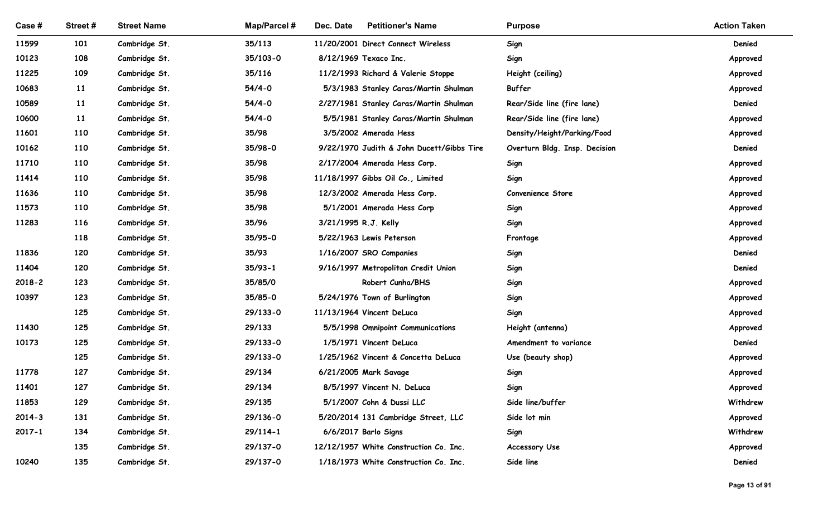| Case #     | Street#    | <b>Street Name</b>             | <b>Map/Parcel#</b>   | Dec. Date<br><b>Petitioner's Name</b>                          | <b>Purpose</b>                | <b>Action Taken</b> |
|------------|------------|--------------------------------|----------------------|----------------------------------------------------------------|-------------------------------|---------------------|
| 11599      | 101        | Cambridge St.                  | 35/113               | 11/20/2001 Direct Connect Wireless                             | Sign                          | Denied              |
| 10123      | 108        | Cambridge St.                  | 35/103-0             | 8/12/1969 Texaco Inc.                                          | Sign                          | Approved            |
| 11225      | 109        | Cambridge St.                  | 35/116               | 11/2/1993 Richard & Valerie Stoppe                             | Height (ceiling)              | Approved            |
| 10683      | 11         | Cambridge St.                  | $54/4 - 0$           | 5/3/1983 Stanley Caras/Martin Shulman                          | Buffer                        | Approved            |
| 10589      | 11         | Cambridge St.                  | $54/4 - 0$           | 2/27/1981 Stanley Caras/Martin Shulman                         | Rear/Side line (fire lane)    | Denied              |
| 10600      | 11         | Cambridge St.                  | $54/4 - 0$           | 5/5/1981 Stanley Caras/Martin Shulman                          | Rear/Side line (fire lane)    | Approved            |
| 11601      | 110        | Cambridge St.                  | 35/98                | 3/5/2002 Amerada Hess                                          | Density/Height/Parking/Food   | Approved            |
| 10162      | 110        | Cambridge St.                  | 35/98-0              | 9/22/1970 Judith & John Ducett/Gibbs Tire                      | Overturn Bldg. Insp. Decision | Denied              |
| 11710      | 110        | Cambridge St.                  | 35/98                | 2/17/2004 Amerada Hess Corp.                                   | Sign                          | Approved            |
| 11414      | 110        | Cambridge St.                  | 35/98                | 11/18/1997 Gibbs Oil Co., Limited                              | Sign                          | Approved            |
| 11636      | 110        | Cambridge St.                  | 35/98                | 12/3/2002 Amerada Hess Corp.                                   | Convenience Store             | Approved            |
| 11573      | 110        | Cambridge St.                  | 35/98                | 5/1/2001 Amerada Hess Corp                                     | Sign                          | Approved            |
| 11283      | 116        | Cambridge St.                  | 35/96                | 3/21/1995 R.J. Kelly                                           | Sign                          | Approved            |
|            | 118        | Cambridge St.                  | 35/95-0              | 5/22/1963 Lewis Peterson                                       | Frontage                      | Approved            |
| 11836      | 120        | Cambridge St.                  | 35/93                | 1/16/2007 SRO Companies                                        | Sign                          | Denied              |
| 11404      | 120        | Cambridge St.                  | $35/93 - 1$          | 9/16/1997 Metropolitan Credit Union                            | Sign                          | Denied              |
| $2018 - 2$ | 123        | Cambridge St.                  | 35/85/0              | Robert Cunha/BHS                                               | Sign                          | Approved            |
| 10397      | 123        | Cambridge St.                  | $35/85 - 0$          | 5/24/1976 Town of Burlington                                   | Sign                          | Approved            |
|            | 125        | Cambridge St.                  | 29/133-0             | 11/13/1964 Vincent DeLuca                                      | Sign                          | Approved            |
| 11430      | 125        | Cambridge St.                  | 29/133               | 5/5/1998 Omnipoint Communications                              | Height (antenna)              | Approved            |
| 10173      | 125        | Cambridge St.                  | 29/133-0             | 1/5/1971 Vincent DeLuca                                        | Amendment to variance         | Denied              |
|            | 125        | Cambridge St.                  | 29/133-0             | 1/25/1962 Vincent & Concetta DeLuca                            | Use (beauty shop)             | Approved            |
| 11778      | 127        | Cambridge St.                  | 29/134               | 6/21/2005 Mark Savage                                          | Sign                          | Approved            |
| 11401      | 127        | Cambridge St.                  | 29/134               | 8/5/1997 Vincent N. DeLuca                                     | Sign                          | Approved            |
| 11853      | 129        | Cambridge St.                  | 29/135               | 5/1/2007 Cohn & Dussi LLC                                      | Side line/buffer              | Withdrew            |
| $2014 - 3$ | 131        | Cambridge St.                  | 29/136-0             | 5/20/2014 131 Cambridge Street, LLC                            | Side lot min                  | Approved            |
| $2017 - 1$ | 134<br>135 | Cambridge St.<br>Cambridge St. | 29/114-1<br>29/137-0 | 6/6/2017 Barlo Signs<br>12/12/1957 White Construction Co. Inc. | Sign                          | Withdrew            |
| 10240      | 135        | Cambridge St.                  | 29/137-0             | 1/18/1973 White Construction Co. Inc.                          | Accessory Use<br>Side line    | Approved<br>Denied  |
|            |            |                                |                      |                                                                |                               |                     |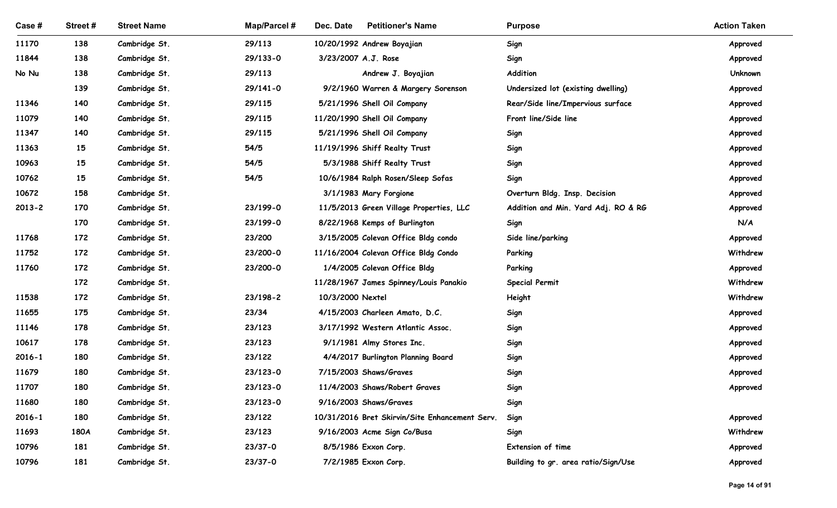| Case #              | Street#    | <b>Street Name</b>             | Map/Parcel #       | Dec. Date<br><b>Petitioner's Name</b>                                    | <b>Purpose</b>                      | <b>Action Taken</b>  |
|---------------------|------------|--------------------------------|--------------------|--------------------------------------------------------------------------|-------------------------------------|----------------------|
| 11170               | 138        | Cambridge St.                  | 29/113             | 10/20/1992 Andrew Boyajian                                               | Sign                                | Approved             |
| 11844               | 138        | Cambridge St.                  | 29/133-0           | 3/23/2007 A.J. Rose                                                      | Sign                                | Approved             |
| No Nu               | 138        | Cambridge St.                  | 29/113             | Andrew J. Boyajian                                                       | Addition                            | Unknown              |
|                     | 139        | Cambridge St.                  | 29/141-0           | 9/2/1960 Warren & Margery Sorenson                                       | Undersized lot (existing dwelling)  | Approved             |
| 11346               | 140        | Cambridge St.                  | 29/115             | 5/21/1996 Shell Oil Company                                              | Rear/Side line/Impervious surface   | Approved             |
| 11079               | 140        | Cambridge St.                  | 29/115             | 11/20/1990 Shell Oil Company                                             | Front line/Side line                | Approved             |
| 11347               | 140        | Cambridge St.                  | 29/115             | 5/21/1996 Shell Oil Company                                              | Sign                                | Approved             |
| 11363               | 15         | Cambridge St.                  | 54/5               | 11/19/1996 Shiff Realty Trust                                            | Sign                                | Approved             |
| 10963               | 15         | Cambridge St.                  | 54/5               | 5/3/1988 Shiff Realty Trust                                              | Sign                                | Approved             |
| 10762               | 15         | Cambridge St.                  | 54/5               | 10/6/1984 Ralph Rosen/Sleep Sofas                                        | Sign                                | Approved             |
| 10672               | 158        | Cambridge St.                  |                    | 3/1/1983 Mary Forgione                                                   | Overturn Bldg. Insp. Decision       | Approved             |
| $2013 - 2$          | 170        | Cambridge St.                  | 23/199-0           | 11/5/2013 Green Village Properties, LLC                                  | Addition and Min. Yard Adj. RO & RG | Approved             |
|                     | 170        | Cambridge St.                  | 23/199-0           | 8/22/1968 Kemps of Burlington                                            | Sign                                | N/A                  |
| 11768               | 172        | Cambridge St.                  | 23/200             | 3/15/2005 Colevan Office Bldg condo                                      | Side line/parking                   | Approved             |
| 11752               | 172        | Cambridge St.                  | 23/200-0           | 11/16/2004 Colevan Office Bldg Condo                                     | Parking                             | Withdrew             |
| 11760               | 172        | Cambridge St.                  | 23/200-0           | 1/4/2005 Colevan Office Bldg                                             | Parking                             | Approved             |
|                     | 172        | Cambridge St.                  |                    | 11/28/1967 James Spinney/Louis Panakio                                   | <b>Special Permit</b>               | Withdrew             |
| 11538               | 172        | Cambridge St.                  | 23/198-2           | 10/3/2000 Nextel                                                         | Height                              | Withdrew             |
| 11655               | 175        | Cambridge St.                  | 23/34              | 4/15/2003 Charleen Amato, D.C.                                           | Sign                                | Approved             |
| 11146               | 178        | Cambridge St.                  | 23/123             | 3/17/1992 Western Atlantic Assoc.                                        | Sign                                | Approved             |
| 10617               | 178        | Cambridge St.                  | 23/123             | 9/1/1981 Almy Stores Inc.                                                | Sign                                | Approved             |
| $2016 - 1$          | 180        | Cambridge St.                  | 23/122             | 4/4/2017 Burlington Planning Board                                       | Sign                                | Approved             |
| 11679               | 180        | Cambridge St.                  | 23/123-0           | 7/15/2003 Shaws/Graves                                                   | Sign                                | Approved             |
| 11707<br>11680      | 180<br>180 | Cambridge St.                  | 23/123-0           | 11/4/2003 Shaws/Robert Graves                                            | Sign                                | Approved             |
|                     | 180        | Cambridge St.                  | 23/123-0<br>23/122 | 9/16/2003 Shaws/Graves<br>10/31/2016 Bret Skirvin/Site Enhancement Serv. | Sign                                |                      |
| $2016 - 1$<br>11693 | 180A       | Cambridge St.<br>Cambridge St. | 23/123             | 9/16/2003 Acme Sign Co/Busa                                              | Sign<br>Sign                        | Approved<br>Withdrew |
| 10796               | 181        | Cambridge St.                  | 23/37-0            | 8/5/1986 Exxon Corp.                                                     | Extension of time                   | Approved             |
|                     | 181        | Cambridge St.                  | 23/37-0            | 7/2/1985 Exxon Corp.                                                     | Building to gr. area ratio/Sign/Use | Approved             |
| 10796               |            |                                |                    |                                                                          |                                     |                      |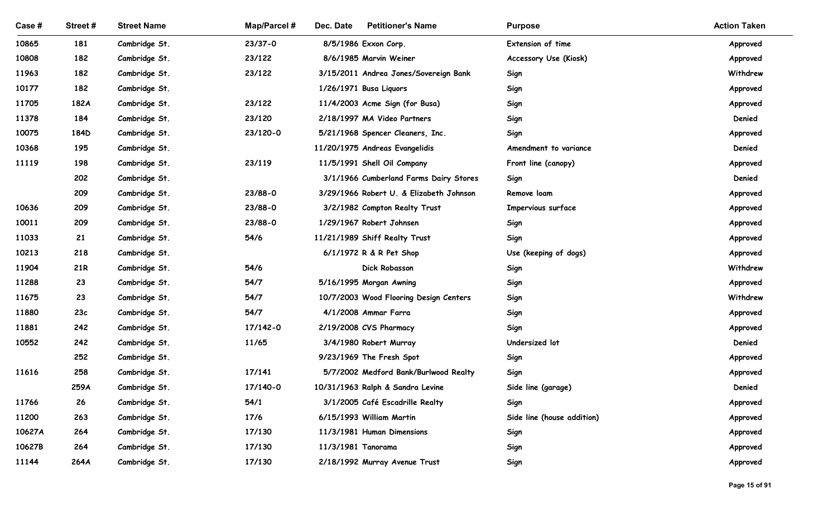| Case#          | Street#   | <b>Street Name</b>             | <b>Map/Parcel#</b> | Dec. Date<br><b>Petitioner's Name</b>                          | <b>Purpose</b>             | <b>Action Taken</b>  |
|----------------|-----------|--------------------------------|--------------------|----------------------------------------------------------------|----------------------------|----------------------|
| 10865          | 181       | Cambridge St.                  | $23/37 - 0$        | 8/5/1986 Exxon Corp.                                           | Extension of time          | Approved             |
| 10808          | 182       | Cambridge St.                  | 23/122             | 8/6/1985 Marvin Weiner                                         | Accessory Use (Kiosk)      | Approved             |
| 11963          | 182       | Cambridge St.                  | 23/122             | 3/15/2011 Andrea Jones/Sovereign Bank                          | Sign                       | Withdrew             |
| 10177          | 182       | Cambridge St.                  |                    | 1/26/1971 Busa Liquors                                         | Sign                       | Approved             |
| 11705          | 182A      | Cambridge St.                  | 23/122             | 11/4/2003 Acme Sign (for Busa)                                 | Sign                       | Approved             |
| 11378          | 184       | Cambridge St.                  | 23/120             | 2/18/1997 MA Video Partners                                    | Sign                       | Denied               |
| 10075          | 184D      | Cambridge St.                  | 23/120-0           | 5/21/1968 Spencer Cleaners, Inc.                               | Sign                       | Approved             |
| 10368          | 195       | Cambridge St.                  |                    | 11/20/1975 Andreas Evangelidis                                 | Amendment to variance      | Denied               |
| 11119          | 198       | Cambridge St.                  | 23/119             | 11/5/1991 Shell Oil Company                                    | Front line (canopy)        | Approved             |
|                | 202       | Cambridge St.                  |                    | 3/1/1966 Cumberland Farms Dairy Stores                         | Sign                       | Denied               |
|                | 209       | Cambridge St.                  | 23/88-0            | 3/29/1966 Robert U. & Elizabeth Johnson                        | Remove loam                | Approved             |
| 10636          | 209       | Cambridge St.                  | 23/88-0            | 3/2/1982 Compton Realty Trust                                  | Impervious surface         | Approved             |
| 10011          | 209       | Cambridge St.                  | 23/88-0            | 1/29/1967 Robert Johnsen                                       | Sign                       | Approved             |
| 11033          | 21        | Cambridge St.                  | 54/6               | 11/21/1989 Shiff Realty Trust                                  | Sign                       | Approved             |
| 10213          | 218       | Cambridge St.                  |                    | 6/1/1972 R & R Pet Shop                                        | Use (keeping of dogs)      | Approved             |
| 11904          | 21R       | Cambridge St.                  | 54/6               | Dick Robasson                                                  | Sign                       | Withdrew             |
| 11288          | 23        | Cambridge St.                  | 54/7               | 5/16/1995 Morgan Awning                                        | Sign                       | Approved             |
| 11675<br>11880 | 23<br>23c | Cambridge St.<br>Cambridge St. | 54/7<br>54/7       | 10/7/2003 Wood Flooring Design Centers<br>4/1/2008 Ammar Farra | Sign                       | Withdrew             |
| 11881          | 242       | Cambridge St.                  | 17/142-0           | 2/19/2008 CVS Pharmacy                                         | Sign<br>Sign               | Approved<br>Approved |
| 10552          | 242       | Cambridge St.                  | 11/65              | 3/4/1980 Robert Murray                                         | Undersized lot             | Denied               |
|                | 252       | Cambridge St.                  |                    | 9/23/1969 The Fresh Spot                                       | Sign                       | Approved             |
| 11616          | 258       | Cambridge St.                  | 17/141             | 5/7/2002 Medford Bank/Burlwood Realty                          | Sign                       | Approved             |
|                | 259A      | Cambridge St.                  | 17/140-0           | 10/31/1963 Ralph & Sandra Levine                               | Side line (garage)         | Denied               |
| 11766          | 26        | Cambridge St.                  | 54/1               | 3/1/2005 Café Escadrille Realty                                | Sign                       | Approved             |
| 11200          | 263       | Cambridge St.                  | 17/6               | 6/15/1993 William Martin                                       | Side line (house addition) | Approved             |
| 10627A         | 264       | Cambridge St.                  | 17/130             | 11/3/1981 Human Dimensions                                     | Sign                       | Approved             |
| 10627B         | 264       | Cambridge St.                  | 17/130             | 11/3/1981 Tanorama                                             | Sign                       | Approved             |
| 11144          | 264A      | Cambridge St.                  | 17/130             | 2/18/1992 Murray Avenue Trust                                  | Sign                       | Approved             |
|                |           |                                |                    |                                                                |                            |                      |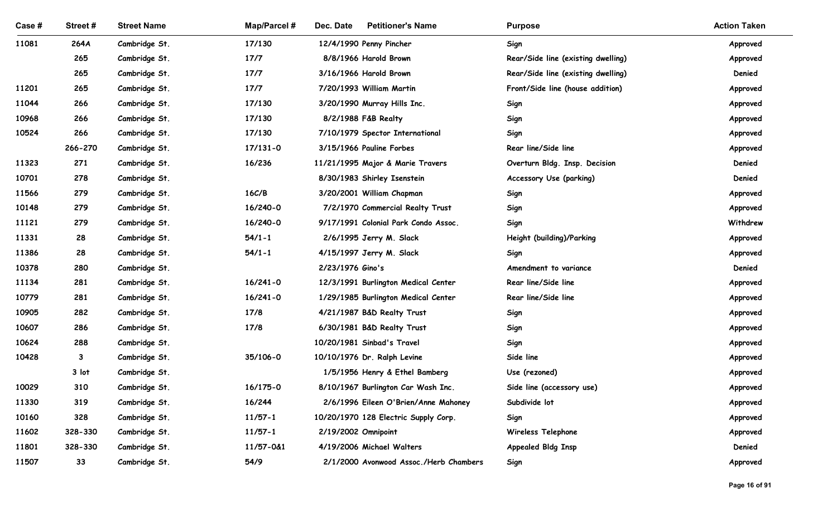| Case#          | Street#      | <b>Street Name</b>             | <b>Map/Parcel#</b> | <b>Petitioner's Name</b><br>Dec. Date                    | <b>Purpose</b>                     | <b>Action Taken</b>  |
|----------------|--------------|--------------------------------|--------------------|----------------------------------------------------------|------------------------------------|----------------------|
| 11081          | 264A         | Cambridge St.                  | 17/130             | 12/4/1990 Penny Pincher                                  | Sign                               | Approved             |
|                | 265          | Cambridge St.                  | 17/7               | 8/8/1966 Harold Brown                                    | Rear/Side line (existing dwelling) | Approved             |
|                | 265          | Cambridge St.                  | 17/7               | 3/16/1966 Harold Brown                                   | Rear/Side line (existing dwelling) | Denied               |
| 11201          | 265          | Cambridge St.                  | 17/7               | 7/20/1993 William Martin                                 | Front/Side line (house addition)   | Approved             |
| 11044          | 266          | Cambridge St.                  | 17/130             | 3/20/1990 Murray Hills Inc.                              | Sign                               | Approved             |
| 10968          | 266          | Cambridge St.                  | 17/130             | 8/2/1988 F&B Realty                                      | Sign                               | Approved             |
| 10524          | 266          | Cambridge St.                  | 17/130             | 7/10/1979 Spector International                          | Sign                               | Approved             |
|                | 266-270      | Cambridge St.                  | $17/131 - 0$       | 3/15/1966 Pauline Forbes                                 | Rear line/Side line                | Approved             |
| 11323          | 271          | Cambridge St.                  | 16/236             | 11/21/1995 Major & Marie Travers                         | Overturn Bldg. Insp. Decision      | Denied               |
| 10701          | 278          | Cambridge St.                  |                    | 8/30/1983 Shirley Isenstein                              | Accessory Use (parking)            | Denied               |
| 11566          | 279          | Cambridge St.                  | 16C/B              | 3/20/2001 William Chapman                                | Sign                               | Approved             |
| 10148          | 279          | Cambridge St.                  | 16/240-0           | 7/2/1970 Commercial Realty Trust                         | Sign                               | Approved             |
| 11121          | 279          | Cambridge St.                  | 16/240-0           | 9/17/1991 Colonial Park Condo Assoc.                     | Sign                               | Withdrew             |
| 11331          | 28           | Cambridge St.                  | $54/1 - 1$         | 2/6/1995 Jerry M. Slack                                  | Height (building)/Parking          | Approved             |
| 11386          | 28           | Cambridge St.                  | $54/1 - 1$         | 4/15/1997 Jerry M. Slack                                 | Sign                               | Approved             |
| 10378          | 280          | Cambridge St.                  |                    | 2/23/1976 Gino's                                         | Amendment to variance              | Denied               |
| 11134          | 281          | Cambridge St.                  | $16/241 - 0$       | 12/3/1991 Burlington Medical Center                      | Rear line/Side line                | Approved             |
| 10779          | 281          | Cambridge St.                  | $16/241 - 0$       | 1/29/1985 Burlington Medical Center                      | Rear line/Side line                | Approved             |
| 10905<br>10607 | 282<br>286   | Cambridge St.<br>Cambridge St. | 17/8<br>17/8       | 4/21/1987 B&D Realty Trust<br>6/30/1981 B&D Realty Trust | Sign                               | Approved             |
| 10624          | 288          | Cambridge St.                  |                    | 10/20/1981 Sinbad's Travel                               | Sign<br>Sign                       | Approved<br>Approved |
| 10428          | $\mathbf{3}$ | Cambridge St.                  | 35/106-0           | 10/10/1976 Dr. Ralph Levine                              | Side line                          | Approved             |
|                | 3 lot        | Cambridge St.                  |                    | 1/5/1956 Henry & Ethel Bamberg                           | Use (rezoned)                      | Approved             |
| 10029          | 310          | Cambridge St.                  | 16/175-0           | 8/10/1967 Burlington Car Wash Inc.                       | Side line (accessory use)          | Approved             |
| 11330          | 319          | Cambridge St.                  | 16/244             | 2/6/1996 Eileen O'Brien/Anne Mahoney                     | Subdivide lot                      | Approved             |
| 10160          | 328          | Cambridge St.                  | $11/57 - 1$        | 10/20/1970 128 Electric Supply Corp.                     | Sign                               | Approved             |
| 11602          | 328-330      | Cambridge St.                  | $11/57 - 1$        | 2/19/2002 Omnipoint                                      | Wireless Telephone                 | Approved             |
| 11801          | 328-330      | Cambridge St.                  | 11/57-0&1          | 4/19/2006 Michael Walters                                | <b>Appealed Bldg Insp</b>          | Denied               |
| 11507          | 33           | Cambridge St.                  | 54/9               | 2/1/2000 Avonwood Assoc./Herb Chambers                   | Sign                               | Approved             |
|                |              |                                |                    |                                                          |                                    |                      |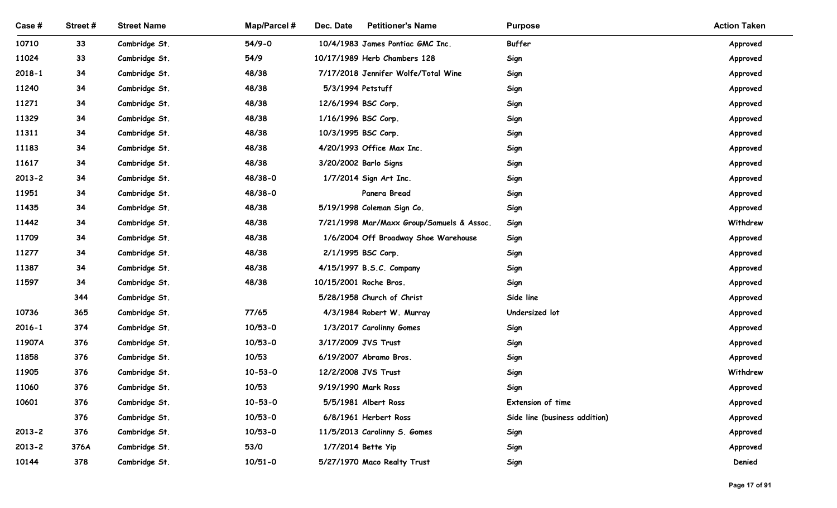| Case #         | Street#  | <b>Street Name</b>             | <b>Map/Parcel#</b> | Dec. Date<br><b>Petitioner's Name</b>                            | <b>Purpose</b>                | <b>Action Taken</b>  |
|----------------|----------|--------------------------------|--------------------|------------------------------------------------------------------|-------------------------------|----------------------|
|                |          |                                |                    |                                                                  |                               |                      |
| 10710<br>11024 | 33<br>33 | Cambridge St.<br>Cambridge St. | $54/9 - 0$<br>54/9 | 10/4/1983 James Pontiac GMC Inc.<br>10/17/1989 Herb Chambers 128 | Buffer<br>Sign                | Approved<br>Approved |
| $2018 - 1$     | 34       | Cambridge St.                  | 48/38              | 7/17/2018 Jennifer Wolfe/Total Wine                              | Sign                          | Approved             |
| 11240          | 34       | Cambridge St.                  | 48/38              | 5/3/1994 Petstuff                                                | Sign                          | Approved             |
| 11271          | 34       | Cambridge St.                  | 48/38              | 12/6/1994 BSC Corp.                                              | Sign                          | Approved             |
| 11329          | 34       | Cambridge St.                  | 48/38              | 1/16/1996 BSC Corp.                                              | Sign                          | Approved             |
| 11311          | 34       | Cambridge St.                  | 48/38              | 10/3/1995 BSC Corp.                                              | Sign                          | Approved             |
| 11183          | 34       | Cambridge St.                  | 48/38              | 4/20/1993 Office Max Inc.                                        | Sign                          | Approved             |
| 11617          | 34       | Cambridge St.                  | 48/38              | 3/20/2002 Barlo Signs                                            | Sign                          | Approved             |
| $2013 - 2$     | 34       | Cambridge St.                  | 48/38-0            | 1/7/2014 Sign Art Inc.                                           | Sign                          | Approved             |
| 11951          | 34       | Cambridge St.                  | 48/38-0            | Panera Bread                                                     | Sign                          | Approved             |
| 11435          | 34       | Cambridge St.                  | 48/38              | 5/19/1998 Coleman Sign Co.                                       | Sign                          | Approved             |
| 11442          | 34       | Cambridge St.                  | 48/38              | 7/21/1998 Mar/Maxx Group/Samuels & Assoc.                        | Sign                          | Withdrew             |
| 11709          | 34       | Cambridge St.                  | 48/38              | 1/6/2004 Off Broadway Shoe Warehouse                             | Sign                          | Approved             |
| 11277          | 34       | Cambridge St.                  | 48/38              | 2/1/1995 BSC Corp.                                               | Sign                          | Approved             |
| 11387          | 34<br>34 | Cambridge St.                  | 48/38              | 4/15/1997 B.S.C. Company<br>10/15/2001 Roche Bros.               | Sign                          | Approved             |
| 11597          | 344      | Cambridge St.<br>Cambridge St. | 48/38              | 5/28/1958 Church of Christ                                       | Sign<br>Side line             | Approved<br>Approved |
| 10736          | 365      | Cambridge St.                  | 77/65              | 4/3/1984 Robert W. Murray                                        | Undersized lot                | Approved             |
| $2016 - 1$     | 374      | Cambridge St.                  | $10/53 - 0$        | 1/3/2017 Carolinny Gomes                                         | Sign                          | Approved             |
| 11907A         | 376      | Cambridge St.                  | $10/53 - 0$        | 3/17/2009 JVS Trust                                              | Sign                          | Approved             |
| 11858          | 376      | Cambridge St.                  | 10/53              | 6/19/2007 Abramo Bros.                                           | Sign                          | Approved             |
| 11905          | 376      | Cambridge St.                  | $10 - 53 - 0$      | 12/2/2008 JVS Trust                                              | Sign                          | Withdrew             |
| 11060          | 376      | Cambridge St.                  | 10/53              | 9/19/1990 Mark Ross                                              | Sign                          | Approved             |
| 10601          | 376      | Cambridge St.                  | $10 - 53 - 0$      | 5/5/1981 Albert Ross                                             | Extension of time             | Approved             |
|                | 376      | Cambridge St.                  | $10/53 - 0$        | 6/8/1961 Herbert Ross                                            | Side line (business addition) | Approved             |
| $2013 - 2$     | 376      | Cambridge St.                  | $10/53 - 0$        | 11/5/2013 Carolinny S. Gomes                                     | Sign                          | Approved             |
| $2013 - 2$     | 376A     | Cambridge St.                  | 53/0               | 1/7/2014 Bette Yip                                               | Sign                          | Approved             |
| 10144          | 378      | Cambridge St.                  | $10/51 - 0$        | 5/27/1970 Maco Realty Trust                                      | Sign                          | Denied               |
|                |          |                                |                    |                                                                  |                               |                      |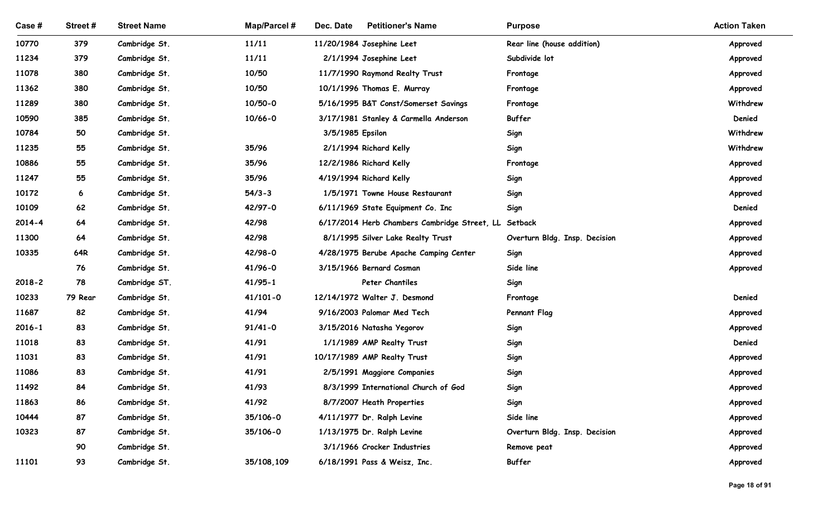| Case #     | Street#  | <b>Street Name</b>             | <b>Map/Parcel#</b>     | Dec. Date<br><b>Petitioner's Name</b>                | <b>Purpose</b>                | <b>Action Taken</b> |
|------------|----------|--------------------------------|------------------------|------------------------------------------------------|-------------------------------|---------------------|
| 10770      | 379      | Cambridge St.                  | 11/11                  | 11/20/1984 Josephine Leet                            | Rear line (house addition)    | Approved            |
| 11234      | 379      | Cambridge St.                  | 11/11                  | 2/1/1994 Josephine Leet                              | Subdivide lot                 | Approved            |
| 11078      | 380      | Cambridge St.                  | 10/50                  | 11/7/1990 Raymond Realty Trust                       | Frontage                      | Approved            |
| 11362      | 380      | Cambridge St.                  | 10/50                  | 10/1/1996 Thomas E. Murray                           | Frontage                      | Approved            |
| 11289      | 380      | Cambridge St.                  | 10/50-0                | 5/16/1995 B&T Const/Somerset Savings                 | Frontage                      | Withdrew            |
| 10590      | 385      | Cambridge St.                  | $10/66 - 0$            | 3/17/1981 Stanley & Carmella Anderson                | <b>Buffer</b>                 | Denied              |
| 10784      | 50       | Cambridge St.                  |                        | 3/5/1985 Epsilon                                     | Sign                          | Withdrew            |
| 11235      | 55       | Cambridge St.                  | 35/96                  | 2/1/1994 Richard Kelly                               | Sign                          | Withdrew            |
| 10886      | 55       | Cambridge St.                  | 35/96                  | 12/2/1986 Richard Kelly                              | Frontage                      | Approved            |
| 11247      | 55       | Cambridge St.                  | 35/96                  | 4/19/1994 Richard Kelly                              | Sign                          | Approved            |
| 10172      | 6        | Cambridge St.                  | $54/3 - 3$             | 1/5/1971 Towne House Restaurant                      | Sign                          | Approved            |
| 10109      | 62       | Cambridge St.                  | 42/97-0                | 6/11/1969 State Equipment Co. Inc                    | Sign                          | Denied              |
| $2014 - 4$ | 64       | Cambridge St.                  | 42/98                  | 6/17/2014 Herb Chambers Cambridge Street, LL Setback |                               | Approved            |
| 11300      | 64       | Cambridge St.                  | 42/98                  | 8/1/1995 Silver Lake Realty Trust                    | Overturn Bldg. Insp. Decision | Approved            |
| 10335      | 64R      | Cambridge St.                  | 42/98-0                | 4/28/1975 Berube Apache Camping Center               | Sign                          | Approved            |
| $2018 - 2$ | 76<br>78 | Cambridge St.<br>Cambridge ST. | 41/96-0<br>$41/95 - 1$ | 3/15/1966 Bernard Cosman<br>Peter Chantiles          | Side line                     | Approved            |
| 10233      | 79 Rear  | Cambridge St.                  | $41/101 - 0$           | 12/14/1972 Walter J. Desmond                         | Sign<br>Frontage              | Denied              |
| 11687      | 82       | Cambridge St.                  | 41/94                  | 9/16/2003 Palomar Med Tech                           | <b>Pennant Flag</b>           | Approved            |
| $2016 - 1$ | 83       | Cambridge St.                  | $91/41 - 0$            | 3/15/2016 Natasha Yegorov                            | Sign                          | Approved            |
| 11018      | 83       | Cambridge St.                  | 41/91                  | 1/1/1989 AMP Realty Trust                            | Sign                          | Denied              |
| 11031      | 83       | Cambridge St.                  | 41/91                  | 10/17/1989 AMP Realty Trust                          | Sign                          | Approved            |
| 11086      | 83       | Cambridge St.                  | 41/91                  | 2/5/1991 Maggiore Companies                          | Sign                          | Approved            |
| 11492      | 84       | Cambridge St.                  | 41/93                  | 8/3/1999 International Church of God                 | Sign                          | Approved            |
| 11863      | 86       | Cambridge St.                  | 41/92                  | 8/7/2007 Heath Properties                            | Sign                          | Approved            |
| 10444      | 87       | Cambridge St.                  | 35/106-0               | 4/11/1977 Dr. Ralph Levine                           | Side line                     | Approved            |
| 10323      | 87       | Cambridge St.                  | 35/106-0               | 1/13/1975 Dr. Ralph Levine                           | Overturn Bldg. Insp. Decision | Approved            |
|            | 90       | Cambridge St.                  |                        | 3/1/1966 Crocker Industries                          | Remove peat                   | Approved            |
| 11101      | 93       | Cambridge St.                  | 35/108,109             | 6/18/1991 Pass & Weisz, Inc.                         | Buffer                        | Approved            |
|            |          |                                |                        |                                                      |                               | Page 18 of 91       |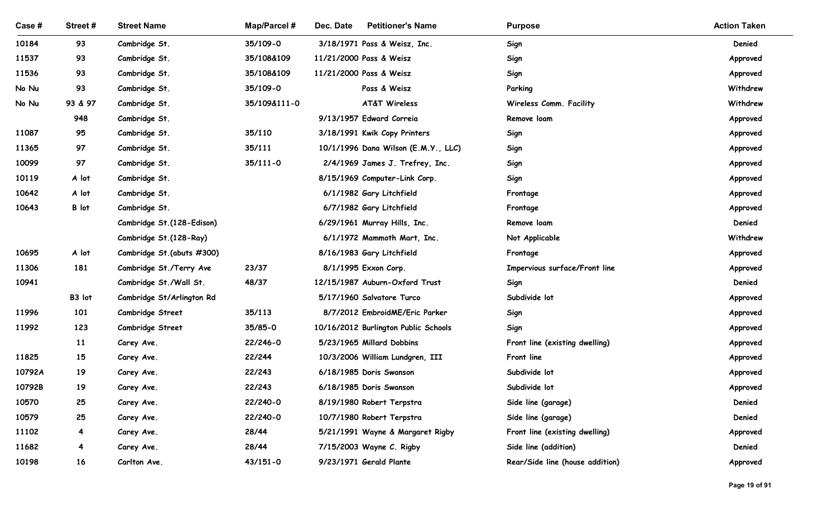| Case#  | Street#        | <b>Street Name</b>                            | <b>Map/Parcel#</b> | Dec. Date<br><b>Petitioner's Name</b>                       | <b>Purpose</b>                  | <b>Action Taken</b>  |
|--------|----------------|-----------------------------------------------|--------------------|-------------------------------------------------------------|---------------------------------|----------------------|
| 10184  | 93             | Cambridge St.                                 | 35/109-0           | 3/18/1971 Pass & Weisz, Inc.                                | Sign                            | Denied               |
| 11537  | 93             | Cambridge St.                                 | 35/108&109         | 11/21/2000 Pass & Weisz                                     | Sign                            | Approved             |
| 11536  | 93             | Cambridge St.                                 | 35/108&109         | 11/21/2000 Pass & Weisz                                     | Sign                            | Approved             |
| No Nu  | 93             | Cambridge St.                                 | 35/109-0           | Pass & Weisz                                                | Parking                         | Withdrew             |
| No Nu  | 93 & 97        | Cambridge St.                                 | 35/109&111-0       | <b>AT&amp;T Wireless</b>                                    | Wireless Comm. Facility         | Withdrew             |
|        | 948            | Cambridge St.                                 |                    | 9/13/1957 Edward Correia                                    | Remove loam                     | Approved             |
| 11087  | 95             | Cambridge St.                                 | 35/110             | 3/18/1991 Kwik Copy Printers                                | Sign                            | Approved             |
| 11365  | 97             | Cambridge St.                                 | 35/111             | 10/1/1996 Dana Wilson (E.M.Y., LLC)                         | Sign                            | Approved             |
| 10099  | 97             | Cambridge St.                                 | $35/111 - 0$       | 2/4/1969 James J. Trefrey, Inc.                             | Sign                            | Approved             |
| 10119  | A lot          | Cambridge St.                                 |                    | 8/15/1969 Computer-Link Corp.                               | Sign                            | Approved             |
| 10642  | A lot          | Cambridge St.                                 |                    | 6/1/1982 Gary Litchfield                                    | Frontage                        | Approved             |
| 10643  | B lot          | Cambridge St.                                 |                    | 6/7/1982 Gary Litchfield                                    | Frontage                        | Approved             |
|        |                | Cambridge St. (128-Edison)                    |                    | 6/29/1961 Murray Hills, Inc.                                | Remove loam                     | Denied               |
|        |                | Cambridge St. (128-Ray)                       |                    | 6/1/1972 Mammoth Mart, Inc.                                 | Not Applicable                  | Withdrew             |
| 10695  | A lot          | Cambridge St.(abuts #300)                     |                    | 8/16/1983 Gary Litchfield                                   | Frontage                        | Approved             |
| 11306  | 181            | Cambridge St./Terry Ave                       | 23/37              | 8/1/1995 Exxon Corp.                                        | Impervious surface/Front line   | Approved             |
| 10941  |                | Cambridge St./Wall St.                        | 48/37              | 12/15/1987 Auburn-Oxford Trust                              | Sign                            | Denied               |
| 11996  | B3 lot<br>101  | Cambridge St/Arlington Rd<br>Cambridge Street | 35/113             | 5/17/1960 Salvatore Turco<br>8/7/2012 EmbroidME/Eric Parker | Subdivide lot<br>Sign           | Approved             |
| 11992  | 123            | Cambridge Street                              | 35/85-0            | 10/16/2012 Burlington Public Schools                        | Sign                            | Approved<br>Approved |
|        | 11             | Carey Ave.                                    | 22/246-0           | 5/23/1965 Millard Dobbins                                   | Front line (existing dwelling)  | Approved             |
| 11825  | 15             | Carey Ave.                                    | 22/244             | 10/3/2006 William Lundgren, III                             | Front line                      | Approved             |
| 10792A | 19             | Carey Ave.                                    | 22/243             | 6/18/1985 Doris Swanson                                     | Subdivide lot                   | Approved             |
| 10792B | 19             | Carey Ave.                                    | 22/243             | 6/18/1985 Doris Swanson                                     | Subdivide lot                   | Approved             |
| 10570  | 25             | Carey Ave.                                    | 22/240-0           | 8/19/1980 Robert Terpstra                                   | Side line (garage)              | Denied               |
| 10579  | 25             | Carey Ave.                                    | 22/240-0           | 10/7/1980 Robert Terpstra                                   | Side line (garage)              | Denied               |
| 11102  | $\overline{4}$ | Carey Ave.                                    | 28/44              | 5/21/1991 Wayne & Margaret Rigby                            | Front line (existing dwelling)  | Approved             |
| 11682  | 4              | Carey Ave.                                    | 28/44              | 7/15/2003 Wayne C. Rigby                                    | Side line (addition)            | Denied               |
| 10198  | 16             | Carlton Ave.                                  | $43/151 - 0$       | 9/23/1971 Gerald Plante                                     | Rear/Side line (house addition) | Approved             |
|        |                |                                               |                    |                                                             |                                 |                      |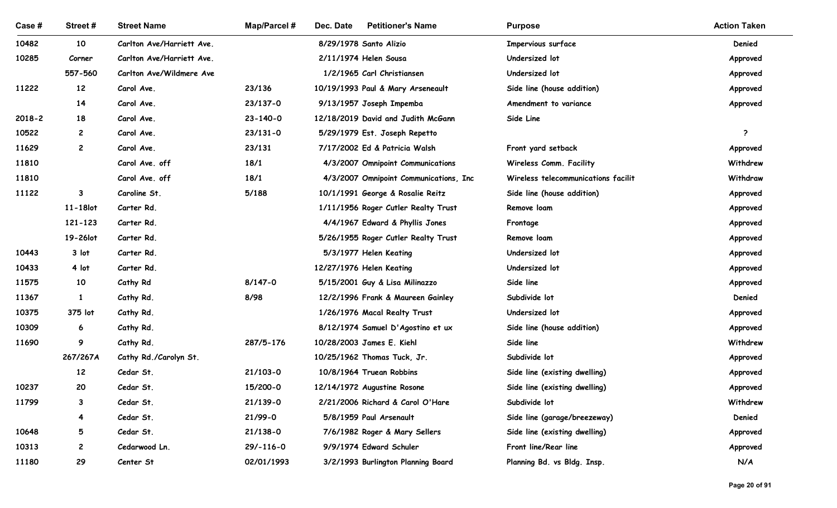| Case#  | Street#           | <b>Street Name</b>        | <b>Map/Parcel#</b>         | <b>Petitioner's Name</b><br>Dec. Date                          | <b>Purpose</b>                      | <b>Action Taken</b> |
|--------|-------------------|---------------------------|----------------------------|----------------------------------------------------------------|-------------------------------------|---------------------|
| 10482  | 10                | Carlton Ave/Harriett Ave. |                            | 8/29/1978 Santo Alizio                                         | Impervious surface                  | Denied              |
| 10285  | Corner            | Carlton Ave/Harriett Ave. |                            | 2/11/1974 Helen Sousa                                          | Undersized lot                      | Approved            |
|        | 557-560           | Carlton Ave/Wildmere Ave  |                            | 1/2/1965 Carl Christiansen                                     | Undersized lot                      | Approved            |
| 11222  | 12                | Carol Ave.                | 23/136                     | 10/19/1993 Paul & Mary Arseneault                              | Side line (house addition)          | Approved            |
| 2018-2 | 14<br>18          | Carol Ave.<br>Carol Ave.  | 23/137-0<br>$23 - 140 - 0$ | 9/13/1957 Joseph Impemba<br>12/18/2019 David and Judith McGann | Amendment to variance<br>Side Line  | Approved            |
| 10522  | $\overline{c}$    | Carol Ave.                | $23/131 - 0$               | 5/29/1979 Est. Joseph Repetto                                  |                                     | - 2                 |
| 11629  | $\overline{c}$    | Carol Ave.                | 23/131                     | 7/17/2002 Ed & Patricia Walsh                                  | Front yard setback                  | Approved            |
| 11810  |                   | Carol Ave. off            | 18/1                       | 4/3/2007 Omnipoint Communications                              | Wireless Comm. Facility             | Withdrew            |
| 11810  |                   | Carol Ave. off            | 18/1                       | 4/3/2007 Omnipoint Communications, Inc.                        | Wireless telecommunications facilit | Withdraw            |
| 11122  | $\mathbf{3}$      | Caroline St.              | 5/188                      | 10/1/1991 George & Rosalie Reitz                               | Side line (house addition)          | Approved            |
|        | 11-18lot          | Carter Rd.                |                            | 1/11/1956 Roger Cutler Realty Trust                            | Remove loam                         | Approved            |
|        | 121-123           | Carter Rd.                |                            | 4/4/1967 Edward & Phyllis Jones                                | Frontage                            | Approved            |
|        | 19-26lot          | Carter Rd.                |                            | 5/26/1955 Roger Cutler Realty Trust                            | Remove loam                         | Approved            |
| 10443  | 3 lot             | Carter Rd.                |                            | 5/3/1977 Helen Keating                                         | Undersized lot                      | Approved            |
| 10433  | 4 lot             | Carter Rd.                |                            | 12/27/1976 Helen Keating                                       | Undersized lot                      | Approved            |
| 11575  | 10                | Cathy Rd                  | $8/147 - 0$                | 5/15/2001 Guy & Lisa Milinazzo                                 | Side line                           | Approved            |
| 11367  | $\mathbf{1}$      | Cathy Rd.                 | 8/98                       | 12/2/1996 Frank & Maureen Gainley                              | Subdivide lot                       | Denied              |
| 10375  | 375 lot           | Cathy Rd.                 |                            | 1/26/1976 Macal Realty Trust                                   | Undersized lot                      | Approved            |
| 10309  | 6                 | Cathy Rd.                 |                            | 8/12/1974 Samuel D'Agostino et ux                              | Side line (house addition)          | Approved            |
| 11690  | 9                 | Cathy Rd.                 | 287/5-176                  | 10/28/2003 James E. Kiehl                                      | Side line                           | Withdrew            |
|        | 267/267A          | Cathy Rd./Carolyn St.     |                            | 10/25/1962 Thomas Tuck, Jr.                                    | Subdivide lot                       | Approved            |
|        | $12 \overline{ }$ | Cedar St.                 | $21/103 - 0$               | 10/8/1964 Truean Robbins                                       | Side line (existing dwelling)       | Approved            |
| 10237  | 20                | Cedar St.                 | 15/200-0                   | 12/14/1972 Augustine Rosone                                    | Side line (existing dwelling)       | Approved            |
| 11799  | $\mathbf{3}$      | Cedar St.                 | $21/139-0$                 | 2/21/2006 Richard & Carol O'Hare                               | Subdivide lot                       | Withdrew            |
|        | $\overline{4}$    | Cedar St.                 | 21/99-0                    | 5/8/1959 Paul Arsenault                                        | Side line (garage/breezeway)        | Denied              |
| 10648  | 5                 | Cedar St.                 | $21/138-0$                 | 7/6/1982 Roger & Mary Sellers                                  | Side line (existing dwelling)       | Approved            |
| 10313  | $\overline{c}$    | Cedarwood Ln.             | $29/-116-0$                | 9/9/1974 Edward Schuler                                        | Front line/Rear line                | Approved            |
| 11180  | 29                | Center St                 | 02/01/1993                 | 3/2/1993 Burlington Planning Board                             | Planning Bd. vs Bldg. Insp.         | N/A                 |
|        |                   |                           |                            |                                                                |                                     | Page 20 of 91       |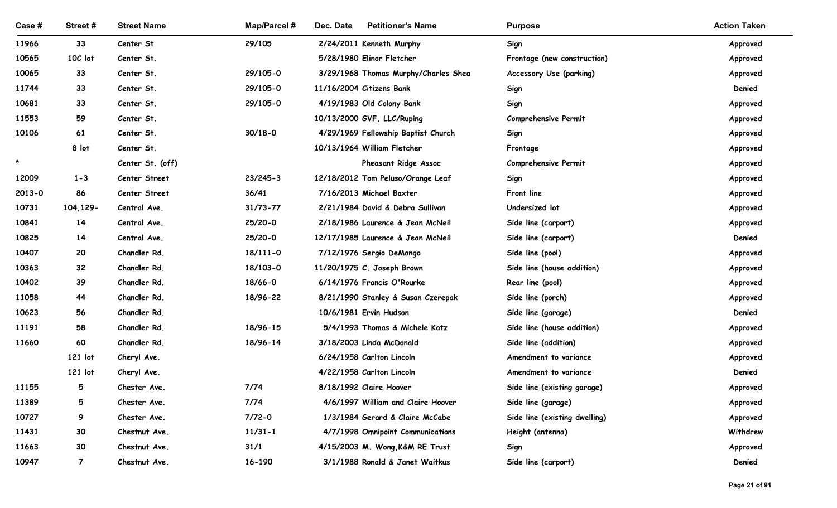| Case#   | Street#         | <b>Street Name</b>             | <b>Map/Parcel#</b>    | Dec. Date<br><b>Petitioner's Name</b>                         | <b>Purpose</b>                | <b>Action Taken</b>  |
|---------|-----------------|--------------------------------|-----------------------|---------------------------------------------------------------|-------------------------------|----------------------|
| 11966   | 33              | Center St                      | 29/105                | 2/24/2011 Kenneth Murphy                                      | Sign                          | Approved             |
| 10565   | 10C lot         | Center St.                     |                       | 5/28/1980 Elinor Fletcher                                     | Frontage (new construction)   | Approved             |
| 10065   | 33              | Center St.                     | 29/105-0              | 3/29/1968 Thomas Murphy/Charles Shea                          | Accessory Use (parking)       | Approved             |
| 11744   | 33              | Center St.                     | 29/105-0              | 11/16/2004 Citizens Bank                                      | Sign                          | Denied               |
| 10681   | 33              | Center St.                     | 29/105-0              | 4/19/1983 Old Colony Bank                                     | Sign                          | Approved             |
| 11553   | 59              | Center St.                     |                       | 10/13/2000 GVF, LLC/Ruping                                    | Comprehensive Permit          | Approved             |
| 10106   | 61              | Center St.                     | $30/18 - 0$           | 4/29/1969 Fellowship Baptist Church                           | Sign                          | Approved             |
| $\star$ | 8 lot           | Center St.                     |                       | 10/13/1964 William Fletcher                                   | Frontage                      | Approved             |
| 12009   | $1 - 3$         | Center St. (off)               |                       | Pheasant Ridge Assoc                                          | Comprehensive Permit          | Approved             |
| 2013-0  | 86              | Center Street<br>Center Street | $23/245 - 3$<br>36/41 | 12/18/2012 Tom Peluso/Orange Leaf<br>7/16/2013 Michael Baxter | Sign<br>Front line            | Approved             |
| 10731   | 104, 129-       | Central Ave.                   | $31/73 - 77$          | 2/21/1984 David & Debra Sullivan                              | Undersized lot                | Approved             |
| 10841   | 14              | Central Ave.                   | 25/20-0               | 2/18/1986 Laurence & Jean McNeil                              | Side line (carport)           | Approved<br>Approved |
| 10825   | 14              | Central Ave.                   | 25/20-0               | 12/17/1985 Laurence & Jean McNeil                             | Side line (carport)           | Denied               |
| 10407   | 20              | Chandler Rd.                   | 18/111-0              | 7/12/1976 Sergio DeMango                                      | Side line (pool)              | Approved             |
| 10363   | 32 <sub>2</sub> | Chandler Rd.                   | 18/103-0              | 11/20/1975 C. Joseph Brown                                    | Side line (house addition)    | Approved             |
| 10402   | 39              | Chandler Rd.                   | 18/66-0               | 6/14/1976 Francis O'Rourke                                    | Rear line (pool)              | Approved             |
| 11058   | 44              | Chandler Rd.                   | 18/96-22              | 8/21/1990 Stanley & Susan Czerepak                            | Side line (porch)             | Approved             |
| 10623   | 56              | Chandler Rd.                   |                       | 10/6/1981 Ervin Hudson                                        | Side line (garage)            | Denied               |
| 11191   | 58              | Chandler Rd.                   | 18/96-15              | 5/4/1993 Thomas & Michele Katz                                | Side line (house addition)    | Approved             |
| 11660   | 60              | Chandler Rd.                   | 18/96-14              | 3/18/2003 Linda McDonald                                      | Side line (addition)          | Approved             |
|         | 121 lot         | Cheryl Ave.                    |                       | 6/24/1958 Carlton Lincoln                                     | Amendment to variance         | Approved             |
|         | 121 lot         | Cheryl Ave.                    |                       | 4/22/1958 Carlton Lincoln                                     | Amendment to variance         | Denied               |
| 11155   | $5\overline{)}$ | Chester Ave.                   | 7/74                  | 8/18/1992 Claire Hoover                                       | Side line (existing garage)   | Approved             |
| 11389   | $5\overline{)}$ | Chester Ave.                   | 7/74                  | 4/6/1997 William and Claire Hoover                            | Side line (garage)            | Approved             |
| 10727   | 9               | Chester Ave.                   | $7/72 - 0$            | 1/3/1984 Gerard & Claire McCabe                               | Side line (existing dwelling) | Approved             |
| 11431   | 30              | Chestnut Ave.                  | $11/31 - 1$           | 4/7/1998 Omnipoint Communications                             | Height (antenna)              | Withdrew             |
| 11663   | 30              | Chestnut Ave.                  | 31/1                  | 4/15/2003 M. Wong, K&M RE Trust                               | Sign                          | Approved             |
| 10947   | $\overline{7}$  | Chestnut Ave.                  | 16-190                | 3/1/1988 Ronald & Janet Waitkus                               | Side line (carport)           | Denied               |
|         |                 |                                |                       |                                                               |                               | Page 21 of 91        |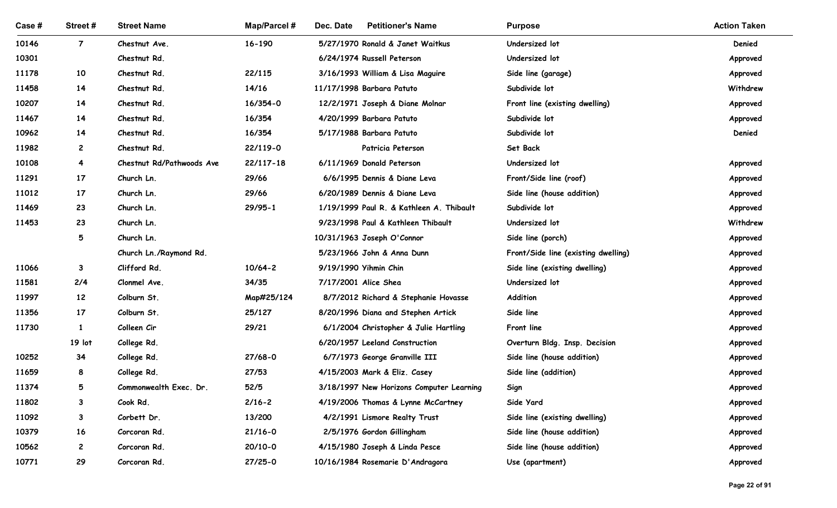| Case # | Street#                  | <b>Street Name</b>         | <b>Map/Parcel#</b> | <b>Petitioner's Name</b><br>Dec. Date                                   | <b>Purpose</b>                                     | <b>Action Taken</b>  |
|--------|--------------------------|----------------------------|--------------------|-------------------------------------------------------------------------|----------------------------------------------------|----------------------|
| 10146  | $\overline{7}$           | Chestnut Ave.              | 16-190             | 5/27/1970 Ronald & Janet Waitkus                                        | Undersized lot                                     | Denied               |
| 10301  |                          | Chestnut Rd.               |                    | 6/24/1974 Russell Peterson                                              | Undersized lot                                     | Approved             |
| 11178  | 10                       | Chestnut Rd.               | 22/115             | 3/16/1993 William & Lisa Maguire                                        | Side line (garage)                                 | Approved             |
| 11458  | 14                       | Chestnut Rd.               | 14/16              | 11/17/1998 Barbara Patuto                                               | Subdivide lot                                      | Withdrew             |
| 10207  | 14                       | Chestnut Rd.               | 16/354-0           | 12/2/1971 Joseph & Diane Molnar                                         | Front line (existing dwelling)                     | Approved             |
| 11467  | 14                       | Chestnut Rd.               | 16/354             | 4/20/1999 Barbara Patuto                                                | Subdivide lot                                      | Approved             |
| 10962  | 14                       | Chestnut Rd.               | 16/354             | 5/17/1988 Barbara Patuto                                                | Subdivide lot                                      | Denied               |
| 11982  | $\mathbf{2}$             | Chestnut Rd.               | 22/119-0           | Patricia Peterson                                                       | Set Back                                           |                      |
| 10108  | 4                        | Chestnut Rd/Pathwoods Ave  | 22/117-18          | 6/11/1969 Donald Peterson                                               | Undersized lot                                     | Approved             |
| 11291  | 17                       | Church Ln.                 | 29/66              | 6/6/1995 Dennis & Diane Leva                                            | Front/Side line (roof)                             | Approved             |
| 11012  | 17                       | Church Ln.                 | 29/66              | 6/20/1989 Dennis & Diane Leva                                           | Side line (house addition)                         | Approved             |
| 11469  | 23                       | Church Ln.                 | $29/95 - 1$        | 1/19/1999 Paul R. & Kathleen A. Thibault                                | Subdivide lot                                      | Approved             |
| 11453  | 23                       | Church Ln.                 |                    | 9/23/1998 Paul & Kathleen Thibault                                      | Undersized lot                                     | Withdrew             |
|        | 5                        | Church Ln.                 |                    | 10/31/1963 Joseph O'Connor                                              | Side line (porch)                                  | Approved             |
|        |                          | Church Ln./Raymond Rd.     |                    | 5/23/1966 John & Anna Dunn                                              | Front/Side line (existing dwelling)                | Approved             |
| 11066  | $\mathbf{3}$             | Clifford Rd.               | $10/64 - 2$        | 9/19/1990 Yihmin Chin                                                   | Side line (existing dwelling)                      | Approved             |
| 11581  | 2/4                      | Clonmel Ave.               | 34/35              | 7/17/2001 Alice Shea                                                    | Undersized lot                                     | Approved             |
| 11997  | 12                       | Colburn St.                | Map#25/124         | 8/7/2012 Richard & Stephanie Hovasse                                    | Addition                                           | Approved             |
| 11356  | 17                       | Colburn St.                | 25/127             | 8/20/1996 Diana and Stephen Artick                                      | Side line                                          | Approved             |
| 11730  | $\mathbf{1}$<br>$19$ lot | Colleen Cir                | 29/21              | 6/1/2004 Christopher & Julie Hartling<br>6/20/1957 Leeland Construction | Front line                                         | Approved             |
| 10252  | 34                       | College Rd.                | $27/68 - 0$        |                                                                         | Overturn Bldg. Insp. Decision                      | Approved             |
| 11659  | 8                        | College Rd.<br>College Rd. | 27/53              | 6/7/1973 George Granville III<br>4/15/2003 Mark & Eliz. Casey           | Side line (house addition)<br>Side line (addition) | Approved<br>Approved |
| 11374  | 5                        | Commonwealth Exec. Dr.     | 52/5               | 3/18/1997 New Horizons Computer Learning                                | Sign                                               | Approved             |
| 11802  | $\mathbf{3}$             | Cook Rd.                   | $2/16 - 2$         | 4/19/2006 Thomas & Lynne McCartney                                      | Side Yard                                          | Approved             |
| 11092  | $\mathbf{3}$             | Corbett Dr.                | 13/200             | 4/2/1991 Lismore Realty Trust                                           | Side line (existing dwelling)                      | Approved             |
| 10379  | 16                       | Corcoran Rd.               | $21/16 - 0$        | 2/5/1976 Gordon Gillingham                                              | Side line (house addition)                         | Approved             |
| 10562  | $\mathbf{2}$             | Corcoran Rd.               | $20/10-0$          | 4/15/1980 Joseph & Linda Pesce                                          | Side line (house addition)                         | Approved             |
| 10771  | 29                       | Corcoran Rd.               | $27/25 - 0$        | 10/16/1984 Rosemarie D'Andragora                                        | Use (apartment)                                    | Approved             |
|        |                          |                            |                    |                                                                         |                                                    |                      |
|        |                          |                            |                    |                                                                         |                                                    | Page 22 of 91        |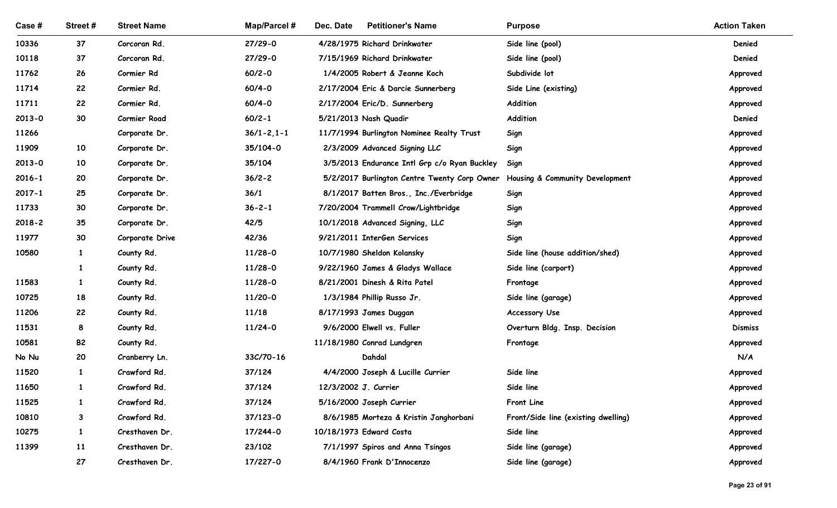| Case#      | Street#         | <b>Street Name</b> | Map/Parcel #       | <b>Petitioner's Name</b><br>Dec. Date                                        | <b>Purpose</b>                      | <b>Action Taken</b> |
|------------|-----------------|--------------------|--------------------|------------------------------------------------------------------------------|-------------------------------------|---------------------|
| 10336      | 37              | Corcoran Rd.       | $27/29 - 0$        | 4/28/1975 Richard Drinkwater                                                 | Side line (pool)                    | Denied              |
| 10118      | 37              | Corcoran Rd.       | $27/29 - 0$        | 7/15/1969 Richard Drinkwater                                                 | Side line (pool)                    | Denied              |
| 11762      | 26              | Cormier Rd         | $60/2 - 0$         | 1/4/2005 Robert & Jeanne Koch                                                | Subdivide lot                       | Approved            |
| 11714      | 22              | Cormier Rd.        | $60/4 - 0$         | 2/17/2004 Eric & Darcie Sunnerberg                                           | Side Line (existing)                | Approved            |
| 11711      | 22              | Cormier Rd.        | $60/4 - 0$         | 2/17/2004 Eric/D. Sunnerberg                                                 | Addition                            | Approved            |
| $2013 - 0$ | 30              | Cormier Road       | $60/2 - 1$         | 5/21/2013 Nash Quadir                                                        | Addition                            | Denied              |
| 11266      |                 | Corporate Dr.      | $36/1 - 2, 1 - 1$  | 11/7/1994 Burlington Nominee Realty Trust                                    | Sign                                | Approved            |
| 11909      | 10 <sub>1</sub> | Corporate Dr.      | 35/104-0           | 2/3/2009 Advanced Signing LLC                                                | Sign                                | Approved            |
| $2013 - 0$ | 10              | Corporate Dr.      | 35/104             | 3/5/2013 Endurance Intl Grp c/o Ryan Buckley                                 | Sign                                | Approved            |
| $2016 - 1$ | 20              | Corporate Dr.      | $36/2 - 2$         | 5/2/2017 Burlington Centre Twenty Corp Owner Housing & Community Development |                                     | Approved            |
| $2017 - 1$ | 25              | Corporate Dr.      | 36/1               | 8/1/2017 Batten Bros., Inc./Everbridge                                       | Sign                                | Approved            |
| 11733      | 30              | Corporate Dr.      | $36 - 2 - 1$       | 7/20/2004 Trammell Crow/Lightbridge                                          | Sign                                | Approved            |
| $2018 - 2$ | 35              | Corporate Dr.      | 42/5               | 10/1/2018 Advanced Signing, LLC                                              | Sign                                | Approved            |
| 11977      | 30              | Corporate Drive    | 42/36              | 9/21/2011 InterGen Services                                                  | Sign                                | Approved            |
| 10580      | $\mathbf{1}$    | County Rd.         | $11/28-0$          | 10/7/1980 Sheldon Kolansky                                                   | Side line (house addition/shed)     | Approved            |
|            | 1               | County Rd.         | $11/28-0$          | 9/22/1960 James & Gladys Wallace                                             | Side line (carport)                 | Approved            |
| 11583      | $\mathbf{1}$    | County Rd.         | $11/28-0$          | 8/21/2001 Dinesh & Rita Patel                                                | Frontage                            | Approved            |
| 10725      | 18              | County Rd.         | 11/20-0            | 1/3/1984 Phillip Russo Jr.                                                   | Side line (garage)                  | Approved            |
| 11206      | 22              | County Rd.         | 11/18              | 8/17/1993 James Duggan                                                       | Accessory Use                       | Approved            |
| 11531      | 8               | County Rd.         | $11/24-0$          | 9/6/2000 Elwell vs. Fuller                                                   | Overturn Bldg. Insp. Decision       | <b>Dismiss</b>      |
| 10581      | <b>B2</b>       | County Rd.         |                    | 11/18/1980 Conrad Lundgren                                                   | Frontage                            | Approved            |
| No Nu      | 20              | Cranberry Ln.      | $33C/70-16$        | Dahdal                                                                       |                                     | N/A                 |
| 11520      | $\mathbf{1}$    | Crawford Rd.       | 37/124             | 4/4/2000 Joseph & Lucille Currier                                            | Side line                           | Approved            |
| 11650      | $\mathbf{1}$    | Crawford Rd.       | 37/124             | 12/3/2002 J. Currier                                                         | Side line                           | Approved            |
| 11525      | $\mathbf{1}$    | Crawford Rd.       | 37/124             | 5/16/2000 Joseph Currier                                                     | Front Line                          | Approved            |
| 10810      | 3               | Crawford Rd.       | $37/123 - 0$       | 8/6/1985 Morteza & Kristin Janghorbani                                       | Front/Side line (existing dwelling) | Approved            |
| 10275      | $\mathbf{1}$    | Cresthaven Dr.     | 17/244-0           | 10/18/1973 Edward Costa                                                      | Side line                           | Approved            |
| 11399      | 11              | Cresthaven Dr.     | 23/102<br>17/227-0 | 7/1/1997 Spiros and Anna Tsingos                                             | Side line (garage)                  | Approved            |
|            | 27              | Cresthaven Dr.     |                    | 8/4/1960 Frank D'Innocenzo                                                   | Side line (garage)                  | Approved            |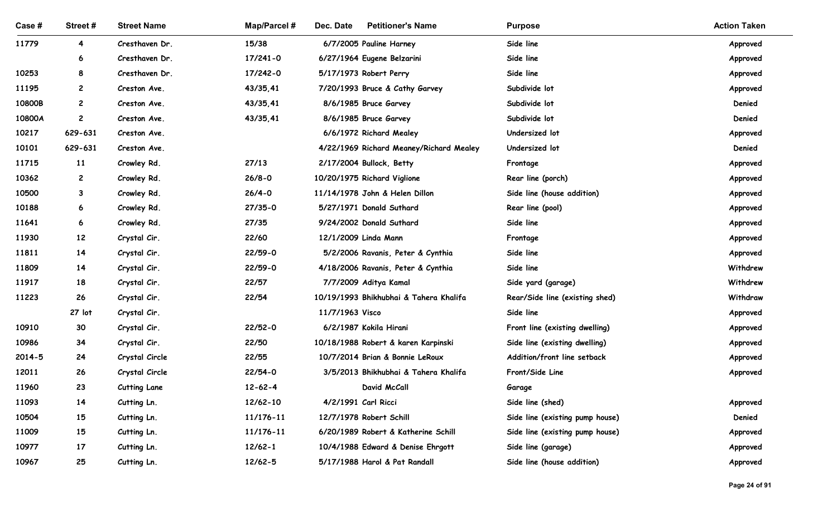| Case #         | Street#            | <b>Street Name</b>                    | <b>Map/Parcel#</b>         | Dec. Date<br><b>Petitioner's Name</b>                   | <b>Purpose</b>                  | <b>Action Taken</b>  |
|----------------|--------------------|---------------------------------------|----------------------------|---------------------------------------------------------|---------------------------------|----------------------|
| 11779          | 4                  | Cresthaven Dr.                        | 15/38                      | 6/7/2005 Pauline Harney                                 | Side line                       | Approved             |
|                | 6                  | Cresthaven Dr.                        | 17/241-0                   | 6/27/1964 Eugene Belzarini                              | Side line                       | Approved             |
| 10253          | 8                  | Cresthaven Dr.                        | 17/242-0                   | 5/17/1973 Robert Perry                                  | Side line                       | Approved             |
| 11195          | $\mathbf{2}$       | Creston Ave.                          | 43/35,41                   | 7/20/1993 Bruce & Cathy Garvey                          | Subdivide lot                   | Approved             |
| 10800B         | $\mathbf{2}$       | Creston Ave.                          | 43/35,41                   | 8/6/1985 Bruce Garvey                                   | Subdivide lot                   | Denied               |
| 10800A         | $\mathbf{2}$       | Creston Ave.                          | 43/35,41                   | 8/6/1985 Bruce Garvey                                   | Subdivide lot                   | Denied               |
| 10217          | 629-631            | Creston Ave.                          |                            | 6/6/1972 Richard Mealey                                 | Undersized lot                  | Approved             |
| 10101          | 629-631            | Creston Ave.                          |                            | 4/22/1969 Richard Meaney/Richard Mealey                 | Undersized lot                  | Denied               |
| 11715<br>10362 | 11<br>$\mathbf{2}$ | Crowley Rd.<br>Crowley Rd.            | 27/13<br>$26/8 - 0$        | 2/17/2004 Bullock, Betty<br>10/20/1975 Richard Viglione | Frontage<br>Rear line (porch)   | Approved<br>Approved |
| 10500          | $\mathbf{3}$       | Crowley Rd.                           | $26/4 - 0$                 | 11/14/1978 John & Helen Dillon                          | Side line (house addition)      | Approved             |
| 10188          | 6                  | Crowley Rd.                           | $27/35 - 0$                | 5/27/1971 Donald Suthard                                | Rear line (pool)                | Approved             |
| 11641          | 6                  | Crowley Rd.                           | 27/35                      | 9/24/2002 Donald Suthard                                | Side line                       | Approved             |
| 11930          | 12                 | Crystal Cir.                          | 22/60                      | 12/1/2009 Linda Mann                                    | Frontage                        | Approved             |
| 11811          | 14                 | Crystal Cir.                          | $22/59 - 0$                | 5/2/2006 Ravanis, Peter & Cynthia                       | Side line                       | Approved             |
| 11809          | 14                 | Crystal Cir.                          | 22/59-0                    | 4/18/2006 Ravanis, Peter & Cynthia                      | Side line                       | Withdrew             |
| 11917          | 18                 | Crystal Cir.                          | 22/57                      | 7/7/2009 Aditya Kamal                                   | Side yard (garage)              | Withdrew             |
| 11223          | 26                 | Crystal Cir.                          | 22/54                      | 10/19/1993 Bhikhubhai & Tahera Khalifa                  | Rear/Side line (existing shed)  | Withdraw             |
|                | 27 lot             | Crystal Cir.                          |                            | 11/7/1963 Visco                                         | Side line                       | Approved             |
| 10910          | 30                 | Crystal Cir.                          | $22/52 - 0$                | 6/2/1987 Kokila Hirani                                  | Front line (existing dwelling)  | Approved             |
| 10986          | 34                 | Crystal Cir.                          | 22/50                      | 10/18/1988 Robert & karen Karpinski                     | Side line (existing dwelling)   | Approved             |
| 2014-5         | 24                 | Crystal Circle                        | 22/55                      | 10/7/2014 Brian & Bonnie LeRoux                         | Addition/front line setback     | Approved             |
| 12011<br>11960 | 26<br>23           | Crystal Circle<br><b>Cutting Lane</b> | $22/54-0$<br>$12 - 62 - 4$ | 3/5/2013 Bhikhubhai & Tahera Khalifa<br>David McCall    | Front/Side Line                 | Approved             |
| 11093          | 14                 | Cutting Ln.                           | 12/62-10                   | 4/2/1991 Carl Ricci                                     | Garage<br>Side line (shed)      | Approved             |
| 10504          | 15                 | Cutting Ln.                           | 11/176-11                  | 12/7/1978 Robert Schill                                 | Side line (existing pump house) | Denied               |
| 11009          | 15                 | Cutting Ln.                           | 11/176-11                  | 6/20/1989 Robert & Katherine Schill                     | Side line (existing pump house) | Approved             |
| 10977          | 17                 | Cutting Ln.                           | $12/62 - 1$                | 10/4/1988 Edward & Denise Ehrgott                       | Side line (garage)              | Approved             |
| 10967          | 25                 | Cutting Ln.                           | $12/62 - 5$                | 5/17/1988 Harol & Pat Randall                           | Side line (house addition)      | Approved             |
|                |                    |                                       |                            |                                                         |                                 |                      |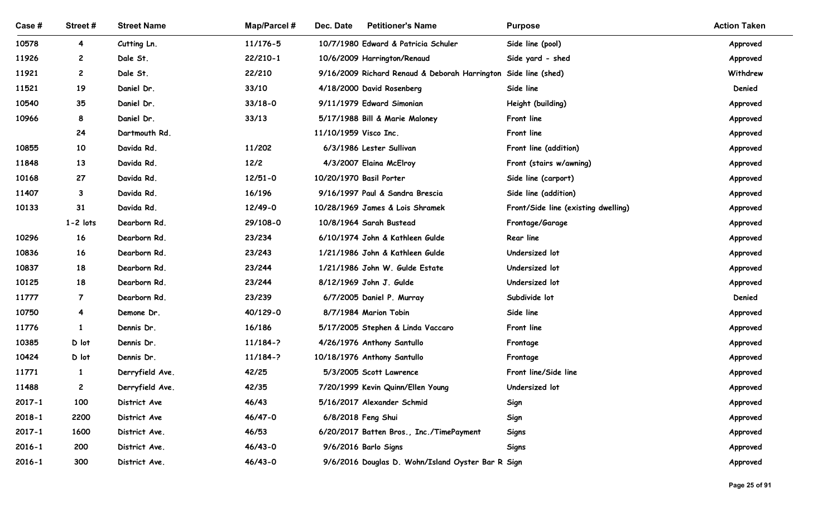| Case #     | Street#        | <b>Street Name</b> | <b>Map/Parcel#</b> | Dec. Date<br><b>Petitioner's Name</b>                          | <b>Purpose</b>                      | <b>Action Taken</b> |
|------------|----------------|--------------------|--------------------|----------------------------------------------------------------|-------------------------------------|---------------------|
| 10578      | $\overline{4}$ | Cutting Ln.        | 11/176-5           | 10/7/1980 Edward & Patricia Schuler                            | Side line (pool)                    | Approved            |
| 11926      | $\mathbf{2}$   | Dale St.           | 22/210-1           | 10/6/2009 Harrington/Renaud                                    | Side yard - shed                    | Approved            |
| 11921      | $\overline{c}$ | Dale St.           | 22/210             | 9/16/2009 Richard Renaud & Deborah Harrington Side line (shed) |                                     | Withdrew            |
| 11521      | 19             | Daniel Dr.         | 33/10              | 4/18/2000 David Rosenberg                                      | Side line                           | Denied              |
| 10540      | 35             | Daniel Dr.         | $33/18 - 0$        | 9/11/1979 Edward Simonian                                      | Height (building)                   | Approved            |
| 10966      | 8              | Daniel Dr.         | 33/13              | 5/17/1988 Bill & Marie Maloney                                 | Front line                          | Approved            |
|            | 24             | Dartmouth Rd.      |                    | 11/10/1959 Visco Inc.                                          | Front line                          | Approved            |
| 10855      | 10             | Davida Rd.         | 11/202             | 6/3/1986 Lester Sullivan                                       | Front line (addition)               | Approved            |
| 11848      | 13             | Davida Rd.         | 12/2               | 4/3/2007 Elaina McElroy                                        | Front (stairs w/awning)             | Approved            |
| 10168      | 27             | Davida Rd.         | $12/51 - 0$        | 10/20/1970 Basil Porter                                        | Side line (carport)                 | Approved            |
| 11407      | $\mathbf{3}$   | Davida Rd.         | 16/196             | 9/16/1997 Paul & Sandra Brescia                                | Side line (addition)                | Approved            |
| 10133      | 31             | Davida Rd.         | 12/49-0            | 10/28/1969 James & Lois Shramek                                | Front/Side line (existing dwelling) | Approved            |
|            | $1 - 2$ lots   | Dearborn Rd.       | 29/108-0           | 10/8/1964 Sarah Bustead                                        | Frontage/Garage                     | Approved            |
| 10296      | 16             | Dearborn Rd.       | 23/234             | 6/10/1974 John & Kathleen Gulde                                | <b>Rear line</b>                    | Approved            |
| 10836      | 16             | Dearborn Rd.       | 23/243             | 1/21/1986 John & Kathleen Gulde                                | Undersized lot                      | Approved            |
| 10837      | 18             | Dearborn Rd.       | 23/244             | 1/21/1986 John W. Gulde Estate                                 | Undersized lot                      | Approved            |
| 10125      | 18             | Dearborn Rd.       | 23/244             | 8/12/1969 John J. Gulde                                        | Undersized lot                      | Approved            |
| 11777      | $\overline{7}$ | Dearborn Rd.       | 23/239             | 6/7/2005 Daniel P. Murray                                      | Subdivide lot                       | Denied              |
| 10750      | $\overline{4}$ | Demone Dr.         | 40/129-0           | 8/7/1984 Marion Tobin                                          | Side line                           | Approved            |
| 11776      | $\mathbf{1}$   | Dennis Dr.         | 16/186             | 5/17/2005 Stephen & Linda Vaccaro                              | Front line                          | Approved            |
| 10385      | D lot          | Dennis Dr.         | $11/184-?$         | 4/26/1976 Anthony Santullo                                     | Frontage                            | Approved            |
| 10424      | D lot          | Dennis Dr.         | $11/184-?$         | 10/18/1976 Anthony Santullo                                    | Frontage                            | Approved            |
| 11771      | $\mathbf{1}$   | Derryfield Ave.    | 42/25              | 5/3/2005 Scott Lawrence                                        | Front line/Side line                | Approved            |
| 11488      | $\mathbf{2}$   | Derryfield Ave.    | 42/35              | 7/20/1999 Kevin Quinn/Ellen Young                              | Undersized lot                      | Approved            |
| $2017 - 1$ | 100            | District Ave       | 46/43              | 5/16/2017 Alexander Schmid                                     | Sign                                | Approved            |
| $2018 - 1$ | 2200           | District Ave       | 46/47-0            | 6/8/2018 Feng Shui                                             | Sign                                | Approved            |
| $2017 - 1$ | 1600<br>200    | District Ave.      | 46/53<br>$46/43-0$ | 6/20/2017 Batten Bros., Inc./TimePayment                       | Signs                               | Approved            |
| $2016 - 1$ |                | District Ave.      |                    | 9/6/2016 Barlo Signs                                           | <b>Signs</b>                        | Approved            |
| $2016 - 1$ | 300            | District Ave.      | $46/43-0$          | 9/6/2016 Douglas D. Wohn/Island Oyster Bar R Sign              |                                     | Approved            |
|            |                |                    |                    |                                                                |                                     | Page 25 of 91       |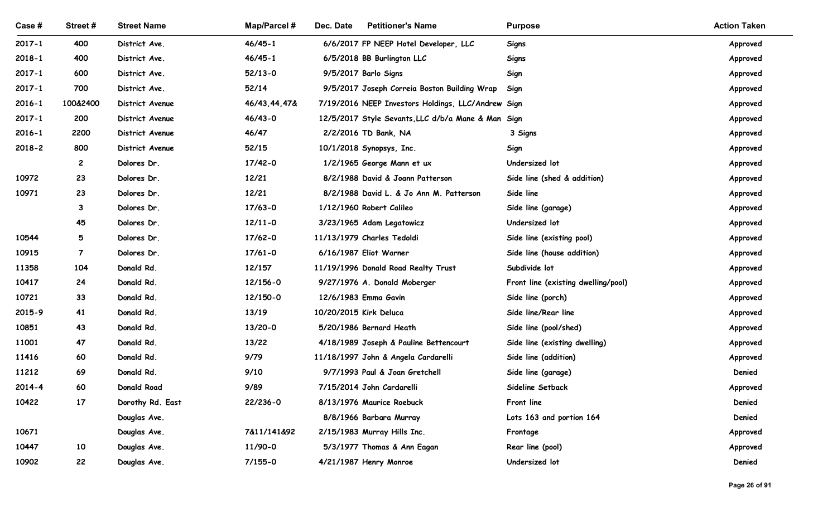| Case#               | Street #       | <b>Street Name</b>       | Map/Parcel #      | Dec. Date<br><b>Petitioner's Name</b>              | <b>Purpose</b>                               | <b>Action Taken</b>  |
|---------------------|----------------|--------------------------|-------------------|----------------------------------------------------|----------------------------------------------|----------------------|
| $2017 - 1$          | 400            | District Ave.            | $46/45 - 1$       | 6/6/2017 FP NEEP Hotel Developer, LLC              | Signs                                        | Approved             |
| $2018 - 1$          | 400            | District Ave.            | $46/45 - 1$       | 6/5/2018 BB Burlington LLC                         | <b>Signs</b>                                 | Approved             |
| $2017 - 1$          | 600            | District Ave.            | $52/13-0$         | 9/5/2017 Barlo Signs                               | Sign                                         | Approved             |
| $2017 - 1$          | 700            | District Ave.            | 52/14             | 9/5/2017 Joseph Correia Boston Building Wrap       | Sign                                         | Approved             |
| $2016 - 1$          | 100&2400       | District Avenue          | 46/43,44,47&      | 7/19/2016 NEEP Investors Holdings, LLC/Andrew Sign |                                              | Approved             |
| $2017 - 1$          | 200            | District Avenue          | 46/43-0           | 12/5/2017 Style Sevants, LLC d/b/a Mane & Man Sign |                                              | Approved             |
| $2016 - 1$          | 2200           | District Avenue          | 46/47             | 2/2/2016 TD Bank, NA                               | 3 Signs                                      | Approved             |
| $2018 - 2$          | 800            | District Avenue          | 52/15             | 10/1/2018 Synopsys, Inc.                           | Sign                                         | Approved             |
|                     | $\overline{c}$ | Dolores Dr.              | $17/42 - 0$       | 1/2/1965 George Mann et ux                         | Undersized lot                               | Approved             |
| 10972               | 23             | Dolores Dr.              | 12/21             | 8/2/1988 David & Joann Patterson                   | Side line (shed & addition)                  | Approved             |
| 10971               | 23             | Dolores Dr.              | 12/21             | 8/2/1988 David L. & Jo Ann M. Patterson            | Side line                                    | Approved             |
|                     | 3              | Dolores Dr.              | $17/63 - 0$       | 1/12/1960 Robert Calileo                           | Side line (garage)                           | Approved             |
|                     | 45             | Dolores Dr.              | $12/11 - 0$       | 3/23/1965 Adam Legatowicz                          | Undersized lot                               | Approved             |
| 10544               | 5              | Dolores Dr.              | $17/62 - 0$       | 11/13/1979 Charles Tedoldi                         | Side line (existing pool)                    | Approved             |
| 10915               | $\overline{7}$ | Dolores Dr.              | $17/61 - 0$       | 6/16/1987 Eliot Warner                             | Side line (house addition)                   | Approved             |
| 11358               | 104            | Donald Rd.               | 12/157            | 11/19/1996 Donald Road Realty Trust                | Subdivide lot                                | Approved             |
| 10417               | 24             | Donald Rd.               | 12/156-0          | 9/27/1976 A. Donald Moberger                       | Front line (existing dwelling/pool)          | Approved             |
| 10721<br>$2015 - 9$ | 33<br>41       | Donald Rd.               | 12/150-0<br>13/19 | 12/6/1983 Emma Gavin<br>10/20/2015 Kirk Deluca     | Side line (porch)                            | Approved             |
| 10851               | 43             | Donald Rd.<br>Donald Rd. | 13/20-0           | 5/20/1986 Bernard Heath                            | Side line/Rear line<br>Side line (pool/shed) | Approved<br>Approved |
| 11001               | 47             | Donald Rd.               | 13/22             | 4/18/1989 Joseph & Pauline Bettencourt             | Side line (existing dwelling)                | Approved             |
| 11416               | 60             | Donald Rd.               | 9/79              | 11/18/1997 John & Angela Cardarelli                | Side line (addition)                         | Approved             |
| 11212               | 69             | Donald Rd.               | 9/10              | 9/7/1993 Paul & Joan Gretchell                     | Side line (garage)                           | Denied               |
| $2014 - 4$          | 60             | <b>Donald Road</b>       | 9/89              | 7/15/2014 John Cardarelli                          | Sideline Setback                             | Approved             |
| 10422               | 17             | Dorothy Rd. East         | 22/236-0          | 8/13/1976 Maurice Roebuck                          | Front line                                   | Denied               |
|                     |                | Douglas Ave.             |                   | 8/8/1966 Barbara Murray                            | Lots 163 and portion 164                     | Denied               |
| 10671               |                | Douglas Ave.             | 7&11/141&92       | 2/15/1983 Murray Hills Inc.                        | Frontage                                     | Approved             |
| 10447               | 10             | Douglas Ave.             | 11/90-0           | 5/3/1977 Thomas & Ann Eagan                        | Rear line (pool)                             | Approved             |
| 10902               | 22             | Douglas Ave.             | $7/155 - 0$       | 4/21/1987 Henry Monroe                             | Undersized lot                               | Denied               |
|                     |                |                          |                   |                                                    |                                              |                      |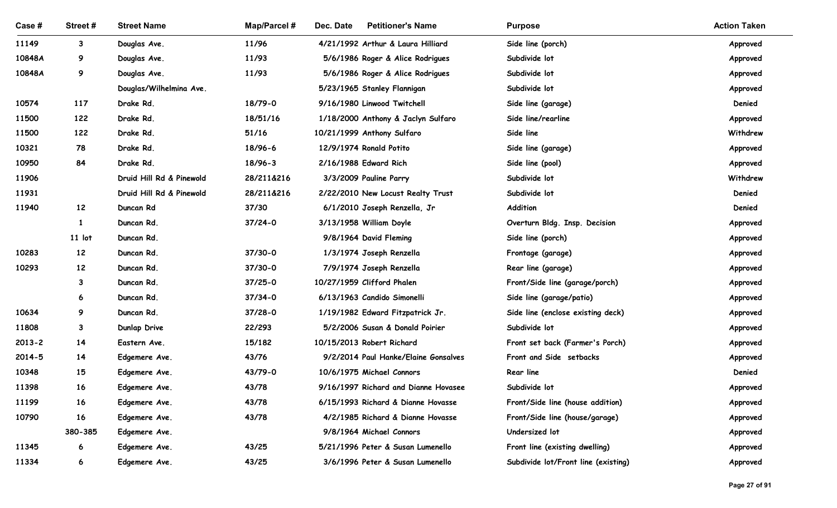| Case #         | Street#      | <b>Street Name</b>                      | <b>Map/Parcel#</b> | Dec. Date<br><b>Petitioner's Name</b>                           | <b>Purpose</b>                      | <b>Action Taken</b>  |
|----------------|--------------|-----------------------------------------|--------------------|-----------------------------------------------------------------|-------------------------------------|----------------------|
| 11149          | $3^{\circ}$  | Douglas Ave.                            | 11/96              | 4/21/1992 Arthur & Laura Hilliard                               | Side line (porch)                   | Approved             |
| 10848A         | 9            | Douglas Ave.                            | 11/93              | 5/6/1986 Roger & Alice Rodrigues                                | Subdivide lot                       | Approved             |
| 10848A         | 9            | Douglas Ave.<br>Douglas/Wilhelmina Ave. | 11/93              | 5/6/1986 Roger & Alice Rodrigues<br>5/23/1965 Stanley Flannigan | Subdivide lot<br>Subdivide lot      | Approved<br>Approved |
| 10574          | 117          | Drake Rd.                               | 18/79-0            | 9/16/1980 Linwood Twitchell                                     | Side line (garage)                  | Denied               |
| 11500          | 122          | Drake Rd.                               | 18/51/16           | 1/18/2000 Anthony & Jaclyn Sulfaro                              | Side line/rearline                  | Approved             |
| 11500          | 122          | Drake Rd.                               | 51/16              | 10/21/1999 Anthony Sulfaro                                      | Side line                           | Withdrew             |
| 10321          | 78           | Drake Rd.                               | 18/96-6            | 12/9/1974 Ronald Potito                                         | Side line (garage)                  | Approved             |
| 10950          | 84           | Drake Rd.                               | 18/96-3            | 2/16/1988 Edward Rich                                           | Side line (pool)                    | Approved             |
| 11906          |              | Druid Hill Rd & Pinewold                | 28/211&216         | 3/3/2009 Pauline Parry                                          | Subdivide lot                       | Withdrew             |
| 11931          |              | Druid Hill Rd & Pinewold                | 28/211&216         | 2/22/2010 New Locust Realty Trust                               | Subdivide lot                       | Denied               |
| 11940          | 12           | Duncan Rd                               | 37/30              | 6/1/2010 Joseph Renzella, Jr                                    | Addition                            | Denied               |
|                | $\mathbf{1}$ | Duncan Rd.                              | $37/24-0$          | 3/13/1958 William Doyle                                         | Overturn Bldg. Insp. Decision       | Approved             |
|                | $11$ lot     | Duncan Rd.                              |                    | 9/8/1964 David Fleming                                          | Side line (porch)                   | Approved             |
| 10283          | 12           | Duncan Rd.                              | 37/30-0            | 1/3/1974 Joseph Renzella                                        | Frontage (garage)                   | Approved             |
| 10293          | 12           | Duncan Rd.                              | 37/30-0            | 7/9/1974 Joseph Renzella                                        | Rear line (garage)                  | Approved             |
|                | $\mathbf{3}$ | Duncan Rd.                              | $37/25 - 0$        | 10/27/1959 Clifford Phalen                                      | Front/Side line (garage/porch)      | Approved             |
|                | 6            | Duncan Rd.                              | $37/34-0$          | 6/13/1963 Candido Simonelli                                     | Side line (garage/patio)            | Approved             |
| 10634          | 9            | Duncan Rd.                              | $37/28 - 0$        | 1/19/1982 Edward Fitzpatrick Jr.                                | Side line (enclose existing deck)   | Approved             |
| 11808          | $\mathbf{3}$ | Dunlap Drive                            | 22/293             | 5/2/2006 Susan & Donald Poirier                                 | Subdivide lot                       | Approved             |
| $2013 - 2$     | 14           | Eastern Ave.                            | 15/182             | 10/15/2013 Robert Richard                                       | Front set back (Farmer's Porch)     | Approved             |
| $2014 - 5$     | 14           | Edgemere Ave.                           | 43/76              | 9/2/2014 Paul Hanke/Elaine Gonsalves                            | Front and Side setbacks             | Approved             |
| 10348          | 15           | Edgemere Ave.                           | 43/79-0            | 10/6/1975 Michael Connors                                       | Rear line                           | Denied               |
| 11398          | 16           | Edgemere Ave.                           | 43/78              | 9/16/1997 Richard and Dianne Hovasee                            | Subdivide lot                       | Approved             |
| 11199          | 16           | Edgemere Ave.                           | 43/78              | 6/15/1993 Richard & Dianne Hovasse                              | Front/Side line (house addition)    | Approved             |
| 10790          | 16           | Edgemere Ave.                           | 43/78              | 4/2/1985 Richard & Dianne Hovasse                               | Front/Side line (house/garage)      | Approved             |
|                | 380-385      | Edgemere Ave.                           |                    | 9/8/1964 Michael Connors                                        | Undersized lot                      | Approved             |
| 11345<br>11334 | 6            | Edgemere Ave.                           | 43/25              | 5/21/1996 Peter & Susan Lumenello                               | Front line (existing dwelling)      | Approved<br>Approved |
|                | 6            | Edgemere Ave.                           | 43/25              | 3/6/1996 Peter & Susan Lumenello                                | Subdivide lot/Front line (existing) |                      |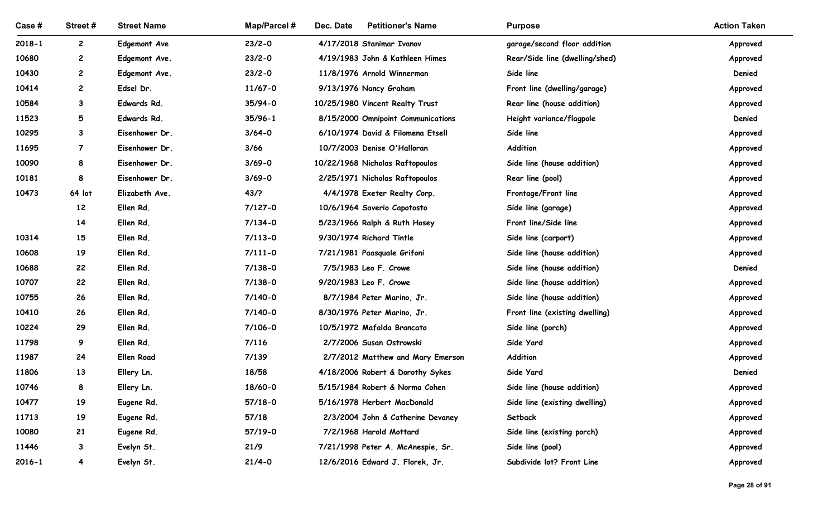| Case #     | Street #                | <b>Street Name</b>  | Map/Parcel # | Dec. Date<br><b>Petitioner's Name</b> | <b>Purpose</b>                 | <b>Action Taken</b> |
|------------|-------------------------|---------------------|--------------|---------------------------------------|--------------------------------|---------------------|
| $2018 - 1$ | $\mathbf{2}$            | <b>Edgemont Ave</b> | $23/2 - 0$   | 4/17/2018 Stanimar Ivanov             | garage/second floor addition   | Approved            |
| 10680      | $\mathbf{2}$            | Edgemont Ave.       | $23/2 - 0$   | 4/19/1983 John & Kathleen Himes       | Rear/Side line (dwelling/shed) | Approved            |
| 10430      | $\mathbf{2}$            | Edgemont Ave.       | $23/2 - 0$   | 11/8/1976 Arnold Winnerman            | Side line                      | Denied              |
| 10414      | $\mathbf{2}$            | Edsel Dr.           | $11/67 - 0$  | 9/13/1976 Nancy Graham                | Front line (dwelling/garage)   | Approved            |
| 10584      | 3                       | Edwards Rd.         | 35/94-0      | 10/25/1980 Vincent Realty Trust       | Rear line (house addition)     | Approved            |
| 11523      | 5                       | Edwards Rd.         | $35/96 - 1$  | 8/15/2000 Omnipoint Communications    | Height variance/flagpole       | Denied              |
| 10295      | 3                       | Eisenhower Dr.      | $3/64 - 0$   | 6/10/1974 David & Filomena Etsell     | Side line                      | Approved            |
| 11695      | $\overline{7}$          | Eisenhower Dr.      | 3/66         | 10/7/2003 Denise O'Halloran           | Addition                       | Approved            |
| 10090      | 8                       | Eisenhower Dr.      | $3/69 - 0$   | 10/22/1968 Nicholas Raftopoulos       | Side line (house addition)     | Approved            |
| 10181      | 8                       | Eisenhower Dr.      | $3/69 - 0$   | 2/25/1971 Nicholas Raftopoulos        | Rear line (pool)               | Approved            |
| 10473      | 64 lot                  | Elizabeth Ave.      | 43/2         | 4/4/1978 Exeter Realty Corp.          | Frontage/Front line            | Approved            |
|            | 12                      | Ellen Rd.           | $7/127 - 0$  | 10/6/1964 Saverio Capotosto           | Side line (garage)             | Approved            |
|            | 14                      | Ellen Rd.           | $7/134-0$    | 5/23/1966 Ralph & Ruth Hosey          | Front line/Side line           | Approved            |
| 10314      | 15                      | Ellen Rd.           | $7/113 - 0$  | 9/30/1974 Richard Tintle              | Side line (carport)            | Approved            |
| 10608      | 19                      | Ellen Rd.           | $7/111 - 0$  | 7/21/1981 Paasquale Grifoni           | Side line (house addition)     | Approved            |
| 10688      | 22                      | Ellen Rd.           | $7/138 - 0$  | 7/5/1983 Leo F. Crowe                 | Side line (house addition)     | Denied              |
| 10707      | 22                      | Ellen Rd.           | $7/138 - 0$  | 9/20/1983 Leo F. Crowe                | Side line (house addition)     | Approved            |
| 10755      | 26                      | Ellen Rd.           | 7/140-0      | 8/7/1984 Peter Marino, Jr.            | Side line (house addition)     | Approved            |
| 10410      | 26                      | Ellen Rd.           | 7/140-0      | 8/30/1976 Peter Marino, Jr.           | Front line (existing dwelling) | Approved            |
| 10224      | 29                      | Ellen Rd.           | 7/106-0      | 10/5/1972 Mafalda Brancato            | Side line (porch)              | Approved            |
| 11798      | 9                       | Ellen Rd.           | 7/116        | 2/7/2006 Susan Ostrowski              | Side Yard                      | Approved            |
| 11987      | 24                      | <b>Ellen Road</b>   | 7/139        | 2/7/2012 Matthew and Mary Emerson     | Addition                       | Approved            |
| 11806      | 13                      | Ellery Ln.          | 18/58        | 4/18/2006 Robert & Dorothy Sykes      | Side Yard                      | Denied              |
| 10746      | 8                       | Ellery Ln.          | 18/60-0      | 5/15/1984 Robert & Norma Cohen        | Side line (house addition)     | Approved            |
| 10477      | 19                      | Eugene Rd.          | 57/18-0      | 5/16/1978 Herbert MacDonald           | Side line (existing dwelling)  | Approved            |
| 11713      | 19                      | Eugene Rd.          | 57/18        | 2/3/2004 John & Catherine Devaney     | Setback                        | Approved            |
| 10080      | 21                      | Eugene Rd.          | 57/19-0      | 7/2/1968 Harold Mottard               | Side line (existing porch)     | Approved            |
| 11446      | 3                       | Evelyn St.          | 21/9         | 7/21/1998 Peter A. McAnespie, Sr.     | Side line (pool)               | Approved            |
| $2016 - 1$ | $\overline{\mathbf{4}}$ | Evelyn St.          | $21/4 - 0$   | 12/6/2016 Edward J. Florek, Jr.       | Subdivide lot? Front Line      | Approved            |
|            |                         |                     |              |                                       |                                | Page 28 of 91       |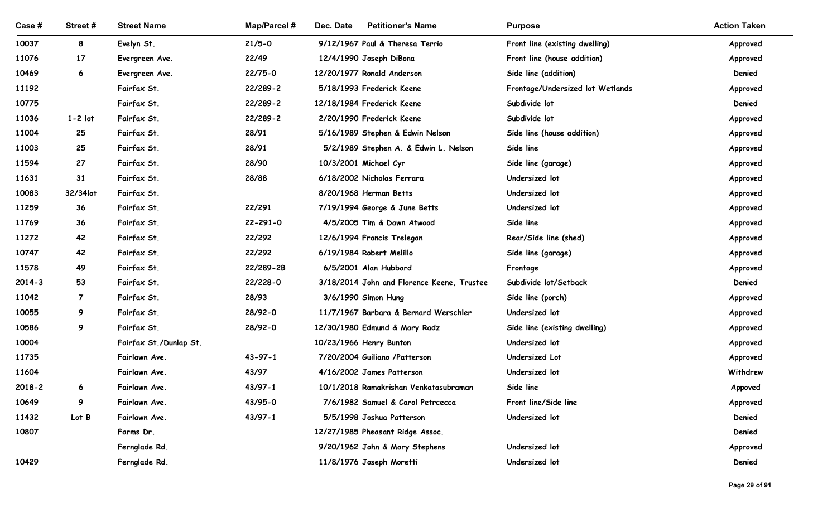| Case #         | Street #        | <b>Street Name</b>         | <b>Map/Parcel#</b>   | Dec. Date<br><b>Petitioner's Name</b>                   | <b>Purpose</b>                                    | <b>Action Taken</b> |
|----------------|-----------------|----------------------------|----------------------|---------------------------------------------------------|---------------------------------------------------|---------------------|
| 10037          | 8               | Evelyn St.                 | $21/5 - 0$           | 9/12/1967 Paul & Theresa Terrio                         | Front line (existing dwelling)                    | Approved            |
| 11076          | 17              | Evergreen Ave.             | 22/49                | 12/4/1990 Joseph DiBona                                 | Front line (house addition)                       | Approved            |
| 10469          | 6               | Evergreen Ave.             | 22/75-0              | 12/20/1977 Ronald Anderson                              | Side line (addition)                              | Denied              |
| 11192<br>10775 |                 | Fairfax St.<br>Fairfax St. | 22/289-2<br>22/289-2 | 5/18/1993 Frederick Keene<br>12/18/1984 Frederick Keene | Frontage/Undersized lot Wetlands<br>Subdivide lot | Approved<br>Denied  |
| 11036          | $1 - 2$ lot     | Fairfax St.                | 22/289-2             | 2/20/1990 Frederick Keene                               | Subdivide lot                                     | Approved            |
| 11004          | 25              | Fairfax St.                | 28/91                | 5/16/1989 Stephen & Edwin Nelson                        | Side line (house addition)                        | Approved            |
| 11003          | 25              | Fairfax St.                | 28/91                | 5/2/1989 Stephen A. & Edwin L. Nelson                   | Side line                                         | Approved            |
| 11594          | 27              | Fairfax St.                | 28/90                | 10/3/2001 Michael Cyr                                   | Side line (garage)                                | Approved            |
| 11631          | 31              | Fairfax St.                | 28/88                | 6/18/2002 Nicholas Ferrara                              | Undersized lot                                    | Approved            |
| 10083          | 32/34lot        | Fairfax St.                |                      | 8/20/1968 Herman Betts                                  | Undersized lot                                    | Approved            |
| 11259          | 36              | Fairfax St.                | 22/291               | 7/19/1994 George & June Betts                           | Undersized lot                                    | Approved            |
| 11769          | 36              | Fairfax St.                | $22 - 291 - 0$       | 4/5/2005 Tim & Dawn Atwood                              | Side line                                         | Approved            |
| 11272          | 42              | Fairfax St.                | 22/292               | 12/6/1994 Francis Trelegan                              | Rear/Side line (shed)                             | Approved            |
| 10747          | 42              | Fairfax St.                | 22/292               | 6/19/1984 Robert Melillo                                | Side line (garage)                                | Approved            |
| 11578          | 49              | Fairfax St.                | 22/289-2B            | 6/5/2001 Alan Hubbard                                   | Frontage                                          | Approved            |
| $2014 - 3$     | 53              | Fairfax St.                | 22/228-0             | 3/18/2014 John and Florence Keene, Trustee              | Subdivide lot/Setback                             | Denied              |
| 11042          | $\overline{7}$  | Fairfax St.                | 28/93                | 3/6/1990 Simon Hung                                     | Side line (porch)                                 | Approved            |
| 10055          | 9               | Fairfax St.                | 28/92-0              | 11/7/1967 Barbara & Bernard Werschler                   | Undersized lot                                    | Approved            |
| 10586          | 9               | Fairfax St.                | 28/92-0              | 12/30/1980 Edmund & Mary Radz                           | Side line (existing dwelling)                     | Approved            |
| 10004          |                 | Fairfax St./Dunlap St.     |                      | 10/23/1966 Henry Bunton                                 | Undersized lot                                    | Approved            |
| 11735          |                 | Fairlawn Ave.              | $43 - 97 - 1$        | 7/20/2004 Guiliano /Patterson                           | Undersized Lot                                    | Approved            |
| 11604          |                 | Fairlawn Ave.              | 43/97                | 4/16/2002 James Patterson                               | Undersized lot                                    | Withdrew            |
| $2018 - 2$     | $6\overline{6}$ | Fairlawn Ave.              | $43/97 - 1$          | 10/1/2018 Ramakrishan Venkatasubraman                   | Side line                                         | Appoved             |
| 10649          | 9               | Fairlawn Ave.              | 43/95-0              | 7/6/1982 Samuel & Carol Petrcecca                       | Front line/Side line                              | Approved            |
| 11432          | Lot B           | Fairlawn Ave.              | 43/97-1              | 5/5/1998 Joshua Patterson                               | Undersized lot                                    | Denied              |
| 10807          |                 | Farms Dr.                  |                      | 12/27/1985 Pheasant Ridge Assoc.                        |                                                   | Denied              |
|                |                 | Fernglade Rd.              |                      | 9/20/1962 John & Mary Stephens                          | Undersized lot                                    | Approved            |
| 10429          |                 | Fernglade Rd.              |                      | 11/8/1976 Joseph Moretti                                | Undersized lot                                    | Denied              |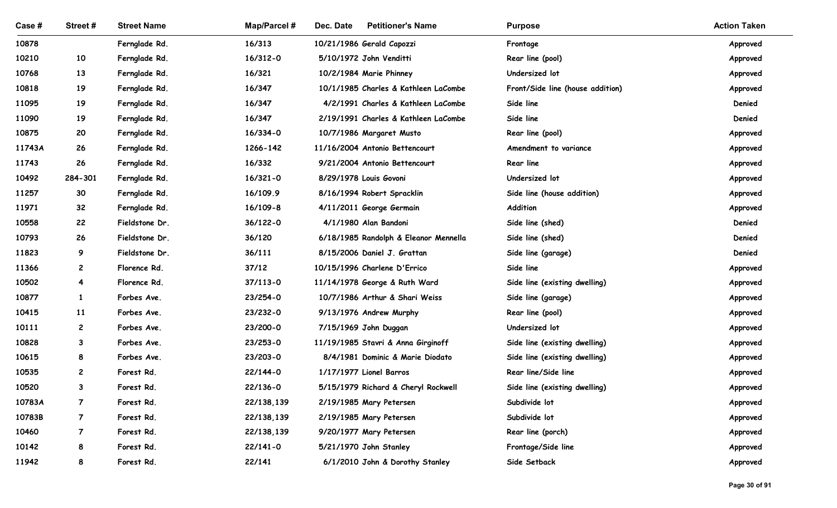| Case #          | Street#                          | <b>Street Name</b>       | <b>Map/Parcel#</b>       | Dec. Date<br><b>Petitioner's Name</b>              | <b>Purpose</b>                          | <b>Action Taken</b>  |
|-----------------|----------------------------------|--------------------------|--------------------------|----------------------------------------------------|-----------------------------------------|----------------------|
| 10878           |                                  | Fernglade Rd.            | 16/313                   | 10/21/1986 Gerald Capozzi                          | Frontage                                | Approved             |
| 10210           | 10                               | Fernglade Rd.            | 16/312-0                 | 5/10/1972 John Venditti                            | Rear line (pool)                        | Approved             |
| 10768           | 13                               | Fernglade Rd.            | 16/321                   | 10/2/1984 Marie Phinney                            | Undersized lot                          | Approved             |
| 10818           | 19                               | Fernglade Rd.            | 16/347                   | 10/1/1985 Charles & Kathleen LaCombe               | Front/Side line (house addition)        | Approved             |
| 11095           | 19                               | Fernglade Rd.            | 16/347                   | 4/2/1991 Charles & Kathleen LaCombe                | Side line                               | Denied               |
| 11090           | 19                               | Fernglade Rd.            | 16/347                   | 2/19/1991 Charles & Kathleen LaCombe               | Side line                               | Denied               |
| 10875           | 20                               | Fernglade Rd.            | 16/334-0                 | 10/7/1986 Margaret Musto                           | Rear line (pool)                        | Approved             |
| 11743A          | 26                               | Fernglade Rd.            | 1266-142                 | 11/16/2004 Antonio Bettencourt                     | Amendment to variance                   | Approved             |
| 11743           | 26                               | Fernglade Rd.            | 16/332                   | 9/21/2004 Antonio Bettencourt                      | Rear line                               | Approved             |
| 10492           | 284-301                          | Fernglade Rd.            | $16/321 - 0$             | 8/29/1978 Louis Govoni                             | Undersized lot                          | Approved             |
| 11257           | 30                               | Fernglade Rd.            | 16/109.9                 | 8/16/1994 Robert Spracklin                         | Side line (house addition)              | Approved             |
| 11971           | 32                               | Fernglade Rd.            | $16/109 - 8$             | 4/11/2011 George Germain                           | Addition                                | Approved             |
| 10558           | 22                               | Fieldstone Dr.           | $36/122 - 0$             | 4/1/1980 Alan Bandoni                              | Side line (shed)                        | Denied               |
| 10793           | 26                               | Fieldstone Dr.           | 36/120                   | 6/18/1985 Randolph & Eleanor Mennella              | Side line (shed)                        | Denied               |
| 11823           | 9                                | Fieldstone Dr.           | 36/111                   | 8/15/2006 Daniel J. Grattan                        | Side line (garage)                      | Denied               |
| 11366           | $\mathbf{2}$                     | Florence Rd.             | 37/12                    | 10/15/1996 Charlene D'Errico                       | Side line                               | Approved             |
| 10502           | $\overline{\mathbf{4}}$          | Florence Rd.             | $37/113 - 0$             | 11/14/1978 George & Ruth Ward                      | Side line (existing dwelling)           | Approved             |
| 10877           | $\mathbf{1}$                     | Forbes Ave.              | 23/254-0                 | 10/7/1986 Arthur & Shari Weiss                     | Side line (garage)                      | Approved             |
| 10415           | 11                               | Forbes Ave.              | 23/232-0                 | 9/13/1976 Andrew Murphy                            | Rear line (pool)                        | Approved             |
| 10111           | $\mathbf{2}$                     | Forbes Ave.              | 23/200-0                 | 7/15/1969 John Duggan                              | Undersized lot                          | Approved             |
| 10828           | $\mathbf{3}$                     | Forbes Ave.              | 23/253-0                 | 11/19/1985 Stavri & Anna Girginoff                 | Side line (existing dwelling)           | Approved             |
| 10615           | 8                                | Forbes Ave.              | 23/203-0                 | 8/4/1981 Dominic & Marie Diodato                   | Side line (existing dwelling)           | Approved             |
| 10535           | $\overline{c}$                   | Forest Rd.               | 22/144-0                 | 1/17/1977 Lionel Barros                            | Rear line/Side line                     | Approved             |
| 10520           | $\mathbf{3}$                     | Forest Rd.               | 22/136-0                 | 5/15/1979 Richard & Cheryl Rockwell                | Side line (existing dwelling)           | Approved             |
| 10783A          | $\overline{7}$                   | Forest Rd.               | 22/138,139               | 2/19/1985 Mary Petersen                            | Subdivide lot                           | Approved             |
| 10783B<br>10460 | $\overline{7}$<br>$\overline{7}$ | Forest Rd.<br>Forest Rd. | 22/138,139<br>22/138,139 | 2/19/1985 Mary Petersen<br>9/20/1977 Mary Petersen | Subdivide lot                           | Approved             |
| 10142           | 8                                | Forest Rd.               | $22/141 - 0$             | 5/21/1970 John Stanley                             | Rear line (porch)<br>Frontage/Side line | Approved<br>Approved |
| 11942           | 8                                | Forest Rd.               | 22/141                   | 6/1/2010 John & Dorothy Stanley                    | Side Setback                            | Approved             |
|                 |                                  |                          |                          |                                                    |                                         |                      |
|                 |                                  |                          |                          |                                                    |                                         | Page 30 of 91        |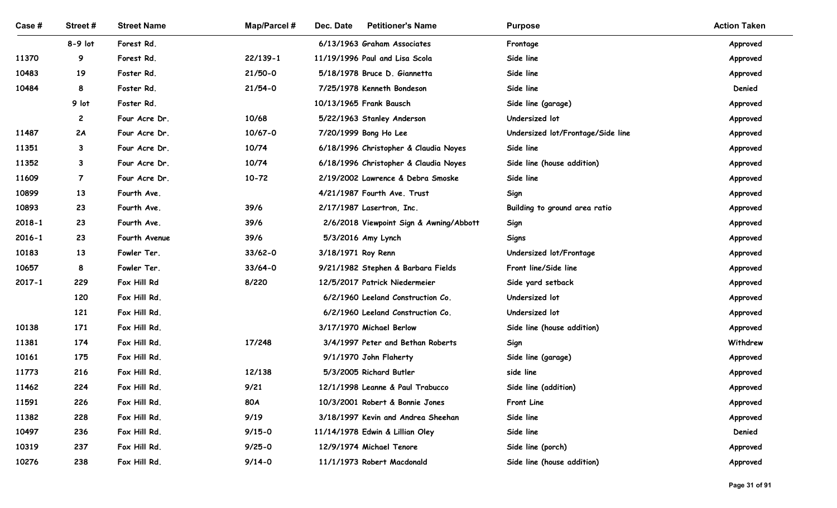| Case #         | Street#           | <b>Street Name</b>             | <b>Map/Parcel#</b> | <b>Petitioner's Name</b><br>Dec. Date                                          | <b>Purpose</b>                          | <b>Action Taken</b>  |
|----------------|-------------------|--------------------------------|--------------------|--------------------------------------------------------------------------------|-----------------------------------------|----------------------|
|                | $8-9$ lot         | Forest Rd.                     |                    | 6/13/1963 Graham Associates                                                    | Frontage                                | Approved             |
| 11370          | 9                 | Forest Rd.                     | $22/139 - 1$       | 11/19/1996 Paul and Lisa Scola                                                 | Side line                               | Approved             |
| 10483          | 19                | Foster Rd.                     | $21/50-0$          | 5/18/1978 Bruce D. Giannetta                                                   | Side line                               | Approved             |
| 10484          | 8                 | Foster Rd.                     | $21/54-0$          | 7/25/1978 Kenneth Bondeson                                                     | Side line                               | Denied               |
|                | 9 lot             | Foster Rd.                     |                    | 10/13/1965 Frank Bausch                                                        | Side line (garage)                      | Approved             |
|                | $\mathbf{2}$      | Four Acre Dr.                  | 10/68              | 5/22/1963 Stanley Anderson                                                     | Undersized lot                          | Approved             |
| 11487<br>11351 | 2A                | Four Acre Dr.                  | $10/67 - 0$        | 7/20/1999 Bong Ho Lee                                                          | Undersized lot/Frontage/Side line       | Approved             |
| 11352          | $\mathbf{3}$<br>3 | Four Acre Dr.<br>Four Acre Dr. | 10/74<br>10/74     | 6/18/1996 Christopher & Claudia Noyes<br>6/18/1996 Christopher & Claudia Noyes | Side line<br>Side line (house addition) | Approved             |
| 11609          | 7                 | Four Acre Dr.                  | $10 - 72$          | 2/19/2002 Lawrence & Debra Smoske                                              | Side line                               | Approved<br>Approved |
| 10899          | 13                | Fourth Ave.                    |                    | 4/21/1987 Fourth Ave. Trust                                                    | Sign                                    | Approved             |
| 10893          | 23                | Fourth Ave.                    | 39/6               | 2/17/1987 Lasertron, Inc.                                                      | Building to ground area ratio           | Approved             |
| $2018 - 1$     | 23                | Fourth Ave.                    | 39/6               | 2/6/2018 Viewpoint Sign & Awning/Abbott                                        | Sign                                    | Approved             |
| $2016 - 1$     | 23                | Fourth Avenue                  | 39/6               | 5/3/2016 Amy Lynch                                                             | Signs                                   | Approved             |
| 10183          | 13                | Fowler Ter.                    | $33/62 - 0$        | 3/18/1971 Roy Renn                                                             | Undersized lot/Frontage                 | Approved             |
| 10657          | 8                 | Fowler Ter.                    | $33/64 - 0$        | 9/21/1982 Stephen & Barbara Fields                                             | Front line/Side line                    | Approved             |
| 2017-1         | 229               | Fox Hill Rd                    | 8/220              | 12/5/2017 Patrick Niedermeier                                                  | Side yard setback                       | Approved             |
|                | 120               | Fox Hill Rd.                   |                    | 6/2/1960 Leeland Construction Co.                                              | Undersized lot                          | Approved             |
|                | 121               | Fox Hill Rd.                   |                    | 6/2/1960 Leeland Construction Co.                                              | Undersized lot                          | Approved             |
| 10138          | 171               | Fox Hill Rd.                   |                    | 3/17/1970 Michael Berlow                                                       | Side line (house addition)              | Approved             |
| 11381          | 174               | Fox Hill Rd.                   | 17/248             | 3/4/1997 Peter and Bethan Roberts                                              | Sign                                    | Withdrew             |
| 10161          | 175               | Fox Hill Rd.                   |                    | 9/1/1970 John Flaherty                                                         | Side line (garage)                      | Approved             |
| 11773          | 216               | Fox Hill Rd.                   | 12/138             | 5/3/2005 Richard Butler                                                        | side line                               | Approved             |
| 11462          | 224               | Fox Hill Rd.                   | 9/21               | 12/1/1998 Leanne & Paul Trabucco                                               | Side line (addition)                    | Approved             |
| 11591          | 226               | Fox Hill Rd.                   | <b>80A</b>         | 10/3/2001 Robert & Bonnie Jones                                                | Front Line                              | Approved             |
| 11382          | 228               | Fox Hill Rd.                   | 9/19               | 3/18/1997 Kevin and Andrea Sheehan                                             | Side line                               | Approved             |
| 10497          | 236               | Fox Hill Rd.                   | $9/15 - 0$         | 11/14/1978 Edwin & Lillian Oley                                                | Side line                               | Denied               |
| 10319          | 237               | Fox Hill Rd.                   | $9/25 - 0$         | 12/9/1974 Michael Tenore                                                       | Side line (porch)                       | Approved             |
| 10276          | 238               | Fox Hill Rd.                   | $9/14 - 0$         | 11/1/1973 Robert Macdonald                                                     | Side line (house addition)              | Approved             |
|                |                   |                                |                    |                                                                                |                                         | Page 31 of 91        |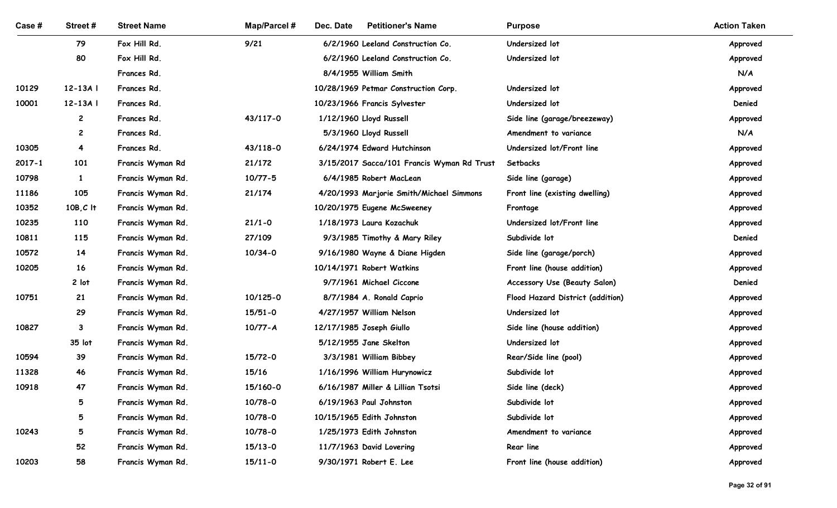| Case # | Street#        | <b>Street Name</b>                     | <b>Map/Parcel#</b>         | Dec. Date<br><b>Petitioner's Name</b>                | <b>Purpose</b>                               | <b>Action Taken</b>  |
|--------|----------------|----------------------------------------|----------------------------|------------------------------------------------------|----------------------------------------------|----------------------|
|        | 79             | Fox Hill Rd.                           | 9/21                       | 6/2/1960 Leeland Construction Co.                    | Undersized lot                               | Approved             |
|        | 80             | Fox Hill Rd.                           |                            | 6/2/1960 Leeland Construction Co.                    | Undersized lot                               | Approved             |
|        |                | Frances Rd.                            |                            | 8/4/1955 William Smith                               |                                              | N/A                  |
| 10129  | $12-13A$       | Frances Rd.                            |                            | 10/28/1969 Petmar Construction Corp.                 | Undersized lot                               | Approved             |
| 10001  | $12-13A$       | Frances Rd.                            |                            | 10/23/1966 Francis Sylvester                         | Undersized lot                               | Denied               |
|        | $\mathbf{2}$   | Frances Rd.                            | 43/117-0                   | 1/12/1960 Lloyd Russell                              | Side line (garage/breezeway)                 | Approved             |
|        | $\mathbf{2}$   | Frances Rd.                            |                            | 5/3/1960 Lloyd Russell                               | Amendment to variance                        | N/A                  |
| 10305  | $\overline{4}$ | Frances Rd.                            | 43/118-0                   | 6/24/1974 Edward Hutchinson                          | Undersized lot/Front line                    | Approved             |
| 2017-1 | 101            | Francis Wyman Rd                       | 21/172                     | 3/15/2017 Sacca/101 Francis Wyman Rd Trust           | Setbacks                                     | Approved             |
| 10798  | -1             | Francis Wyman Rd.                      | $10/77 - 5$                | 6/4/1985 Robert MacLean                              | Side line (garage)                           | Approved             |
| 11186  | 105            | Francis Wyman Rd.                      | 21/174                     | 4/20/1993 Marjorie Smith/Michael Simmons             | Front line (existing dwelling)               | Approved             |
| 10352  | $10B, C$ It    | Francis Wyman Rd.                      |                            | 10/20/1975 Eugene McSweeney                          | Frontage                                     | Approved             |
| 10235  | 110            | Francis Wyman Rd.                      | $21/1 - 0$                 | 1/18/1973 Laura Kozachuk                             | Undersized lot/Front line                    | Approved             |
| 10811  | 115            | Francis Wyman Rd.                      | 27/109                     | 9/3/1985 Timothy & Mary Riley                        | Subdivide lot                                | Denied               |
| 10572  | 14             | Francis Wyman Rd.                      | $10/34 - 0$                | 9/16/1980 Wayne & Diane Higden                       | Side line (garage/porch)                     | Approved             |
| 10205  | 16             | Francis Wyman Rd.                      |                            | 10/14/1971 Robert Watkins                            | Front line (house addition)                  | Approved             |
|        | 2 lot          | Francis Wyman Rd.                      |                            | 9/7/1961 Michael Ciccone                             | Accessory Use (Beauty Salon)                 | Denied               |
| 10751  | 21             | Francis Wyman Rd.                      | 10/125-0                   | 8/7/1984 A. Ronald Caprio                            | Flood Hazard District (addition)             | Approved             |
| 10827  | 29             | Francis Wyman Rd.<br>Francis Wyman Rd. | $15/51 - 0$<br>$10/77 - A$ | 4/27/1957 William Nelson<br>12/17/1985 Joseph Giullo | Undersized lot<br>Side line (house addition) | Approved             |
|        | 3<br>35 lot    | Francis Wyman Rd.                      |                            | 5/12/1955 Jane Skelton                               | Undersized lot                               | Approved<br>Approved |
| 10594  | 39             | Francis Wyman Rd.                      | $15/72 - 0$                | 3/3/1981 William Bibbey                              | Rear/Side line (pool)                        | Approved             |
| 11328  | 46             | Francis Wyman Rd.                      | 15/16                      | 1/16/1996 William Hurynowicz                         | Subdivide lot                                | Approved             |
| 10918  | 47             | Francis Wyman Rd.                      | 15/160-0                   | 6/16/1987 Miller & Lillian Tsotsi                    | Side line (deck)                             | Approved             |
|        | 5              | Francis Wyman Rd.                      | $10/78 - 0$                | 6/19/1963 Paul Johnston                              | Subdivide lot                                | Approved             |
|        | 5              | Francis Wyman Rd.                      | $10/78 - 0$                | 10/15/1965 Edith Johnston                            | Subdivide lot                                | Approved             |
| 10243  | 5              | Francis Wyman Rd.                      | $10/78 - 0$                | 1/25/1973 Edith Johnston                             | Amendment to variance                        | Approved             |
|        | 52             | Francis Wyman Rd.                      | $15/13-0$                  | 11/7/1963 David Lovering                             | Rear line                                    | Approved             |
| 10203  | 58             | Francis Wyman Rd.                      | $15/11 - 0$                | 9/30/1971 Robert E. Lee                              | Front line (house addition)                  | Approved             |
|        |                |                                        |                            |                                                      |                                              | Page 32 of 91        |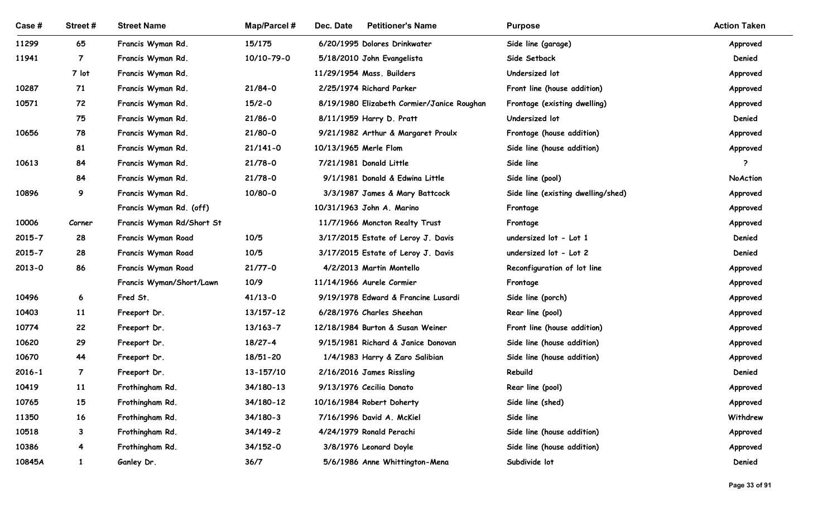| Case #     | Street#        | <b>Street Name</b>                             | <b>Map/Parcel#</b>  | Dec. Date<br><b>Petitioner's Name</b>                 | <b>Purpose</b>                          | <b>Action Taken</b>  |
|------------|----------------|------------------------------------------------|---------------------|-------------------------------------------------------|-----------------------------------------|----------------------|
| 11299      | 65             | Francis Wyman Rd.                              | 15/175              | 6/20/1995 Dolores Drinkwater                          | Side line (garage)                      | Approved             |
| 11941      | $\overline{7}$ | Francis Wyman Rd.                              | 10/10-79-0          | 5/18/2010 John Evangelista                            | Side Setback                            | Denied               |
|            | 7 lot          | Francis Wyman Rd.                              |                     | 11/29/1954 Mass. Builders                             | Undersized lot                          | Approved             |
| 10287      | 71             | Francis Wyman Rd.                              | $21/84-0$           | 2/25/1974 Richard Parker                              | Front line (house addition)             | Approved             |
| 10571      | 72             | Francis Wyman Rd.                              | $15/2 - 0$          | 8/19/1980 Elizabeth Cormier/Janice Roughan            | Frontage (existing dwelling)            | Approved             |
|            | 75             | Francis Wyman Rd.                              | $21/86 - 0$         | 8/11/1959 Harry D. Pratt                              | Undersized lot                          | Denied               |
| 10656      | 78             | Francis Wyman Rd.                              | 21/80-0             | 9/21/1982 Arthur & Margaret Proulx                    | Frontage (house addition)               | Approved             |
|            | 81             | Francis Wyman Rd.                              | $21/141 - 0$        | 10/13/1965 Merle Flom                                 | Side line (house addition)              | Approved             |
| 10613      | 84             | Francis Wyman Rd.                              | $21/78-0$           | 7/21/1981 Donald Little                               | Side line                               | ာ                    |
|            | 84             | Francis Wyman Rd.                              | $21/78-0$           | 9/1/1981 Donald & Edwina Little                       | Side line (pool)                        | NoAction             |
| 10896      | 9              | Francis Wyman Rd.                              | 10/80-0             | 3/3/1987 James & Mary Battcock                        | Side line (existing dwelling/shed)      | Approved             |
|            |                | Francis Wyman Rd. (off)                        |                     | 10/31/1963 John A. Marino                             | Frontage                                | Approved             |
| 10006      | Corner         | Francis Wyman Rd/Short St                      |                     | 11/7/1966 Moncton Realty Trust                        | Frontage                                | Approved             |
| 2015-7     | 28             | Francis Wyman Road                             | 10/5                | 3/17/2015 Estate of Leroy J. Davis                    | undersized lot - Lot 1                  | Denied               |
| $2015 - 7$ | 28<br>86       | Francis Wyman Road                             | 10/5                | 3/17/2015 Estate of Leroy J. Davis                    | undersized lot - Lot 2                  | Denied               |
| 2013-0     |                | Francis Wyman Road<br>Francis Wyman/Short/Lawn | $21/77 - 0$<br>10/9 | 4/2/2013 Martin Montello<br>11/14/1966 Aurele Cormier | Reconfiguration of lot line<br>Frontage | Approved<br>Approved |
| 10496      | 6              | Fred St.                                       | $41/13 - 0$         | 9/19/1978 Edward & Francine Lusardi                   | Side line (porch)                       | Approved             |
| 10403      | 11             | Freeport Dr.                                   | 13/157-12           | 6/28/1976 Charles Sheehan                             | Rear line (pool)                        | Approved             |
| 10774      | 22             | Freeport Dr.                                   | 13/163-7            | 12/18/1984 Burton & Susan Weiner                      | Front line (house addition)             | Approved             |
| 10620      | 29             | Freeport Dr.                                   | 18/27-4             | 9/15/1981 Richard & Janice Donovan                    | Side line (house addition)              | Approved             |
| 10670      | 44             | Freeport Dr.                                   | 18/51-20            | 1/4/1983 Harry & Zaro Salibian                        | Side line (house addition)              | Approved             |
| $2016 - 1$ | $\overline{7}$ | Freeport Dr.                                   | 13-157/10           | 2/16/2016 James Rissling                              | Rebuild                                 | Denied               |
| 10419      | <b>11</b>      | Frothingham Rd.                                | 34/180-13           | 9/13/1976 Cecilia Donato                              | Rear line (pool)                        | Approved             |
| 10765      | 15             | Frothingham Rd.                                | 34/180-12           | 10/16/1984 Robert Doherty                             | Side line (shed)                        | Approved             |
| 11350      | 16             | Frothingham Rd.                                | $34/180 - 3$        | 7/16/1996 David A. McKiel                             | Side line                               | Withdrew             |
| 10518      | 3              | Frothingham Rd.                                | $34/149 - 2$        | 4/24/1979 Ronald Perachi                              | Side line (house addition)              | Approved             |
| 10386      | $\overline{4}$ | Frothingham Rd.                                | 34/152-0            | 3/8/1976 Leonard Doyle                                | Side line (house addition)              | Approved             |
| 10845A     | $\mathbf{1}$   | Ganley Dr.                                     | 36/7                | 5/6/1986 Anne Whittington-Mena                        | Subdivide lot                           | Denied               |
|            |                |                                                |                     |                                                       |                                         |                      |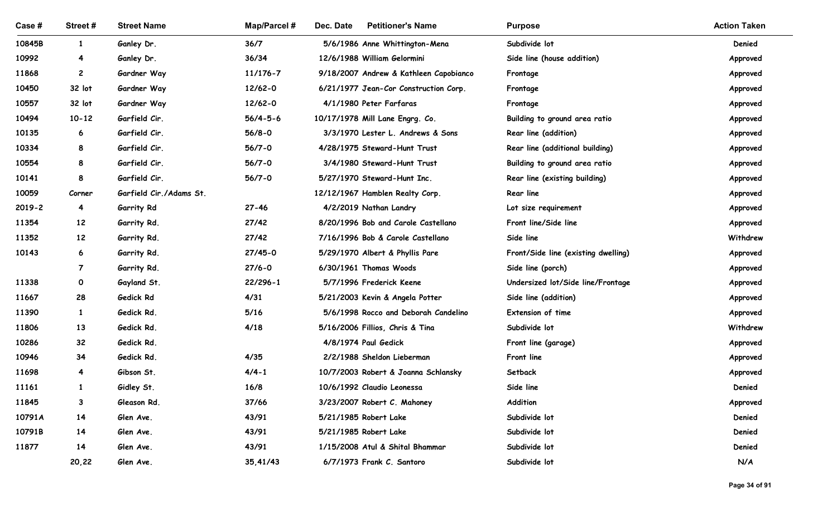| Case #         | Street#           | <b>Street Name</b>       | Map/Parcel #      | <b>Petitioner's Name</b><br>Dec. Date                             | <b>Purpose</b>                      | <b>Action Taken</b> |
|----------------|-------------------|--------------------------|-------------------|-------------------------------------------------------------------|-------------------------------------|---------------------|
| 10845B         | $\mathbf{1}$      | Ganley Dr.               | 36/7              | 5/6/1986 Anne Whittington-Mena                                    | Subdivide lot                       | Denied              |
| 10992          | 4                 | Ganley Dr.               | 36/34             | 12/6/1988 William Gelormini                                       | Side line (house addition)          | Approved            |
| 11868          | $\mathbf{2}$      | Gardner Way              | 11/176-7          | 9/18/2007 Andrew & Kathleen Capobianco                            | Frontage                            | Approved            |
| 10450          | 32 lot            | Gardner Way              | 12/62-0           | 6/21/1977 Jean-Cor Construction Corp.                             | Frontage                            | Approved            |
| 10557          | 32 lot            | Gardner Way              | 12/62-0           | 4/1/1980 Peter Farfaras                                           | Frontage                            | Approved            |
| 10494          | $10 - 12$         | Garfield Cir.            | $56/4 - 5 - 6$    | 10/17/1978 Mill Lane Engrg. Co.                                   | Building to ground area ratio       | Approved            |
| 10135          | 6                 | Garfield Cir.            | $56/8 - 0$        | 3/3/1970 Lester L. Andrews & Sons                                 | Rear line (addition)                | Approved            |
| 10334          | 8                 | Garfield Cir.            | $56/7 - 0$        | 4/28/1975 Steward-Hunt Trust                                      | Rear line (additional building)     | Approved            |
| 10554          | 8                 | Garfield Cir.            | $56/7 - 0$        | 3/4/1980 Steward-Hunt Trust                                       | Building to ground area ratio       | Approved            |
| 10141          | 8                 | Garfield Cir.            | $56/7 - 0$        | 5/27/1970 Steward-Hunt Inc.                                       | Rear line (existing building)       | Approved            |
| 10059          | Corner            | Garfield Cir./Adams St.  |                   | 12/12/1967 Hamblen Realty Corp.                                   | <b>Rear line</b>                    | Approved            |
| $2019 - 2$     | $\overline{4}$    | Garrity Rd               | $27 - 46$         | 4/2/2019 Nathan Landry                                            | Lot size requirement                | Approved            |
| 11354          | 12                | Garrity Rd.              | 27/42             | 8/20/1996 Bob and Carole Castellano                               | Front line/Side line                | Approved            |
| 11352          | 12 <sup>2</sup>   | Garrity Rd.              | 27/42             | 7/16/1996 Bob & Carole Castellano                                 | Side line                           | Withdrew            |
| 10143          | 6                 | Garrity Rd.              | $27/45 - 0$       | 5/29/1970 Albert & Phyllis Pare                                   | Front/Side line (existing dwelling) | Approved            |
|                | $\mathbf{7}$      | Garrity Rd.              | $27/6 - 0$        | 6/30/1961 Thomas Woods                                            | Side line (porch)                   | Approved            |
| 11338          | $\mathbf 0$       | Gayland St.              | $22/296 - 1$      | 5/7/1996 Frederick Keene                                          | Undersized lot/Side line/Frontage   | Approved            |
| 11667          | 28                | Gedick Rd                | 4/31              | 5/21/2003 Kevin & Angela Potter                                   | Side line (addition)                | Approved            |
| 11390          | $\mathbf{1}$      | Gedick Rd.               | $5/16$            | 5/6/1998 Rocco and Deborah Candelino                              | Extension of time                   | Approved            |
| 11806          | 13                | Gedick Rd.               | 4/18              | 5/16/2006 Fillios, Chris & Tina                                   | Subdivide lot                       | Withdrew            |
| 10286          | 32                | Gedick Rd.               |                   | 4/8/1974 Paul Gedick                                              | Front line (garage)                 | Approved            |
| 10946<br>11698 | 34                | Gedick Rd.               | 4/35<br>$4/4 - 1$ | 2/2/1988 Sheldon Lieberman                                        | Front line                          | Approved            |
| 11161          | 4<br>$\mathbf{1}$ | Gibson St.<br>Gidley St. | 16/8              | 10/7/2003 Robert & Joanna Schlansky<br>10/6/1992 Claudio Leonessa | Setback<br>Side line                | Approved<br>Denied  |
| 11845          | 3                 | Gleason Rd.              | 37/66             | 3/23/2007 Robert C. Mahoney                                       | Addition                            | Approved            |
| 10791A         | 14                | Glen Ave.                | 43/91             | 5/21/1985 Robert Lake                                             | Subdivide lot                       | Denied              |
| 10791B         | 14                | Glen Ave.                | 43/91             | 5/21/1985 Robert Lake                                             | Subdivide lot                       | Denied              |
| 11877          | 14                | Glen Ave.                | 43/91             | 1/15/2008 Atul & Shital Bhammar                                   | Subdivide lot                       | Denied              |
|                | 20,22             | Glen Ave.                | 35,41/43          | 6/7/1973 Frank C. Santoro                                         | Subdivide lot                       | N/A                 |
|                |                   |                          |                   |                                                                   |                                     |                     |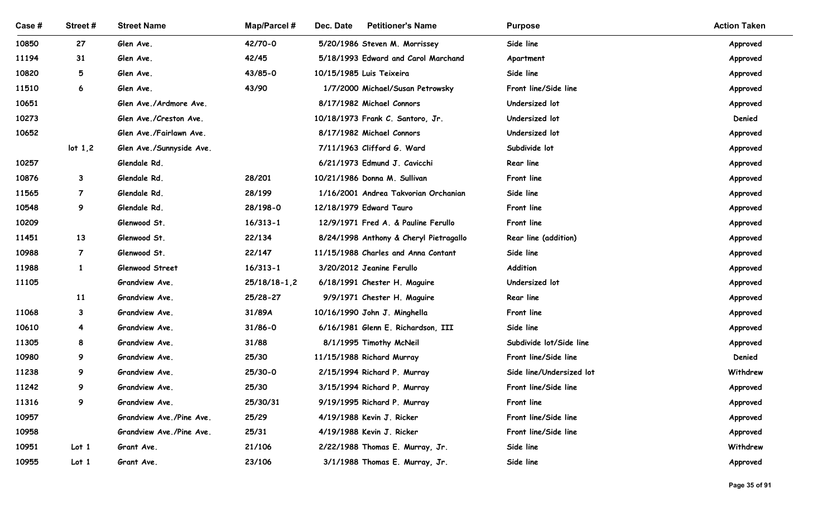| Case #         | Street #         | <b>Street Name</b>                  | Map/Parcel #   | <b>Petitioner's Name</b><br>Dec. Date                             | <b>Purpose</b>                    | <b>Action Taken</b>  |
|----------------|------------------|-------------------------------------|----------------|-------------------------------------------------------------------|-----------------------------------|----------------------|
| 10850          | 27               | Glen Ave.                           | 42/70-0        | 5/20/1986 Steven M. Morrissey                                     | Side line                         | Approved             |
| 11194          | 31               | Glen Ave.                           | 42/45          | 5/18/1993 Edward and Carol Marchand                               | Apartment                         | Approved             |
| 10820          | 5                | Glen Ave.                           | 43/85-0        | 10/15/1985 Luis Teixeira                                          | Side line<br>Front line/Side line | Approved             |
| 11510<br>10651 | 6                | Glen Ave.<br>Glen Ave./Ardmore Ave. | 43/90          | 1/7/2000 Michael/Susan Petrowsky<br>8/17/1982 Michael Connors     | Undersized lot                    | Approved<br>Approved |
| 10273          |                  | Glen Ave./Creston Ave.              |                | 10/18/1973 Frank C. Santoro, Jr.                                  | Undersized lot                    | Denied               |
| 10652          |                  | Glen Ave./Fairlawn Ave.             |                | 8/17/1982 Michael Connors                                         | Undersized lot                    | Approved             |
|                | lot 1,2          | Glen Ave./Sunnyside Ave.            |                | 7/11/1963 Clifford G. Ward                                        | Subdivide lot                     | Approved             |
| 10257          |                  | Glendale Rd.                        |                | 6/21/1973 Edmund J. Cavicchi                                      | Rear line                         | Approved             |
| 10876          | $\mathbf{3}$     | Glendale Rd.                        | 28/201         | 10/21/1986 Donna M. Sullivan                                      | Front line                        | Approved<br>. .      |
| 11565          | $\overline{7}$   | Glendale Rd.                        | 28/199         | 1/16/2001 Andrea Takvorian Orchanian                              | Side line                         | Approved             |
| 10548          | 9                | Glendale Rd.                        | 28/198-0       | 12/18/1979 Edward Tauro                                           | Front line                        | Approved             |
| 10209          |                  | Glenwood St.                        | $16/313 - 1$   | 12/9/1971 Fred A. & Pauline Ferullo                               | Front line                        | Approved             |
| 11451          | 13               | Glenwood St.                        | 22/134         | 8/24/1998 Anthony & Cheryl Pietragallo                            | Rear line (addition)              | Approved             |
| 10988          | $\overline{7}$   | Glenwood St.                        | 22/147         | 11/15/1988 Charles and Anna Contant                               | Side line                         | Approved             |
| 11988          | $\mathbf{1}$     | Glenwood Street                     | $16/313 - 1$   | 3/20/2012 Jeanine Ferullo                                         | Addition                          | Approved             |
| 11105          |                  | Grandview Ave.                      | $25/18/18-1,2$ | 6/18/1991 Chester H. Maguire                                      | Undersized lot                    | Approved             |
|                | 11               | Grandview Ave.                      | 25/28-27       | 9/9/1971 Chester H. Maguire                                       | Rear line                         | Approved             |
| 11068          | $\mathbf{3}$     | Grandview Ave.                      | 31/89A         | 10/16/1990 John J. Minghella                                      | Front line                        | Approved             |
| 10610          | 4                | Grandview Ave.                      | $31/86 - 0$    | 6/16/1981 Glenn E. Richardson, III                                | Side line                         | Approved             |
| 11305          | 8                | Grandview Ave.                      | 31/88          | 8/1/1995 Timothy McNeil                                           | Subdivide lot/Side line           | Approved             |
| 10980          | 9                | Grandview Ave.                      | 25/30          | 11/15/1988 Richard Murray                                         | Front line/Side line              | Denied               |
| 11238          | 9                | Grandview Ave.                      | 25/30-0        | 2/15/1994 Richard P. Murray                                       | Side line/Undersized lot          | Withdrew             |
| 11242          | 9                | Grandview Ave.                      | 25/30          | 3/15/1994 Richard P. Murray                                       | Front line/Side line              | Approved             |
| 11316          | 9                | Grandview Ave.                      | 25/30/31       | 9/19/1995 Richard P. Murray                                       | Front line                        | Approved             |
| 10957          |                  | Grandview Ave./Pine Ave.            | 25/29          | 4/19/1988 Kevin J. Ricker                                         | Front line/Side line              | Approved             |
| 10958          |                  | Grandview Ave./Pine Ave.            | 25/31          | 4/19/1988 Kevin J. Ricker                                         | Front line/Side line              | Approved             |
| 10951          | Lot <sub>1</sub> | Grant Ave.                          | 21/106         | 2/22/1988 Thomas E. Murray, Jr.<br>3/1/1988 Thomas E. Murray, Jr. | Side line<br>Side line            | Withdrew             |
| 10955          | Lot <sub>1</sub> | Grant Ave.                          | 23/106         |                                                                   |                                   | Approved             |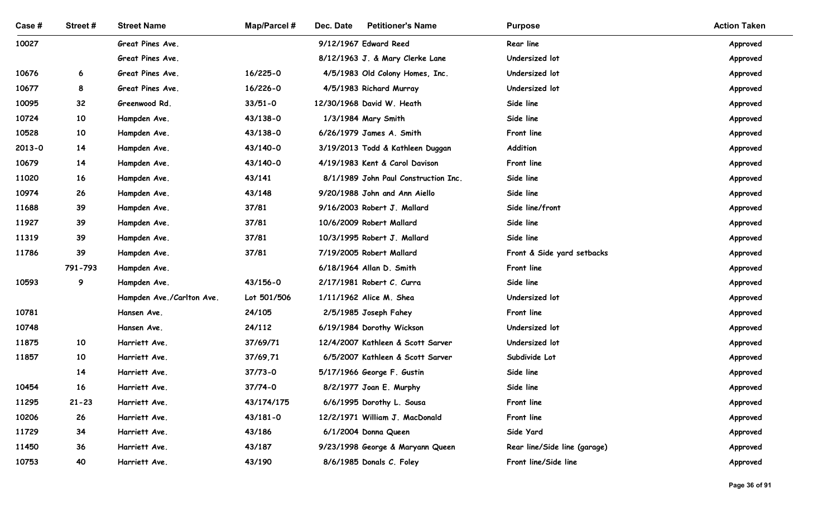| Case#          | Street#   | <b>Street Name</b>           | Map/Parcel #       | Dec. Date<br><b>Petitioner's Name</b>                          | <b>Purpose</b>                   | <b>Action Taken</b>  |
|----------------|-----------|------------------------------|--------------------|----------------------------------------------------------------|----------------------------------|----------------------|
| 10027          |           | Great Pines Ave.             |                    | 9/12/1967 Edward Reed                                          | Rear line                        | Approved             |
|                |           | Great Pines Ave.             |                    | 8/12/1963 J. & Mary Clerke Lane                                | Undersized lot                   | Approved             |
| 10676          | 6         | Great Pines Ave.             | 16/225-0           | 4/5/1983 Old Colony Homes, Inc.                                | Undersized lot                   | Approved             |
| 10677          | 8         | Great Pines Ave.             | 16/226-0           | 4/5/1983 Richard Murray                                        | Undersized lot                   | Approved             |
| 10095          | 32        | Greenwood Rd.                | $33/51 - 0$        | 12/30/1968 David W. Heath                                      | Side line                        | Approved             |
| 10724          | 10        | Hampden Ave.                 | 43/138-0           | 1/3/1984 Mary Smith                                            | Side line                        | Approved             |
| 10528          | 10        | Hampden Ave.                 | 43/138-0           | 6/26/1979 James A. Smith                                       | Front line                       | Approved             |
| 2013-0         | 14        | Hampden Ave.                 | 43/140-0           | 3/19/2013 Todd & Kathleen Duggan                               | Addition                         | Approved             |
| 10679          | 14        | Hampden Ave.                 | 43/140-0           | 4/19/1983 Kent & Carol Davison                                 | Front line                       | Approved             |
| 11020          | 16        | Hampden Ave.                 | 43/141             | 8/1/1989 John Paul Construction Inc.                           | Side line                        | Approved             |
| 10974          | 26        | Hampden Ave.                 | 43/148             | 9/20/1988 John and Ann Aiello                                  | Side line                        | Approved             |
| 11688          | 39        | Hampden Ave.                 | 37/81              | 9/16/2003 Robert J. Mallard                                    | Side line/front                  | Approved             |
| 11927          | 39        | Hampden Ave.                 | 37/81              | 10/6/2009 Robert Mallard                                       | Side line                        | Approved             |
| 11319          | 39        | Hampden Ave.                 | 37/81              | 10/3/1995 Robert J. Mallard                                    | Side line                        | Approved             |
| 11786          | 39        | Hampden Ave.                 | 37/81              | 7/19/2005 Robert Mallard                                       | Front & Side yard setbacks       | Approved             |
|                | 791-793   | Hampden Ave.                 |                    | 6/18/1964 Allan D. Smith                                       | Front line                       | Approved             |
| 10593          | 9         | Hampden Ave.                 | 43/156-0           | 2/17/1981 Robert C. Curra                                      | Side line                        | Approved             |
|                |           | Hampden Ave./Carlton Ave.    | Lot 501/506        | 1/11/1962 Alice M. Shea                                        | Undersized lot                   | Approved             |
| 10781          |           | Hansen Ave.                  | 24/105             | 2/5/1985 Joseph Fahey                                          | Front line                       | Approved             |
| 10748<br>11875 | 10        | Hansen Ave.<br>Harriett Ave. | 24/112<br>37/69/71 | 6/19/1984 Dorothy Wickson<br>12/4/2007 Kathleen & Scott Sarver | Undersized lot<br>Undersized lot | Approved             |
| 11857          | 10        | Harriett Ave.                | 37/69,71           | 6/5/2007 Kathleen & Scott Sarver                               | Subdivide Lot                    | Approved<br>Approved |
|                | 14        | Harriett Ave.                | $37/73 - 0$        | 5/17/1966 George F. Gustin                                     | Side line                        | Approved             |
| 10454          | 16        | Harriett Ave.                | $37/74-0$          | 8/2/1977 Joan E. Murphy                                        | Side line                        | Approved             |
| 11295          | $21 - 23$ | Harriett Ave.                | 43/174/175         | 6/6/1995 Dorothy L. Sousa                                      | Front line                       | Approved             |
| 10206          | 26        | Harriett Ave.                | $43/181 - 0$       | 12/2/1971 William J. MacDonald                                 | Front line                       | Approved             |
| 11729          | 34        | Harriett Ave.                | 43/186             | 6/1/2004 Donna Queen                                           | Side Yard                        | Approved             |
| 11450          | 36        | Harriett Ave.                | 43/187             | 9/23/1998 George & Maryann Queen                               | Rear line/Side line (garage)     | Approved             |
| 10753          | 40        | Harriett Ave.                | 43/190             | 8/6/1985 Donals C. Foley                                       | Front line/Side line             | Approved             |
|                |           |                              |                    |                                                                |                                  |                      |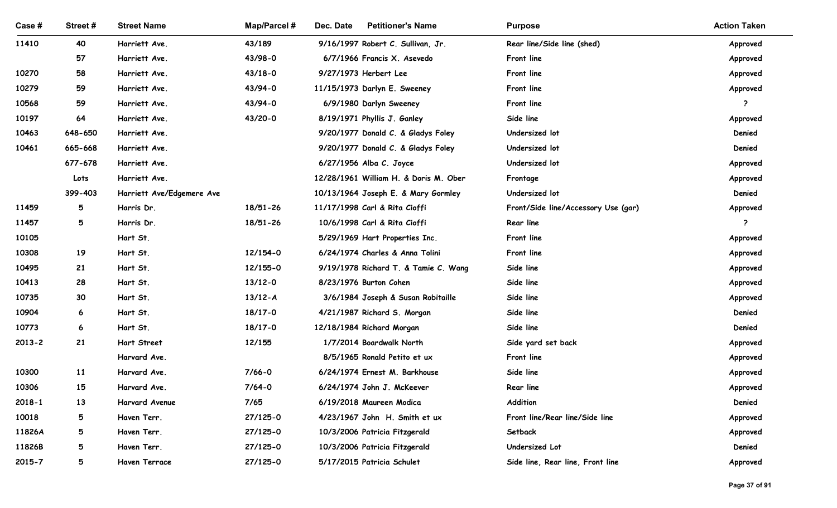| Case #         | Street#              | <b>Street Name</b>             | <b>Map/Parcel#</b>     | Dec. Date<br><b>Petitioner's Name</b>                    | <b>Purpose</b>                      | <b>Action Taken</b> |
|----------------|----------------------|--------------------------------|------------------------|----------------------------------------------------------|-------------------------------------|---------------------|
| 11410          | 40                   | Harriett Ave.                  | 43/189                 | 9/16/1997 Robert C. Sullivan, Jr.                        | Rear line/Side line (shed)          | Approved            |
|                | 57                   | Harriett Ave.                  | 43/98-0                | 6/7/1966 Francis X. Asevedo                              | Front line                          | Approved            |
| 10270<br>10279 | 58<br>59             | Harriett Ave.<br>Harriett Ave. | $43/18 - 0$<br>43/94-0 | 9/27/1973 Herbert Lee<br>11/15/1973 Darlyn E. Sweeney    | Front line<br>Front line            | Approved            |
| 10568          | 59                   | Harriett Ave.                  | 43/94-0                | 6/9/1980 Darlyn Sweeney                                  | Front line                          | Approved<br>- 2     |
| 10197          | 64                   | Harriett Ave.                  | 43/20-0                | 8/19/1971 Phyllis J. Ganley                              | Side line                           | Approved            |
| 10463          | 648-650              | Harriett Ave.                  |                        | 9/20/1977 Donald C. & Gladys Foley                       | Undersized lot                      | Denied              |
| 10461          | 665-668              | Harriett Ave.                  |                        | 9/20/1977 Donald C. & Gladys Foley                       | Undersized lot                      | Denied              |
|                | 677-678              | Harriett Ave.                  |                        | 6/27/1956 Alba C. Joyce                                  | Undersized lot                      | Approved            |
|                | Lots                 | Harriett Ave.                  |                        | 12/28/1961 William H. & Doris M. Ober                    | Frontage                            | Approved            |
|                | 399-403              | Harriett Ave/Edgemere Ave      |                        | 10/13/1964 Joseph E. & Mary Gormley                      | Undersized lot                      | Denied              |
| 11459          | 5                    | Harris Dr.                     | 18/51-26               | 11/17/1998 Carl & Rita Cioffi                            | Front/Side line/Accessory Use (gar) | Approved            |
| 11457          | 5                    | Harris Dr.                     | 18/51-26               | 10/6/1998 Carl & Rita Cioffi                             | Rear line                           | ?                   |
| 10105          |                      | Hart St.                       |                        | 5/29/1969 Hart Properties Inc.                           | Front line                          | Approved            |
| 10308          | 19                   | Hart St.                       | 12/154-0               | 6/24/1974 Charles & Anna Tolini                          | Front line                          | Approved            |
| 10495          | 21                   | Hart St.                       | 12/155-0               | 9/19/1978 Richard T. & Tamie C. Wang                     | Side line                           | Approved            |
| 10413          | 28                   | Hart St.                       | $13/12 - 0$            | 8/23/1976 Burton Cohen                                   | Side line                           | Approved            |
| 10735          | 30                   | Hart St.                       | $13/12 - A$            | 3/6/1984 Joseph & Susan Robitaille                       | Side line                           | Approved            |
| 10904<br>10773 | $6\overline{6}$<br>6 | Hart St.<br>Hart St.           | 18/17-0<br>18/17-0     | 4/21/1987 Richard S. Morgan<br>12/18/1984 Richard Morgan | Side line<br>Side line              | Denied<br>Denied    |
| $2013 - 2$     | 21                   | Hart Street                    | 12/155                 | 1/7/2014 Boardwalk North                                 | Side yard set back                  | Approved            |
|                |                      | Harvard Ave.                   |                        | 8/5/1965 Ronald Petito et ux                             | Front line                          | Approved            |
| 10300          | <b>11</b>            | Harvard Ave.                   | $7/66 - 0$             | 6/24/1974 Ernest M. Barkhouse                            | Side line                           | Approved            |
| 10306          | 15                   | Harvard Ave.                   | $7/64 - 0$             | 6/24/1974 John J. McKeever                               | Rear line                           | Approved            |
| $2018 - 1$     | 13                   | Harvard Avenue                 | 7/65                   | 6/19/2018 Maureen Modica                                 | Addition                            | Denied              |
| 10018          | 5                    | Haven Terr.                    | $27/125 - 0$           | 4/23/1967 John H. Smith et ux                            | Front line/Rear line/Side line      | Approved            |
| 11826A         | 5                    | Haven Terr.                    | $27/125 - 0$           | 10/3/2006 Patricia Fitzgerald                            | Setback                             | Approved            |
| 11826B         | 5                    | Haven Terr.                    | $27/125 - 0$           | 10/3/2006 Patricia Fitzgerald                            | Undersized Lot                      | Denied              |
| 2015-7         | 5                    | Haven Terrace                  | $27/125 - 0$           | 5/17/2015 Patricia Schulet                               | Side line, Rear line, Front line    | Approved            |
|                |                      |                                |                        |                                                          |                                     |                     |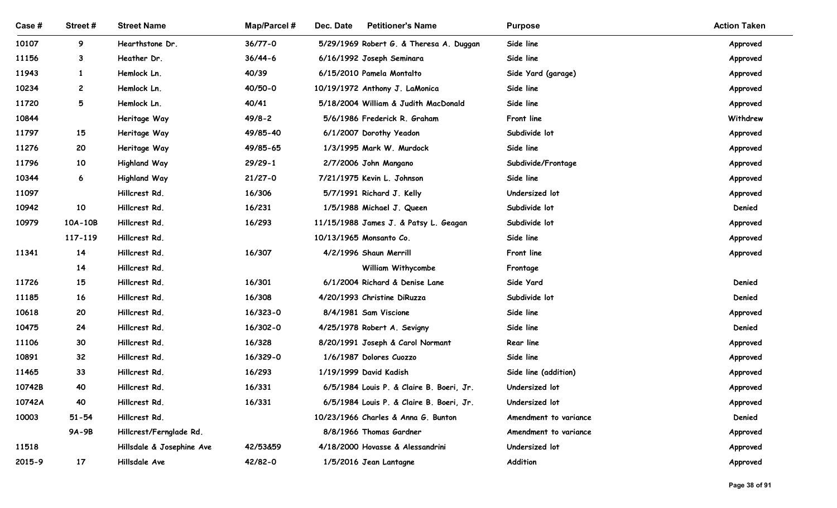| Case#          | Street#         | <b>Street Name</b>             | Map/Parcel #       | Dec. Date<br><b>Petitioner's Name</b>                | <b>Purpose</b>             | <b>Action Taken</b> |
|----------------|-----------------|--------------------------------|--------------------|------------------------------------------------------|----------------------------|---------------------|
| 10107          | 9               | Hearthstone Dr.                | $36/77 - 0$        | 5/29/1969 Robert G. & Theresa A. Duggan              | Side line                  | Approved            |
| 11156          | $\mathbf{3}$    | Heather Dr.                    | $36/44-6$          | 6/16/1992 Joseph Seminara                            | Side line                  | Approved            |
| 11943          | $\mathbf{1}$    | Hemlock Ln.                    | 40/39              | 6/15/2010 Pamela Montalto                            | Side Yard (garage)         | Approved            |
| 10234          | $\mathbf{2}$    | Hemlock Ln.                    | 40/50-0            | 10/19/1972 Anthony J. LaMonica                       | Side line                  | Approved            |
| 11720          | 5               | Hemlock Ln.                    | 40/41              | 5/18/2004 William & Judith MacDonald                 | Side line                  | Approved            |
| 10844          |                 | Heritage Way                   | $49/8 - 2$         | 5/6/1986 Frederick R. Graham                         | Front line                 | Withdrew            |
| 11797          | 15              | Heritage Way                   | 49/85-40           | 6/1/2007 Dorothy Yeadon                              | Subdivide lot              | Approved            |
| 11276          | 20              | Heritage Way                   | 49/85-65           | 1/3/1995 Mark W. Murdock                             | Side line                  | Approved            |
| 11796          | 10              | <b>Highland Way</b>            | $29/29-1$          | 2/7/2006 John Mangano                                | Subdivide/Frontage         | Approved            |
| 10344          | 6               | <b>Highland Way</b>            | $21/27 - 0$        | 7/21/1975 Kevin L. Johnson                           | Side line                  | Approved            |
| 11097          |                 | Hillcrest Rd.                  | 16/306             | 5/7/1991 Richard J. Kelly                            | Undersized lot             | Approved            |
| 10942          | 10              | Hillcrest Rd.                  | 16/231             | 1/5/1988 Michael J. Queen                            | Subdivide lot              | Denied              |
| 10979          | $10A-10B$       | Hillcrest Rd.                  | 16/293             | 11/15/1988 James J. & Patsy L. Geagan                | Subdivide lot              | Approved            |
|                | 117-119         | Hillcrest Rd.                  |                    | 10/13/1965 Monsanto Co.                              | Side line                  | Approved            |
| 11341          | 14              | Hillcrest Rd.                  | 16/307             | 4/2/1996 Shaun Merrill                               | Front line                 | Approved            |
|                | 14              | Hillcrest Rd.                  |                    | William Withycombe                                   | Frontage                   |                     |
| 11726          | 15              | Hillcrest Rd.                  | 16/301             | 6/1/2004 Richard & Denise Lane                       | Side Yard                  | Denied              |
| 11185<br>10618 | 16<br>20        | Hillcrest Rd.<br>Hillcrest Rd. | 16/308<br>16/323-0 | 4/20/1993 Christine DiRuzza<br>8/4/1981 Sam Viscione | Subdivide lot<br>Side line | Denied<br>Approved  |
| 10475          | 24              | Hillcrest Rd.                  | 16/302-0           | 4/25/1978 Robert A. Sevigny                          | Side line                  | Denied              |
| 11106          | 30 <sub>o</sub> | Hillcrest Rd.                  | 16/328             | 8/20/1991 Joseph & Carol Normant                     | Rear line                  | Approved            |
| 10891          | 32              | Hillcrest Rd.                  | 16/329-0           | 1/6/1987 Dolores Cuozzo                              | Side line                  | Approved            |
| 11465          | 33              | Hillcrest Rd.                  | 16/293             | 1/19/1999 David Kadish                               | Side line (addition)       | Approved            |
| 10742B         | 40              | Hillcrest Rd.                  | 16/331             | 6/5/1984 Louis P. & Claire B. Boeri, Jr.             | Undersized lot             | Approved            |
| 10742A         | 40              | Hillcrest Rd.                  | 16/331             | 6/5/1984 Louis P. & Claire B. Boeri, Jr.             | Undersized lot             | Approved            |
| 10003          | $51 - 54$       | Hillcrest Rd.                  |                    | 10/23/1966 Charles & Anna G. Bunton                  | Amendment to variance      | Denied              |
|                | 9A-9B           | Hillcrest/Fernglade Rd.        |                    | 8/8/1966 Thomas Gardner                              | Amendment to variance      | Approved            |
| 11518          |                 | Hillsdale & Josephine Ave      | 42/53&59           | 4/18/2000 Hovasse & Alessandrini                     | Undersized lot             | Approved            |
| 2015-9         | 17              | Hillsdale Ave                  | 42/82-0            | 1/5/2016 Jean Lantagne                               | Addition                   | Approved            |
|                |                 |                                |                    |                                                      |                            |                     |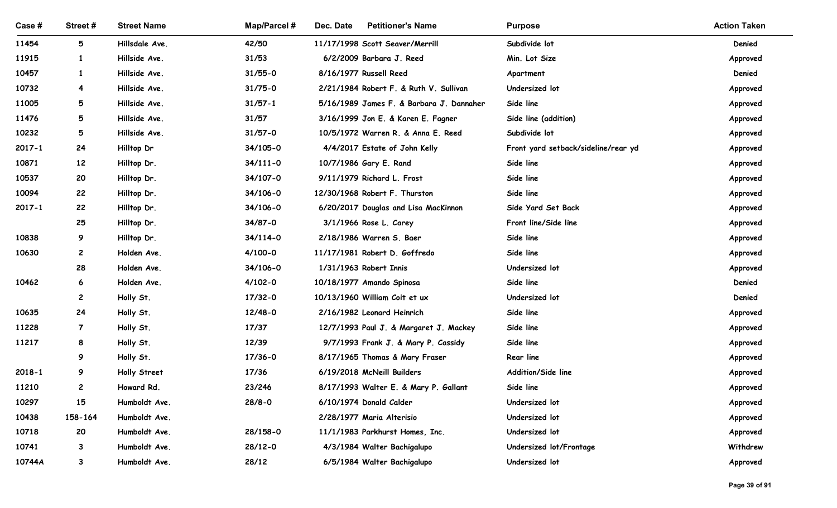| Street #<br>5<br>$\mathbf{1}$<br>$\mathbf{1}$<br>4<br>5<br>5<br>5<br>24<br>12 | <b>Street Name</b><br>Hillsdale Ave.<br>Hillside Ave.<br>Hillside Ave.<br>Hillside Ave.<br>Hillside Ave.<br>Hillside Ave.<br>Hillside Ave. | Map/Parcel #<br>42/50<br>31/53<br>$31/55 - 0$<br>$31/75 - 0$<br>$31/57 - 1$<br>31/57                                                                   | Dec. Date<br><b>Petitioner's Name</b><br>11/17/1998 Scott Seaver/Merrill<br>6/2/2009 Barbara J. Reed<br>8/16/1977 Russell Reed<br>2/21/1984 Robert F. & Ruth V. Sullivan | <b>Purpose</b><br>Subdivide lot<br>Min. Lot Size<br>Apartment<br>Undersized lot                                                                                                                                                                                                                                                                 | <b>Action Taken</b><br>Denied<br>Approved<br>Denied                                                                                                                                           |
|-------------------------------------------------------------------------------|--------------------------------------------------------------------------------------------------------------------------------------------|--------------------------------------------------------------------------------------------------------------------------------------------------------|--------------------------------------------------------------------------------------------------------------------------------------------------------------------------|-------------------------------------------------------------------------------------------------------------------------------------------------------------------------------------------------------------------------------------------------------------------------------------------------------------------------------------------------|-----------------------------------------------------------------------------------------------------------------------------------------------------------------------------------------------|
|                                                                               |                                                                                                                                            |                                                                                                                                                        |                                                                                                                                                                          |                                                                                                                                                                                                                                                                                                                                                 |                                                                                                                                                                                               |
|                                                                               |                                                                                                                                            |                                                                                                                                                        |                                                                                                                                                                          |                                                                                                                                                                                                                                                                                                                                                 |                                                                                                                                                                                               |
|                                                                               |                                                                                                                                            |                                                                                                                                                        |                                                                                                                                                                          |                                                                                                                                                                                                                                                                                                                                                 |                                                                                                                                                                                               |
|                                                                               |                                                                                                                                            |                                                                                                                                                        |                                                                                                                                                                          |                                                                                                                                                                                                                                                                                                                                                 |                                                                                                                                                                                               |
|                                                                               |                                                                                                                                            |                                                                                                                                                        |                                                                                                                                                                          |                                                                                                                                                                                                                                                                                                                                                 |                                                                                                                                                                                               |
|                                                                               |                                                                                                                                            |                                                                                                                                                        |                                                                                                                                                                          |                                                                                                                                                                                                                                                                                                                                                 |                                                                                                                                                                                               |
|                                                                               |                                                                                                                                            |                                                                                                                                                        |                                                                                                                                                                          |                                                                                                                                                                                                                                                                                                                                                 |                                                                                                                                                                                               |
|                                                                               |                                                                                                                                            |                                                                                                                                                        |                                                                                                                                                                          |                                                                                                                                                                                                                                                                                                                                                 | Approved                                                                                                                                                                                      |
|                                                                               |                                                                                                                                            |                                                                                                                                                        | 5/16/1989 James F. & Barbara J. Dannaher                                                                                                                                 | Side line                                                                                                                                                                                                                                                                                                                                       | Approved                                                                                                                                                                                      |
|                                                                               |                                                                                                                                            |                                                                                                                                                        | 3/16/1999 Jon E. & Karen E. Fagner                                                                                                                                       | Side line (addition)                                                                                                                                                                                                                                                                                                                            | Approved                                                                                                                                                                                      |
|                                                                               |                                                                                                                                            | $31/57 - 0$                                                                                                                                            | 10/5/1972 Warren R. & Anna E. Reed                                                                                                                                       | Subdivide lot                                                                                                                                                                                                                                                                                                                                   | Approved                                                                                                                                                                                      |
|                                                                               | Hilltop Dr                                                                                                                                 | 34/105-0                                                                                                                                               | 4/4/2017 Estate of John Kelly                                                                                                                                            | Front yard setback/sideline/rear yd                                                                                                                                                                                                                                                                                                             | Approved                                                                                                                                                                                      |
|                                                                               | Hilltop Dr.                                                                                                                                | $34/111 - 0$                                                                                                                                           | 10/7/1986 Gary E. Rand                                                                                                                                                   | Side line                                                                                                                                                                                                                                                                                                                                       | Approved                                                                                                                                                                                      |
| 20                                                                            | Hilltop Dr.                                                                                                                                | 34/107-0                                                                                                                                               | 9/11/1979 Richard L. Frost                                                                                                                                               | Side line                                                                                                                                                                                                                                                                                                                                       | Approved                                                                                                                                                                                      |
| 22                                                                            | Hilltop Dr.                                                                                                                                | 34/106-0                                                                                                                                               | 12/30/1968 Robert F. Thurston                                                                                                                                            | Side line                                                                                                                                                                                                                                                                                                                                       | Approved                                                                                                                                                                                      |
| 22                                                                            | Hilltop Dr.                                                                                                                                | 34/106-0                                                                                                                                               | 6/20/2017 Douglas and Lisa MacKinnon                                                                                                                                     | Side Yard Set Back                                                                                                                                                                                                                                                                                                                              | Approved                                                                                                                                                                                      |
| 25                                                                            | Hilltop Dr.                                                                                                                                | 34/87-0                                                                                                                                                | 3/1/1966 Rose L. Carey                                                                                                                                                   | Front line/Side line                                                                                                                                                                                                                                                                                                                            | Approved                                                                                                                                                                                      |
| 9                                                                             | Hilltop Dr.                                                                                                                                | 34/114-0                                                                                                                                               | 2/18/1986 Warren S. Baer                                                                                                                                                 | Side line                                                                                                                                                                                                                                                                                                                                       | Approved                                                                                                                                                                                      |
| $\mathbf{2}$                                                                  | Holden Ave.                                                                                                                                | $4/100 - 0$                                                                                                                                            | 11/17/1981 Robert D. Goffredo                                                                                                                                            | Side line                                                                                                                                                                                                                                                                                                                                       | Approved                                                                                                                                                                                      |
| 28                                                                            | Holden Ave.                                                                                                                                | 34/106-0                                                                                                                                               | 1/31/1963 Robert Innis                                                                                                                                                   | Undersized lot                                                                                                                                                                                                                                                                                                                                  | Approved                                                                                                                                                                                      |
| 6                                                                             | Holden Ave.                                                                                                                                | $4/102 - 0$                                                                                                                                            | 10/18/1977 Amando Spinosa                                                                                                                                                | Side line                                                                                                                                                                                                                                                                                                                                       | Denied                                                                                                                                                                                        |
| $\mathbf{2}$                                                                  | Holly St.                                                                                                                                  | $17/32 - 0$                                                                                                                                            | 10/13/1960 William Coit et ux                                                                                                                                            | Undersized lot                                                                                                                                                                                                                                                                                                                                  | Denied                                                                                                                                                                                        |
| 24                                                                            | Holly St.                                                                                                                                  | 12/48-0                                                                                                                                                | 2/16/1982 Leonard Heinrich                                                                                                                                               |                                                                                                                                                                                                                                                                                                                                                 | Approved                                                                                                                                                                                      |
| $\overline{7}$                                                                |                                                                                                                                            |                                                                                                                                                        |                                                                                                                                                                          |                                                                                                                                                                                                                                                                                                                                                 | Approved                                                                                                                                                                                      |
| 8                                                                             |                                                                                                                                            |                                                                                                                                                        |                                                                                                                                                                          |                                                                                                                                                                                                                                                                                                                                                 | Approved                                                                                                                                                                                      |
|                                                                               |                                                                                                                                            |                                                                                                                                                        |                                                                                                                                                                          |                                                                                                                                                                                                                                                                                                                                                 | Approved                                                                                                                                                                                      |
|                                                                               |                                                                                                                                            |                                                                                                                                                        |                                                                                                                                                                          |                                                                                                                                                                                                                                                                                                                                                 | Approved                                                                                                                                                                                      |
|                                                                               |                                                                                                                                            |                                                                                                                                                        |                                                                                                                                                                          |                                                                                                                                                                                                                                                                                                                                                 | Approved                                                                                                                                                                                      |
|                                                                               |                                                                                                                                            |                                                                                                                                                        |                                                                                                                                                                          |                                                                                                                                                                                                                                                                                                                                                 | Approved                                                                                                                                                                                      |
|                                                                               |                                                                                                                                            |                                                                                                                                                        |                                                                                                                                                                          |                                                                                                                                                                                                                                                                                                                                                 | Approved                                                                                                                                                                                      |
|                                                                               |                                                                                                                                            |                                                                                                                                                        |                                                                                                                                                                          |                                                                                                                                                                                                                                                                                                                                                 | Approved<br>Withdrew                                                                                                                                                                          |
|                                                                               |                                                                                                                                            |                                                                                                                                                        |                                                                                                                                                                          |                                                                                                                                                                                                                                                                                                                                                 | Approved                                                                                                                                                                                      |
|                                                                               |                                                                                                                                            |                                                                                                                                                        |                                                                                                                                                                          |                                                                                                                                                                                                                                                                                                                                                 |                                                                                                                                                                                               |
|                                                                               | 9<br>9<br>$\mathbf{2}$<br>15<br>158-164<br>20<br>3<br>3                                                                                    | Holly St.<br>Holly St.<br>Holly St.<br>Holly Street<br>Howard Rd.<br>Humboldt Ave.<br>Humboldt Ave.<br>Humboldt Ave.<br>Humboldt Ave.<br>Humboldt Ave. | 17/37<br>12/39<br>17/36-0<br>17/36<br>23/246<br>$28/8 - 0$<br>28/158-0<br>$28/12 - 0$<br>28/12                                                                           | 12/7/1993 Paul J. & Margaret J. Mackey<br>9/7/1993 Frank J. & Mary P. Cassidy<br>8/17/1965 Thomas & Mary Fraser<br>6/19/2018 McNeill Builders<br>8/17/1993 Walter E. & Mary P. Gallant<br>6/10/1974 Donald Calder<br>2/28/1977 Maria Alterisio<br>11/1/1983 Parkhurst Homes, Inc.<br>4/3/1984 Walter Bachigalupo<br>6/5/1984 Walter Bachigalupo | Side line<br>Side line<br>Side line<br><b>Rear line</b><br>Addition/Side line<br>Side line<br>Undersized lot<br>Undersized lot<br>Undersized lot<br>Undersized lot/Frontage<br>Undersized lot |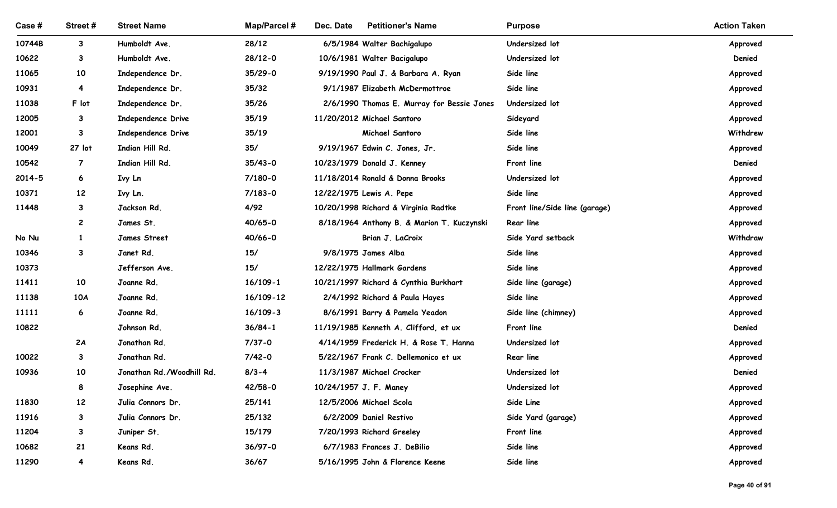| Case #         | Street #                    | <b>Street Name</b>        | Map/Parcel # | Dec. Date<br><b>Petitioner's Name</b>                      | <b>Purpose</b>                | <b>Action Taken</b> |
|----------------|-----------------------------|---------------------------|--------------|------------------------------------------------------------|-------------------------------|---------------------|
| 10744B         |                             | Humboldt Ave.             | 28/12        |                                                            | Undersized lot                |                     |
| 10622          | $3^{\circ}$<br>$\mathbf{3}$ | Humboldt Ave.             | 28/12-0      | 6/5/1984 Walter Bachigalupo<br>10/6/1981 Walter Bacigalupo | Undersized lot                | Approved<br>Denied  |
| 11065          | 10                          | Independence Dr.          | 35/29-0      | 9/19/1990 Paul J. & Barbara A. Ryan                        | Side line                     | Approved            |
| 10931          | 4                           | Independence Dr.          | 35/32        | 9/1/1987 Elizabeth McDermottroe                            | Side line                     | Approved            |
| 11038          | F lot                       | Independence Dr.          | 35/26        | 2/6/1990 Thomas E. Murray for Bessie Jones                 | Undersized lot                | Approved            |
| 12005          | $\mathbf{3}$                | Independence Drive        | 35/19        | 11/20/2012 Michael Santoro                                 | Sideyard                      | Approved            |
| 12001          | $\mathbf{3}$                | Independence Drive        | 35/19        | Michael Santoro                                            | Side line                     | Withdrew            |
| 10049          | 27 lot                      | Indian Hill Rd.           | 35/          | 9/19/1967 Edwin C. Jones, Jr.                              | Side line                     | Approved            |
| 10542          | $\overline{7}$              | Indian Hill Rd.           | $35/43-0$    | 10/23/1979 Donald J. Kenney                                | Front line                    | Denied              |
| $2014 - 5$     | 6                           | Ivy Ln                    | $7/180 - 0$  | 11/18/2014 Ronald & Donna Brooks                           | Undersized lot                | Approved            |
| 10371          | 12                          | Ivy Ln.                   | $7/183 - 0$  | 12/22/1975 Lewis A. Pepe                                   | Side line                     | Approved            |
| 11448          | $3^{\circ}$                 | Jackson Rd.               | 4/92         | 10/20/1998 Richard & Virginia Radtke                       | Front line/Side line (garage) | Approved            |
|                | $\overline{c}$              | James St.                 | 40/65-0      | 8/18/1964 Anthony B. & Marion T. Kuczynski                 | <b>Rear line</b>              | Approved            |
| No Nu          | 1                           | James Street              | 40/66-0      | Brian J. LaCroix                                           | Side Yard setback             | Withdraw            |
| 10346          | $\mathbf{3}$                | Janet Rd.                 | 15/          | 9/8/1975 James Alba                                        | Side line                     | Approved            |
| 10373          |                             | Jefferson Ave.            | 15/          | 12/22/1975 Hallmark Gardens                                | Side line                     | Approved            |
| 11411          | 10                          | Joanne Rd.                | $16/109 - 1$ | 10/21/1997 Richard & Cynthia Burkhart                      | Side line (garage)            | Approved            |
| 11138          | <b>10A</b>                  | Joanne Rd.                | 16/109-12    | 2/4/1992 Richard & Paula Hayes                             | Side line                     | Approved            |
| 11111          | 6                           | Joanne Rd.                | $16/109 - 3$ | 8/6/1991 Barry & Pamela Yeadon                             | Side line (chimney)           | Approved            |
| 10822          |                             | Johnson Rd.               | $36/84 - 1$  | 11/19/1985 Kenneth A. Clifford, et ux                      | Front line                    | Denied              |
|                | 2A                          | Jonathan Rd.              | $7/37 - 0$   | 4/14/1959 Frederick H. & Rose T. Hanna                     | Undersized lot                | Approved            |
| 10022          | 3                           | Jonathan Rd.              | $7/42 - 0$   | 5/22/1967 Frank C. Dellemonico et ux                       | <b>Rear line</b>              | Approved            |
| 10936          | 10                          | Jonathan Rd./Woodhill Rd. | $8/3 - 4$    | 11/3/1987 Michael Crocker                                  | Undersized lot                | Denied              |
|                | 8                           | Josephine Ave.            | 42/58-0      | 10/24/1957 J. F. Maney                                     | Undersized lot                | Approved            |
| 11830          | 12                          | Julia Connors Dr.         | 25/141       | 12/5/2006 Michael Scola                                    | Side Line                     | Approved            |
| 11916          | $3^{\circ}$                 | Julia Connors Dr.         | 25/132       | 6/2/2009 Daniel Restivo                                    | Side Yard (garage)            | Approved            |
| 11204          | $\mathbf{3}$                | Juniper St.               | 15/179       | 7/20/1993 Richard Greeley                                  | Front line                    | Approved            |
|                | 21                          | Keans Rd.                 | 36/97-0      | 6/7/1983 Frances J. DeBilio                                | Side line                     | Approved            |
| 10682<br>11290 | $\overline{\mathbf{4}}$     | Keans Rd.                 | 36/67        | 5/16/1995 John & Florence Keene                            | Side line                     | Approved            |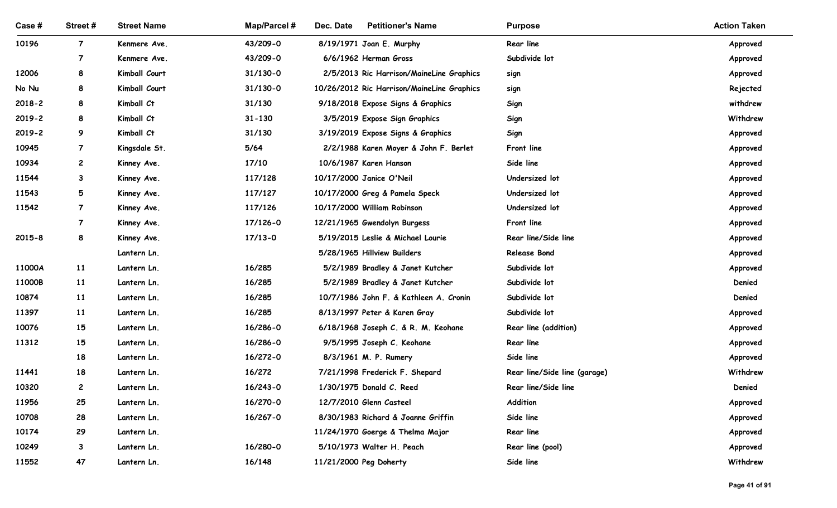| Case #         | Street#        | <b>Street Name</b>             | <b>Map/Parcel#</b>           | Dec. Date<br><b>Petitioner's Name</b>                                                  | <b>Purpose</b>               | <b>Action Taken</b>  |
|----------------|----------------|--------------------------------|------------------------------|----------------------------------------------------------------------------------------|------------------------------|----------------------|
| 10196          | $\overline{7}$ | Kenmere Ave.                   | 43/209-0                     | 8/19/1971 Joan E. Murphy                                                               | Rear line                    | Approved             |
|                | $\overline{7}$ | Kenmere Ave.                   | 43/209-0                     | 6/6/1962 Herman Gross                                                                  | Subdivide lot                | Approved             |
| 12006<br>No Nu | 8<br>8         | Kimball Court<br>Kimball Court | $31/130 - 0$<br>$31/130 - 0$ | 2/5/2013 Ric Harrison/MaineLine Graphics<br>10/26/2012 Ric Harrison/MaineLine Graphics | sign<br>sign                 | Approved<br>Rejected |
| $2018 - 2$     | 8              | Kimball Ct                     | 31/130                       | 9/18/2018 Expose Signs & Graphics                                                      | Sign                         | withdrew             |
| $2019 - 2$     | 8              | Kimball Ct                     | $31 - 130$                   | 3/5/2019 Expose Sign Graphics                                                          | Sign                         | Withdrew             |
| 2019-2         | 9              | Kimball Ct                     | 31/130                       | 3/19/2019 Expose Signs & Graphics                                                      | Sign                         | Approved             |
| 10945          | $\overline{7}$ | Kingsdale St.                  | 5/64                         | 2/2/1988 Karen Moyer & John F. Berlet                                                  | Front line                   | Approved             |
| 10934          | $\mathbf{2}$   | Kinney Ave.                    | 17/10                        | 10/6/1987 Karen Hanson                                                                 | Side line                    | Approved             |
| 11544          | 3              | Kinney Ave.                    | 117/128                      | 10/17/2000 Janice O'Neil                                                               | Undersized lot               | Approved             |
| 11543          | 5              | Kinney Ave.                    | 117/127                      | 10/17/2000 Greg & Pamela Speck                                                         | Undersized lot               | Approved             |
| 11542          | $\overline{7}$ | Kinney Ave.                    | 117/126                      | 10/17/2000 William Robinson                                                            | Undersized lot               | Approved             |
|                | $\overline{7}$ | Kinney Ave.                    | 17/126-0                     | 12/21/1965 Gwendolyn Burgess                                                           | Front line                   | Approved             |
| $2015 - 8$     | 8              | Kinney Ave.                    | $17/13-0$                    | 5/19/2015 Leslie & Michael Lourie                                                      | Rear line/Side line          | Approved             |
|                |                | Lantern Ln.                    |                              | 5/28/1965 Hillview Builders                                                            | <b>Release Bond</b>          | Approved             |
| 11000A         | 11             | Lantern Ln.                    | 16/285                       | 5/2/1989 Bradley & Janet Kutcher                                                       | Subdivide lot                | Approved             |
| 11000B         | 11             | Lantern Ln.                    | 16/285                       | 5/2/1989 Bradley & Janet Kutcher                                                       | Subdivide lot                | Denied               |
| 10874          | 11             | Lantern Ln.                    | 16/285                       | 10/7/1986 John F. & Kathleen A. Cronin                                                 | Subdivide lot                | Denied               |
| 11397          | 11             | Lantern Ln.                    | 16/285                       | 8/13/1997 Peter & Karen Gray                                                           | Subdivide lot                | Approved             |
| 10076          | 15             | Lantern Ln.                    | 16/286-0                     | 6/18/1968 Joseph C. & R. M. Keohane                                                    | Rear line (addition)         | Approved             |
| 11312          | 15             | Lantern Ln.                    | 16/286-0                     | 9/5/1995 Joseph C. Keohane                                                             | <b>Rear line</b>             | Approved             |
|                | 18             | Lantern Ln.                    | 16/272-0                     | 8/3/1961 M. P. Rumery                                                                  | Side line                    | Approved             |
| 11441          | 18             | Lantern Ln.                    | 16/272                       | 7/21/1998 Frederick F. Shepard                                                         | Rear line/Side line (garage) | Withdrew             |
| 10320          | $\mathbf{2}$   | Lantern Ln.                    | 16/243-0                     | 1/30/1975 Donald C. Reed                                                               | Rear line/Side line          | Denied               |
| 11956          | 25             | Lantern Ln.                    | 16/270-0                     | 12/7/2010 Glenn Casteel                                                                | Addition                     | Approved             |
| 10708<br>10174 | 28<br>29       | Lantern Ln.                    | 16/267-0                     | 8/30/1983 Richard & Joanne Griffin                                                     | Side line<br>Rear line       | Approved             |
| 10249          | $3^{\circ}$    | Lantern Ln.<br>Lantern Ln.     | 16/280-0                     | 11/24/1970 Goerge & Thelma Major<br>5/10/1973 Walter H. Peach                          | Rear line (pool)             | Approved<br>Approved |
| 11552          | 47             | Lantern Ln.                    | 16/148                       | 11/21/2000 Peg Doherty                                                                 | Side line                    | Withdrew             |
|                |                |                                |                              |                                                                                        |                              |                      |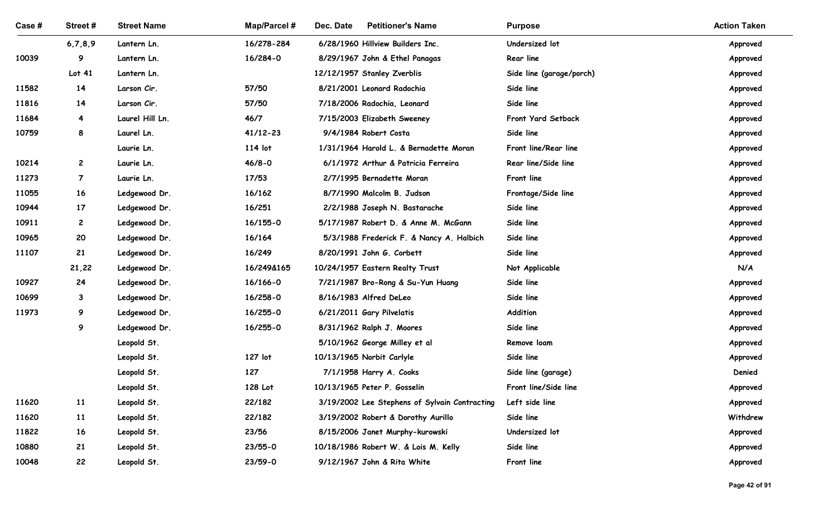| Case # | Street#        | <b>Street Name</b>       | <b>Map/Parcel#</b>      | Dec. Date<br><b>Petitioner's Name</b>                                         | <b>Purpose</b>                              | <b>Action Taken</b>  |
|--------|----------------|--------------------------|-------------------------|-------------------------------------------------------------------------------|---------------------------------------------|----------------------|
|        | 6,7,8,9        | Lantern Ln.              | 16/278-284              | 6/28/1960 Hillview Builders Inc.                                              | Undersized lot                              | Approved             |
| 10039  | 9              | Lantern Ln.              | 16/284-0                | 8/29/1967 John & Ethel Panagas                                                | Rear line                                   | Approved             |
|        | Lot 41         | Lantern Ln.              |                         | 12/12/1957 Stanley Zverblis                                                   | Side line (garage/porch)                    | Approved             |
| 11582  | 14             | Larson Cir.              | 57/50                   | 8/21/2001 Leonard Radochia                                                    | Side line                                   | Approved             |
| 11816  | 14             | Larson Cir.              | 57/50                   | 7/18/2006 Radochia, Leonard                                                   | Side line                                   | Approved             |
| 11684  | 4              | Laurel Hill Ln.          | 46/7                    | 7/15/2003 Elizabeth Sweeney                                                   | Front Yard Setback                          | Approved             |
| 10759  | 8              | Laurel Ln.               | $41/12 - 23$<br>114 lot | 9/4/1984 Robert Costa                                                         | Side line                                   | Approved             |
| 10214  | $\mathbf{2}$   | Laurie Ln.<br>Laurie Ln. | $46/8 - 0$              | 1/31/1964 Harold L. & Bernadette Moran<br>6/1/1972 Arthur & Patricia Ferreira | Front line/Rear line<br>Rear line/Side line | Approved             |
| 11273  | $\overline{7}$ | Laurie Ln.               | 17/53                   | 2/7/1995 Bernadette Moran                                                     | Front line                                  | Approved<br>Approved |
| 11055  | 16             | Ledgewood Dr.            | 16/162                  | 8/7/1990 Malcolm B. Judson                                                    | Frontage/Side line                          | Approved             |
| 10944  | 17             | Ledgewood Dr.            | 16/251                  | 2/2/1988 Joseph N. Bastarache                                                 | Side line                                   | Approved             |
| 10911  | $\mathbf{2}$   | Ledgewood Dr.            | 16/155-0                | 5/17/1987 Robert D. & Anne M. McGann                                          | Side line                                   | Approved             |
| 10965  | 20             | Ledgewood Dr.            | 16/164                  | 5/3/1988 Frederick F. & Nancy A. Halbich                                      | Side line                                   | Approved             |
| 11107  | 21             | Ledgewood Dr.            | 16/249                  | 8/20/1991 John G. Corbett                                                     | Side line                                   | Approved             |
|        | 21,22          | Ledgewood Dr.            | 16/249&165              | 10/24/1957 Eastern Realty Trust                                               | Not Applicable                              | N/A                  |
| 10927  | 24             | Ledgewood Dr.            | 16/166-0                | 7/21/1987 Bro-Rong & Su-Yun Huang                                             | Side line                                   | Approved             |
| 10699  | $\mathbf{3}$   | Ledgewood Dr.            | 16/258-0                | 8/16/1983 Alfred DeLeo                                                        | Side line                                   | Approved             |
| 11973  | 9              | Ledgewood Dr.            | 16/255-0                | 6/21/2011 Gary Pilvelatis                                                     | Addition                                    | Approved             |
|        | 9              | Ledgewood Dr.            | 16/255-0                | 8/31/1962 Ralph J. Moores                                                     | Side line                                   | Approved             |
|        |                | Leopold St.              |                         | 5/10/1962 George Milley et al                                                 | Remove loam                                 | Approved             |
|        |                | Leopold St.              | 127 lot                 | 10/13/1965 Norbit Carlyle                                                     | Side line                                   | Approved             |
|        |                | Leopold St.              | 127                     | 7/1/1958 Harry A. Cooks                                                       | Side line (garage)                          | Denied               |
|        |                | Leopold St.              | 128 Lot                 | 10/13/1965 Peter P. Gosselin                                                  | Front line/Side line                        | Approved             |
| 11620  | <b>11</b>      | Leopold St.              | 22/182                  | 3/19/2002 Lee Stephens of Sylvain Contracting                                 | Left side line                              | Approved             |
| 11620  | <b>11</b>      | Leopold St.              | 22/182                  | 3/19/2002 Robert & Dorothy Aurillo                                            | Side line                                   | Withdrew             |
| 11822  | 16             | Leopold St.              | 23/56                   | 8/15/2006 Janet Murphy-kurowski                                               | Undersized lot                              | Approved             |
| 10880  | 21             | Leopold St.              | $23/55 - 0$             | 10/18/1986 Robert W. & Lois M. Kelly                                          | Side line                                   | Approved             |
| 10048  | 22             | Leopold St.              | 23/59-0                 | 9/12/1967 John & Rita White                                                   | Front line                                  | Approved             |
|        |                |                          |                         |                                                                               |                                             |                      |
|        |                |                          |                         |                                                                               |                                             | Page 42 of 91        |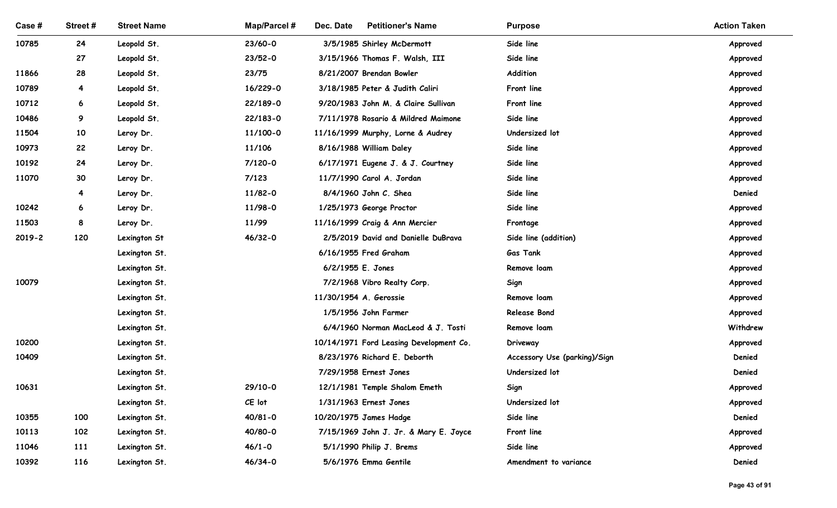| Street#<br><b>Street Name</b><br><b>Map/Parcel#</b><br>Dec. Date<br><b>Petitioner's Name</b><br>Case #<br><b>Purpose</b><br>10785<br>24<br>Leopold St.<br>23/60-0<br>3/5/1985 Shirley McDermott<br>Side line<br>Approved<br>27<br>Leopold St.<br>$23/52 - 0$<br>3/15/1966 Thomas F. Walsh, III<br>Side line<br>Approved<br>Addition<br>11866<br>28<br>Leopold St.<br>23/75<br>8/21/2007 Brendan Bowler<br>Approved<br>10789<br>Leopold St.<br>16/229-0<br>3/18/1985 Peter & Judith Caliri<br>Front line<br>$\overline{4}$<br>Approved<br>10712<br>Leopold St.<br>22/189-0<br>9/20/1983 John M. & Claire Sullivan<br>Front line<br>6<br>Approved<br>Side line<br>10486<br>9<br>Leopold St.<br>22/183-0<br>7/11/1978 Rosario & Mildred Maimone<br>Approved<br>10<br>11/100-0<br>11/16/1999 Murphy, Lorne & Audrey<br>Undersized lot<br>11504<br>Leroy Dr.<br>Approved<br>10973<br>22<br>11/106<br>8/16/1988 William Daley<br>Side line<br>Leroy Dr.<br>Approved<br>24<br>$7/120 - 0$<br>Side line<br>10192<br>Leroy Dr.<br>6/17/1971 Eugene J. & J. Courtney<br>Approved<br>11070<br>30<br>7/123<br>Side line<br>Leroy Dr.<br>11/7/1990 Carol A. Jordan<br>Approved<br>Side line<br>11/82-0<br>8/4/1960 John C. Shea<br>Denied<br>Leroy Dr.<br>4<br>Side line<br>10242<br>11/98-0<br>1/25/1973 George Proctor<br>Leroy Dr.<br>Approved<br>6<br>11503<br>11/99<br>11/16/1999 Craig & Ann Mercier<br>8<br>Leroy Dr.<br>Frontage<br>Approved<br>120<br>46/32-0<br>2/5/2019 David and Danielle DuBrava<br>Side line (addition)<br>2019-2<br>Lexington St<br>Approved<br>6/16/1955 Fred Graham<br><b>Gas Tank</b><br>Lexington St.<br>Approved<br>6/2/1955 E. Jones<br>Lexington St.<br>Remove loam<br>Approved<br>10079<br>7/2/1968 Vibro Realty Corp.<br>Lexington St.<br>Sign<br>Approved<br>11/30/1954 A. Gerossie<br>Lexington St.<br>Remove loam<br>Approved<br>1/5/1956 John Farmer<br>Release Bond<br>Lexington St.<br>Approved<br>6/4/1960 Norman MacLeod & J. Tosti<br>Withdrew<br>Lexington St.<br>Remove loam<br>10200<br>Lexington St.<br>10/14/1971 Ford Leasing Development Co.<br>Driveway<br>Approved<br>10409<br>Denied<br>Lexington St.<br>8/23/1976 Richard E. Deborth<br>Accessory Use (parking)/Sign<br>7/29/1958 Ernest Jones<br>Denied<br>Lexington St.<br>Undersized lot<br>29/10-0<br>12/1/1981 Temple Shalom Emeth<br>10631<br>Lexington St.<br>Sign<br>Approved<br>CE lot<br>1/31/1963 Ernest Jones<br>Undersized lot<br>Lexington St.<br>Approved<br>10355<br>$40/81 - 0$<br>10/20/1975 James Hadge<br>Side line<br>Denied<br>100<br>Lexington St.<br>40/80-0<br>7/15/1969 John J. Jr. & Mary E. Joyce<br>10113<br>102<br>Lexington St.<br>Front line<br>Approved<br>$46/1 - 0$<br>5/1/1990 Philip J. Brems<br>Side line<br>11046<br>111<br>Lexington St.<br>Approved |       |     |               |             |                       |                       |        |
|---------------------------------------------------------------------------------------------------------------------------------------------------------------------------------------------------------------------------------------------------------------------------------------------------------------------------------------------------------------------------------------------------------------------------------------------------------------------------------------------------------------------------------------------------------------------------------------------------------------------------------------------------------------------------------------------------------------------------------------------------------------------------------------------------------------------------------------------------------------------------------------------------------------------------------------------------------------------------------------------------------------------------------------------------------------------------------------------------------------------------------------------------------------------------------------------------------------------------------------------------------------------------------------------------------------------------------------------------------------------------------------------------------------------------------------------------------------------------------------------------------------------------------------------------------------------------------------------------------------------------------------------------------------------------------------------------------------------------------------------------------------------------------------------------------------------------------------------------------------------------------------------------------------------------------------------------------------------------------------------------------------------------------------------------------------------------------------------------------------------------------------------------------------------------------------------------------------------------------------------------------------------------------------------------------------------------------------------------------------------------------------------------------------------------------------------------------------------------------------------------------------------------------------------------------------------------------------------------------------------------------------------------------------------------------------------------------------------------------------------------------------------------------------------|-------|-----|---------------|-------------|-----------------------|-----------------------|--------|
| <b>Action Taken</b>                                                                                                                                                                                                                                                                                                                                                                                                                                                                                                                                                                                                                                                                                                                                                                                                                                                                                                                                                                                                                                                                                                                                                                                                                                                                                                                                                                                                                                                                                                                                                                                                                                                                                                                                                                                                                                                                                                                                                                                                                                                                                                                                                                                                                                                                                                                                                                                                                                                                                                                                                                                                                                                                                                                                                                         |       |     |               |             |                       |                       |        |
|                                                                                                                                                                                                                                                                                                                                                                                                                                                                                                                                                                                                                                                                                                                                                                                                                                                                                                                                                                                                                                                                                                                                                                                                                                                                                                                                                                                                                                                                                                                                                                                                                                                                                                                                                                                                                                                                                                                                                                                                                                                                                                                                                                                                                                                                                                                                                                                                                                                                                                                                                                                                                                                                                                                                                                                             |       |     |               |             |                       |                       |        |
|                                                                                                                                                                                                                                                                                                                                                                                                                                                                                                                                                                                                                                                                                                                                                                                                                                                                                                                                                                                                                                                                                                                                                                                                                                                                                                                                                                                                                                                                                                                                                                                                                                                                                                                                                                                                                                                                                                                                                                                                                                                                                                                                                                                                                                                                                                                                                                                                                                                                                                                                                                                                                                                                                                                                                                                             |       |     |               |             |                       |                       |        |
|                                                                                                                                                                                                                                                                                                                                                                                                                                                                                                                                                                                                                                                                                                                                                                                                                                                                                                                                                                                                                                                                                                                                                                                                                                                                                                                                                                                                                                                                                                                                                                                                                                                                                                                                                                                                                                                                                                                                                                                                                                                                                                                                                                                                                                                                                                                                                                                                                                                                                                                                                                                                                                                                                                                                                                                             |       |     |               |             |                       |                       |        |
|                                                                                                                                                                                                                                                                                                                                                                                                                                                                                                                                                                                                                                                                                                                                                                                                                                                                                                                                                                                                                                                                                                                                                                                                                                                                                                                                                                                                                                                                                                                                                                                                                                                                                                                                                                                                                                                                                                                                                                                                                                                                                                                                                                                                                                                                                                                                                                                                                                                                                                                                                                                                                                                                                                                                                                                             |       |     |               |             |                       |                       |        |
|                                                                                                                                                                                                                                                                                                                                                                                                                                                                                                                                                                                                                                                                                                                                                                                                                                                                                                                                                                                                                                                                                                                                                                                                                                                                                                                                                                                                                                                                                                                                                                                                                                                                                                                                                                                                                                                                                                                                                                                                                                                                                                                                                                                                                                                                                                                                                                                                                                                                                                                                                                                                                                                                                                                                                                                             |       |     |               |             |                       |                       |        |
|                                                                                                                                                                                                                                                                                                                                                                                                                                                                                                                                                                                                                                                                                                                                                                                                                                                                                                                                                                                                                                                                                                                                                                                                                                                                                                                                                                                                                                                                                                                                                                                                                                                                                                                                                                                                                                                                                                                                                                                                                                                                                                                                                                                                                                                                                                                                                                                                                                                                                                                                                                                                                                                                                                                                                                                             |       |     |               |             |                       |                       |        |
|                                                                                                                                                                                                                                                                                                                                                                                                                                                                                                                                                                                                                                                                                                                                                                                                                                                                                                                                                                                                                                                                                                                                                                                                                                                                                                                                                                                                                                                                                                                                                                                                                                                                                                                                                                                                                                                                                                                                                                                                                                                                                                                                                                                                                                                                                                                                                                                                                                                                                                                                                                                                                                                                                                                                                                                             |       |     |               |             |                       |                       |        |
|                                                                                                                                                                                                                                                                                                                                                                                                                                                                                                                                                                                                                                                                                                                                                                                                                                                                                                                                                                                                                                                                                                                                                                                                                                                                                                                                                                                                                                                                                                                                                                                                                                                                                                                                                                                                                                                                                                                                                                                                                                                                                                                                                                                                                                                                                                                                                                                                                                                                                                                                                                                                                                                                                                                                                                                             |       |     |               |             |                       |                       |        |
|                                                                                                                                                                                                                                                                                                                                                                                                                                                                                                                                                                                                                                                                                                                                                                                                                                                                                                                                                                                                                                                                                                                                                                                                                                                                                                                                                                                                                                                                                                                                                                                                                                                                                                                                                                                                                                                                                                                                                                                                                                                                                                                                                                                                                                                                                                                                                                                                                                                                                                                                                                                                                                                                                                                                                                                             |       |     |               |             |                       |                       |        |
|                                                                                                                                                                                                                                                                                                                                                                                                                                                                                                                                                                                                                                                                                                                                                                                                                                                                                                                                                                                                                                                                                                                                                                                                                                                                                                                                                                                                                                                                                                                                                                                                                                                                                                                                                                                                                                                                                                                                                                                                                                                                                                                                                                                                                                                                                                                                                                                                                                                                                                                                                                                                                                                                                                                                                                                             |       |     |               |             |                       |                       |        |
|                                                                                                                                                                                                                                                                                                                                                                                                                                                                                                                                                                                                                                                                                                                                                                                                                                                                                                                                                                                                                                                                                                                                                                                                                                                                                                                                                                                                                                                                                                                                                                                                                                                                                                                                                                                                                                                                                                                                                                                                                                                                                                                                                                                                                                                                                                                                                                                                                                                                                                                                                                                                                                                                                                                                                                                             |       |     |               |             |                       |                       |        |
|                                                                                                                                                                                                                                                                                                                                                                                                                                                                                                                                                                                                                                                                                                                                                                                                                                                                                                                                                                                                                                                                                                                                                                                                                                                                                                                                                                                                                                                                                                                                                                                                                                                                                                                                                                                                                                                                                                                                                                                                                                                                                                                                                                                                                                                                                                                                                                                                                                                                                                                                                                                                                                                                                                                                                                                             |       |     |               |             |                       |                       |        |
|                                                                                                                                                                                                                                                                                                                                                                                                                                                                                                                                                                                                                                                                                                                                                                                                                                                                                                                                                                                                                                                                                                                                                                                                                                                                                                                                                                                                                                                                                                                                                                                                                                                                                                                                                                                                                                                                                                                                                                                                                                                                                                                                                                                                                                                                                                                                                                                                                                                                                                                                                                                                                                                                                                                                                                                             |       |     |               |             |                       |                       |        |
|                                                                                                                                                                                                                                                                                                                                                                                                                                                                                                                                                                                                                                                                                                                                                                                                                                                                                                                                                                                                                                                                                                                                                                                                                                                                                                                                                                                                                                                                                                                                                                                                                                                                                                                                                                                                                                                                                                                                                                                                                                                                                                                                                                                                                                                                                                                                                                                                                                                                                                                                                                                                                                                                                                                                                                                             |       |     |               |             |                       |                       |        |
|                                                                                                                                                                                                                                                                                                                                                                                                                                                                                                                                                                                                                                                                                                                                                                                                                                                                                                                                                                                                                                                                                                                                                                                                                                                                                                                                                                                                                                                                                                                                                                                                                                                                                                                                                                                                                                                                                                                                                                                                                                                                                                                                                                                                                                                                                                                                                                                                                                                                                                                                                                                                                                                                                                                                                                                             |       |     |               |             |                       |                       |        |
|                                                                                                                                                                                                                                                                                                                                                                                                                                                                                                                                                                                                                                                                                                                                                                                                                                                                                                                                                                                                                                                                                                                                                                                                                                                                                                                                                                                                                                                                                                                                                                                                                                                                                                                                                                                                                                                                                                                                                                                                                                                                                                                                                                                                                                                                                                                                                                                                                                                                                                                                                                                                                                                                                                                                                                                             |       |     |               |             |                       |                       |        |
|                                                                                                                                                                                                                                                                                                                                                                                                                                                                                                                                                                                                                                                                                                                                                                                                                                                                                                                                                                                                                                                                                                                                                                                                                                                                                                                                                                                                                                                                                                                                                                                                                                                                                                                                                                                                                                                                                                                                                                                                                                                                                                                                                                                                                                                                                                                                                                                                                                                                                                                                                                                                                                                                                                                                                                                             |       |     |               |             |                       |                       |        |
|                                                                                                                                                                                                                                                                                                                                                                                                                                                                                                                                                                                                                                                                                                                                                                                                                                                                                                                                                                                                                                                                                                                                                                                                                                                                                                                                                                                                                                                                                                                                                                                                                                                                                                                                                                                                                                                                                                                                                                                                                                                                                                                                                                                                                                                                                                                                                                                                                                                                                                                                                                                                                                                                                                                                                                                             |       |     |               |             |                       |                       |        |
|                                                                                                                                                                                                                                                                                                                                                                                                                                                                                                                                                                                                                                                                                                                                                                                                                                                                                                                                                                                                                                                                                                                                                                                                                                                                                                                                                                                                                                                                                                                                                                                                                                                                                                                                                                                                                                                                                                                                                                                                                                                                                                                                                                                                                                                                                                                                                                                                                                                                                                                                                                                                                                                                                                                                                                                             |       |     |               |             |                       |                       |        |
|                                                                                                                                                                                                                                                                                                                                                                                                                                                                                                                                                                                                                                                                                                                                                                                                                                                                                                                                                                                                                                                                                                                                                                                                                                                                                                                                                                                                                                                                                                                                                                                                                                                                                                                                                                                                                                                                                                                                                                                                                                                                                                                                                                                                                                                                                                                                                                                                                                                                                                                                                                                                                                                                                                                                                                                             |       |     |               |             |                       |                       |        |
|                                                                                                                                                                                                                                                                                                                                                                                                                                                                                                                                                                                                                                                                                                                                                                                                                                                                                                                                                                                                                                                                                                                                                                                                                                                                                                                                                                                                                                                                                                                                                                                                                                                                                                                                                                                                                                                                                                                                                                                                                                                                                                                                                                                                                                                                                                                                                                                                                                                                                                                                                                                                                                                                                                                                                                                             |       |     |               |             |                       |                       |        |
|                                                                                                                                                                                                                                                                                                                                                                                                                                                                                                                                                                                                                                                                                                                                                                                                                                                                                                                                                                                                                                                                                                                                                                                                                                                                                                                                                                                                                                                                                                                                                                                                                                                                                                                                                                                                                                                                                                                                                                                                                                                                                                                                                                                                                                                                                                                                                                                                                                                                                                                                                                                                                                                                                                                                                                                             |       |     |               |             |                       |                       |        |
|                                                                                                                                                                                                                                                                                                                                                                                                                                                                                                                                                                                                                                                                                                                                                                                                                                                                                                                                                                                                                                                                                                                                                                                                                                                                                                                                                                                                                                                                                                                                                                                                                                                                                                                                                                                                                                                                                                                                                                                                                                                                                                                                                                                                                                                                                                                                                                                                                                                                                                                                                                                                                                                                                                                                                                                             |       |     |               |             |                       |                       |        |
|                                                                                                                                                                                                                                                                                                                                                                                                                                                                                                                                                                                                                                                                                                                                                                                                                                                                                                                                                                                                                                                                                                                                                                                                                                                                                                                                                                                                                                                                                                                                                                                                                                                                                                                                                                                                                                                                                                                                                                                                                                                                                                                                                                                                                                                                                                                                                                                                                                                                                                                                                                                                                                                                                                                                                                                             |       |     |               |             |                       |                       |        |
|                                                                                                                                                                                                                                                                                                                                                                                                                                                                                                                                                                                                                                                                                                                                                                                                                                                                                                                                                                                                                                                                                                                                                                                                                                                                                                                                                                                                                                                                                                                                                                                                                                                                                                                                                                                                                                                                                                                                                                                                                                                                                                                                                                                                                                                                                                                                                                                                                                                                                                                                                                                                                                                                                                                                                                                             |       |     |               |             |                       |                       |        |
|                                                                                                                                                                                                                                                                                                                                                                                                                                                                                                                                                                                                                                                                                                                                                                                                                                                                                                                                                                                                                                                                                                                                                                                                                                                                                                                                                                                                                                                                                                                                                                                                                                                                                                                                                                                                                                                                                                                                                                                                                                                                                                                                                                                                                                                                                                                                                                                                                                                                                                                                                                                                                                                                                                                                                                                             |       |     |               |             |                       |                       |        |
|                                                                                                                                                                                                                                                                                                                                                                                                                                                                                                                                                                                                                                                                                                                                                                                                                                                                                                                                                                                                                                                                                                                                                                                                                                                                                                                                                                                                                                                                                                                                                                                                                                                                                                                                                                                                                                                                                                                                                                                                                                                                                                                                                                                                                                                                                                                                                                                                                                                                                                                                                                                                                                                                                                                                                                                             |       |     |               |             |                       |                       |        |
|                                                                                                                                                                                                                                                                                                                                                                                                                                                                                                                                                                                                                                                                                                                                                                                                                                                                                                                                                                                                                                                                                                                                                                                                                                                                                                                                                                                                                                                                                                                                                                                                                                                                                                                                                                                                                                                                                                                                                                                                                                                                                                                                                                                                                                                                                                                                                                                                                                                                                                                                                                                                                                                                                                                                                                                             |       |     |               |             |                       |                       |        |
|                                                                                                                                                                                                                                                                                                                                                                                                                                                                                                                                                                                                                                                                                                                                                                                                                                                                                                                                                                                                                                                                                                                                                                                                                                                                                                                                                                                                                                                                                                                                                                                                                                                                                                                                                                                                                                                                                                                                                                                                                                                                                                                                                                                                                                                                                                                                                                                                                                                                                                                                                                                                                                                                                                                                                                                             |       |     |               |             |                       |                       |        |
|                                                                                                                                                                                                                                                                                                                                                                                                                                                                                                                                                                                                                                                                                                                                                                                                                                                                                                                                                                                                                                                                                                                                                                                                                                                                                                                                                                                                                                                                                                                                                                                                                                                                                                                                                                                                                                                                                                                                                                                                                                                                                                                                                                                                                                                                                                                                                                                                                                                                                                                                                                                                                                                                                                                                                                                             |       |     |               |             |                       |                       |        |
|                                                                                                                                                                                                                                                                                                                                                                                                                                                                                                                                                                                                                                                                                                                                                                                                                                                                                                                                                                                                                                                                                                                                                                                                                                                                                                                                                                                                                                                                                                                                                                                                                                                                                                                                                                                                                                                                                                                                                                                                                                                                                                                                                                                                                                                                                                                                                                                                                                                                                                                                                                                                                                                                                                                                                                                             | 10392 | 116 | Lexington St. | $46/34 - 0$ | 5/6/1976 Emma Gentile | Amendment to variance | Denied |
|                                                                                                                                                                                                                                                                                                                                                                                                                                                                                                                                                                                                                                                                                                                                                                                                                                                                                                                                                                                                                                                                                                                                                                                                                                                                                                                                                                                                                                                                                                                                                                                                                                                                                                                                                                                                                                                                                                                                                                                                                                                                                                                                                                                                                                                                                                                                                                                                                                                                                                                                                                                                                                                                                                                                                                                             |       |     |               |             |                       |                       |        |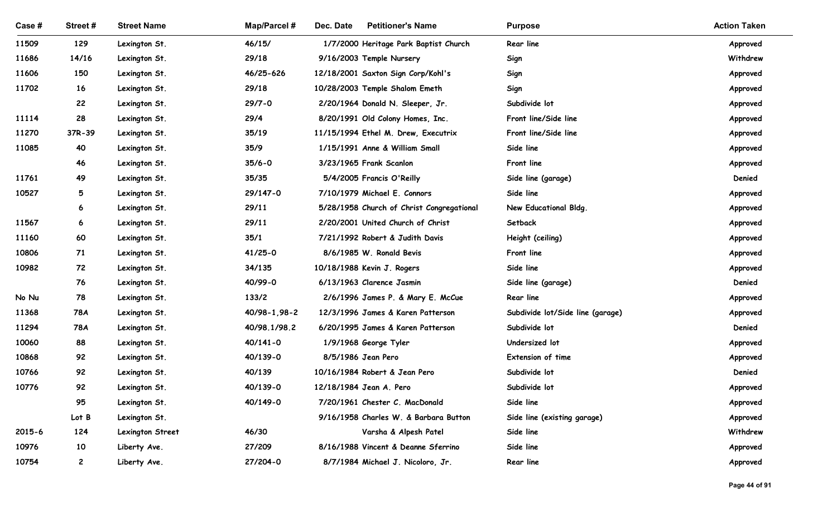| <b>Street Name</b><br><b>Map/Parcel#</b><br>Dec. Date<br><b>Petitioner's Name</b><br>Case #<br>Street#<br><b>Purpose</b><br>11509<br>129<br>Lexington St.<br>46/15/<br>1/7/2000 Heritage Park Baptist Church<br>Rear line<br>29/18<br>11686<br>14/16<br>9/16/2003 Temple Nursery<br>Lexington St.<br>Sign<br>46/25-626<br>150<br>11606<br>Lexington St.<br>12/18/2001 Saxton Sign Corp/Kohl's<br>Sign<br>16<br>11702<br>29/18<br>10/28/2003 Temple Shalom Emeth<br>Sign<br>Lexington St.<br>Subdivide lot<br>22<br>$29/7 - 0$<br>Lexington St.<br>2/20/1964 Donald N. Sleeper, Jr.<br>28<br>Front line/Side line<br>11114<br>29/4<br>Lexington St.<br>8/20/1991 Old Colony Homes, Inc.<br>Front line/Side line<br>37R-39<br>35/19<br>11270<br>Lexington St.<br>11/15/1994 Ethel M. Drew, Executrix<br>35/9<br>11085<br>40<br>1/15/1991 Anne & William Small<br>Side line<br>Lexington St.<br>46<br>$35/6 - 0$<br>3/23/1965 Frank Scanlon<br>Front line<br>Lexington St.<br>11761<br>49<br>35/35<br>5/4/2005 Francis O'Reilly<br>Side line (garage)<br>Lexington St.<br>29/147-0<br>Side line<br>10527<br>5 <sub>5</sub><br>7/10/1979 Michael E. Connors<br>Lexington St.<br>Lexington St.<br>29/11<br>5/28/1958 Church of Christ Congregational<br>New Educational Bldg.<br>6<br>29/11<br>11567<br>6<br>Lexington St.<br>2/20/2001 United Church of Christ<br>Setback<br>60<br>35/1<br>11160<br>Lexington St.<br>7/21/1992 Robert & Judith Davis<br>Height (ceiling)<br>$41/25 - 0$<br>10806<br>71<br>Lexington St.<br>8/6/1985 W. Ronald Bevis<br>Front line<br>34/135<br>10/18/1988 Kevin J. Rogers<br>Side line<br>10982<br>72<br>Lexington St.<br>76<br>40/99-0<br>Side line (garage)<br>Lexington St.<br>6/13/1963 Clarence Jasmin<br>78<br>133/2<br>No Nu<br>Lexington St.<br>2/6/1996 James P. & Mary E. McCue<br>Rear line<br>11368<br>78A<br>Lexington St.<br>40/98-1,98-2<br>12/3/1996 James & Karen Patterson<br>Subdivide lot/Side line (garage)<br>11294<br>Lexington St.<br>40/98.1/98.2<br>6/20/1995 James & Karen Patterson<br>Subdivide lot<br>78A<br>10060<br>88<br>Lexington St.<br>$40/141 - 0$<br>1/9/1968 George Tyler<br>Undersized lot<br>92<br>Extension of time<br>10868<br>Lexington St.<br>40/139-0<br>8/5/1986 Jean Pero<br>92<br>40/139<br>Subdivide lot<br>10766<br>Lexington St.<br>10/16/1984 Robert & Jean Pero<br>92<br>10776<br>Lexington St.<br>40/139-0<br>12/18/1984 Jean A. Pero<br>Subdivide lot<br>95<br>Side line<br>Lexington St.<br>40/149-0<br>7/20/1961 Chester C. MacDonald |       |               |                                       |                             |                      |
|-----------------------------------------------------------------------------------------------------------------------------------------------------------------------------------------------------------------------------------------------------------------------------------------------------------------------------------------------------------------------------------------------------------------------------------------------------------------------------------------------------------------------------------------------------------------------------------------------------------------------------------------------------------------------------------------------------------------------------------------------------------------------------------------------------------------------------------------------------------------------------------------------------------------------------------------------------------------------------------------------------------------------------------------------------------------------------------------------------------------------------------------------------------------------------------------------------------------------------------------------------------------------------------------------------------------------------------------------------------------------------------------------------------------------------------------------------------------------------------------------------------------------------------------------------------------------------------------------------------------------------------------------------------------------------------------------------------------------------------------------------------------------------------------------------------------------------------------------------------------------------------------------------------------------------------------------------------------------------------------------------------------------------------------------------------------------------------------------------------------------------------------------------------------------------------------------------------------------------------------------------------------------------------------------------------------------------------------------------------------------------------------------------------------------------------------------------------------------------------------------------------------------------|-------|---------------|---------------------------------------|-----------------------------|----------------------|
|                                                                                                                                                                                                                                                                                                                                                                                                                                                                                                                                                                                                                                                                                                                                                                                                                                                                                                                                                                                                                                                                                                                                                                                                                                                                                                                                                                                                                                                                                                                                                                                                                                                                                                                                                                                                                                                                                                                                                                                                                                                                                                                                                                                                                                                                                                                                                                                                                                                                                                                             |       |               |                                       |                             |                      |
|                                                                                                                                                                                                                                                                                                                                                                                                                                                                                                                                                                                                                                                                                                                                                                                                                                                                                                                                                                                                                                                                                                                                                                                                                                                                                                                                                                                                                                                                                                                                                                                                                                                                                                                                                                                                                                                                                                                                                                                                                                                                                                                                                                                                                                                                                                                                                                                                                                                                                                                             |       |               |                                       |                             |                      |
|                                                                                                                                                                                                                                                                                                                                                                                                                                                                                                                                                                                                                                                                                                                                                                                                                                                                                                                                                                                                                                                                                                                                                                                                                                                                                                                                                                                                                                                                                                                                                                                                                                                                                                                                                                                                                                                                                                                                                                                                                                                                                                                                                                                                                                                                                                                                                                                                                                                                                                                             |       |               |                                       |                             |                      |
|                                                                                                                                                                                                                                                                                                                                                                                                                                                                                                                                                                                                                                                                                                                                                                                                                                                                                                                                                                                                                                                                                                                                                                                                                                                                                                                                                                                                                                                                                                                                                                                                                                                                                                                                                                                                                                                                                                                                                                                                                                                                                                                                                                                                                                                                                                                                                                                                                                                                                                                             |       |               |                                       |                             |                      |
|                                                                                                                                                                                                                                                                                                                                                                                                                                                                                                                                                                                                                                                                                                                                                                                                                                                                                                                                                                                                                                                                                                                                                                                                                                                                                                                                                                                                                                                                                                                                                                                                                                                                                                                                                                                                                                                                                                                                                                                                                                                                                                                                                                                                                                                                                                                                                                                                                                                                                                                             |       |               |                                       |                             |                      |
|                                                                                                                                                                                                                                                                                                                                                                                                                                                                                                                                                                                                                                                                                                                                                                                                                                                                                                                                                                                                                                                                                                                                                                                                                                                                                                                                                                                                                                                                                                                                                                                                                                                                                                                                                                                                                                                                                                                                                                                                                                                                                                                                                                                                                                                                                                                                                                                                                                                                                                                             |       |               |                                       |                             | <b>Action Taken</b>  |
|                                                                                                                                                                                                                                                                                                                                                                                                                                                                                                                                                                                                                                                                                                                                                                                                                                                                                                                                                                                                                                                                                                                                                                                                                                                                                                                                                                                                                                                                                                                                                                                                                                                                                                                                                                                                                                                                                                                                                                                                                                                                                                                                                                                                                                                                                                                                                                                                                                                                                                                             |       |               |                                       |                             | Approved             |
|                                                                                                                                                                                                                                                                                                                                                                                                                                                                                                                                                                                                                                                                                                                                                                                                                                                                                                                                                                                                                                                                                                                                                                                                                                                                                                                                                                                                                                                                                                                                                                                                                                                                                                                                                                                                                                                                                                                                                                                                                                                                                                                                                                                                                                                                                                                                                                                                                                                                                                                             |       |               |                                       |                             | Withdrew             |
|                                                                                                                                                                                                                                                                                                                                                                                                                                                                                                                                                                                                                                                                                                                                                                                                                                                                                                                                                                                                                                                                                                                                                                                                                                                                                                                                                                                                                                                                                                                                                                                                                                                                                                                                                                                                                                                                                                                                                                                                                                                                                                                                                                                                                                                                                                                                                                                                                                                                                                                             |       |               |                                       |                             | Approved             |
|                                                                                                                                                                                                                                                                                                                                                                                                                                                                                                                                                                                                                                                                                                                                                                                                                                                                                                                                                                                                                                                                                                                                                                                                                                                                                                                                                                                                                                                                                                                                                                                                                                                                                                                                                                                                                                                                                                                                                                                                                                                                                                                                                                                                                                                                                                                                                                                                                                                                                                                             |       |               |                                       |                             | Approved             |
|                                                                                                                                                                                                                                                                                                                                                                                                                                                                                                                                                                                                                                                                                                                                                                                                                                                                                                                                                                                                                                                                                                                                                                                                                                                                                                                                                                                                                                                                                                                                                                                                                                                                                                                                                                                                                                                                                                                                                                                                                                                                                                                                                                                                                                                                                                                                                                                                                                                                                                                             |       |               |                                       |                             | Approved<br>Approved |
|                                                                                                                                                                                                                                                                                                                                                                                                                                                                                                                                                                                                                                                                                                                                                                                                                                                                                                                                                                                                                                                                                                                                                                                                                                                                                                                                                                                                                                                                                                                                                                                                                                                                                                                                                                                                                                                                                                                                                                                                                                                                                                                                                                                                                                                                                                                                                                                                                                                                                                                             |       |               |                                       |                             | Approved             |
|                                                                                                                                                                                                                                                                                                                                                                                                                                                                                                                                                                                                                                                                                                                                                                                                                                                                                                                                                                                                                                                                                                                                                                                                                                                                                                                                                                                                                                                                                                                                                                                                                                                                                                                                                                                                                                                                                                                                                                                                                                                                                                                                                                                                                                                                                                                                                                                                                                                                                                                             |       |               |                                       |                             | Approved             |
|                                                                                                                                                                                                                                                                                                                                                                                                                                                                                                                                                                                                                                                                                                                                                                                                                                                                                                                                                                                                                                                                                                                                                                                                                                                                                                                                                                                                                                                                                                                                                                                                                                                                                                                                                                                                                                                                                                                                                                                                                                                                                                                                                                                                                                                                                                                                                                                                                                                                                                                             |       |               |                                       |                             | Approved             |
|                                                                                                                                                                                                                                                                                                                                                                                                                                                                                                                                                                                                                                                                                                                                                                                                                                                                                                                                                                                                                                                                                                                                                                                                                                                                                                                                                                                                                                                                                                                                                                                                                                                                                                                                                                                                                                                                                                                                                                                                                                                                                                                                                                                                                                                                                                                                                                                                                                                                                                                             |       |               |                                       |                             | Denied               |
|                                                                                                                                                                                                                                                                                                                                                                                                                                                                                                                                                                                                                                                                                                                                                                                                                                                                                                                                                                                                                                                                                                                                                                                                                                                                                                                                                                                                                                                                                                                                                                                                                                                                                                                                                                                                                                                                                                                                                                                                                                                                                                                                                                                                                                                                                                                                                                                                                                                                                                                             |       |               |                                       |                             | Approved             |
|                                                                                                                                                                                                                                                                                                                                                                                                                                                                                                                                                                                                                                                                                                                                                                                                                                                                                                                                                                                                                                                                                                                                                                                                                                                                                                                                                                                                                                                                                                                                                                                                                                                                                                                                                                                                                                                                                                                                                                                                                                                                                                                                                                                                                                                                                                                                                                                                                                                                                                                             |       |               |                                       |                             | Approved             |
|                                                                                                                                                                                                                                                                                                                                                                                                                                                                                                                                                                                                                                                                                                                                                                                                                                                                                                                                                                                                                                                                                                                                                                                                                                                                                                                                                                                                                                                                                                                                                                                                                                                                                                                                                                                                                                                                                                                                                                                                                                                                                                                                                                                                                                                                                                                                                                                                                                                                                                                             |       |               |                                       |                             | Approved             |
|                                                                                                                                                                                                                                                                                                                                                                                                                                                                                                                                                                                                                                                                                                                                                                                                                                                                                                                                                                                                                                                                                                                                                                                                                                                                                                                                                                                                                                                                                                                                                                                                                                                                                                                                                                                                                                                                                                                                                                                                                                                                                                                                                                                                                                                                                                                                                                                                                                                                                                                             |       |               |                                       |                             | Approved             |
|                                                                                                                                                                                                                                                                                                                                                                                                                                                                                                                                                                                                                                                                                                                                                                                                                                                                                                                                                                                                                                                                                                                                                                                                                                                                                                                                                                                                                                                                                                                                                                                                                                                                                                                                                                                                                                                                                                                                                                                                                                                                                                                                                                                                                                                                                                                                                                                                                                                                                                                             |       |               |                                       |                             | Approved             |
|                                                                                                                                                                                                                                                                                                                                                                                                                                                                                                                                                                                                                                                                                                                                                                                                                                                                                                                                                                                                                                                                                                                                                                                                                                                                                                                                                                                                                                                                                                                                                                                                                                                                                                                                                                                                                                                                                                                                                                                                                                                                                                                                                                                                                                                                                                                                                                                                                                                                                                                             |       |               |                                       |                             | Approved             |
|                                                                                                                                                                                                                                                                                                                                                                                                                                                                                                                                                                                                                                                                                                                                                                                                                                                                                                                                                                                                                                                                                                                                                                                                                                                                                                                                                                                                                                                                                                                                                                                                                                                                                                                                                                                                                                                                                                                                                                                                                                                                                                                                                                                                                                                                                                                                                                                                                                                                                                                             |       |               |                                       |                             | Denied               |
|                                                                                                                                                                                                                                                                                                                                                                                                                                                                                                                                                                                                                                                                                                                                                                                                                                                                                                                                                                                                                                                                                                                                                                                                                                                                                                                                                                                                                                                                                                                                                                                                                                                                                                                                                                                                                                                                                                                                                                                                                                                                                                                                                                                                                                                                                                                                                                                                                                                                                                                             |       |               |                                       |                             | Approved             |
|                                                                                                                                                                                                                                                                                                                                                                                                                                                                                                                                                                                                                                                                                                                                                                                                                                                                                                                                                                                                                                                                                                                                                                                                                                                                                                                                                                                                                                                                                                                                                                                                                                                                                                                                                                                                                                                                                                                                                                                                                                                                                                                                                                                                                                                                                                                                                                                                                                                                                                                             |       |               |                                       |                             | Approved             |
|                                                                                                                                                                                                                                                                                                                                                                                                                                                                                                                                                                                                                                                                                                                                                                                                                                                                                                                                                                                                                                                                                                                                                                                                                                                                                                                                                                                                                                                                                                                                                                                                                                                                                                                                                                                                                                                                                                                                                                                                                                                                                                                                                                                                                                                                                                                                                                                                                                                                                                                             |       |               |                                       |                             | Denied               |
|                                                                                                                                                                                                                                                                                                                                                                                                                                                                                                                                                                                                                                                                                                                                                                                                                                                                                                                                                                                                                                                                                                                                                                                                                                                                                                                                                                                                                                                                                                                                                                                                                                                                                                                                                                                                                                                                                                                                                                                                                                                                                                                                                                                                                                                                                                                                                                                                                                                                                                                             |       |               |                                       |                             | Approved<br>Approved |
|                                                                                                                                                                                                                                                                                                                                                                                                                                                                                                                                                                                                                                                                                                                                                                                                                                                                                                                                                                                                                                                                                                                                                                                                                                                                                                                                                                                                                                                                                                                                                                                                                                                                                                                                                                                                                                                                                                                                                                                                                                                                                                                                                                                                                                                                                                                                                                                                                                                                                                                             |       |               |                                       |                             | Denied               |
|                                                                                                                                                                                                                                                                                                                                                                                                                                                                                                                                                                                                                                                                                                                                                                                                                                                                                                                                                                                                                                                                                                                                                                                                                                                                                                                                                                                                                                                                                                                                                                                                                                                                                                                                                                                                                                                                                                                                                                                                                                                                                                                                                                                                                                                                                                                                                                                                                                                                                                                             |       |               |                                       |                             | Approved             |
|                                                                                                                                                                                                                                                                                                                                                                                                                                                                                                                                                                                                                                                                                                                                                                                                                                                                                                                                                                                                                                                                                                                                                                                                                                                                                                                                                                                                                                                                                                                                                                                                                                                                                                                                                                                                                                                                                                                                                                                                                                                                                                                                                                                                                                                                                                                                                                                                                                                                                                                             |       |               |                                       |                             | Approved             |
|                                                                                                                                                                                                                                                                                                                                                                                                                                                                                                                                                                                                                                                                                                                                                                                                                                                                                                                                                                                                                                                                                                                                                                                                                                                                                                                                                                                                                                                                                                                                                                                                                                                                                                                                                                                                                                                                                                                                                                                                                                                                                                                                                                                                                                                                                                                                                                                                                                                                                                                             | Lot B | Lexington St. | 9/16/1958 Charles W. & Barbara Button | Side line (existing garage) | Approved             |
| 46/30<br>2015-6<br>124<br>Lexington Street<br>Varsha & Alpesh Patel<br>Side line                                                                                                                                                                                                                                                                                                                                                                                                                                                                                                                                                                                                                                                                                                                                                                                                                                                                                                                                                                                                                                                                                                                                                                                                                                                                                                                                                                                                                                                                                                                                                                                                                                                                                                                                                                                                                                                                                                                                                                                                                                                                                                                                                                                                                                                                                                                                                                                                                                            |       |               |                                       |                             | Withdrew             |
| 10<br>10976<br>Liberty Ave.<br>27/209<br>8/16/1988 Vincent & Deanne Sferrino<br>Side line                                                                                                                                                                                                                                                                                                                                                                                                                                                                                                                                                                                                                                                                                                                                                                                                                                                                                                                                                                                                                                                                                                                                                                                                                                                                                                                                                                                                                                                                                                                                                                                                                                                                                                                                                                                                                                                                                                                                                                                                                                                                                                                                                                                                                                                                                                                                                                                                                                   |       |               |                                       |                             | Approved             |
| 10754<br>$\overline{c}$<br>27/204-0<br>8/7/1984 Michael J. Nicoloro, Jr.<br>Rear line<br>Liberty Ave.                                                                                                                                                                                                                                                                                                                                                                                                                                                                                                                                                                                                                                                                                                                                                                                                                                                                                                                                                                                                                                                                                                                                                                                                                                                                                                                                                                                                                                                                                                                                                                                                                                                                                                                                                                                                                                                                                                                                                                                                                                                                                                                                                                                                                                                                                                                                                                                                                       |       |               |                                       |                             | Approved             |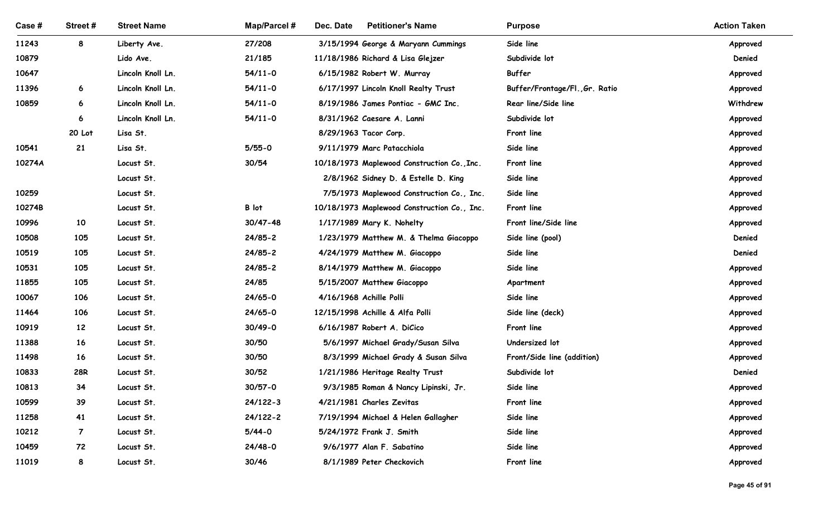| Case#          | Street#        | <b>Street Name</b>        | <b>Map/Parcel#</b>          | Dec. Date<br><b>Petitioner's Name</b>                                    | <b>Purpose</b>                 | <b>Action Taken</b>  |
|----------------|----------------|---------------------------|-----------------------------|--------------------------------------------------------------------------|--------------------------------|----------------------|
|                |                |                           |                             |                                                                          |                                |                      |
| 11243<br>10879 | 8              | Liberty Ave.<br>Lido Ave. | 27/208<br>21/185            | 3/15/1994 George & Maryann Cummings<br>11/18/1986 Richard & Lisa Glejzer | Side line<br>Subdivide lot     | Approved<br>Denied   |
| 10647          |                | Lincoln Knoll Ln.         | $54/11 - 0$                 | 6/15/1982 Robert W. Murray                                               | Buffer                         | Approved             |
| 11396          | 6              | Lincoln Knoll Ln.         | $54/11 - 0$                 | 6/17/1997 Lincoln Knoll Realty Trust                                     | Buffer/Frontage/Fl., Gr. Ratio | Approved             |
| 10859          | 6              | Lincoln Knoll Ln.         | $54/11 - 0$                 | 8/19/1986 James Pontiac - GMC Inc.                                       | Rear line/Side line            | Withdrew             |
|                | 6              | Lincoln Knoll Ln.         | $54/11-0$                   | 8/31/1962 Caesare A. Lanni                                               | Subdivide lot                  | Approved             |
|                | 20 Lot         | Lisa St.                  |                             | 8/29/1963 Tacor Corp.                                                    | Front line                     | Approved             |
| 10541          | 21             | Lisa St.                  | $5/55-0$                    | 9/11/1979 Marc Patacchiola                                               | Side line                      | Approved             |
| 10274A         |                | Locust St.                | 30/54                       | 10/18/1973 Maplewood Construction Co., Inc.                              | Front line                     | Approved             |
|                |                | Locust St.                |                             | 2/8/1962 Sidney D. & Estelle D. King                                     | Side line                      | Approved             |
| 10259          |                | Locust St.                |                             | 7/5/1973 Maplewood Construction Co., Inc.                                | Side line                      | Approved             |
| 10274B         |                | Locust St.                | B lot                       | 10/18/1973 Maplewood Construction Co., Inc.                              | Front line                     | Approved             |
| 10996          | 10             | Locust St.                | $30/47 - 48$                | 1/17/1989 Mary K. Nohelty                                                | Front line/Side line           | Approved             |
| 10508          | 105            | Locust St.                | $24/85 - 2$                 | 1/23/1979 Matthew M. & Thelma Giacoppo                                   | Side line (pool)               | Denied               |
| 10519          | 105            | Locust St.                | $24/85 - 2$                 | 4/24/1979 Matthew M. Giacoppo                                            | Side line                      | Denied               |
| 10531          | 105            | Locust St.                | $24/85 - 2$                 | 8/14/1979 Matthew M. Giacoppo                                            | Side line                      | Approved             |
| 11855          | 105            | Locust St.                | 24/85                       | 5/15/2007 Matthew Giacoppo                                               | Apartment                      | Approved             |
| 10067          | 106            | Locust St.                | $24/65 - 0$                 | 4/16/1968 Achille Polli                                                  | Side line                      | Approved             |
| 11464          | 106            | Locust St.                | $24/65 - 0$                 | 12/15/1998 Achille & Alfa Polli                                          | Side line (deck)               | Approved             |
| 10919          | 12             | Locust St.                | $30/49 - 0$                 | 6/16/1987 Robert A. DiCico                                               | Front line                     | Approved             |
| 11388          | 16             | Locust St.                | 30/50                       | 5/6/1997 Michael Grady/Susan Silva                                       | Undersized lot                 | Approved             |
| 11498          | 16             | Locust St.                | 30/50                       | 8/3/1999 Michael Grady & Susan Silva                                     | Front/Side line (addition)     | Approved             |
| 10833          | <b>28R</b>     | Locust St.                | 30/52                       | 1/21/1986 Heritage Realty Trust                                          | Subdivide lot                  | Denied               |
| 10813<br>10599 | 34             | Locust St.                | $30/57 - 0$<br>$24/122 - 3$ | 9/3/1985 Roman & Nancy Lipinski, Jr.<br>4/21/1981 Charles Zevitas        | Side line<br>Front line        | Approved             |
| 11258          | 39<br>41       | Locust St.                | 24/122-2                    |                                                                          | Side line                      | Approved             |
| 10212          | $\overline{7}$ | Locust St.<br>Locust St.  | $5/44 - 0$                  | 7/19/1994 Michael & Helen Gallagher<br>5/24/1972 Frank J. Smith          | Side line                      | Approved<br>Approved |
| 10459          | 72             | Locust St.                | 24/48-0                     | 9/6/1977 Alan F. Sabatino                                                | Side line                      | Approved             |
| 11019          | 8              | Locust St.                | 30/46                       | 8/1/1989 Peter Checkovich                                                | Front line                     | Approved             |
|                |                |                           |                             |                                                                          |                                |                      |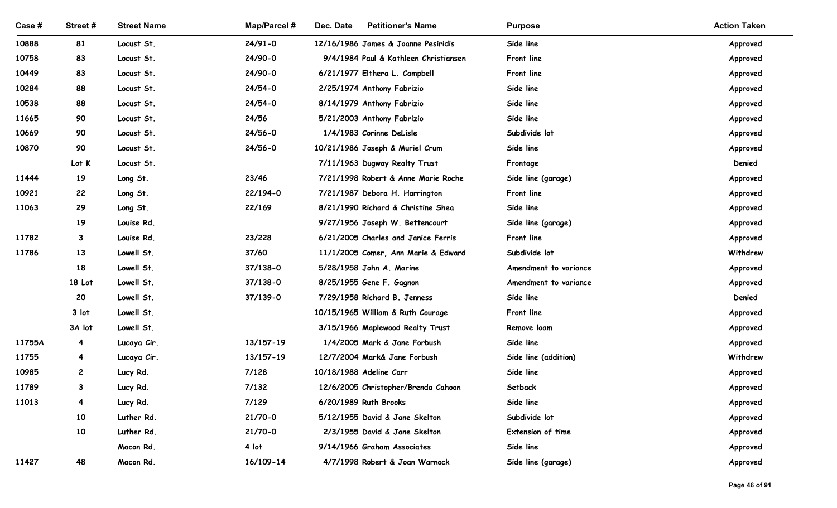| Case #         | Street#        | <b>Street Name</b>   | <b>Map/Parcel#</b> | Dec. Date<br><b>Petitioner's Name</b>                                 | <b>Purpose</b>                   | <b>Action Taken</b>  |
|----------------|----------------|----------------------|--------------------|-----------------------------------------------------------------------|----------------------------------|----------------------|
| 10888          | 81             | Locust St.           | $24/91 - 0$        | 12/16/1986 James & Joanne Pesiridis                                   | Side line                        | Approved             |
| 10758          | 83             | Locust St.           | 24/90-0            | 9/4/1984 Paul & Kathleen Christiansen                                 | Front line                       | Approved             |
| 10449          | 83             | Locust St.           | 24/90-0            | 6/21/1977 Elthera L. Campbell                                         | Front line                       | Approved             |
| 10284          | 88             | Locust St.           | 24/54-0            | 2/25/1974 Anthony Fabrizio                                            | Side line                        | Approved             |
| 10538          | 88             | Locust St.           | 24/54-0            | 8/14/1979 Anthony Fabrizio                                            | Side line                        | Approved             |
| 11665          | 90             | Locust St.           | 24/56              | 5/21/2003 Anthony Fabrizio                                            | Side line                        | Approved             |
| 10669          | 90             | Locust St.           | $24/56 - 0$        | 1/4/1983 Corinne DeLisle                                              | Subdivide lot                    | Approved             |
| 10870          | 90             | Locust St.           | 24/56-0            | 10/21/1986 Joseph & Muriel Crum                                       | Side line                        | Approved             |
|                | Lot K          | Locust St.           | 23/46              | 7/11/1963 Dugway Realty Trust                                         | Frontage                         | Denied               |
| 11444<br>10921 | 19<br>22       | Long St.<br>Long St. | 22/194-0           | 7/21/1998 Robert & Anne Marie Roche<br>7/21/1987 Debora H. Harrington | Side line (garage)<br>Front line | Approved<br>Approved |
| 11063          | 29             | Long St.             | 22/169             | 8/21/1990 Richard & Christine Shea                                    | Side line                        | Approved             |
|                | 19             | Louise Rd.           |                    | 9/27/1956 Joseph W. Bettencourt                                       | Side line (garage)               | Approved             |
| 11782          | 3              | Louise Rd.           | 23/228             | 6/21/2005 Charles and Janice Ferris                                   | Front line                       | Approved             |
| 11786          | 13             | Lowell St.           | 37/60              | 11/1/2005 Comer, Ann Marie & Edward                                   | Subdivide lot                    | Withdrew             |
|                | 18             | Lowell St.           | 37/138-0           | 5/28/1958 John A. Marine                                              | Amendment to variance            | Approved             |
|                | 18 Lot         | Lowell St.           | 37/138-0           | 8/25/1955 Gene F. Gagnon                                              | Amendment to variance            | Approved             |
|                | 20             | Lowell St.           | 37/139-0           | 7/29/1958 Richard B. Jenness                                          | Side line                        | Denied               |
|                | 3 lot          | Lowell St.           |                    | 10/15/1965 William & Ruth Courage                                     | Front line                       | Approved             |
|                | 3A lot         | Lowell St.           |                    | 3/15/1966 Maplewood Realty Trust                                      | Remove loam                      | Approved             |
| 11755A         | $\overline{4}$ | Lucaya Cir.          | 13/157-19          | 1/4/2005 Mark & Jane Forbush                                          | Side line                        | Approved             |
| 11755          | $\overline{4}$ | Lucaya Cir.          | 13/157-19          | 12/7/2004 Mark& Jane Forbush                                          | Side line (addition)             | Withdrew             |
| 10985          | $\mathbf{2}$   | Lucy Rd.             | 7/128              | 10/18/1988 Adeline Carr                                               | Side line                        | Approved             |
| 11789          | 3              | Lucy Rd.             | 7/132              | 12/6/2005 Christopher/Brenda Cahoon                                   | Setback                          | Approved             |
| 11013          | $\overline{4}$ | Lucy Rd.             | 7/129              | 6/20/1989 Ruth Brooks                                                 | Side line                        | Approved             |
|                | 10             | Luther Rd.           | $21/70-0$          | 5/12/1955 David & Jane Skelton                                        | Subdivide lot                    | Approved             |
|                | 10             | Luther Rd.           | $21/70-0$          | 2/3/1955 David & Jane Skelton                                         | Extension of time                | Approved             |
|                |                | Macon Rd.            | 4 lot              | 9/14/1966 Graham Associates                                           | Side line                        | Approved             |
| 11427          | 48             | Macon Rd.            | 16/109-14          | 4/7/1998 Robert & Joan Warnock                                        | Side line (garage)               | Approved             |
|                |                |                      |                    |                                                                       |                                  | Page 46 of 91        |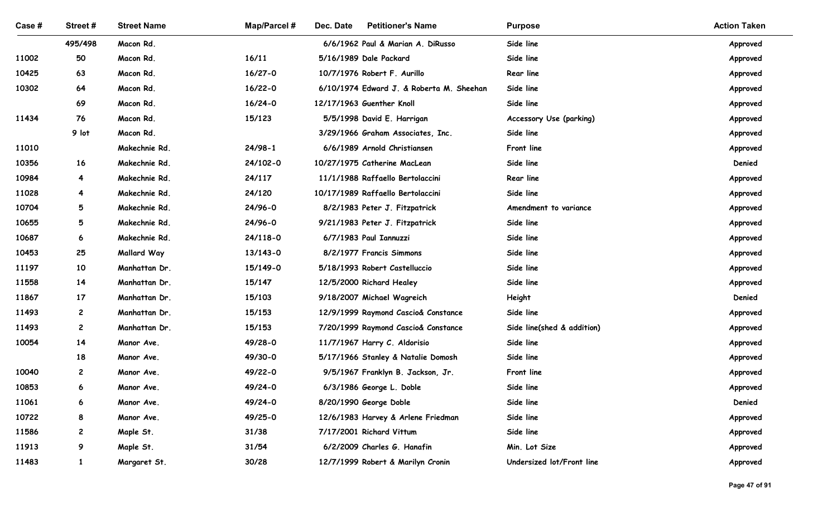| Case #         | Street#                 | <b>Street Name</b>             | <b>Map/Parcel#</b> | <b>Petitioner's Name</b><br>Dec. Date                              | <b>Purpose</b>             | <b>Action Taken</b>  |
|----------------|-------------------------|--------------------------------|--------------------|--------------------------------------------------------------------|----------------------------|----------------------|
|                | 495/498                 | Macon Rd.                      |                    | 6/6/1962 Paul & Marian A. DiRusso                                  | Side line                  | Approved             |
| 11002          | 50                      | Macon Rd.                      | 16/11              | 5/16/1989 Dale Packard                                             | Side line                  | Approved             |
| 10425          | 63                      | Macon Rd.                      | $16/27 - 0$        | 10/7/1976 Robert F. Aurillo                                        | Rear line                  | Approved             |
| 10302          | 64                      | Macon Rd.                      | $16/22 - 0$        | 6/10/1974 Edward J. & Roberta M. Sheehan                           | Side line                  | Approved             |
|                | 69                      | Macon Rd.                      | $16/24 - 0$        | 12/17/1963 Guenther Knoll                                          | Side line                  | Approved             |
| 11434          | 76                      | Macon Rd.                      | 15/123             | 5/5/1998 David E. Harrigan                                         | Accessory Use (parking)    | Approved             |
|                | 9 lot                   | Macon Rd.                      |                    | 3/29/1966 Graham Associates, Inc.                                  | Side line                  | Approved             |
| 11010          |                         | Makechnie Rd.                  | $24/98-1$          | 6/6/1989 Arnold Christiansen                                       | Front line                 | Approved             |
| 10356          | 16                      | Makechnie Rd.                  | 24/102-0           | 10/27/1975 Catherine MacLean                                       | Side line                  | Denied               |
| 10984          | $\overline{\mathbf{A}}$ | Makechnie Rd.<br>Makechnie Rd. | 24/117             | 11/1/1988 Raffaello Bertolaccini                                   | Rear line<br>Side line     | Approved             |
| 11028<br>10704 | 4<br>$5\overline{)}$    | Makechnie Rd.                  | 24/120<br>24/96-0  | 10/17/1989 Raffaello Bertolaccini<br>8/2/1983 Peter J. Fitzpatrick | Amendment to variance      | Approved<br>Approved |
| 10655          | $5\overline{)}$         | Makechnie Rd.                  | 24/96-0            | 9/21/1983 Peter J. Fitzpatrick                                     | Side line                  | Approved             |
| 10687          | 6                       | Makechnie Rd.                  | 24/118-0           | 6/7/1983 Paul Iannuzzi                                             | Side line                  | Approved             |
| 10453          | 25                      | Mallard Way                    | 13/143-0           | 8/2/1977 Francis Simmons                                           | Side line                  | Approved             |
| 11197          | 10                      | Manhattan Dr.                  | 15/149-0           | 5/18/1993 Robert Castelluccio                                      | Side line                  | Approved             |
| 11558          | 14                      | Manhattan Dr.                  | 15/147             | 12/5/2000 Richard Healey                                           | Side line                  | Approved             |
| 11867          | 17                      | Manhattan Dr.                  | 15/103             | 9/18/2007 Michael Wagreich                                         | Height                     | Denied               |
| 11493          | $\overline{c}$          | Manhattan Dr.                  | 15/153             | 12/9/1999 Raymond Cascio& Constance                                | Side line                  | Approved             |
| 11493          | $\mathbf{2}$            | Manhattan Dr.                  | 15/153             | 7/20/1999 Raymond Cascio& Constance                                | Side line(shed & addition) | Approved             |
| 10054          | 14                      | Manor Ave.                     | 49/28-0            | 11/7/1967 Harry C. Aldorisio                                       | Side line                  | Approved             |
|                | 18                      | Manor Ave.                     | 49/30-0            | 5/17/1966 Stanley & Natalie Domosh                                 | Side line                  | Approved             |
| 10040          | $\mathbf{2}$            | Manor Ave.                     | 49/22-0            | 9/5/1967 Franklyn B. Jackson, Jr.                                  | Front line                 | Approved             |
| 10853          | 6                       | Manor Ave.                     | 49/24-0            | 6/3/1986 George L. Doble                                           | Side line                  | Approved             |
| 11061          | 6                       | Manor Ave.                     | 49/24-0            | 8/20/1990 George Doble                                             | Side line                  | Denied               |
| 10722          | 8                       | Manor Ave.                     | 49/25-0            | 12/6/1983 Harvey & Arlene Friedman                                 | Side line                  | Approved             |
| 11586          | $\mathbf{2}$            | Maple St.                      | 31/38              | 7/17/2001 Richard Vittum                                           | Side line                  | Approved             |
| 11913          | 9                       | Maple St.                      | 31/54              | 6/2/2009 Charles G. Hanafin                                        | Min. Lot Size              | Approved             |
| 11483          | $\mathbf{1}$            | Margaret St.                   | 30/28              | 12/7/1999 Robert & Marilyn Cronin                                  | Undersized lot/Front line  | Approved             |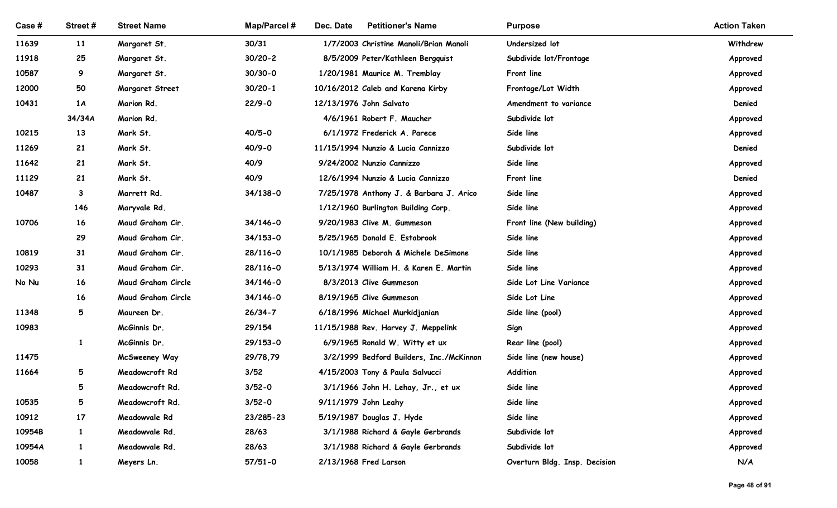| Case #<br>11639<br>11918<br>10587<br>12000 | Street#<br>11   | <b>Street Name</b>              |                    |                                                                            |                                   |                      |
|--------------------------------------------|-----------------|---------------------------------|--------------------|----------------------------------------------------------------------------|-----------------------------------|----------------------|
|                                            |                 |                                 |                    |                                                                            |                                   |                      |
|                                            |                 |                                 |                    |                                                                            |                                   |                      |
|                                            |                 |                                 | Map/Parcel #       | Dec. Date<br><b>Petitioner's Name</b>                                      | <b>Purpose</b>                    | <b>Action Taken</b>  |
|                                            |                 | Margaret St.                    | 30/31              | 1/7/2003 Christine Manoli/Brian Manoli                                     | Undersized lot                    | Withdrew             |
|                                            | 25              | Margaret St.                    | $30/20 - 2$        | 8/5/2009 Peter/Kathleen Bergquist                                          | Subdivide lot/Frontage            | Approved             |
|                                            | 9               | Margaret St.                    | $30/30 - 0$        | 1/20/1981 Maurice M. Tremblay                                              | Front line                        | Approved             |
|                                            | 50              | <b>Margaret Street</b>          | $30/20 - 1$        | 10/16/2012 Caleb and Karena Kirby                                          | Frontage/Lot Width                | Approved             |
| 10431                                      | 1A              | Marion Rd.                      | $22/9 - 0$         | 12/13/1976 John Salvato                                                    | Amendment to variance             | Denied               |
|                                            | 34/34A          | Marion Rd.                      |                    | 4/6/1961 Robert F. Maucher                                                 | Subdivide lot                     | Approved             |
| 10215                                      | 13              | Mark St.                        | $40/5 - 0$         | 6/1/1972 Frederick A. Parece                                               | Side line                         | Approved             |
| 11269                                      | 21              | Mark St.                        | $40/9 - 0$         | 11/15/1994 Nunzio & Lucia Cannizzo                                         | Subdivide lot                     | Denied               |
| 11642                                      | 21              | Mark St.                        | 40/9               | 9/24/2002 Nunzio Cannizzo                                                  | Side line                         | Approved             |
| 11129                                      | 21              | Mark St.                        | 40/9               | 12/6/1994 Nunzio & Lucia Cannizzo                                          | Front line                        | Denied               |
| 10487                                      | 3               | Marrett Rd.                     | 34/138-0           | 7/25/1978 Anthony J. & Barbara J. Arico                                    | Side line                         | Approved             |
|                                            | 146             | Maryvale Rd.                    |                    | 1/12/1960 Burlington Building Corp.                                        | Side line                         | Approved             |
| 10706                                      | 16              | Maud Graham Cir.                | $34/146 - 0$       | 9/20/1983 Clive M. Gummeson                                                | Front line (New building)         | Approved             |
|                                            | 29              | Maud Graham Cir.                | $34/153 - 0$       | 5/25/1965 Donald E. Estabrook                                              | Side line                         | Approved             |
| 10819                                      | 31              | Maud Graham Cir.                | 28/116-0           | 10/1/1985 Deborah & Michele DeSimone                                       | Side line                         | Approved             |
| 10293                                      | 31              | Maud Graham Cir.                | 28/116-0           | 5/13/1974 William H. & Karen E. Martin                                     | Side line                         | Approved             |
| No Nu                                      | 16              | Maud Graham Circle              | 34/146-0           | 8/3/2013 Clive Gummeson                                                    | Side Lot Line Variance            | Approved             |
|                                            | 16              | Maud Graham Circle              | 34/146-0           | 8/19/1965 Clive Gummeson                                                   | Side Lot Line                     | Approved             |
| 11348                                      | $5\overline{)}$ | Maureen Dr.                     | $26/34 - 7$        | 6/18/1996 Michael Murkidjanian                                             | Side line (pool)                  | Approved             |
| 10983                                      |                 | McGinnis Dr.                    | 29/154<br>29/153-0 | 11/15/1988 Rev. Harvey J. Meppelink                                        | Sign                              | Approved             |
| 11475                                      | 1               | McGinnis Dr.                    | 29/78,79           | 6/9/1965 Ronald W. Witty et ux<br>3/2/1999 Bedford Builders, Inc./McKinnon | Rear line (pool)                  | Approved             |
| 11664                                      | 5               | McSweeney Way<br>Meadowcroft Rd | 3/52               | 4/15/2003 Tony & Paula Salvucci                                            | Side line (new house)<br>Addition | Approved<br>Approved |
|                                            | 5               | Meadowcroft Rd.                 | $3/52 - 0$         | 3/1/1966 John H. Lehay, Jr., et ux                                         | Side line                         | Approved             |
| 10535                                      | 5               | Meadowcroft Rd.                 | $3/52 - 0$         | 9/11/1979 John Leahy                                                       | Side line                         | Approved             |
| 10912                                      | 17              | Meadowvale Rd                   | 23/285-23          | 5/19/1987 Douglas J. Hyde                                                  | Side line                         | Approved             |
| 10954B                                     | $\mathbf{1}$    | Meadowvale Rd.                  | 28/63              | 3/1/1988 Richard & Gayle Gerbrands                                         | Subdivide lot                     | Approved             |
| 10954A                                     | $\mathbf{1}$    | Meadowvale Rd.                  | 28/63              | 3/1/1988 Richard & Gayle Gerbrands                                         | Subdivide lot                     | Approved             |
| 10058                                      | $\mathbf{1}$    | Meyers Ln.                      | $57/51 - 0$        | 2/13/1968 Fred Larson                                                      | Overturn Bldg. Insp. Decision     | N/A                  |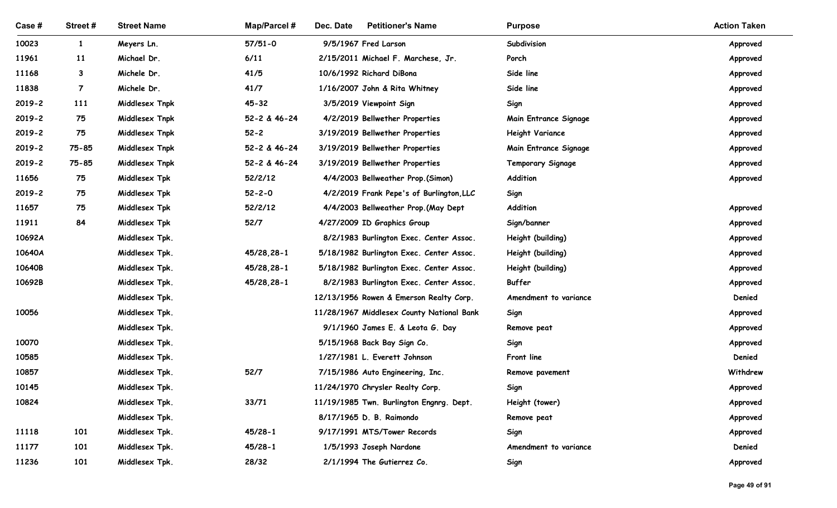| Case #         | Street #       | <b>Street Name</b>        | Map/Parcel # | <b>Petitioner's Name</b><br>Dec. Date                          | <b>Purpose</b>           | <b>Action Taken</b>  |
|----------------|----------------|---------------------------|--------------|----------------------------------------------------------------|--------------------------|----------------------|
|                |                |                           |              |                                                                |                          |                      |
| 10023          | $\mathbf{1}$   | Meyers Ln.<br>Michael Dr. | $57/51 - 0$  | 9/5/1967 Fred Larson                                           | Subdivision              | Approved             |
| 11961<br>11168 | 11<br>3        | Michele Dr.               | 6/11<br>41/5 | 2/15/2011 Michael F. Marchese, Jr.<br>10/6/1992 Richard DiBona | Porch<br>Side line       | Approved<br>Approved |
| 11838          | $\overline{7}$ | Michele Dr.               | 41/7         | 1/16/2007 John & Rita Whitney                                  | Side line                | Approved             |
| $2019 - 2$     | 111            | Middlesex Tnpk            | $45 - 32$    | 3/5/2019 Viewpoint Sign                                        | Sign                     | Approved             |
| $2019 - 2$     | 75             | Middlesex Tnpk            | 52-2 & 46-24 | 4/2/2019 Bellwether Properties                                 | Main Entrance Signage    | Approved             |
| $2019 - 2$     | 75             | Middlesex Tnpk            | $52 - 2$     | 3/19/2019 Bellwether Properties                                | <b>Height Variance</b>   | Approved             |
| $2019 - 2$     | 75-85          | Middlesex Tnpk            | 52-2 & 46-24 | 3/19/2019 Bellwether Properties                                | Main Entrance Signage    | Approved             |
| $2019 - 2$     | 75-85          | Middlesex Tnpk            | 52-2 & 46-24 | 3/19/2019 Bellwether Properties                                | <b>Temporary Signage</b> | Approved             |
| 11656          | 75             | Middlesex Tpk             | 52/2/12      | 4/4/2003 Bellweather Prop. (Simon)                             | Addition                 | Approved             |
| $2019 - 2$     | 75             | Middlesex Tpk             | $52 - 2 - 0$ | 4/2/2019 Frank Pepe's of Burlington, LLC                       | Sign                     |                      |
| 11657          | 75             | Middlesex Tpk             | 52/2/12      | 4/4/2003 Bellweather Prop.(May Dept                            | Addition                 | Approved             |
| 11911          | 84             | Middlesex Tpk             | 52/7         | 4/27/2009 ID Graphics Group                                    | Sign/banner              | Approved             |
| 10692A         |                | Middlesex Tpk.            |              | 8/2/1983 Burlington Exec. Center Assoc.                        | Height (building)        | Approved             |
| 10640A         |                | Middlesex Tpk.            | 45/28,28-1   | 5/18/1982 Burlington Exec. Center Assoc.                       | Height (building)        | Approved             |
| 10640B         |                | Middlesex Tpk.            | 45/28,28-1   | 5/18/1982 Burlington Exec. Center Assoc.                       | Height (building)        | Approved             |
| 10692B         |                | Middlesex Tpk.            | 45/28,28-1   | 8/2/1983 Burlington Exec. Center Assoc.                        | Buffer                   | Approved             |
|                |                | Middlesex Tpk.            |              | 12/13/1956 Rowen & Emerson Realty Corp.                        | Amendment to variance    | Denied               |
| 10056          |                | Middlesex Tpk.            |              | 11/28/1967 Middlesex County National Bank                      | Sign                     | Approved             |
|                |                | Middlesex Tpk.            |              | 9/1/1960 James E. & Leota G. Day                               | Remove peat              | Approved             |
| 10070          |                | Middlesex Tpk.            |              | 5/15/1968 Back Bay Sign Co.                                    | Sign                     | Approved             |
| 10585          |                | Middlesex Tpk.            |              | 1/27/1981 L. Everett Johnson                                   | Front line               | Denied               |
| 10857          |                | Middlesex Tpk.            | $52/7$       | 7/15/1986 Auto Engineering, Inc.                               | Remove pavement          | Withdrew             |
| 10145          |                | Middlesex Tpk.            |              | 11/24/1970 Chrysler Realty Corp.                               | Sign                     | Approved             |
| 10824          |                | Middlesex Tpk.            | 33/71        | 11/19/1985 Twn. Burlington Engnrg. Dept.                       | Height (tower)           | Approved             |
|                |                | Middlesex Tpk.            |              | 8/17/1965 D. B. Raimondo                                       | Remove peat              | Approved             |
| 11118          | 101            | Middlesex Tpk.            | $45/28-1$    | 9/17/1991 MTS/Tower Records                                    | Sign                     | Approved             |
| 11177          | 101            | Middlesex Tpk.            | $45/28-1$    | 1/5/1993 Joseph Nardone                                        | Amendment to variance    | Denied               |
| 11236          | 101            | Middlesex Tpk.            | 28/32        | 2/1/1994 The Gutierrez Co.                                     | Sign                     | Approved             |
|                |                |                           |              |                                                                |                          | Page 49 of 91        |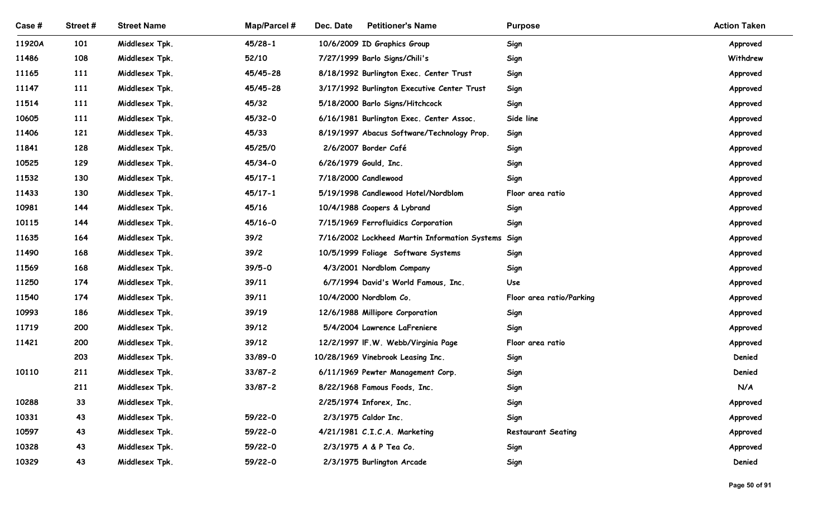| Case # | Street#    | <b>Street Name</b>               | Map/Parcel #           | Dec. Date<br><b>Petitioner's Name</b>                                   | <b>Purpose</b>            | <b>Action Taken</b> |
|--------|------------|----------------------------------|------------------------|-------------------------------------------------------------------------|---------------------------|---------------------|
| 11920A | 101        | Middlesex Tpk.                   | $45/28-1$              | 10/6/2009 ID Graphics Group                                             | Sign                      | Approved            |
| 11486  | 108        | Middlesex Tpk.                   | 52/10                  | 7/27/1999 Barlo Signs/Chili's                                           | Sign                      | Withdrew            |
| 11165  | <b>111</b> | Middlesex Tpk.                   | 45/45-28               | 8/18/1992 Burlington Exec. Center Trust                                 | Sign                      | Approved            |
| 11147  | <b>111</b> | Middlesex Tpk.                   | 45/45-28               | 3/17/1992 Burlington Executive Center Trust                             | Sign                      | Approved            |
| 11514  | 111        | Middlesex Tpk.                   | 45/32                  | 5/18/2000 Barlo Signs/Hitchcock                                         | Sign                      | Approved            |
| 10605  | <b>111</b> | Middlesex Tpk.                   | 45/32-0                | 6/16/1981 Burlington Exec. Center Assoc.                                | Side line                 | Approved            |
| 11406  | 121        | Middlesex Tpk.                   | 45/33                  | 8/19/1997 Abacus Software/Technology Prop.                              | Sign                      | Approved            |
| 11841  | 128        | Middlesex Tpk.                   | 45/25/0                | 2/6/2007 Border Café                                                    | Sign                      | Approved            |
| 10525  | 129        | Middlesex Tpk.                   | 45/34-0                | 6/26/1979 Gould, Inc.                                                   | Sign                      | Approved            |
| 11532  | 130        | Middlesex Tpk.                   | $45/17 - 1$            | 7/18/2000 Candlewood                                                    | Sign                      | Approved            |
| 11433  | 130        | Middlesex Tpk.                   | $45/17 - 1$            | 5/19/1998 Candlewood Hotel/Nordblom                                     | Floor area ratio          | Approved            |
| 10981  | 144        | Middlesex Tpk.                   | 45/16                  | 10/4/1988 Coopers & Lybrand                                             | Sign                      | Approved            |
| 10115  | 144        | Middlesex Tpk.                   | 45/16-0                | 7/15/1969 Ferrofluidics Corporation                                     | Sign                      | Approved            |
| 11635  | 164        | Middlesex Tpk.                   | 39/2                   | 7/16/2002 Lockheed Martin Information Systems Sign                      |                           | Approved            |
| 11490  | 168        | Middlesex Tpk.                   | 39/2                   | 10/5/1999 Foliage Software Systems                                      | Sign                      | Approved            |
| 11569  | 168        | Middlesex Tpk.                   | $39/5 - 0$             | 4/3/2001 Nordblom Company                                               | Sign                      | Approved            |
| 11250  | 174        | Middlesex Tpk.                   | 39/11                  | 6/7/1994 David's World Famous, Inc.                                     | Use                       | Approved            |
| 11540  | 174        | Middlesex Tpk.                   | 39/11                  | 10/4/2000 Nordblom Co.                                                  | Floor area ratio/Parking  | Approved            |
| 10993  | 186        | Middlesex Tpk.                   | 39/19                  | 12/6/1988 Millipore Corporation                                         | Sign                      | Approved            |
| 11719  | 200        | Middlesex Tpk.                   | 39/12                  | 5/4/2004 Lawrence LaFreniere                                            | Sign                      | Approved            |
| 11421  | 200<br>203 | Middlesex Tpk.                   | 39/12                  | 12/2/1997 IF.W. Webb/Virginia Page<br>10/28/1969 Vinebrook Leasing Inc. | Floor area ratio          | Approved<br>Denied  |
| 10110  | 211        | Middlesex Tpk.<br>Middlesex Tpk. | 33/89-0<br>$33/87 - 2$ | 6/11/1969 Pewter Management Corp.                                       | Sign<br>Sign              | Denied              |
|        | 211        | Middlesex Tpk.                   | $33/87 - 2$            | 8/22/1968 Famous Foods, Inc.                                            | Sign                      | N/A                 |
| 10288  | 33         | Middlesex Tpk.                   |                        | 2/25/1974 Inforex, Inc.                                                 | Sign                      | Approved            |
| 10331  | 43         | Middlesex Tpk.                   | 59/22-0                | 2/3/1975 Caldor Inc.                                                    | Sign                      | Approved            |
| 10597  | 43         | Middlesex Tpk.                   | 59/22-0                | 4/21/1981 C.I.C.A. Marketing                                            | <b>Restaurant Seating</b> | Approved            |
| 10328  | 43         | Middlesex Tpk.                   | 59/22-0                | 2/3/1975 A & P Tea Co.                                                  | Sign                      | Approved            |
| 10329  | 43         | Middlesex Tpk.                   | 59/22-0                | 2/3/1975 Burlington Arcade                                              | Sign                      | Denied              |
|        |            |                                  |                        |                                                                         |                           |                     |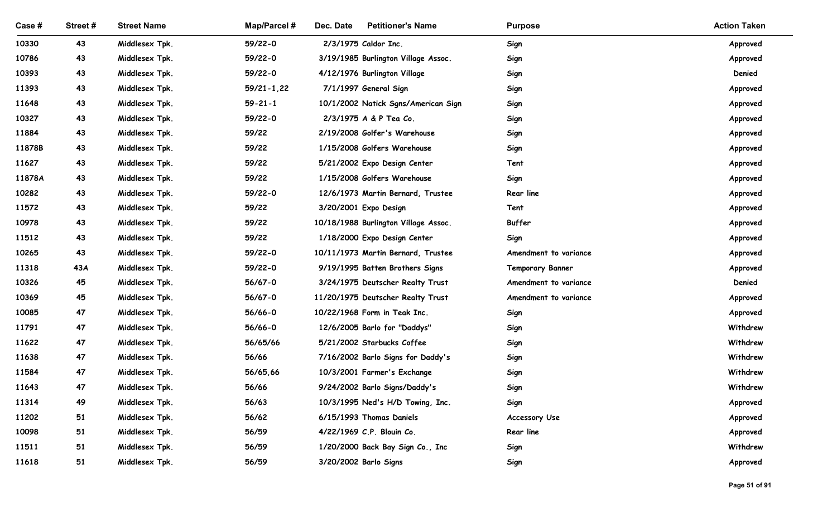| <b>Street Name</b><br>Street#<br><b>Map/Parcel#</b><br>Dec. Date<br><b>Petitioner's Name</b><br>Case #<br><b>Purpose</b><br>2/3/1975 Caldor Inc.<br>10330<br>43<br>Middlesex Tpk.<br>59/22-0<br>Sign<br>10786<br>43<br>Middlesex Tpk.<br>59/22-0<br>3/19/1985 Burlington Village Assoc.<br>Sign<br>43<br>Middlesex Tpk.<br>59/22-0<br>4/12/1976 Burlington Village<br>10393<br>Sign<br>11393<br>43<br>Middlesex Tpk.<br>$59/21 - 1,22$<br>7/1/1997 General Sign<br>Sign<br>43<br>Middlesex Tpk.<br>$59 - 21 - 1$<br>11648<br>10/1/2002 Natick Sgns/American Sign<br>Sign<br>2/3/1975 A & P Tea Co.<br>10327<br>43<br>Middlesex Tpk.<br>59/22-0<br>Sign<br>11884<br>43<br>Middlesex Tpk.<br>59/22<br>2/19/2008 Golfer's Warehouse<br>Sign<br>11878B<br>43<br>Middlesex Tpk.<br>59/22<br>1/15/2008 Golfers Warehouse<br>Sign<br>Approved<br>11627<br>43<br>Middlesex Tpk.<br>59/22<br>5/21/2002 Expo Design Center<br>Tent<br>Approved<br>11878A<br>43<br>Middlesex Tpk.<br>59/22<br>1/15/2008 Golfers Warehouse<br>Sign<br>Approved<br>59/22-0<br>10282<br>43<br>Middlesex Tpk.<br>12/6/1973 Martin Bernard, Trustee<br>Rear line<br>Approved<br>Middlesex Tpk.<br>3/20/2001 Expo Design<br>11572<br>43<br>59/22<br>Tent<br>Approved<br>59/22<br>Buffer<br>10978<br>43<br>Middlesex Tpk.<br>10/18/1988 Burlington Village Assoc.<br>Approved<br>59/22<br>Sign<br>11512<br>43<br>Middlesex Tpk.<br>1/18/2000 Expo Design Center<br>Approved<br>59/22-0<br>10265<br>43<br>Middlesex Tpk.<br>10/11/1973 Martin Bernard, Trustee<br>Amendment to variance<br>Approved<br>43A<br>11318<br>Middlesex Tpk.<br>59/22-0<br>9/19/1995 Batten Brothers Signs<br><b>Temporary Banner</b><br>Approved<br>56/67-0<br>3/24/1975 Deutscher Realty Trust<br>Denied<br>10326<br>45<br>Middlesex Tpk.<br>Amendment to variance<br>45<br>Middlesex Tpk.<br>10369<br>56/67-0<br>11/20/1975 Deutscher Realty Trust<br>Amendment to variance<br>Approved<br>47<br>Middlesex Tpk.<br>56/66-0<br>10085<br>10/22/1968 Form in Teak Inc.<br>Sign<br>Approved<br>47<br>Middlesex Tpk.<br>11791<br>56/66-0<br>12/6/2005 Barlo for "Daddys"<br>Sign<br>47<br>Middlesex Tpk.<br>11622<br>56/65/66<br>5/21/2002 Starbucks Coffee<br>Sign<br>47<br>56/66<br>11638<br>Middlesex Tpk.<br>7/16/2002 Barlo Signs for Daddy's<br>Sign<br>47<br>Middlesex Tpk.<br>56/65,66<br>10/3/2001 Farmer's Exchange<br>11584<br>Sign<br>47<br>11643<br>Middlesex Tpk.<br>56/66<br>9/24/2002 Barlo Signs/Daddy's<br>Sign<br>49<br>56/63<br>Sign<br>11314<br>Middlesex Tpk.<br>10/3/1995 Ned's H/D Towing, Inc.<br>51<br>56/62<br>11202<br>Middlesex Tpk.<br>6/15/1993 Thomas Daniels<br>Accessory Use<br>51<br>56/59<br>4/22/1969 C.P. Blouin Co.<br>10098<br>Middlesex Tpk.<br>Rear line<br>51<br>56/59<br>11511<br>Middlesex Tpk.<br>1/20/2000 Back Bay Sign Co., Inc<br>Sign |       |    |                |       |                       |      |                     |
|------------------------------------------------------------------------------------------------------------------------------------------------------------------------------------------------------------------------------------------------------------------------------------------------------------------------------------------------------------------------------------------------------------------------------------------------------------------------------------------------------------------------------------------------------------------------------------------------------------------------------------------------------------------------------------------------------------------------------------------------------------------------------------------------------------------------------------------------------------------------------------------------------------------------------------------------------------------------------------------------------------------------------------------------------------------------------------------------------------------------------------------------------------------------------------------------------------------------------------------------------------------------------------------------------------------------------------------------------------------------------------------------------------------------------------------------------------------------------------------------------------------------------------------------------------------------------------------------------------------------------------------------------------------------------------------------------------------------------------------------------------------------------------------------------------------------------------------------------------------------------------------------------------------------------------------------------------------------------------------------------------------------------------------------------------------------------------------------------------------------------------------------------------------------------------------------------------------------------------------------------------------------------------------------------------------------------------------------------------------------------------------------------------------------------------------------------------------------------------------------------------------------------------------------------------------------------------------------------------------------------------------------------------------------------------------------------------------------------------------------------------------------------------------------------------------------------|-------|----|----------------|-------|-----------------------|------|---------------------|
|                                                                                                                                                                                                                                                                                                                                                                                                                                                                                                                                                                                                                                                                                                                                                                                                                                                                                                                                                                                                                                                                                                                                                                                                                                                                                                                                                                                                                                                                                                                                                                                                                                                                                                                                                                                                                                                                                                                                                                                                                                                                                                                                                                                                                                                                                                                                                                                                                                                                                                                                                                                                                                                                                                                                                                                                                              |       |    |                |       |                       |      |                     |
|                                                                                                                                                                                                                                                                                                                                                                                                                                                                                                                                                                                                                                                                                                                                                                                                                                                                                                                                                                                                                                                                                                                                                                                                                                                                                                                                                                                                                                                                                                                                                                                                                                                                                                                                                                                                                                                                                                                                                                                                                                                                                                                                                                                                                                                                                                                                                                                                                                                                                                                                                                                                                                                                                                                                                                                                                              |       |    |                |       |                       |      | <b>Action Taken</b> |
|                                                                                                                                                                                                                                                                                                                                                                                                                                                                                                                                                                                                                                                                                                                                                                                                                                                                                                                                                                                                                                                                                                                                                                                                                                                                                                                                                                                                                                                                                                                                                                                                                                                                                                                                                                                                                                                                                                                                                                                                                                                                                                                                                                                                                                                                                                                                                                                                                                                                                                                                                                                                                                                                                                                                                                                                                              |       |    |                |       |                       |      | Approved            |
|                                                                                                                                                                                                                                                                                                                                                                                                                                                                                                                                                                                                                                                                                                                                                                                                                                                                                                                                                                                                                                                                                                                                                                                                                                                                                                                                                                                                                                                                                                                                                                                                                                                                                                                                                                                                                                                                                                                                                                                                                                                                                                                                                                                                                                                                                                                                                                                                                                                                                                                                                                                                                                                                                                                                                                                                                              |       |    |                |       |                       |      | Approved            |
|                                                                                                                                                                                                                                                                                                                                                                                                                                                                                                                                                                                                                                                                                                                                                                                                                                                                                                                                                                                                                                                                                                                                                                                                                                                                                                                                                                                                                                                                                                                                                                                                                                                                                                                                                                                                                                                                                                                                                                                                                                                                                                                                                                                                                                                                                                                                                                                                                                                                                                                                                                                                                                                                                                                                                                                                                              |       |    |                |       |                       |      | Denied              |
|                                                                                                                                                                                                                                                                                                                                                                                                                                                                                                                                                                                                                                                                                                                                                                                                                                                                                                                                                                                                                                                                                                                                                                                                                                                                                                                                                                                                                                                                                                                                                                                                                                                                                                                                                                                                                                                                                                                                                                                                                                                                                                                                                                                                                                                                                                                                                                                                                                                                                                                                                                                                                                                                                                                                                                                                                              |       |    |                |       |                       |      | Approved            |
|                                                                                                                                                                                                                                                                                                                                                                                                                                                                                                                                                                                                                                                                                                                                                                                                                                                                                                                                                                                                                                                                                                                                                                                                                                                                                                                                                                                                                                                                                                                                                                                                                                                                                                                                                                                                                                                                                                                                                                                                                                                                                                                                                                                                                                                                                                                                                                                                                                                                                                                                                                                                                                                                                                                                                                                                                              |       |    |                |       |                       |      | Approved            |
|                                                                                                                                                                                                                                                                                                                                                                                                                                                                                                                                                                                                                                                                                                                                                                                                                                                                                                                                                                                                                                                                                                                                                                                                                                                                                                                                                                                                                                                                                                                                                                                                                                                                                                                                                                                                                                                                                                                                                                                                                                                                                                                                                                                                                                                                                                                                                                                                                                                                                                                                                                                                                                                                                                                                                                                                                              |       |    |                |       |                       |      | Approved            |
|                                                                                                                                                                                                                                                                                                                                                                                                                                                                                                                                                                                                                                                                                                                                                                                                                                                                                                                                                                                                                                                                                                                                                                                                                                                                                                                                                                                                                                                                                                                                                                                                                                                                                                                                                                                                                                                                                                                                                                                                                                                                                                                                                                                                                                                                                                                                                                                                                                                                                                                                                                                                                                                                                                                                                                                                                              |       |    |                |       |                       |      | Approved            |
|                                                                                                                                                                                                                                                                                                                                                                                                                                                                                                                                                                                                                                                                                                                                                                                                                                                                                                                                                                                                                                                                                                                                                                                                                                                                                                                                                                                                                                                                                                                                                                                                                                                                                                                                                                                                                                                                                                                                                                                                                                                                                                                                                                                                                                                                                                                                                                                                                                                                                                                                                                                                                                                                                                                                                                                                                              |       |    |                |       |                       |      |                     |
|                                                                                                                                                                                                                                                                                                                                                                                                                                                                                                                                                                                                                                                                                                                                                                                                                                                                                                                                                                                                                                                                                                                                                                                                                                                                                                                                                                                                                                                                                                                                                                                                                                                                                                                                                                                                                                                                                                                                                                                                                                                                                                                                                                                                                                                                                                                                                                                                                                                                                                                                                                                                                                                                                                                                                                                                                              |       |    |                |       |                       |      |                     |
|                                                                                                                                                                                                                                                                                                                                                                                                                                                                                                                                                                                                                                                                                                                                                                                                                                                                                                                                                                                                                                                                                                                                                                                                                                                                                                                                                                                                                                                                                                                                                                                                                                                                                                                                                                                                                                                                                                                                                                                                                                                                                                                                                                                                                                                                                                                                                                                                                                                                                                                                                                                                                                                                                                                                                                                                                              |       |    |                |       |                       |      |                     |
|                                                                                                                                                                                                                                                                                                                                                                                                                                                                                                                                                                                                                                                                                                                                                                                                                                                                                                                                                                                                                                                                                                                                                                                                                                                                                                                                                                                                                                                                                                                                                                                                                                                                                                                                                                                                                                                                                                                                                                                                                                                                                                                                                                                                                                                                                                                                                                                                                                                                                                                                                                                                                                                                                                                                                                                                                              |       |    |                |       |                       |      |                     |
|                                                                                                                                                                                                                                                                                                                                                                                                                                                                                                                                                                                                                                                                                                                                                                                                                                                                                                                                                                                                                                                                                                                                                                                                                                                                                                                                                                                                                                                                                                                                                                                                                                                                                                                                                                                                                                                                                                                                                                                                                                                                                                                                                                                                                                                                                                                                                                                                                                                                                                                                                                                                                                                                                                                                                                                                                              |       |    |                |       |                       |      |                     |
|                                                                                                                                                                                                                                                                                                                                                                                                                                                                                                                                                                                                                                                                                                                                                                                                                                                                                                                                                                                                                                                                                                                                                                                                                                                                                                                                                                                                                                                                                                                                                                                                                                                                                                                                                                                                                                                                                                                                                                                                                                                                                                                                                                                                                                                                                                                                                                                                                                                                                                                                                                                                                                                                                                                                                                                                                              |       |    |                |       |                       |      |                     |
|                                                                                                                                                                                                                                                                                                                                                                                                                                                                                                                                                                                                                                                                                                                                                                                                                                                                                                                                                                                                                                                                                                                                                                                                                                                                                                                                                                                                                                                                                                                                                                                                                                                                                                                                                                                                                                                                                                                                                                                                                                                                                                                                                                                                                                                                                                                                                                                                                                                                                                                                                                                                                                                                                                                                                                                                                              |       |    |                |       |                       |      |                     |
|                                                                                                                                                                                                                                                                                                                                                                                                                                                                                                                                                                                                                                                                                                                                                                                                                                                                                                                                                                                                                                                                                                                                                                                                                                                                                                                                                                                                                                                                                                                                                                                                                                                                                                                                                                                                                                                                                                                                                                                                                                                                                                                                                                                                                                                                                                                                                                                                                                                                                                                                                                                                                                                                                                                                                                                                                              |       |    |                |       |                       |      |                     |
|                                                                                                                                                                                                                                                                                                                                                                                                                                                                                                                                                                                                                                                                                                                                                                                                                                                                                                                                                                                                                                                                                                                                                                                                                                                                                                                                                                                                                                                                                                                                                                                                                                                                                                                                                                                                                                                                                                                                                                                                                                                                                                                                                                                                                                                                                                                                                                                                                                                                                                                                                                                                                                                                                                                                                                                                                              |       |    |                |       |                       |      |                     |
|                                                                                                                                                                                                                                                                                                                                                                                                                                                                                                                                                                                                                                                                                                                                                                                                                                                                                                                                                                                                                                                                                                                                                                                                                                                                                                                                                                                                                                                                                                                                                                                                                                                                                                                                                                                                                                                                                                                                                                                                                                                                                                                                                                                                                                                                                                                                                                                                                                                                                                                                                                                                                                                                                                                                                                                                                              |       |    |                |       |                       |      |                     |
|                                                                                                                                                                                                                                                                                                                                                                                                                                                                                                                                                                                                                                                                                                                                                                                                                                                                                                                                                                                                                                                                                                                                                                                                                                                                                                                                                                                                                                                                                                                                                                                                                                                                                                                                                                                                                                                                                                                                                                                                                                                                                                                                                                                                                                                                                                                                                                                                                                                                                                                                                                                                                                                                                                                                                                                                                              |       |    |                |       |                       |      |                     |
|                                                                                                                                                                                                                                                                                                                                                                                                                                                                                                                                                                                                                                                                                                                                                                                                                                                                                                                                                                                                                                                                                                                                                                                                                                                                                                                                                                                                                                                                                                                                                                                                                                                                                                                                                                                                                                                                                                                                                                                                                                                                                                                                                                                                                                                                                                                                                                                                                                                                                                                                                                                                                                                                                                                                                                                                                              |       |    |                |       |                       |      | Withdrew            |
|                                                                                                                                                                                                                                                                                                                                                                                                                                                                                                                                                                                                                                                                                                                                                                                                                                                                                                                                                                                                                                                                                                                                                                                                                                                                                                                                                                                                                                                                                                                                                                                                                                                                                                                                                                                                                                                                                                                                                                                                                                                                                                                                                                                                                                                                                                                                                                                                                                                                                                                                                                                                                                                                                                                                                                                                                              |       |    |                |       |                       |      | Withdrew            |
|                                                                                                                                                                                                                                                                                                                                                                                                                                                                                                                                                                                                                                                                                                                                                                                                                                                                                                                                                                                                                                                                                                                                                                                                                                                                                                                                                                                                                                                                                                                                                                                                                                                                                                                                                                                                                                                                                                                                                                                                                                                                                                                                                                                                                                                                                                                                                                                                                                                                                                                                                                                                                                                                                                                                                                                                                              |       |    |                |       |                       |      | Withdrew            |
|                                                                                                                                                                                                                                                                                                                                                                                                                                                                                                                                                                                                                                                                                                                                                                                                                                                                                                                                                                                                                                                                                                                                                                                                                                                                                                                                                                                                                                                                                                                                                                                                                                                                                                                                                                                                                                                                                                                                                                                                                                                                                                                                                                                                                                                                                                                                                                                                                                                                                                                                                                                                                                                                                                                                                                                                                              |       |    |                |       |                       |      | Withdrew            |
|                                                                                                                                                                                                                                                                                                                                                                                                                                                                                                                                                                                                                                                                                                                                                                                                                                                                                                                                                                                                                                                                                                                                                                                                                                                                                                                                                                                                                                                                                                                                                                                                                                                                                                                                                                                                                                                                                                                                                                                                                                                                                                                                                                                                                                                                                                                                                                                                                                                                                                                                                                                                                                                                                                                                                                                                                              |       |    |                |       |                       |      | Withdrew            |
|                                                                                                                                                                                                                                                                                                                                                                                                                                                                                                                                                                                                                                                                                                                                                                                                                                                                                                                                                                                                                                                                                                                                                                                                                                                                                                                                                                                                                                                                                                                                                                                                                                                                                                                                                                                                                                                                                                                                                                                                                                                                                                                                                                                                                                                                                                                                                                                                                                                                                                                                                                                                                                                                                                                                                                                                                              |       |    |                |       |                       |      | Approved            |
|                                                                                                                                                                                                                                                                                                                                                                                                                                                                                                                                                                                                                                                                                                                                                                                                                                                                                                                                                                                                                                                                                                                                                                                                                                                                                                                                                                                                                                                                                                                                                                                                                                                                                                                                                                                                                                                                                                                                                                                                                                                                                                                                                                                                                                                                                                                                                                                                                                                                                                                                                                                                                                                                                                                                                                                                                              |       |    |                |       |                       |      | Approved            |
|                                                                                                                                                                                                                                                                                                                                                                                                                                                                                                                                                                                                                                                                                                                                                                                                                                                                                                                                                                                                                                                                                                                                                                                                                                                                                                                                                                                                                                                                                                                                                                                                                                                                                                                                                                                                                                                                                                                                                                                                                                                                                                                                                                                                                                                                                                                                                                                                                                                                                                                                                                                                                                                                                                                                                                                                                              |       |    |                |       |                       |      | Approved            |
|                                                                                                                                                                                                                                                                                                                                                                                                                                                                                                                                                                                                                                                                                                                                                                                                                                                                                                                                                                                                                                                                                                                                                                                                                                                                                                                                                                                                                                                                                                                                                                                                                                                                                                                                                                                                                                                                                                                                                                                                                                                                                                                                                                                                                                                                                                                                                                                                                                                                                                                                                                                                                                                                                                                                                                                                                              |       |    |                |       |                       |      | Withdrew            |
|                                                                                                                                                                                                                                                                                                                                                                                                                                                                                                                                                                                                                                                                                                                                                                                                                                                                                                                                                                                                                                                                                                                                                                                                                                                                                                                                                                                                                                                                                                                                                                                                                                                                                                                                                                                                                                                                                                                                                                                                                                                                                                                                                                                                                                                                                                                                                                                                                                                                                                                                                                                                                                                                                                                                                                                                                              | 11618 | 51 | Middlesex Tpk. | 56/59 | 3/20/2002 Barlo Signs | Sign | Approved            |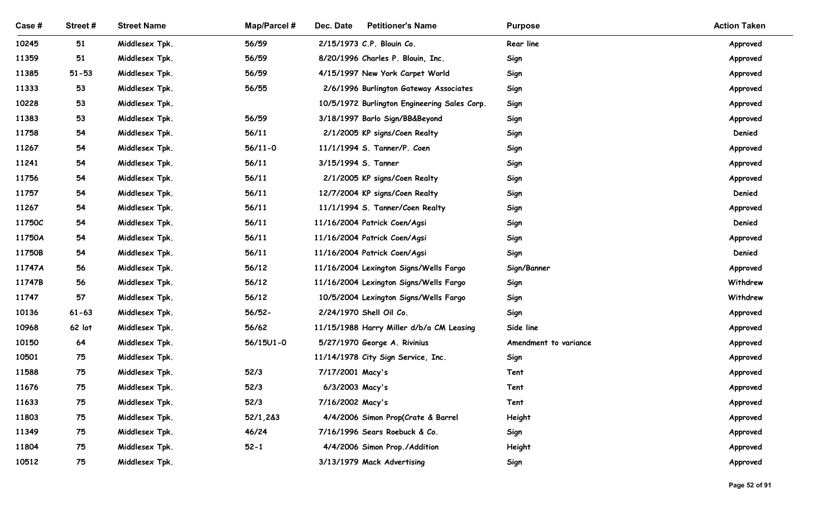| Case #         | Street#   | <b>Street Name</b>               | Map/Parcel #  | Dec. Date<br><b>Petitioner's Name</b>        | <b>Purpose</b>        | <b>Action Taken</b>  |
|----------------|-----------|----------------------------------|---------------|----------------------------------------------|-----------------------|----------------------|
| 10245          | 51        | Middlesex Tpk.                   | 56/59         | 2/15/1973 C.P. Blouin Co.                    | Rear line             | Approved             |
| 11359          | 51        | Middlesex Tpk.                   | 56/59         | 8/20/1996 Charles P. Blouin, Inc.            | Sign                  | Approved             |
| 11385          | $51 - 53$ | Middlesex Tpk.                   | 56/59         | 4/15/1997 New York Carpet World              | Sign                  | Approved             |
| 11333          | 53        | Middlesex Tpk.                   | 56/55         | 2/6/1996 Burlington Gateway Associates       | Sign                  | Approved             |
| 10228          | 53        | Middlesex Tpk.                   |               | 10/5/1972 Burlington Engineering Sales Corp. | Sign                  | Approved             |
| 11383          | 53        | Middlesex Tpk.                   | 56/59         | 3/18/1997 Barlo Sign/BB&Beyond               | Sign                  | Approved             |
| 11758          | 54        | Middlesex Tpk.                   | 56/11         | 2/1/2005 KP signs/Coen Realty                | Sign                  | Denied               |
| 11267          | 54        | Middlesex Tpk.                   | $56/11 - 0$   | 11/1/1994 S. Tanner/P. Coen                  | Sign                  | Approved             |
| 11241          | 54        | Middlesex Tpk.                   | 56/11         | 3/15/1994 S. Tanner                          | Sign                  | Approved             |
| 11756          | 54        | Middlesex Tpk.                   | 56/11         | 2/1/2005 KP signs/Coen Realty                | Sign                  | Approved             |
| 11757          | 54        | Middlesex Tpk.                   | 56/11         | 12/7/2004 KP signs/Coen Realty               | Sign                  | Denied               |
| 11267          | 54        | Middlesex Tpk.                   | 56/11         | 11/1/1994 S. Tanner/Coen Realty              | Sign                  | Approved             |
| 11750C         | 54        | Middlesex Tpk.                   | 56/11         | 11/16/2004 Patrick Coen/Agsi                 | Sign                  | Denied               |
| 11750A         | 54        | Middlesex Tpk.                   | 56/11         | 11/16/2004 Patrick Coen/Agsi                 | Sign                  | Approved             |
| 11750B         | 54        | Middlesex Tpk.                   | 56/11         | 11/16/2004 Patrick Coen/Agsi                 | Sign                  | Denied               |
| 11747A         | 56        | Middlesex Tpk.                   | 56/12         | 11/16/2004 Lexington Signs/Wells Fargo       | Sign/Banner           | Approved             |
| 11747B         | 56        | Middlesex Tpk.                   | 56/12         | 11/16/2004 Lexington Signs/Wells Fargo       | Sign                  | Withdrew             |
| 11747          | 57        | Middlesex Tpk.                   | 56/12         | 10/5/2004 Lexington Signs/Wells Fargo        | Sign                  | Withdrew             |
| 10136          | $61 - 63$ | Middlesex Tpk.                   | $56/52 -$     | 2/24/1970 Shell Oil Co.                      | Sign                  | Approved             |
| 10968          | 62 lot    | Middlesex Tpk.                   | 56/62         | 11/15/1988 Harry Miller d/b/a CM Leasing     | Side line             | Approved             |
| 10150          | 64        | Middlesex Tpk.                   | $56/15U1 - 0$ | 5/27/1970 George A. Rivinius                 | Amendment to variance | Approved             |
| 10501<br>11588 | 75<br>75  | Middlesex Tpk.<br>Middlesex Tpk. | 52/3          | 11/14/1978 City Sign Service, Inc.           | Sign<br>Tent          | Approved             |
| 11676          | 75        | Middlesex Tpk.                   | 52/3          | 7/17/2001 Macy's<br>6/3/2003 Macy's          | Tent                  | Approved<br>Approved |
| 11633          | 75        | Middlesex Tpk.                   | 52/3          | 7/16/2002 Macy's                             | Tent                  | Approved             |
| 11803          | 75        | Middlesex Tpk.                   | 52/1,2&3      | 4/4/2006 Simon Prop(Crate & Barrel           | Height                | Approved             |
| 11349          | 75        | Middlesex Tpk.                   | 46/24         | 7/16/1996 Sears Roebuck & Co.                | Sign                  | Approved             |
| 11804          | 75        | Middlesex Tpk.                   | $52 - 1$      | 4/4/2006 Simon Prop./Addition                | Height                | Approved             |
| 10512          | 75        | Middlesex Tpk.                   |               | 3/13/1979 Mack Advertising                   | Sign                  | Approved             |
|                |           |                                  |               |                                              |                       |                      |
|                |           |                                  |               |                                              |                       | Page 52 of 91        |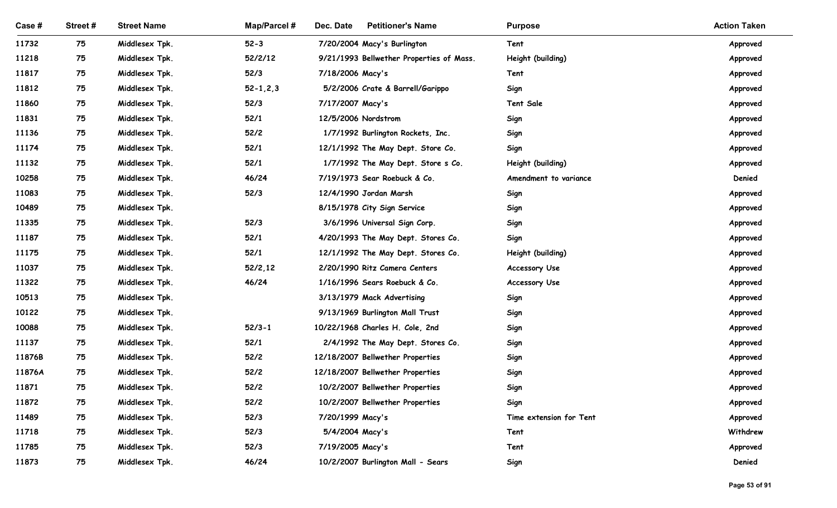| Case #         | Street#  | <b>Street Name</b>               | Map/Parcel #   | Dec. Date<br><b>Petitioner's Name</b>                 | <b>Purpose</b>          | <b>Action Taken</b>  |
|----------------|----------|----------------------------------|----------------|-------------------------------------------------------|-------------------------|----------------------|
| 11732          | 75       | Middlesex Tpk.                   | $52 - 3$       | 7/20/2004 Macy's Burlington                           | Tent                    | Approved             |
| 11218          | 75       | Middlesex Tpk.                   | 52/2/12        | 9/21/1993 Bellwether Properties of Mass.              | Height (building)       | Approved             |
| 11817          | 75       | Middlesex Tpk.                   | 52/3           | 7/18/2006 Macy's                                      | Tent                    | Approved             |
| 11812          | 75       | Middlesex Tpk.                   | $52 - 1, 2, 3$ | 5/2/2006 Crate & Barrell/Garippo                      | Sign                    | Approved             |
| 11860          | 75       | Middlesex Tpk.                   | 52/3           | 7/17/2007 Macy's                                      | <b>Tent Sale</b>        | Approved             |
| 11831          | 75       | Middlesex Tpk.                   | $52/1$         | 12/5/2006 Nordstrom                                   | Sign                    | Approved             |
| 11136          | 75       | Middlesex Tpk.                   | 52/2           | 1/7/1992 Burlington Rockets, Inc.                     | Sign                    | Approved             |
| 11174          | 75       | Middlesex Tpk.                   | 52/1           | 12/1/1992 The May Dept. Store Co.                     | Sign                    | Approved             |
| 11132          | 75       | Middlesex Tpk.                   | $52/1$         | 1/7/1992 The May Dept. Store s Co.                    | Height (building)       | Approved             |
| 10258          | 75       | Middlesex Tpk.                   | 46/24          | 7/19/1973 Sear Roebuck & Co.                          | Amendment to variance   | Denied               |
| 11083<br>10489 | 75<br>75 | Middlesex Tpk.<br>Middlesex Tpk. | 52/3           | 12/4/1990 Jordan Marsh<br>8/15/1978 City Sign Service | Sign<br>Sign            | Approved<br>Approved |
| 11335          | 75       | Middlesex Tpk.                   | 52/3           | 3/6/1996 Universal Sign Corp.                         | Sign                    | Approved             |
| 11187          | 75       | Middlesex Tpk.                   | $52/1$         | 4/20/1993 The May Dept. Stores Co.                    | Sign                    | Approved             |
| 11175          | 75       | Middlesex Tpk.                   | $52/1$         | 12/1/1992 The May Dept. Stores Co.                    | Height (building)       | Approved             |
| 11037          | 75       | Middlesex Tpk.                   | 52/2, 12       | 2/20/1990 Ritz Camera Centers                         | <b>Accessory Use</b>    | Approved             |
| 11322          | 75       | Middlesex Tpk.                   | 46/24          | 1/16/1996 Sears Roebuck & Co.                         | Accessory Use           | Approved             |
| 10513          | 75       | Middlesex Tpk.                   |                | 3/13/1979 Mack Advertising                            | Sign                    | Approved             |
| 10122          | 75       | Middlesex Tpk.                   |                | 9/13/1969 Burlington Mall Trust                       | Sign                    | Approved             |
| 10088          | 75       | Middlesex Tpk.                   | $52/3 - 1$     | 10/22/1968 Charles H. Cole, 2nd                       | Sign                    | Approved             |
| 11137          | 75       | Middlesex Tpk.                   | $52/1$         | 2/4/1992 The May Dept. Stores Co.                     | Sign                    | Approved             |
| 11876B         | 75       | Middlesex Tpk.                   | $52/2$         | 12/18/2007 Bellwether Properties                      | Sign                    | Approved             |
| 11876A         | 75       | Middlesex Tpk.                   | $52/2$         | 12/18/2007 Bellwether Properties                      | Sign                    | Approved             |
| 11871          | 75       | Middlesex Tpk.                   | $52/2$         | 10/2/2007 Bellwether Properties                       | Sign                    | Approved             |
| 11872          | 75       | Middlesex Tpk.                   | $52/2$         | 10/2/2007 Bellwether Properties                       | Sign                    | Approved             |
| 11489          | 75       | Middlesex Tpk.                   | 52/3           | 7/20/1999 Macy's                                      | Time extension for Tent | Approved             |
| 11718<br>11785 | 75<br>75 | Middlesex Tpk.<br>Middlesex Tpk. | 52/3<br>52/3   | 5/4/2004 Macy's<br>7/19/2005 Macy's                   | Tent<br>Tent            | Withdrew<br>Approved |
|                | 75       | Middlesex Tpk.                   | 46/24          | 10/2/2007 Burlington Mall - Sears                     | Sign                    | Denied               |
| 11873          |          |                                  |                |                                                       |                         |                      |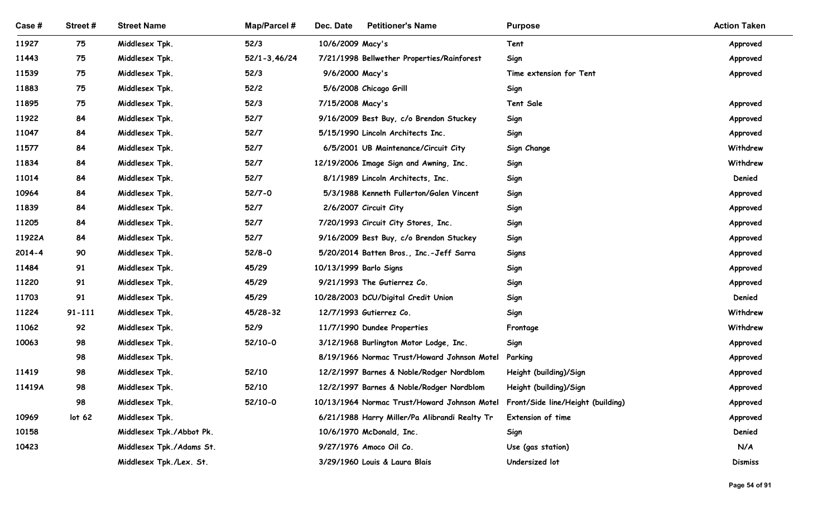| Case#<br>11927<br>11443 | Street#           |                                  |                  |                                                                       |                                   |                      |
|-------------------------|-------------------|----------------------------------|------------------|-----------------------------------------------------------------------|-----------------------------------|----------------------|
|                         |                   |                                  |                  |                                                                       |                                   |                      |
|                         |                   |                                  |                  |                                                                       |                                   |                      |
|                         |                   |                                  |                  |                                                                       |                                   |                      |
|                         |                   |                                  |                  |                                                                       |                                   |                      |
|                         |                   |                                  |                  |                                                                       |                                   |                      |
|                         |                   |                                  |                  |                                                                       |                                   |                      |
|                         |                   |                                  |                  |                                                                       |                                   |                      |
|                         |                   |                                  |                  |                                                                       |                                   |                      |
|                         |                   | <b>Street Name</b>               | Map/Parcel #     | <b>Petitioner's Name</b><br>Dec. Date                                 | <b>Purpose</b>                    | <b>Action Taken</b>  |
|                         | 75                | Middlesex Tpk.                   | 52/3             | 10/6/2009 Macy's                                                      | Tent                              | Approved             |
|                         | 75                | Middlesex Tpk.                   | $52/1 - 3,46/24$ | 7/21/1998 Bellwether Properties/Rainforest                            | Sign                              | Approved             |
| 11539                   | 75                | Middlesex Tpk.                   | 52/3             | 9/6/2000 Macy's                                                       | Time extension for Tent           | Approved             |
| 11883                   | 75                | Middlesex Tpk.                   | 52/2             | 5/6/2008 Chicago Grill                                                | Sign                              |                      |
| 11895                   | 75                | Middlesex Tpk.                   | 52/3             | 7/15/2008 Macy's                                                      | <b>Tent Sale</b>                  | Approved             |
| 11922                   | 84                | Middlesex Tpk.                   | 52/7             | 9/16/2009 Best Buy, c/o Brendon Stuckey                               | Sign                              | Approved             |
| 11047                   | 84                | Middlesex Tpk.                   | 52/7             | 5/15/1990 Lincoln Architects Inc.                                     | Sign                              | Approved             |
| 11577                   | 84                | Middlesex Tpk.                   | 52/7             | 6/5/2001 UB Maintenance/Circuit City                                  | Sign Change                       | Withdrew             |
| 11834                   | 84                | Middlesex Tpk.                   | 52/7             | 12/19/2006 Image Sign and Awning, Inc.                                | Sign                              | Withdrew             |
| 11014                   | 84                | Middlesex Tpk.                   | 52/7             | 8/1/1989 Lincoln Architects, Inc.                                     | Sign                              | Denied               |
| 10964                   | 84                | Middlesex Tpk.                   | $52/7 - 0$       | 5/3/1988 Kenneth Fullerton/Galen Vincent                              | Sign                              | Approved             |
| 11839                   | 84                | Middlesex Tpk.                   | 52/7             | 2/6/2007 Circuit City                                                 | Sign                              | Approved             |
| 11205                   | 84                | Middlesex Tpk.                   | 52/7             | 7/20/1993 Circuit City Stores, Inc.                                   | Sign                              | Approved             |
| 11922A                  | 84                | Middlesex Tpk.                   | 52/7             | 9/16/2009 Best Buy, c/o Brendon Stuckey                               | Sign                              | Approved             |
| $2014 - 4$              | 90                | Middlesex Tpk.                   | $52/8 - 0$       | 5/20/2014 Batten Bros., Inc.-Jeff Sarra                               | Signs                             | Approved             |
| 11484                   | 91                | Middlesex Tpk.                   | 45/29            | 10/13/1999 Barlo Signs                                                | Sign                              | Approved             |
| 11220                   | 91                | Middlesex Tpk.                   | 45/29            | 9/21/1993 The Gutierrez Co.                                           | Sign                              | Approved             |
| 11703                   | 91                | Middlesex Tpk.                   | 45/29            | 10/28/2003 DCU/Digital Credit Union                                   | Sign                              | Denied               |
| 11224                   | $91 - 111$        | Middlesex Tpk.                   | 45/28-32         | 12/7/1993 Gutierrez Co.                                               | Sign                              | Withdrew             |
| 11062<br>10063          | 92<br>98          | Middlesex Tpk.<br>Middlesex Tpk. | 52/9<br>52/10-0  | 11/7/1990 Dundee Properties<br>3/12/1968 Burlington Motor Lodge, Inc. | Frontage                          | Withdrew             |
|                         | 98                | Middlesex Tpk.                   |                  | 8/19/1966 Normac Trust/Howard Johnson Motel                           | Sign<br>Parking                   | Approved<br>Approved |
| 11419                   | 98                | Middlesex Tpk.                   | 52/10            | 12/2/1997 Barnes & Noble/Rodger Nordblom                              | Height (building)/Sign            | Approved             |
| 11419A                  | 98                | Middlesex Tpk.                   | 52/10            | 12/2/1997 Barnes & Noble/Rodger Nordblom                              | Height (building)/Sign            | Approved             |
|                         | 98                | Middlesex Tpk.                   | 52/10-0          | 10/13/1964 Normac Trust/Howard Johnson Motel                          | Front/Side line/Height (building) | Approved             |
| 10969                   | lot <sub>62</sub> | Middlesex Tpk.                   |                  | 6/21/1988 Harry Miller/Pa Alibrandi Realty Tr                         | Extension of time                 | Approved             |
| 10158                   |                   | Middlesex Tpk./Abbot Pk.         |                  | 10/6/1970 McDonald, Inc.                                              | Sign                              | Denied               |
| 10423                   |                   | Middlesex Tpk./Adams St.         |                  | 9/27/1976 Amoco Oil Co.                                               | Use (gas station)                 | N/A                  |
|                         |                   | Middlesex Tpk./Lex. St.          |                  | 3/29/1960 Louis & Laura Blais                                         | Undersized lot                    | <b>Dismiss</b>       |
|                         |                   |                                  |                  |                                                                       |                                   |                      |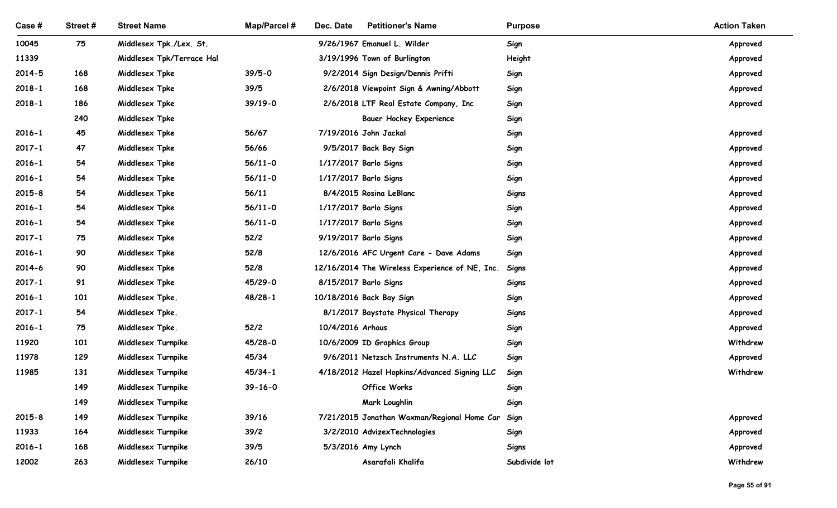| <b>Map/Parcel#</b><br><b>Petitioner's Name</b><br>Case #<br>Street#<br><b>Street Name</b><br>Dec. Date<br><b>Purpose</b><br>75<br>Middlesex Tpk./Lex. St.<br>9/26/1967 Emanuel L. Wilder<br>10045<br>Sign<br>11339<br>Middlesex Tpk/Terrace Hal<br>3/19/1996 Town of Burlington<br>Height<br>$39/5 - 0$<br>$2014 - 5$<br>168<br>Middlesex Tpke<br>9/2/2014 Sign Design/Dennis Prifti<br>Sign<br>39/5<br>$2018 - 1$<br>168<br>Middlesex Tpke<br>2/6/2018 Viewpoint Sign & Awning/Abbott<br>Sign<br>$39/19-0$<br>$2018 - 1$<br>186<br>Middlesex Tpke<br>2/6/2018 LTF Real Estate Company, Inc<br>Sign<br>240<br>Middlesex Tpke<br><b>Bauer Hockey Experience</b><br>Sign<br>45<br>56/67<br>7/19/2016 John Jackal<br>$2016 - 1$<br>Middlesex Tpke<br>Sign<br>$2017 - 1$<br>47<br>Middlesex Tpke<br>56/66<br>9/5/2017 Back Bay Sign<br>Sign<br>54<br>Middlesex Tpke<br>$56/11-0$<br>1/17/2017 Barlo Signs<br>Sign<br>2016-1<br>54<br>Middlesex Tpke<br>$56/11 - 0$<br>1/17/2017 Barlo Signs<br>Sign<br>$2016 - 1$<br>54<br>56/11<br>8/4/2015 Rosina LeBlanc<br>$2015 - 8$<br>Middlesex Tpke<br><b>Signs</b><br>54<br>Middlesex Tpke<br>$56/11 - 0$<br>$2016 - 1$<br>1/17/2017 Barlo Signs<br>Sign<br>54<br>$2016 - 1$<br>Middlesex Tpke<br>$56/11 - 0$<br>1/17/2017 Barlo Signs<br>Sign<br>75<br>52/2<br>9/19/2017 Barlo Signs<br>$2017 - 1$<br>Middlesex Tpke<br>Sign<br>90<br>$2016 - 1$<br>Middlesex Tpke<br>52/8<br>12/6/2016 AFC Urgent Care - Dave Adams<br>Sign<br>90<br>52/8<br>2014-6<br>Middlesex Tpke<br>12/16/2014 The Wireless Experience of NE, Inc.<br>Signs<br>45/29-0<br>$2017 - 1$<br>91<br>Middlesex Tpke<br>8/15/2017 Barlo Signs<br>Signs<br>101<br>$48/28-1$<br>10/18/2016 Back Bay Sign<br>$2016 - 1$<br>Middlesex Tpke.<br>Sign<br>54<br>$2017 - 1$<br>Middlesex Tpke.<br>8/1/2017 Baystate Physical Therapy<br><b>Signs</b><br>75<br>$52/2$<br>10/4/2016 Arhaus<br>$2016 - 1$<br>Middlesex Tpke.<br>Sign<br>Approved<br>101<br>45/28-0<br>10/6/2009 ID Graphics Group<br>Withdrew<br>11920<br>Middlesex Turnpike<br>Sign<br>129<br>45/34<br>11978<br>Middlesex Turnpike<br>9/6/2011 Netzsch Instruments N.A. LLC<br>Sign<br>Approved<br>131<br>$45/34-1$<br>11985<br>Middlesex Turnpike<br>4/18/2012 Hazel Hopkins/Advanced Signing LLC<br>Sign<br>149<br>Middlesex Turnpike<br>$39 - 16 - 0$<br>Office Works<br>Sign<br>149<br>Mark Loughlin<br>Middlesex Turnpike<br>Sign<br>149<br>$2015 - 8$<br>Middlesex Turnpike<br>39/16<br>7/21/2015 Jonathan Waxman/Regional Home Car<br>Sign<br>11933<br>164<br>Middlesex Turnpike<br>39/2<br>3/2/2010 AdvizexTechnologies<br>Sign |            |     |                    |      |  |              |                     |
|---------------------------------------------------------------------------------------------------------------------------------------------------------------------------------------------------------------------------------------------------------------------------------------------------------------------------------------------------------------------------------------------------------------------------------------------------------------------------------------------------------------------------------------------------------------------------------------------------------------------------------------------------------------------------------------------------------------------------------------------------------------------------------------------------------------------------------------------------------------------------------------------------------------------------------------------------------------------------------------------------------------------------------------------------------------------------------------------------------------------------------------------------------------------------------------------------------------------------------------------------------------------------------------------------------------------------------------------------------------------------------------------------------------------------------------------------------------------------------------------------------------------------------------------------------------------------------------------------------------------------------------------------------------------------------------------------------------------------------------------------------------------------------------------------------------------------------------------------------------------------------------------------------------------------------------------------------------------------------------------------------------------------------------------------------------------------------------------------------------------------------------------------------------------------------------------------------------------------------------------------------------------------------------------------------------------------------------------------------------------------------------------------------------------------------------------------------------------------------------------------------------------------------------------------------------------------------------------------|------------|-----|--------------------|------|--|--------------|---------------------|
|                                                                                                                                                                                                                                                                                                                                                                                                                                                                                                                                                                                                                                                                                                                                                                                                                                                                                                                                                                                                                                                                                                                                                                                                                                                                                                                                                                                                                                                                                                                                                                                                                                                                                                                                                                                                                                                                                                                                                                                                                                                                                                                                                                                                                                                                                                                                                                                                                                                                                                                                                                                                   |            |     |                    |      |  |              | <b>Action Taken</b> |
|                                                                                                                                                                                                                                                                                                                                                                                                                                                                                                                                                                                                                                                                                                                                                                                                                                                                                                                                                                                                                                                                                                                                                                                                                                                                                                                                                                                                                                                                                                                                                                                                                                                                                                                                                                                                                                                                                                                                                                                                                                                                                                                                                                                                                                                                                                                                                                                                                                                                                                                                                                                                   |            |     |                    |      |  |              | Approved            |
|                                                                                                                                                                                                                                                                                                                                                                                                                                                                                                                                                                                                                                                                                                                                                                                                                                                                                                                                                                                                                                                                                                                                                                                                                                                                                                                                                                                                                                                                                                                                                                                                                                                                                                                                                                                                                                                                                                                                                                                                                                                                                                                                                                                                                                                                                                                                                                                                                                                                                                                                                                                                   |            |     |                    |      |  |              | Approved            |
|                                                                                                                                                                                                                                                                                                                                                                                                                                                                                                                                                                                                                                                                                                                                                                                                                                                                                                                                                                                                                                                                                                                                                                                                                                                                                                                                                                                                                                                                                                                                                                                                                                                                                                                                                                                                                                                                                                                                                                                                                                                                                                                                                                                                                                                                                                                                                                                                                                                                                                                                                                                                   |            |     |                    |      |  |              | Approved            |
|                                                                                                                                                                                                                                                                                                                                                                                                                                                                                                                                                                                                                                                                                                                                                                                                                                                                                                                                                                                                                                                                                                                                                                                                                                                                                                                                                                                                                                                                                                                                                                                                                                                                                                                                                                                                                                                                                                                                                                                                                                                                                                                                                                                                                                                                                                                                                                                                                                                                                                                                                                                                   |            |     |                    |      |  |              | Approved            |
|                                                                                                                                                                                                                                                                                                                                                                                                                                                                                                                                                                                                                                                                                                                                                                                                                                                                                                                                                                                                                                                                                                                                                                                                                                                                                                                                                                                                                                                                                                                                                                                                                                                                                                                                                                                                                                                                                                                                                                                                                                                                                                                                                                                                                                                                                                                                                                                                                                                                                                                                                                                                   |            |     |                    |      |  |              | Approved            |
|                                                                                                                                                                                                                                                                                                                                                                                                                                                                                                                                                                                                                                                                                                                                                                                                                                                                                                                                                                                                                                                                                                                                                                                                                                                                                                                                                                                                                                                                                                                                                                                                                                                                                                                                                                                                                                                                                                                                                                                                                                                                                                                                                                                                                                                                                                                                                                                                                                                                                                                                                                                                   |            |     |                    |      |  |              |                     |
|                                                                                                                                                                                                                                                                                                                                                                                                                                                                                                                                                                                                                                                                                                                                                                                                                                                                                                                                                                                                                                                                                                                                                                                                                                                                                                                                                                                                                                                                                                                                                                                                                                                                                                                                                                                                                                                                                                                                                                                                                                                                                                                                                                                                                                                                                                                                                                                                                                                                                                                                                                                                   |            |     |                    |      |  |              | Approved            |
|                                                                                                                                                                                                                                                                                                                                                                                                                                                                                                                                                                                                                                                                                                                                                                                                                                                                                                                                                                                                                                                                                                                                                                                                                                                                                                                                                                                                                                                                                                                                                                                                                                                                                                                                                                                                                                                                                                                                                                                                                                                                                                                                                                                                                                                                                                                                                                                                                                                                                                                                                                                                   |            |     |                    |      |  |              | Approved            |
|                                                                                                                                                                                                                                                                                                                                                                                                                                                                                                                                                                                                                                                                                                                                                                                                                                                                                                                                                                                                                                                                                                                                                                                                                                                                                                                                                                                                                                                                                                                                                                                                                                                                                                                                                                                                                                                                                                                                                                                                                                                                                                                                                                                                                                                                                                                                                                                                                                                                                                                                                                                                   |            |     |                    |      |  |              | Approved            |
|                                                                                                                                                                                                                                                                                                                                                                                                                                                                                                                                                                                                                                                                                                                                                                                                                                                                                                                                                                                                                                                                                                                                                                                                                                                                                                                                                                                                                                                                                                                                                                                                                                                                                                                                                                                                                                                                                                                                                                                                                                                                                                                                                                                                                                                                                                                                                                                                                                                                                                                                                                                                   |            |     |                    |      |  |              | Approved            |
|                                                                                                                                                                                                                                                                                                                                                                                                                                                                                                                                                                                                                                                                                                                                                                                                                                                                                                                                                                                                                                                                                                                                                                                                                                                                                                                                                                                                                                                                                                                                                                                                                                                                                                                                                                                                                                                                                                                                                                                                                                                                                                                                                                                                                                                                                                                                                                                                                                                                                                                                                                                                   |            |     |                    |      |  |              | Approved            |
|                                                                                                                                                                                                                                                                                                                                                                                                                                                                                                                                                                                                                                                                                                                                                                                                                                                                                                                                                                                                                                                                                                                                                                                                                                                                                                                                                                                                                                                                                                                                                                                                                                                                                                                                                                                                                                                                                                                                                                                                                                                                                                                                                                                                                                                                                                                                                                                                                                                                                                                                                                                                   |            |     |                    |      |  |              | Approved            |
|                                                                                                                                                                                                                                                                                                                                                                                                                                                                                                                                                                                                                                                                                                                                                                                                                                                                                                                                                                                                                                                                                                                                                                                                                                                                                                                                                                                                                                                                                                                                                                                                                                                                                                                                                                                                                                                                                                                                                                                                                                                                                                                                                                                                                                                                                                                                                                                                                                                                                                                                                                                                   |            |     |                    |      |  |              | Approved            |
|                                                                                                                                                                                                                                                                                                                                                                                                                                                                                                                                                                                                                                                                                                                                                                                                                                                                                                                                                                                                                                                                                                                                                                                                                                                                                                                                                                                                                                                                                                                                                                                                                                                                                                                                                                                                                                                                                                                                                                                                                                                                                                                                                                                                                                                                                                                                                                                                                                                                                                                                                                                                   |            |     |                    |      |  |              | Approved            |
|                                                                                                                                                                                                                                                                                                                                                                                                                                                                                                                                                                                                                                                                                                                                                                                                                                                                                                                                                                                                                                                                                                                                                                                                                                                                                                                                                                                                                                                                                                                                                                                                                                                                                                                                                                                                                                                                                                                                                                                                                                                                                                                                                                                                                                                                                                                                                                                                                                                                                                                                                                                                   |            |     |                    |      |  |              | Approved            |
|                                                                                                                                                                                                                                                                                                                                                                                                                                                                                                                                                                                                                                                                                                                                                                                                                                                                                                                                                                                                                                                                                                                                                                                                                                                                                                                                                                                                                                                                                                                                                                                                                                                                                                                                                                                                                                                                                                                                                                                                                                                                                                                                                                                                                                                                                                                                                                                                                                                                                                                                                                                                   |            |     |                    |      |  |              | Approved            |
|                                                                                                                                                                                                                                                                                                                                                                                                                                                                                                                                                                                                                                                                                                                                                                                                                                                                                                                                                                                                                                                                                                                                                                                                                                                                                                                                                                                                                                                                                                                                                                                                                                                                                                                                                                                                                                                                                                                                                                                                                                                                                                                                                                                                                                                                                                                                                                                                                                                                                                                                                                                                   |            |     |                    |      |  |              | Approved            |
|                                                                                                                                                                                                                                                                                                                                                                                                                                                                                                                                                                                                                                                                                                                                                                                                                                                                                                                                                                                                                                                                                                                                                                                                                                                                                                                                                                                                                                                                                                                                                                                                                                                                                                                                                                                                                                                                                                                                                                                                                                                                                                                                                                                                                                                                                                                                                                                                                                                                                                                                                                                                   |            |     |                    |      |  |              | Approved            |
|                                                                                                                                                                                                                                                                                                                                                                                                                                                                                                                                                                                                                                                                                                                                                                                                                                                                                                                                                                                                                                                                                                                                                                                                                                                                                                                                                                                                                                                                                                                                                                                                                                                                                                                                                                                                                                                                                                                                                                                                                                                                                                                                                                                                                                                                                                                                                                                                                                                                                                                                                                                                   |            |     |                    |      |  |              | Approved            |
|                                                                                                                                                                                                                                                                                                                                                                                                                                                                                                                                                                                                                                                                                                                                                                                                                                                                                                                                                                                                                                                                                                                                                                                                                                                                                                                                                                                                                                                                                                                                                                                                                                                                                                                                                                                                                                                                                                                                                                                                                                                                                                                                                                                                                                                                                                                                                                                                                                                                                                                                                                                                   |            |     |                    |      |  |              |                     |
|                                                                                                                                                                                                                                                                                                                                                                                                                                                                                                                                                                                                                                                                                                                                                                                                                                                                                                                                                                                                                                                                                                                                                                                                                                                                                                                                                                                                                                                                                                                                                                                                                                                                                                                                                                                                                                                                                                                                                                                                                                                                                                                                                                                                                                                                                                                                                                                                                                                                                                                                                                                                   |            |     |                    |      |  |              |                     |
|                                                                                                                                                                                                                                                                                                                                                                                                                                                                                                                                                                                                                                                                                                                                                                                                                                                                                                                                                                                                                                                                                                                                                                                                                                                                                                                                                                                                                                                                                                                                                                                                                                                                                                                                                                                                                                                                                                                                                                                                                                                                                                                                                                                                                                                                                                                                                                                                                                                                                                                                                                                                   |            |     |                    |      |  |              | Withdrew            |
|                                                                                                                                                                                                                                                                                                                                                                                                                                                                                                                                                                                                                                                                                                                                                                                                                                                                                                                                                                                                                                                                                                                                                                                                                                                                                                                                                                                                                                                                                                                                                                                                                                                                                                                                                                                                                                                                                                                                                                                                                                                                                                                                                                                                                                                                                                                                                                                                                                                                                                                                                                                                   |            |     |                    |      |  |              |                     |
|                                                                                                                                                                                                                                                                                                                                                                                                                                                                                                                                                                                                                                                                                                                                                                                                                                                                                                                                                                                                                                                                                                                                                                                                                                                                                                                                                                                                                                                                                                                                                                                                                                                                                                                                                                                                                                                                                                                                                                                                                                                                                                                                                                                                                                                                                                                                                                                                                                                                                                                                                                                                   |            |     |                    |      |  |              |                     |
|                                                                                                                                                                                                                                                                                                                                                                                                                                                                                                                                                                                                                                                                                                                                                                                                                                                                                                                                                                                                                                                                                                                                                                                                                                                                                                                                                                                                                                                                                                                                                                                                                                                                                                                                                                                                                                                                                                                                                                                                                                                                                                                                                                                                                                                                                                                                                                                                                                                                                                                                                                                                   |            |     |                    |      |  |              | Approved            |
|                                                                                                                                                                                                                                                                                                                                                                                                                                                                                                                                                                                                                                                                                                                                                                                                                                                                                                                                                                                                                                                                                                                                                                                                                                                                                                                                                                                                                                                                                                                                                                                                                                                                                                                                                                                                                                                                                                                                                                                                                                                                                                                                                                                                                                                                                                                                                                                                                                                                                                                                                                                                   |            |     |                    |      |  |              | Approved            |
| 5/3/2016 Amy Lynch                                                                                                                                                                                                                                                                                                                                                                                                                                                                                                                                                                                                                                                                                                                                                                                                                                                                                                                                                                                                                                                                                                                                                                                                                                                                                                                                                                                                                                                                                                                                                                                                                                                                                                                                                                                                                                                                                                                                                                                                                                                                                                                                                                                                                                                                                                                                                                                                                                                                                                                                                                                | $2016 - 1$ | 168 | Middlesex Turnpike | 39/5 |  | <b>Signs</b> | Approved            |
| 263<br>Asarafali Khalifa<br>Subdivide lot<br>12002<br>Middlesex Turnpike<br>26/10                                                                                                                                                                                                                                                                                                                                                                                                                                                                                                                                                                                                                                                                                                                                                                                                                                                                                                                                                                                                                                                                                                                                                                                                                                                                                                                                                                                                                                                                                                                                                                                                                                                                                                                                                                                                                                                                                                                                                                                                                                                                                                                                                                                                                                                                                                                                                                                                                                                                                                                 |            |     |                    |      |  |              | Withdrew            |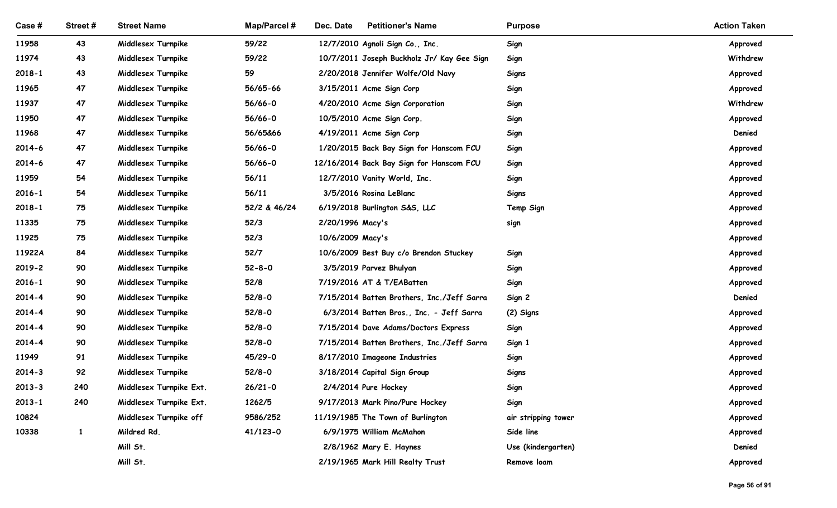| Case#                    | Street #     | <b>Street Name</b>                       | <b>Map/Parcel#</b>    | Dec. Date<br><b>Petitioner's Name</b>                       | <b>Purpose</b>                    | <b>Action Taken</b>  |
|--------------------------|--------------|------------------------------------------|-----------------------|-------------------------------------------------------------|-----------------------------------|----------------------|
| 11958                    | 43           | Middlesex Turnpike                       | 59/22                 | 12/7/2010 Agnoli Sign Co., Inc.                             | Sign                              | Approved             |
| 11974                    | 43           | Middlesex Turnpike                       | 59/22                 | 10/7/2011 Joseph Buckholz Jr/ Kay Gee Sign                  | Sign                              | Withdrew             |
| $2018 - 1$               | 43           | Middlesex Turnpike                       | 59                    | 2/20/2018 Jennifer Wolfe/Old Navy                           | <b>Signs</b>                      | Approved             |
| 11965                    | 47           | Middlesex Turnpike                       | 56/65-66              | 3/15/2011 Acme Sign Corp                                    | Sign                              | Approved             |
| 11937                    | 47           | Middlesex Turnpike                       | 56/66-0               | 4/20/2010 Acme Sign Corporation                             | Sign                              | Withdrew             |
| 11950                    | 47           | Middlesex Turnpike                       | 56/66-0               | 10/5/2010 Acme Sign Corp.                                   | Sign                              | Approved             |
| 11968                    | 47           | Middlesex Turnpike                       | 56/65&66              | 4/19/2011 Acme Sign Corp                                    | Sign                              | Denied               |
| 2014-6                   | 47           | Middlesex Turnpike                       | 56/66-0               | 1/20/2015 Back Bay Sign for Hanscom FCU                     | Sign                              | Approved             |
| $2014 - 6$               | 47           | Middlesex Turnpike                       | 56/66-0               | 12/16/2014 Back Bay Sign for Hanscom FCU                    | Sign                              | Approved             |
| 11959                    | 54           | Middlesex Turnpike                       | 56/11                 | 12/7/2010 Vanity World, Inc.                                | Sign                              | Approved             |
| $2016 - 1$<br>$2018 - 1$ | 54<br>75     | Middlesex Turnpike<br>Middlesex Turnpike | 56/11<br>52/2 & 46/24 | 3/5/2016 Rosina LeBlanc<br>6/19/2018 Burlington S&S, LLC    | <b>Signs</b><br>Temp Sign         | Approved<br>Approved |
| 11335                    | 75           | Middlesex Turnpike                       | 52/3                  | 2/20/1996 Macy's                                            | sign                              | Approved             |
| 11925                    | 75           | Middlesex Turnpike                       | 52/3                  | 10/6/2009 Macy's                                            |                                   | Approved             |
| 11922A                   | 84           | Middlesex Turnpike                       | 52/7                  | 10/6/2009 Best Buy c/o Brendon Stuckey                      | Sign                              | Approved             |
| $2019 - 2$               | 90           | Middlesex Turnpike                       | $52 - 8 - 0$          | 3/5/2019 Parvez Bhulyan                                     | Sign                              | Approved             |
| $2016 - 1$               | 90           | Middlesex Turnpike                       | 52/8                  | 7/19/2016 AT & T/EABatten                                   | Sign                              | Approved             |
| $2014 - 4$               | 90           | Middlesex Turnpike                       | $52/8 - 0$            | 7/15/2014 Batten Brothers, Inc./Jeff Sarra                  | Sign 2                            | Denied               |
| $2014 - 4$               | 90           | Middlesex Turnpike                       | $52/8 - 0$            | 6/3/2014 Batten Bros., Inc. - Jeff Sarra                    | (2) Signs                         | Approved             |
| $2014 - 4$               | 90           | Middlesex Turnpike                       | $52/8 - 0$            | 7/15/2014 Dave Adams/Doctors Express                        | Sign                              | Approved             |
| $2014 - 4$               | 90           | Middlesex Turnpike                       | $52/8 - 0$            | 7/15/2014 Batten Brothers, Inc./Jeff Sarra                  | Sign 1                            | Approved             |
| 11949                    | 91           | Middlesex Turnpike                       | 45/29-0               | 8/17/2010 Imageone Industries                               | Sign                              | Approved             |
| $2014 - 3$               | 92           | Middlesex Turnpike                       | $52/8 - 0$            | 3/18/2014 Capital Sign Group                                | <b>Signs</b>                      | Approved             |
| $2013 - 3$               | 240          | Middlesex Turnpike Ext.                  | $26/21 - 0$           | 2/4/2014 Pure Hockey                                        | Sign                              | Approved             |
| $2013 - 1$               | 240          | Middlesex Turnpike Ext.                  | 1262/5                | 9/17/2013 Mark Pino/Pure Hockey                             | Sign                              | Approved             |
| 10824                    |              | Middlesex Turnpike off                   | 9586/252              | 11/19/1985 The Town of Burlington                           | air stripping tower               | Approved             |
| 10338                    | $\mathbf{1}$ | Mildred Rd.                              | 41/123-0              | 6/9/1975 William McMahon                                    | Side line                         | Approved             |
|                          |              | Mill St.<br>Mill St.                     |                       | 2/8/1962 Mary E. Haynes<br>2/19/1965 Mark Hill Realty Trust | Use (kindergarten)<br>Remove loam | Denied<br>Approved   |
|                          |              |                                          |                       |                                                             |                                   |                      |
|                          |              |                                          |                       |                                                             |                                   | Page 56 of 91        |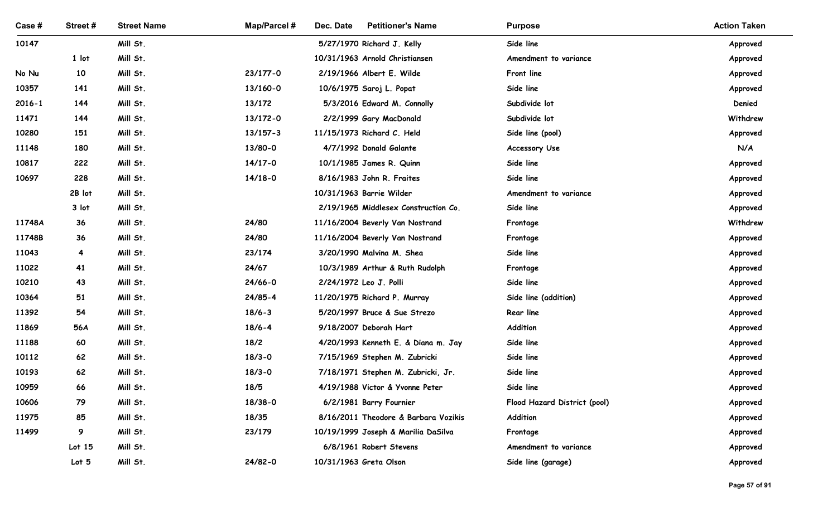| Case#          | Street#          | <b>Street Name</b>   | Map/Parcel #             | <b>Petitioner's Name</b><br>Dec. Date                 | <b>Purpose</b>                           | <b>Action Taken</b> |
|----------------|------------------|----------------------|--------------------------|-------------------------------------------------------|------------------------------------------|---------------------|
| 10147          |                  | Mill St.             |                          | 5/27/1970 Richard J. Kelly                            | Side line                                | Approved            |
|                | 1 lot            | Mill St.             |                          | 10/31/1963 Arnold Christiansen                        | Amendment to variance                    | Approved            |
| No Nu          | 10               | Mill St.             | 23/177-0                 | 2/19/1966 Albert E. Wilde                             | Front line                               | Approved            |
| 10357          | 141              | Mill St.             | 13/160-0                 | 10/6/1975 Saroj L. Popat                              | Side line                                | Approved            |
| $2016 - 1$     | 144              | Mill St.             | 13/172                   | 5/3/2016 Edward M. Connolly                           | Subdivide lot                            | Denied              |
| 11471<br>10280 | 144<br>151       | Mill St.             | 13/172-0<br>$13/157 - 3$ | 2/2/1999 Gary MacDonald                               | Subdivide lot                            | Withdrew            |
| 11148          | 180              | Mill St.<br>Mill St. | 13/80-0                  | 11/15/1973 Richard C. Held<br>4/7/1992 Donald Galante | Side line (pool)<br><b>Accessory Use</b> | Approved<br>N/A     |
| 10817          | 222              | Mill St.             | $14/17 - 0$              | 10/1/1985 James R. Quinn                              | Side line                                | Approved            |
| 10697          | 228              | Mill St.             | $14/18-0$                | 8/16/1983 John R. Fraites                             | Side line                                | Approved            |
|                | 2B lot           | Mill St.             |                          | 10/31/1963 Barrie Wilder                              | Amendment to variance                    | Approved            |
|                | 3 lot            | Mill St.             |                          | 2/19/1965 Middlesex Construction Co.                  | Side line                                | Approved            |
| 11748A         | 36               | Mill St.             | 24/80                    | 11/16/2004 Beverly Van Nostrand                       | Frontage                                 | Withdrew            |
| 11748B         | 36               | Mill St.             | 24/80                    | 11/16/2004 Beverly Van Nostrand                       | Frontage                                 | Approved            |
| 11043          | $\overline{4}$   | Mill St.             | 23/174                   | 3/20/1990 Malvina M. Shea                             | Side line                                | Approved            |
| 11022          | 41               | Mill St.             | 24/67                    | 10/3/1989 Arthur & Ruth Rudolph                       | Frontage                                 | Approved            |
| 10210          | 43               | Mill St.             | $24/66 - 0$              | 2/24/1972 Leo J. Polli                                | Side line                                | Approved            |
| 10364          | 51               | Mill St.             | $24/85 - 4$              | 11/20/1975 Richard P. Murray                          | Side line (addition)                     | Approved            |
| 11392          | 54               | Mill St.             | $18/6 - 3$               | 5/20/1997 Bruce & Sue Strezo                          | Rear line                                | Approved            |
| 11869          | 56A              | Mill St.             | $18/6 - 4$               | 9/18/2007 Deborah Hart                                | Addition                                 | Approved            |
| 11188          | 60               | Mill St.             | 18/2                     | 4/20/1993 Kenneth E. & Diana m. Jay                   | Side line                                | Approved            |
| 10112          | 62               | Mill St.             | $18/3 - 0$               | 7/15/1969 Stephen M. Zubricki                         | Side line                                | Approved            |
| 10193          | 62               | Mill St.             | $18/3 - 0$               | 7/18/1971 Stephen M. Zubricki, Jr.                    | Side line                                | Approved            |
| 10959          | 66               | Mill St.             | 18/5                     | 4/19/1988 Victor & Yvonne Peter                       | Side line                                | Approved            |
| 10606          | 79               | Mill St.             | 18/38-0                  | 6/2/1981 Barry Fournier                               | Flood Hazard District (pool)             | Approved            |
| 11975          | 85               | Mill St.             | 18/35                    | 8/16/2011 Theodore & Barbara Vozikis                  | Addition                                 | Approved            |
| 11499          | 9                | Mill St.             | 23/179                   | 10/19/1999 Joseph & Marilia DaSilva                   | Frontage                                 | Approved            |
|                | Lot 15           | Mill St.             |                          | 6/8/1961 Robert Stevens                               | Amendment to variance                    | Approved            |
|                | Lot <sub>5</sub> | Mill St.             | $24/82 - 0$              | 10/31/1963 Greta Olson                                | Side line (garage)                       | Approved            |
|                |                  |                      |                          |                                                       |                                          | Page 57 of 91       |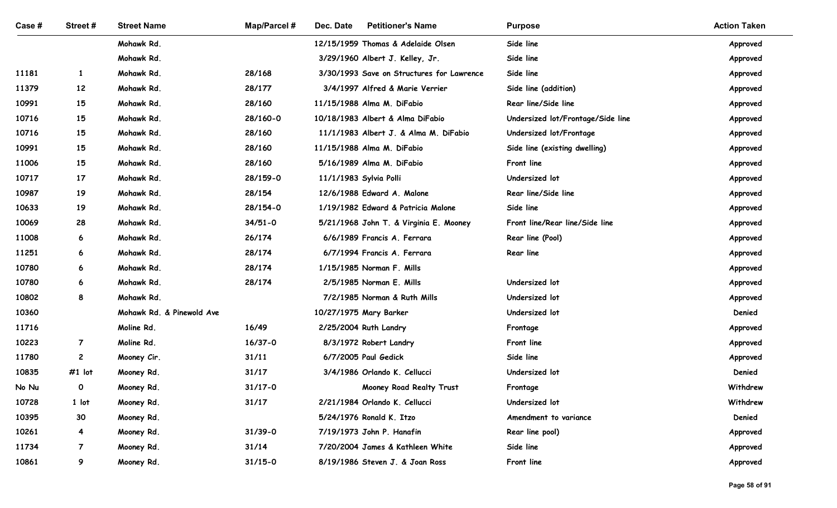| Case #         | Street#         | <b>Street Name</b>        | <b>Map/Parcel#</b> | Dec. Date<br><b>Petitioner's Name</b>                 | <b>Purpose</b>                    | <b>Action Taken</b>  |
|----------------|-----------------|---------------------------|--------------------|-------------------------------------------------------|-----------------------------------|----------------------|
|                |                 | Mohawk Rd.                |                    | 12/15/1959 Thomas & Adelaide Olsen                    | Side line                         | Approved             |
|                |                 | Mohawk Rd.                |                    | 3/29/1960 Albert J. Kelley, Jr.                       | Side line                         | Approved             |
| 11181          | $\mathbf{1}$    | Mohawk Rd.                | 28/168             | 3/30/1993 Save on Structures for Lawrence             | Side line                         | Approved             |
| 11379          | 12              | Mohawk Rd.                | 28/177             | 3/4/1997 Alfred & Marie Verrier                       | Side line (addition)              | Approved             |
| 10991          | 15              | Mohawk Rd.                | 28/160             | 11/15/1988 Alma M. DiFabio                            | Rear line/Side line               | Approved             |
| 10716          | 15              | Mohawk Rd.                | 28/160-0           | 10/18/1983 Albert & Alma DiFabio                      | Undersized lot/Frontage/Side line | Approved             |
| 10716          | 15              | Mohawk Rd.                | 28/160             | 11/1/1983 Albert J. & Alma M. DiFabio                 | Undersized lot/Frontage           | Approved             |
| 10991          | 15              | Mohawk Rd.                | 28/160             | 11/15/1988 Alma M. DiFabio                            | Side line (existing dwelling)     | Approved             |
| 11006          | 15              | Mohawk Rd.                | 28/160             | 5/16/1989 Alma M. DiFabio                             | Front line                        | Approved             |
| 10717          | 17              | Mohawk Rd.                | 28/159-0           | 11/1/1983 Sylvia Polli                                | Undersized lot                    | Approved             |
| 10987          | 19              | Mohawk Rd.                | 28/154             | 12/6/1988 Edward A. Malone                            | Rear line/Side line               | Approved             |
| 10633          | 19              | Mohawk Rd.                | 28/154-0           | 1/19/1982 Edward & Patricia Malone                    | Side line                         | Approved             |
| 10069          | 28              | Mohawk Rd.                | $34/51 - 0$        | 5/21/1968 John T. & Virginia E. Mooney                | Front line/Rear line/Side line    | Approved             |
| 11008          | 6               | Mohawk Rd.                | 26/174             | 6/6/1989 Francis A. Ferrara                           | Rear line (Pool)                  | Approved             |
| 11251          | $6\overline{6}$ | Mohawk Rd.                | 28/174             | 6/7/1994 Francis A. Ferrara                           | Rear line                         | Approved             |
| 10780<br>10780 | 6<br>6          | Mohawk Rd.<br>Mohawk Rd.  | 28/174<br>28/174   | 1/15/1985 Norman F. Mills<br>2/5/1985 Norman E. Mills | Undersized lot                    | Approved             |
| 10802          | 8               | Mohawk Rd.                |                    | 7/2/1985 Norman & Ruth Mills                          | Undersized lot                    | Approved<br>Approved |
| 10360          |                 | Mohawk Rd. & Pinewold Ave |                    | 10/27/1975 Mary Barker                                | Undersized lot                    | Denied               |
| 11716          |                 | Moline Rd.                | 16/49              | 2/25/2004 Ruth Landry                                 | Frontage                          | Approved             |
| 10223          | $\overline{7}$  | Moline Rd.                | $16/37 - 0$        | 8/3/1972 Robert Landry                                | Front line                        | Approved             |
| 11780          | $\overline{c}$  | Mooney Cir.               | 31/11              | 6/7/2005 Paul Gedick                                  | Side line                         | Approved             |
| 10835          | $#1$ lot        | Mooney Rd.                | 31/17              | 3/4/1986 Orlando K. Cellucci                          | Undersized lot                    | Denied               |
| No Nu          | $\mathbf 0$     | Mooney Rd.                | $31/17 - 0$        | Mooney Road Realty Trust                              | Frontage                          | Withdrew             |
| 10728          | 1 lot           | Mooney Rd.                | 31/17              | 2/21/1984 Orlando K. Cellucci                         | Undersized lot                    | Withdrew             |
| 10395          | 30              | Mooney Rd.                |                    | 5/24/1976 Ronald K. Itzo                              | Amendment to variance             | Denied               |
| 10261          | $\overline{4}$  | Mooney Rd.                | $31/39 - 0$        | 7/19/1973 John P. Hanafin                             | Rear line pool)                   | Approved             |
| 11734          | $\overline{7}$  | Mooney Rd.                | 31/14              | 7/20/2004 James & Kathleen White                      | Side line                         | Approved             |
| 10861          | 9               | Mooney Rd.                | $31/15 - 0$        | 8/19/1986 Steven J. & Joan Ross                       | Front line                        | Approved             |
|                |                 |                           |                    |                                                       |                                   | Page 58 of 91        |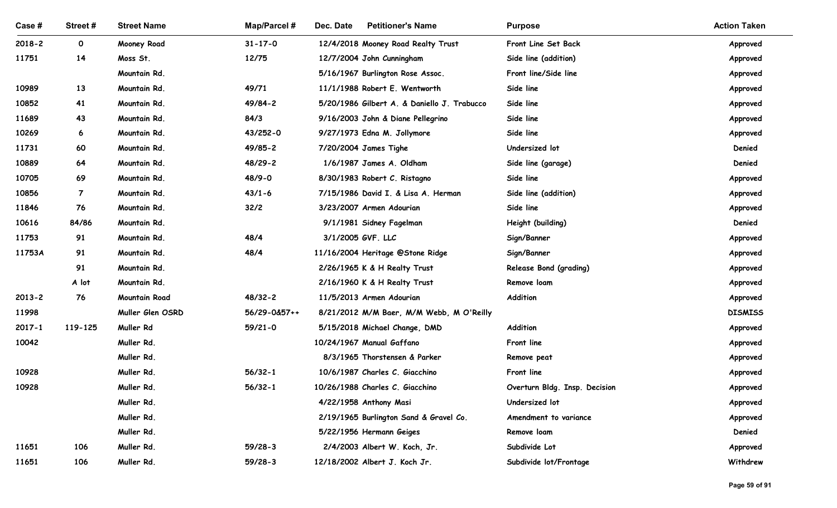| Case #         | Street #       | <b>Street Name</b>           | Map/Parcel #               | Dec. Date<br><b>Petitioner's Name</b>                             | <b>Purpose</b>                              | <b>Action Taken</b>  |
|----------------|----------------|------------------------------|----------------------------|-------------------------------------------------------------------|---------------------------------------------|----------------------|
| $2018 - 2$     | $\mathbf 0$    | Mooney Road                  | $31 - 17 - 0$              | 12/4/2018 Mooney Road Realty Trust                                | Front Line Set Back                         | Approved             |
| 11751          | 14             | Moss St.                     | 12/75                      | 12/7/2004 John Cunningham                                         | Side line (addition)                        | Approved             |
|                | 13             | Mountain Rd.<br>Mountain Rd. | 49/71                      | 5/16/1967 Burlington Rose Assoc.<br>11/1/1988 Robert E. Wentworth | Front line/Side line<br>Side line           | Approved             |
| 10989<br>10852 | 41             | Mountain Rd.                 | 49/84-2                    | 5/20/1986 Gilbert A. & Daniello J. Trabucco                       | Side line                                   | Approved<br>Approved |
| 11689          | 43             | Mountain Rd.                 | 84/3                       | 9/16/2003 John & Diane Pellegrino                                 | Side line                                   | Approved             |
| 10269          | 6              | Mountain Rd.                 | 43/252-0                   | 9/27/1973 Edna M. Jollymore                                       | Side line                                   | Approved             |
| 11731          | 60             | Mountain Rd.                 | 49/85-2                    | 7/20/2004 James Tighe                                             | Undersized lot                              | Denied               |
| 10889          | 64             | Mountain Rd.                 | 48/29-2                    | 1/6/1987 James A. Oldham                                          | Side line (garage)                          | Denied               |
| 10705          | 69             | Mountain Rd.                 | 48/9-0                     | 8/30/1983 Robert C. Ristagno                                      | Side line                                   | Approved             |
| 10856          | $\overline{7}$ | Mountain Rd.                 | $43/1 - 6$                 | 7/15/1986 David I. & Lisa A. Herman                               | Side line (addition)                        | Approved             |
| 11846          | 76             | Mountain Rd.                 | 32/2                       | 3/23/2007 Armen Adourian                                          | Side line                                   | Approved             |
| 10616          | 84/86          | Mountain Rd.                 |                            | 9/1/1981 Sidney Fagelman                                          | Height (building)                           | Denied               |
| 11753          | 91             | Mountain Rd.                 | 48/4                       | 3/1/2005 GVF. LLC                                                 | Sign/Banner                                 | Approved             |
| 11753A         | 91             | Mountain Rd.                 | 48/4                       | 11/16/2004 Heritage @Stone Ridge                                  | Sign/Banner                                 | Approved             |
|                | 91             | Mountain Rd.                 |                            | 2/26/1965 K & H Realty Trust                                      | Release Bond (grading)                      | Approved             |
|                | A lot          | Mountain Rd.                 |                            | 2/16/1960 K & H Realty Trust                                      | Remove loam                                 | Approved             |
| $2013 - 2$     | 76             | Mountain Road                | 48/32-2                    | 11/5/2013 Armen Adourian                                          | Addition                                    | Approved             |
| 11998          |                | Muller Glen OSRD             | 56/29-0&57++               | 8/21/2012 M/M Baer, M/M Webb, M O'Reilly                          |                                             | <b>DISMISS</b>       |
| $2017 - 1$     | 119-125        | Muller Rd                    | $59/21 - 0$                | 5/15/2018 Michael Change, DMD                                     | Addition                                    | Approved             |
| 10042          |                | Muller Rd.                   |                            | 10/24/1967 Manual Gaffano                                         | Front line                                  | Approved             |
|                |                | Muller Rd.                   |                            | 8/3/1965 Thorstensen & Parker                                     | Remove peat                                 | Approved             |
| 10928<br>10928 |                | Muller Rd.<br>Muller Rd.     | $56/32 - 1$<br>$56/32 - 1$ | 10/6/1987 Charles C. Giacchino<br>10/26/1988 Charles C. Giacchino | Front line<br>Overturn Bldg. Insp. Decision | Approved             |
|                |                | Muller Rd.                   |                            | 4/22/1958 Anthony Masi                                            | Undersized lot                              | Approved<br>Approved |
|                |                | Muller Rd.                   |                            | 2/19/1965 Burlington Sand & Gravel Co.                            | Amendment to variance                       | Approved             |
|                |                | Muller Rd.                   |                            | 5/22/1956 Hermann Geiges                                          | Remove loam                                 | Denied               |
| 11651          | 106            | Muller Rd.                   | $59/28-3$                  | 2/4/2003 Albert W. Koch, Jr.                                      | Subdivide Lot                               | Approved             |
| 11651          | 106            | Muller Rd.                   | $59/28-3$                  | 12/18/2002 Albert J. Koch Jr.                                     | Subdivide lot/Frontage                      | Withdrew             |
|                |                |                              |                            |                                                                   |                                             |                      |
|                |                |                              |                            |                                                                   |                                             | Page 59 of 91        |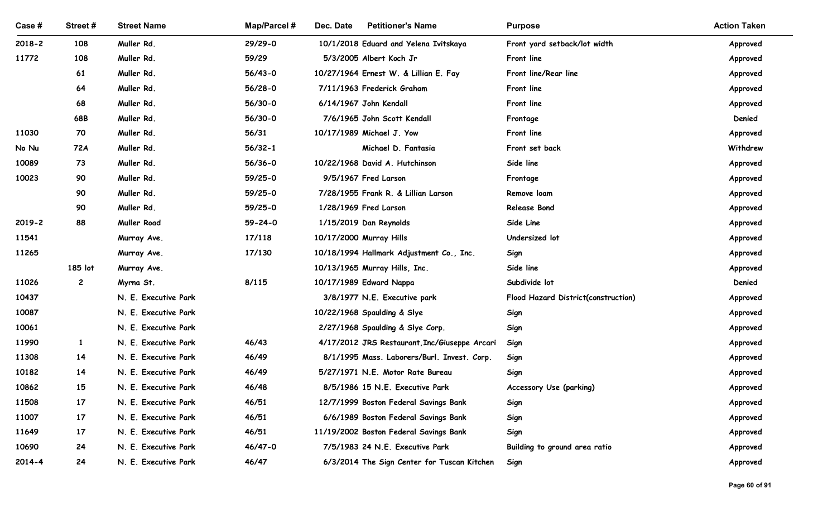| Case #         | Street#            | <b>Street Name</b>                           | <b>Map/Parcel#</b> | Dec. Date<br><b>Petitioner's Name</b>                                                        | <b>Purpose</b>                      | <b>Action Taken</b>  |
|----------------|--------------------|----------------------------------------------|--------------------|----------------------------------------------------------------------------------------------|-------------------------------------|----------------------|
| $2018 - 2$     | 108                | Muller Rd.                                   | $29/29 - 0$        | 10/1/2018 Eduard and Yelena Ivitskaya                                                        | Front yard setback/lot width        | Approved             |
| 11772          | 108                | Muller Rd.                                   | 59/29              | 5/3/2005 Albert Koch Jr                                                                      | Front line                          | Approved             |
|                | 61                 | Muller Rd.                                   | $56/43-0$          | 10/27/1964 Ernest W. & Lillian E. Fay                                                        | Front line/Rear line                | Approved             |
|                | 64                 | Muller Rd.                                   | $56/28-0$          | 7/11/1963 Frederick Graham                                                                   | Front line                          | Approved             |
|                | 68                 | Muller Rd.                                   | 56/30-0            | 6/14/1967 John Kendall                                                                       | Front line                          | Approved             |
|                | 68B                | Muller Rd.                                   | $56/30-0$          | 7/6/1965 John Scott Kendall                                                                  | Frontage                            | Denied               |
| 11030          | 70                 | Muller Rd.                                   | 56/31              | 10/17/1989 Michael J. Yow                                                                    | Front line                          | Approved             |
| No Nu          | 72A                | Muller Rd.                                   | $56/32 - 1$        | Michael D. Fantasia                                                                          | Front set back                      | Withdrew             |
| 10089          | 73                 | Muller Rd.                                   | $56/36 - 0$        | 10/22/1968 David A. Hutchinson                                                               | Side line                           | Approved             |
| 10023          | 90                 | Muller Rd.                                   | $59/25-0$          | 9/5/1967 Fred Larson                                                                         | Frontage                            | Approved             |
|                | 90                 | Muller Rd.                                   | 59/25-0            | 7/28/1955 Frank R. & Lillian Larson                                                          | Remove loam                         | Approved             |
|                | 90                 | Muller Rd.                                   | 59/25-0            | 1/28/1969 Fred Larson                                                                        | Release Bond                        | Approved             |
| $2019 - 2$     | 88                 | Muller Road                                  | $59 - 24 - 0$      | 1/15/2019 Dan Reynolds                                                                       | Side Line                           | Approved             |
| 11541          |                    | Murray Ave.                                  | 17/118             | 10/17/2000 Murray Hills                                                                      | Undersized lot                      | Approved             |
| 11265          |                    | Murray Ave.                                  | 17/130             | 10/18/1994 Hallmark Adjustment Co., Inc.                                                     | Sign                                | Approved             |
|                | 185 lot            | Murray Ave.                                  |                    | 10/13/1965 Murray Hills, Inc.                                                                | Side line                           | Approved             |
| 11026          | $\overline{c}$     | Myrna St.                                    | 8/115              | 10/17/1989 Edward Nappa                                                                      | Subdivide lot                       | Denied               |
| 10437          |                    | N. E. Executive Park                         |                    | 3/8/1977 N.E. Executive park                                                                 | Flood Hazard District(construction) | Approved             |
| 10087          |                    | N. E. Executive Park                         |                    | 10/22/1968 Spaulding & Slye                                                                  | Sign                                | Approved             |
| 10061          |                    | N. E. Executive Park                         |                    | 2/27/1968 Spaulding & Slye Corp.                                                             | Sign                                | Approved             |
| 11990<br>11308 | $\mathbf{1}$<br>14 | N. E. Executive Park<br>N. E. Executive Park | 46/43<br>46/49     | 4/17/2012 JRS Restaurant, Inc/Giuseppe Arcari<br>8/1/1995 Mass. Laborers/Burl. Invest. Corp. | Sign                                | Approved             |
| 10182          | 14                 | N. E. Executive Park                         | 46/49              | 5/27/1971 N.E. Motor Rate Bureau                                                             | Sign<br>Sign                        | Approved<br>Approved |
| 10862          | 15                 | N. E. Executive Park                         | 46/48              | 8/5/1986 15 N.E. Executive Park                                                              | Accessory Use (parking)             | Approved             |
| 11508          | 17                 | N. E. Executive Park                         | 46/51              | 12/7/1999 Boston Federal Savings Bank                                                        | Sign                                | Approved             |
| 11007          | 17 <sup>2</sup>    | N. E. Executive Park                         | 46/51              | 6/6/1989 Boston Federal Savings Bank                                                         | Sign                                | Approved             |
| 11649          | 17                 | N. E. Executive Park                         | 46/51              | 11/19/2002 Boston Federal Savings Bank                                                       | Sign                                | Approved             |
| 10690          | 24                 | N. E. Executive Park                         | 46/47-0            | 7/5/1983 24 N.E. Executive Park                                                              | Building to ground area ratio       | Approved             |
| 2014-4         | 24                 | N. E. Executive Park                         | 46/47              | 6/3/2014 The Sign Center for Tuscan Kitchen                                                  | Sign                                | Approved             |
|                |                    |                                              |                    |                                                                                              |                                     |                      |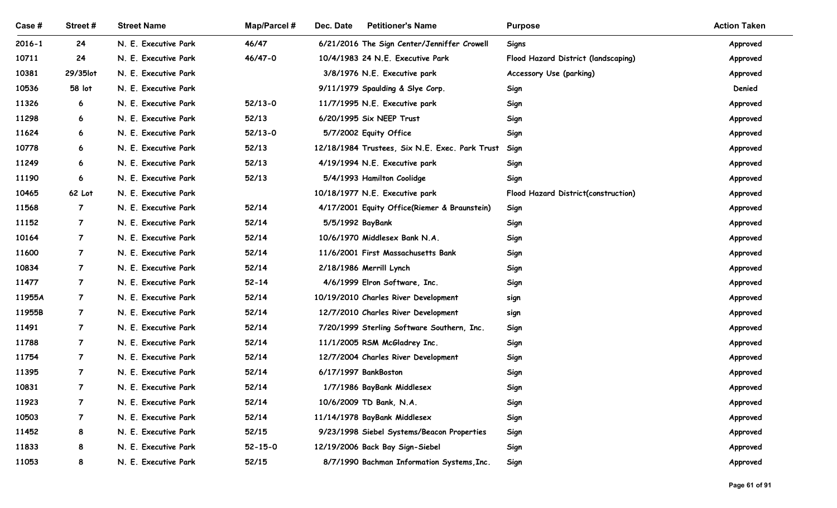| Case #         | Street #       | <b>Street Name</b>                           | Map/Parcel #       | Dec. Date<br><b>Petitioner's Name</b>              | <b>Purpose</b>                      | <b>Action Taken</b>  |
|----------------|----------------|----------------------------------------------|--------------------|----------------------------------------------------|-------------------------------------|----------------------|
| $2016 - 1$     | 24             | N. E. Executive Park                         | 46/47              | 6/21/2016 The Sign Center/Jenniffer Crowell        | Signs                               | Approved             |
| 10711          | 24             | N. E. Executive Park                         | 46/47-0            | 10/4/1983 24 N.E. Executive Park                   | Flood Hazard District (landscaping) | Approved             |
| 10381          | 29/35lot       | N. E. Executive Park                         |                    | 3/8/1976 N.E. Executive park                       | <b>Accessory Use (parking)</b>      | Approved             |
| 10536          | 58 lot         | N. E. Executive Park                         |                    | 9/11/1979 Spaulding & Slye Corp.                   | Sign                                | Denied               |
| 11326          | 6              | N. E. Executive Park                         | $52/13-0$          | 11/7/1995 N.E. Executive park                      | Sign                                | Approved             |
| 11298<br>11624 | 6<br>6         | N. E. Executive Park<br>N. E. Executive Park | 52/13<br>$52/13-0$ | 6/20/1995 Six NEEP Trust<br>5/7/2002 Equity Office | Sign                                | Approved             |
| 10778          | 6              | N. E. Executive Park                         | 52/13              | 12/18/1984 Trustees, Six N.E. Exec. Park Trust     | Sign<br>Sign                        | Approved<br>Approved |
| 11249          | 6              | N. E. Executive Park                         | 52/13              | 4/19/1994 N.E. Executive park                      | Sign                                | Approved             |
| 11190          | 6              | N. E. Executive Park                         | 52/13              | 5/4/1993 Hamilton Coolidge                         | Sign                                | Approved             |
| 10465          | 62 Lot         | N. E. Executive Park                         |                    | 10/18/1977 N.E. Executive park                     | Flood Hazard District(construction) | Approved             |
| 11568          | $\overline{7}$ | N. E. Executive Park                         | 52/14              | 4/17/2001 Equity Office(Riemer & Braunstein)       | Sign                                | Approved             |
| 11152          | $\overline{7}$ | N. E. Executive Park                         | 52/14              | 5/5/1992 BayBank                                   | Sign                                | Approved             |
| 10164          | $\overline{7}$ | N. E. Executive Park                         | 52/14              | 10/6/1970 Middlesex Bank N.A.                      | Sign                                | Approved             |
| 11600          | $\overline{7}$ | N. E. Executive Park                         | 52/14              | 11/6/2001 First Massachusetts Bank                 | Sign                                | Approved             |
| 10834          | $\overline{7}$ | N. E. Executive Park                         | 52/14              | 2/18/1986 Merrill Lynch                            | Sign                                | Approved             |
| 11477          | $\overline{7}$ | N. E. Executive Park                         | $52 - 14$          | 4/6/1999 Elron Software, Inc.                      | Sign                                | Approved             |
| 11955A         | $\overline{7}$ | N. E. Executive Park                         | 52/14              | 10/19/2010 Charles River Development               | sign                                | Approved             |
| 11955B         | $\overline{7}$ | N. E. Executive Park                         | 52/14              | 12/7/2010 Charles River Development                | sign                                | Approved             |
| 11491          | $\overline{7}$ | N. E. Executive Park                         | 52/14              | 7/20/1999 Sterling Software Southern, Inc.         | Sign                                | Approved             |
| 11788          | $\overline{7}$ | N. E. Executive Park                         | 52/14              | 11/1/2005 RSM McGladrey Inc.                       | Sign                                | Approved             |
| 11754          | $\overline{7}$ | N. E. Executive Park                         | 52/14              | 12/7/2004 Charles River Development                | Sign                                | Approved             |
| 11395          | $\overline{7}$ | N. E. Executive Park                         | 52/14              | 6/17/1997 BankBoston                               | Sign                                | Approved             |
| 10831          | $\overline{7}$ | N. E. Executive Park                         | 52/14              | 1/7/1986 BayBank Middlesex                         | Sign                                | Approved             |
| 11923          | $\overline{7}$ | N. E. Executive Park                         | 52/14              | 10/6/2009 TD Bank, N.A.                            | Sign                                | Approved             |
| 10503          | $\overline{7}$ | N. E. Executive Park                         | 52/14              | 11/14/1978 BayBank Middlesex                       | Sign                                | Approved             |
| 11452          | 8              | N. E. Executive Park                         | 52/15              | 9/23/1998 Siebel Systems/Beacon Properties         | Sign                                | Approved             |
| 11833          | 8              | N. E. Executive Park                         | $52 - 15 - 0$      | 12/19/2006 Back Bay Sign-Siebel                    | Sign                                | Approved             |
|                | 8              | N. E. Executive Park                         | 52/15              | 8/7/1990 Bachman Information Systems, Inc.         | Sign                                | Approved             |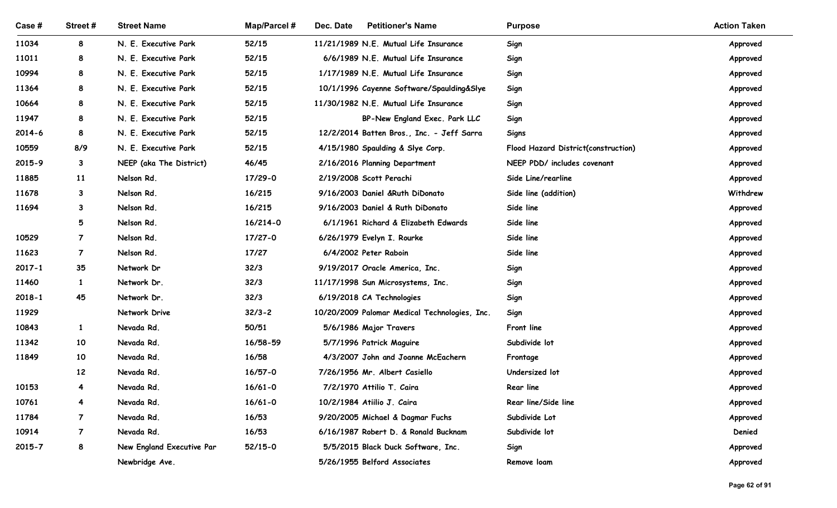| Case #         | Street#        | <b>Street Name</b>                           | <b>Map/Parcel#</b>   | Dec. Date<br><b>Petitioner's Name</b>                                      | <b>Purpose</b>                      | <b>Action Taken</b>  |
|----------------|----------------|----------------------------------------------|----------------------|----------------------------------------------------------------------------|-------------------------------------|----------------------|
| 11034          | 8              | N. E. Executive Park                         | 52/15                | 11/21/1989 N.E. Mutual Life Insurance                                      | Sign                                | Approved             |
| 11011          | 8              | N. E. Executive Park                         | 52/15                | 6/6/1989 N.E. Mutual Life Insurance                                        | Sign                                | Approved             |
| 10994          | 8              | N. E. Executive Park                         | 52/15                | 1/17/1989 N.E. Mutual Life Insurance                                       | Sign                                | Approved             |
| 11364          | 8              | N. E. Executive Park                         | 52/15                | 10/1/1996 Cayenne Software/Spaulding&Slye                                  | Sign                                | Approved             |
| 10664<br>11947 | 8<br>8         | N. E. Executive Park<br>N. E. Executive Park | 52/15<br>52/15       | 11/30/1982 N.E. Mutual Life Insurance                                      | Sign                                | Approved             |
| 2014-6         | 8              | N. E. Executive Park                         | 52/15                | BP-New England Exec. Park LLC<br>12/2/2014 Batten Bros., Inc. - Jeff Sarra | Sign<br>Signs                       | Approved<br>Approved |
| 10559          | 8/9            | N. E. Executive Park                         | 52/15                | 4/15/1980 Spaulding & Slye Corp.                                           | Flood Hazard District(construction) | Approved             |
| 2015-9         | 3              | NEEP (aka The District)                      | 46/45                | 2/16/2016 Planning Department                                              | NEEP PDD/ includes covenant         | Approved             |
| 11885          | 11             | Nelson Rd.                                   | 17/29-0              | 2/19/2008 Scott Perachi                                                    | Side Line/rearline                  | Approved             |
| 11678          | 3              | Nelson Rd.                                   | 16/215               | 9/16/2003 Daniel &Ruth DiDonato                                            | Side line (addition)                | Withdrew             |
| 11694          | 3              | Nelson Rd.                                   | 16/215               | 9/16/2003 Daniel & Ruth DiDonato                                           | Side line                           | Approved             |
|                | 5              | Nelson Rd.                                   | 16/214-0             | 6/1/1961 Richard & Elizabeth Edwards                                       | Side line                           | Approved             |
| 10529          | $\overline{7}$ | Nelson Rd.                                   | $17/27 - 0$          | 6/26/1979 Evelyn I. Rourke                                                 | Side line                           | Approved             |
| 11623          | $\overline{7}$ | Nelson Rd.                                   | 17/27                | 6/4/2002 Peter Raboin                                                      | Side line                           | Approved             |
| $2017 - 1$     | 35             | Network Dr                                   | 32/3                 | 9/19/2017 Oracle America, Inc.                                             | Sign                                | Approved             |
| 11460          | $\mathbf{1}$   | Network Dr.                                  | 32/3                 | 11/17/1998 Sun Microsystems, Inc.                                          | Sign                                | Approved             |
| $2018 - 1$     | 45             | Network Dr.                                  | 32/3                 | 6/19/2018 CA Technologies                                                  | Sign                                | Approved             |
| 11929          |                | Network Drive                                | $32/3 - 2$           | 10/20/2009 Palomar Medical Technologies, Inc.                              | Sign                                | Approved             |
| 10843          | $\mathbf{1}$   | Nevada Rd.                                   | 50/51                | 5/6/1986 Major Travers                                                     | Front line                          | Approved             |
| 11342          | 10             | Nevada Rd.                                   | 16/58-59             | 5/7/1996 Patrick Maguire                                                   | Subdivide lot                       | Approved             |
| 11849          | 10<br>12       | Nevada Rd.<br>Nevada Rd.                     | 16/58<br>$16/57 - 0$ | 4/3/2007 John and Joanne McEachern<br>7/26/1956 Mr. Albert Casiello        | Frontage<br>Undersized lot          | Approved<br>Approved |
| 10153          | $\overline{4}$ | Nevada Rd.                                   | $16/61 - 0$          | 7/2/1970 Attilio T. Caira                                                  | <b>Rear line</b>                    | Approved             |
| 10761          | $\overline{4}$ | Nevada Rd.                                   | $16/61 - 0$          | 10/2/1984 Atiilio J. Caira                                                 | Rear line/Side line                 | Approved             |
| 11784          | $\overline{7}$ | Nevada Rd.                                   | 16/53                | 9/20/2005 Michael & Dagmar Fuchs                                           | Subdivide Lot                       | Approved             |
| 10914          | $\overline{7}$ | Nevada Rd.                                   | 16/53                | 6/16/1987 Robert D. & Ronald Bucknam                                       | Subdivide lot                       | Denied               |
| 2015-7         | 8              | New England Executive Par                    | $52/15-0$            | 5/5/2015 Black Duck Software, Inc.                                         | Sign                                | Approved             |
|                |                | Newbridge Ave.                               |                      | 5/26/1955 Belford Associates                                               | Remove loam                         | Approved             |
|                |                |                                              |                      |                                                                            |                                     |                      |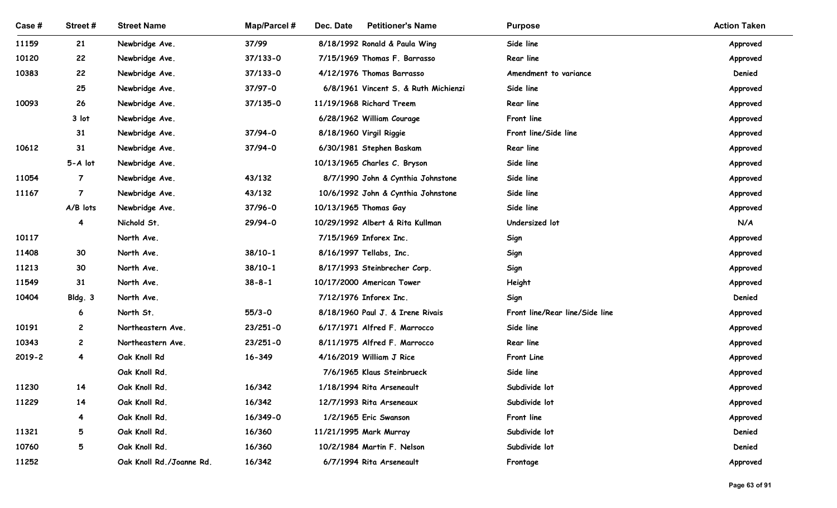| Case #         | Street#        | <b>Street Name</b>       | <b>Map/Parcel#</b> | <b>Petitioner's Name</b><br>Dec. Date               | <b>Purpose</b>                         | <b>Action Taken</b> |
|----------------|----------------|--------------------------|--------------------|-----------------------------------------------------|----------------------------------------|---------------------|
| 11159          | 21             | Newbridge Ave.           | 37/99              | 8/18/1992 Ronald & Paula Wing                       | Side line                              | Approved            |
| 10120          | 22             | Newbridge Ave.           | $37/133 - 0$       | 7/15/1969 Thomas F. Barrasso                        | Rear line                              | Approved            |
| 10383          | 22             | Newbridge Ave.           | $37/133 - 0$       | 4/12/1976 Thomas Barrasso                           | Amendment to variance                  | Denied              |
|                | 25             | Newbridge Ave.           | 37/97-0            | 6/8/1961 Vincent S. & Ruth Michienzi                | Side line                              | Approved            |
| 10093          | 26             | Newbridge Ave.           | $37/135 - 0$       | 11/19/1968 Richard Treem                            | Rear line                              | Approved            |
|                | 3 lot          | Newbridge Ave.           |                    | 6/28/1962 William Courage                           | Front line                             | Approved            |
|                | 31             | Newbridge Ave.           | 37/94-0            | 8/18/1960 Virgil Riggie                             | Front line/Side line                   | Approved            |
| 10612          | 31             | Newbridge Ave.           | 37/94-0            | 6/30/1981 Stephen Baskam                            | Rear line                              | Approved            |
|                | 5-A lot        | Newbridge Ave.           |                    | 10/13/1965 Charles C. Bryson                        | Side line                              | Approved            |
| 11054          | $\overline{7}$ | Newbridge Ave.           | 43/132             | 8/7/1990 John & Cynthia Johnstone                   | Side line                              | Approved            |
| 11167          | $\overline{7}$ | Newbridge Ave.           | 43/132             | 10/6/1992 John & Cynthia Johnstone                  | Side line                              | Approved            |
|                | A/B lots       | Newbridge Ave.           | 37/96-0            | 10/13/1965 Thomas Gay                               | Side line                              | Approved            |
|                | $\overline{4}$ | Nichold St.              | 29/94-0            | 10/29/1992 Albert & Rita Kullman                    | Undersized lot                         | N/A                 |
| 10117          |                | North Ave.               |                    | 7/15/1969 Inforex Inc.                              | Sign                                   | Approved            |
| 11408          | 30             | North Ave.               | $38/10-1$          | 8/16/1997 Tellabs, Inc.                             | Sign                                   | Approved            |
| 11213          | 30             | North Ave.               | $38/10-1$          | 8/17/1993 Steinbrecher Corp.                        | Sign                                   | Approved            |
| 11549<br>10404 | 31             | North Ave.<br>North Ave. | $38 - 8 - 1$       | 10/17/2000 American Tower<br>7/12/1976 Inforex Inc. | Height                                 | Approved<br>Denied  |
|                | Bldg. 3<br>6   | North St.                | $55/3 - 0$         | 8/18/1960 Paul J. & Irene Rivais                    | Sign<br>Front line/Rear line/Side line | Approved            |
| 10191          | $\mathbf{2}$   | Northeastern Ave.        | $23/251 - 0$       | 6/17/1971 Alfred F. Marrocco                        | Side line                              | Approved            |
| 10343          | $\mathbf{2}$   | Northeastern Ave.        | $23/251 - 0$       | 8/11/1975 Alfred F. Marrocco                        | Rear line                              | Approved            |
| $2019 - 2$     | $\overline{4}$ | Oak Knoll Rd             | $16 - 349$         | 4/16/2019 William J Rice                            | Front Line                             | Approved            |
|                |                | Oak Knoll Rd.            |                    | 7/6/1965 Klaus Steinbrueck                          | Side line                              | Approved            |
| 11230          | 14             | Oak Knoll Rd.            | 16/342             | 1/18/1994 Rita Arseneault                           | Subdivide lot                          | Approved            |
| 11229          | 14             | Oak Knoll Rd.            | 16/342             | 12/7/1993 Rita Arseneaux                            | Subdivide lot                          | Approved            |
|                | 4              | Oak Knoll Rd.            | 16/349-0           | 1/2/1965 Eric Swanson                               | Front line                             | Approved            |
| 11321          | 5              | Oak Knoll Rd.            | 16/360             | 11/21/1995 Mark Murray                              | Subdivide lot                          | Denied              |
| 10760          | 5              | Oak Knoll Rd.            | 16/360             | 10/2/1984 Martin F. Nelson                          | Subdivide lot                          | Denied              |
| 11252          |                | Oak Knoll Rd./Joanne Rd. | 16/342             | 6/7/1994 Rita Arseneault                            | Frontage                               | Approved            |
|                |                |                          |                    |                                                     |                                        |                     |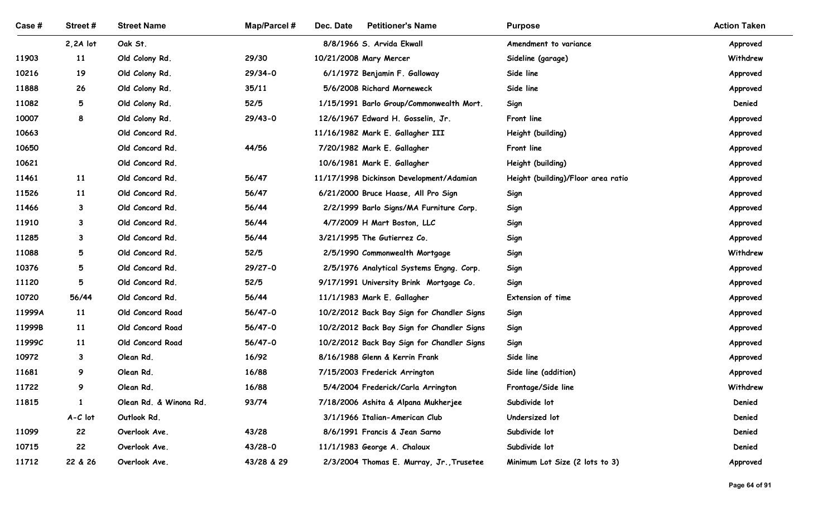| Case #         | Street#                      | <b>Street Name</b>                 | <b>Map/Parcel#</b> | Dec. Date<br><b>Petitioner's Name</b>                      | <b>Purpose</b>                     | <b>Action Taken</b>  |
|----------------|------------------------------|------------------------------------|--------------------|------------------------------------------------------------|------------------------------------|----------------------|
|                | $2,2A$ lot                   | Oak St.                            |                    | 8/8/1966 S. Arvida Ekwall                                  | Amendment to variance              | Approved             |
| 11903          | 11                           | Old Colony Rd.                     | 29/30              | 10/21/2008 Mary Mercer                                     | Sideline (garage)                  | Withdrew             |
| 10216          | 19                           | Old Colony Rd.                     | $29/34-0$          | 6/1/1972 Benjamin F. Galloway                              | Side line                          | Approved             |
| 11888          | 26                           | Old Colony Rd.                     | 35/11              | 5/6/2008 Richard Morneweck                                 | Side line                          | Approved             |
| 11082          | 5                            | Old Colony Rd.                     | 52/5               | 1/15/1991 Barlo Group/Commonwealth Mort.                   | Sign                               | Denied               |
| 10007          | 8                            | Old Colony Rd.                     | $29/43-0$          | 12/6/1967 Edward H. Gosselin, Jr.                          | Front line                         | Approved             |
| 10663          |                              | Old Concord Rd.                    |                    | 11/16/1982 Mark E. Gallagher III                           | Height (building)                  | Approved             |
| 10650          |                              | Old Concord Rd.                    | 44/56              | 7/20/1982 Mark E. Gallagher                                | Front line                         | Approved             |
| 10621          |                              | Old Concord Rd.                    |                    | 10/6/1981 Mark E. Gallagher                                | Height (building)                  | Approved             |
| 11461          | 11                           | Old Concord Rd.                    | 56/47              | 11/17/1998 Dickinson Development/Adamian                   | Height (building)/Floor area ratio | Approved             |
| 11526          | 11                           | Old Concord Rd.                    | 56/47              | 6/21/2000 Bruce Haase, All Pro Sign                        | Sign                               | Approved             |
| 11466          | $\mathbf{3}$                 | Old Concord Rd.                    | 56/44              | 2/2/1999 Barlo Signs/MA Furniture Corp.                    | Sign                               | Approved             |
| 11910<br>11285 | $\mathbf{3}$<br>$\mathbf{3}$ | Old Concord Rd.<br>Old Concord Rd. | 56/44<br>56/44     | 4/7/2009 H Mart Boston, LLC<br>3/21/1995 The Gutierrez Co. | Sign                               | Approved             |
| 11088          | $5\overline{)}$              | Old Concord Rd.                    | 52/5               | 2/5/1990 Commonwealth Mortgage                             | Sign<br>Sign                       | Approved<br>Withdrew |
| 10376          | 5                            | Old Concord Rd.                    | 29/27-0            | 2/5/1976 Analytical Systems Engng. Corp.                   | Sign                               | Approved             |
| 11120          | 5                            | Old Concord Rd.                    | $52/5$             | 9/17/1991 University Brink Mortgage Co.                    | Sign                               | Approved             |
| 10720          | 56/44                        | Old Concord Rd.                    | 56/44              | 11/1/1983 Mark E. Gallagher                                | Extension of time                  | Approved             |
| 11999A         | 11                           | Old Concord Road                   | 56/47-0            | 10/2/2012 Back Bay Sign for Chandler Signs                 | Sign                               | Approved             |
| 11999B         | 11                           | Old Concord Road                   | 56/47-0            | 10/2/2012 Back Bay Sign for Chandler Signs                 | Sign                               | Approved             |
| 11999C         | 11                           | Old Concord Road                   | 56/47-0            | 10/2/2012 Back Bay Sign for Chandler Signs                 | Sign                               | Approved             |
| 10972          | $\mathbf{3}$                 | Olean Rd.                          | 16/92              | 8/16/1988 Glenn & Kerrin Frank                             | Side line                          | Approved             |
| 11681          | 9                            | Olean Rd.                          | 16/88              | 7/15/2003 Frederick Arrington                              | Side line (addition)               | Approved             |
| 11722          | 9                            | Olean Rd.                          | 16/88              | 5/4/2004 Frederick/Carla Arrington                         | Frontage/Side line                 | Withdrew             |
| 11815          | $\mathbf{1}$                 | Olean Rd. & Winona Rd.             | 93/74              | 7/18/2006 Ashita & Alpana Mukherjee                        | Subdivide lot                      | Denied               |
|                | $A - C$ lot                  | Outlook Rd.                        |                    | 3/1/1966 Italian-American Club                             | Undersized lot                     | Denied               |
| 11099          | 22                           | Overlook Ave.                      | 43/28              | 8/6/1991 Francis & Jean Sarno                              | Subdivide lot                      | Denied               |
| 10715          | 22                           | Overlook Ave.                      | 43/28-0            | 11/1/1983 George A. Chaloux                                | Subdivide lot                      | Denied               |
| 11712          | 22 & 26                      | Overlook Ave.                      | 43/28 & 29         | 2/3/2004 Thomas E. Murray, Jr., Trusetee                   | Minimum Lot Size (2 lots to 3)     | Approved             |
|                |                              |                                    |                    |                                                            |                                    | Page 64 of 91        |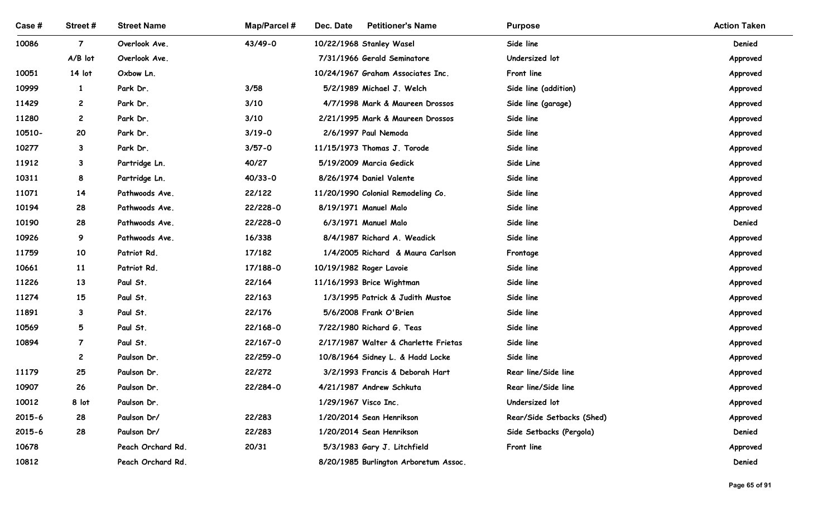| Case #         | Street#            | <b>Street Name</b>         | <b>Map/Parcel#</b> | Dec. Date<br><b>Petitioner's Name</b>                            | <b>Purpose</b>               | <b>Action Taken</b>  |
|----------------|--------------------|----------------------------|--------------------|------------------------------------------------------------------|------------------------------|----------------------|
| 10086          | $\overline{7}$     | Overlook Ave.              | 43/49-0            | 10/22/1968 Stanley Wasel                                         | Side line                    | Denied               |
| 10051          | A/B lot<br>14 lot  | Overlook Ave.<br>Oxbow Ln. |                    | 7/31/1966 Gerald Seminatore<br>10/24/1967 Graham Associates Inc. | Undersized lot<br>Front line | Approved             |
| 10999          | $\mathbf{1}$       | Park Dr.                   | 3/58               | 5/2/1989 Michael J. Welch                                        | Side line (addition)         | Approved<br>Approved |
| 11429          | $\mathbf{2}$       | Park Dr.                   | 3/10               | 4/7/1998 Mark & Maureen Drossos                                  | Side line (garage)           | Approved             |
| 11280          | $\mathbf{2}$       | Park Dr.                   | 3/10               | 2/21/1995 Mark & Maureen Drossos                                 | Side line                    | Approved             |
| 10510-         | 20                 | Park Dr.                   | $3/19 - 0$         | 2/6/1997 Paul Nemoda                                             | Side line                    | Approved             |
| 10277          | 3                  | Park Dr.                   | $3/57 - 0$         | 11/15/1973 Thomas J. Torode                                      | Side line                    | Approved             |
| 11912          | 3                  | Partridge Ln.              | 40/27              | 5/19/2009 Marcia Gedick                                          | Side Line                    | Approved             |
| 10311          | 8                  | Partridge Ln.              | $40/33 - 0$        | 8/26/1974 Daniel Valente                                         | Side line                    | Approved             |
| 11071          | 14                 | Pathwoods Ave.             | 22/122             | 11/20/1990 Colonial Remodeling Co.                               | Side line                    | Approved             |
| 10194          | 28                 | Pathwoods Ave.             | 22/228-0           | 8/19/1971 Manuel Malo                                            | Side line                    | Approved             |
| 10190          | 28                 | Pathwoods Ave.             | 22/228-0           | 6/3/1971 Manuel Malo                                             | Side line                    | Denied               |
| 10926          | 9                  | Pathwoods Ave.             | 16/338             | 8/4/1987 Richard A. Weadick                                      | Side line                    | Approved             |
| 11759          | 10                 | Patriot Rd.                | 17/182             | 1/4/2005 Richard & Maura Carlson                                 | Frontage                     | Approved             |
| 10661          | 11                 | Patriot Rd.                | 17/188-0           | 10/19/1982 Roger Lavoie                                          | Side line                    | Approved             |
| 11226          | 13                 | Paul St.                   | 22/164             | 11/16/1993 Brice Wightman                                        | Side line                    | Approved             |
| 11274<br>11891 | 15<br>$\mathbf{3}$ | Paul St.<br>Paul St.       | 22/163<br>22/176   | 1/3/1995 Patrick & Judith Mustoe<br>5/6/2008 Frank O'Brien       | Side line<br>Side line       | Approved<br>Approved |
| 10569          | 5                  | Paul St.                   | 22/168-0           | 7/22/1980 Richard G. Teas                                        | Side line                    | Approved             |
| 10894          | $\overline{7}$     | Paul St.                   | 22/167-0           | 2/17/1987 Walter & Charlette Frietas                             | Side line                    | Approved             |
|                | $\mathbf{2}$       | Paulson Dr.                | 22/259-0           | 10/8/1964 Sidney L. & Hadd Locke                                 | Side line                    | Approved             |
| 11179          | 25                 | Paulson Dr.                | 22/272             | 3/2/1993 Francis & Deborah Hart                                  | Rear line/Side line          | Approved             |
| 10907          | 26                 | Paulson Dr.                | 22/284-0           | 4/21/1987 Andrew Schkuta                                         | Rear line/Side line          | Approved             |
| 10012          | 8 lot              | Paulson Dr.                |                    | 1/29/1967 Visco Inc.                                             | Undersized lot               | Approved             |
| 2015-6         | 28                 | Paulson Dr/                | 22/283             | 1/20/2014 Sean Henrikson                                         | Rear/Side Setbacks (Shed)    | Approved             |
| 2015-6         | 28                 | Paulson Dr/                | 22/283             | 1/20/2014 Sean Henrikson                                         | Side Setbacks (Pergola)      | Denied               |
| 10678          |                    | Peach Orchard Rd.          | 20/31              | 5/3/1983 Gary J. Litchfield                                      | Front line                   | Approved             |
| 10812          |                    | Peach Orchard Rd.          |                    | 8/20/1985 Burlington Arboretum Assoc.                            |                              | Denied               |
|                |                    |                            |                    |                                                                  |                              | Page 65 of 91        |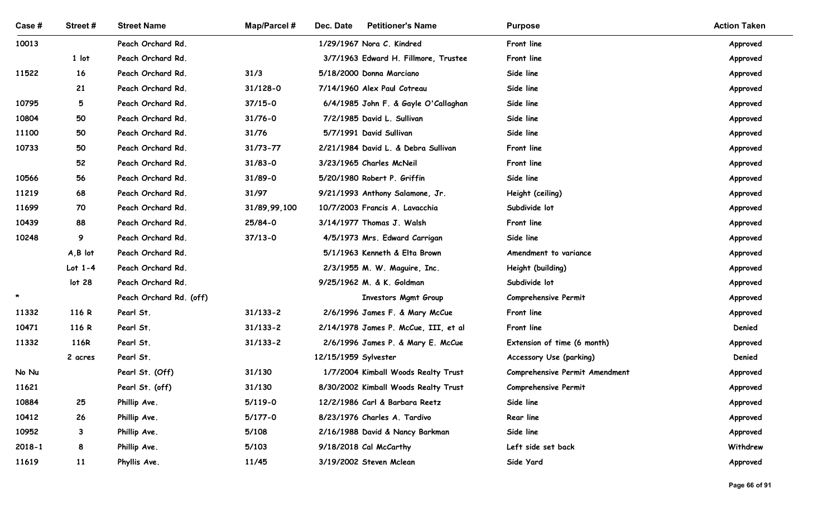| Case #     | Street#           | <b>Street Name</b>                   | <b>Map/Parcel#</b> | Dec. Date<br><b>Petitioner's Name</b>                                  | <b>Purpose</b>                     | <b>Action Taken</b> |
|------------|-------------------|--------------------------------------|--------------------|------------------------------------------------------------------------|------------------------------------|---------------------|
| 10013      |                   | Peach Orchard Rd.                    |                    | 1/29/1967 Nora C. Kindred                                              | Front line                         | Approved            |
|            | 1 lot             | Peach Orchard Rd.                    |                    | 3/7/1963 Edward H. Fillmore, Trustee                                   | Front line                         | Approved            |
| 11522      | 16                | Peach Orchard Rd.                    | 31/3               | 5/18/2000 Donna Marciano                                               | Side line                          | Approved            |
|            | 21                | Peach Orchard Rd.                    | $31/128 - 0$       | 7/14/1960 Alex Paul Cotreau                                            | Side line                          | Approved            |
| 10795      | 5                 | Peach Orchard Rd.                    | $37/15 - 0$        | 6/4/1985 John F. & Gayle O'Callaghan                                   | Side line                          | Approved            |
| 10804      | 50                | Peach Orchard Rd.                    | $31/76 - 0$        | 7/2/1985 David L. Sullivan                                             | Side line                          | Approved            |
| 11100      | 50                | Peach Orchard Rd.                    | 31/76              | 5/7/1991 David Sullivan                                                | Side line                          | Approved            |
| 10733      | 50                | Peach Orchard Rd.                    | $31/73 - 77$       | 2/21/1984 David L. & Debra Sullivan                                    | Front line                         | Approved            |
|            | 52                | Peach Orchard Rd.                    | $31/83 - 0$        | 3/23/1965 Charles McNeil                                               | Front line                         | Approved            |
| 10566      | 56                | Peach Orchard Rd.                    | $31/89 - 0$        | 5/20/1980 Robert P. Griffin                                            | Side line                          | Approved            |
| 11219      | 68                | Peach Orchard Rd.                    | 31/97              | 9/21/1993 Anthony Salamone, Jr.                                        | Height (ceiling)                   | Approved            |
| 11699      | 70                | Peach Orchard Rd.                    | 31/89,99,100       | 10/7/2003 Francis A. Lavacchia                                         | Subdivide lot                      | Approved            |
| 10439      | 88                | Peach Orchard Rd.                    | 25/84-0            | 3/14/1977 Thomas J. Walsh                                              | Front line                         | Approved            |
| 10248      | 9                 | Peach Orchard Rd.                    | $37/13 - 0$        | 4/5/1973 Mrs. Edward Carrigan                                          | Side line                          | Approved            |
|            | $A, B$ lot        | Peach Orchard Rd.                    |                    | 5/1/1963 Kenneth & Elta Brown                                          | Amendment to variance              | Approved            |
|            | Lot $1-4$         | Peach Orchard Rd.                    |                    | 2/3/1955 M. W. Maguire, Inc.                                           | Height (building)                  | Approved            |
| $\star$    | lot <sub>28</sub> | Peach Orchard Rd.                    |                    | 9/25/1962 M. & K. Goldman                                              | Subdivide lot                      | Approved            |
| 11332      | 116 R             | Peach Orchard Rd. (off)<br>Pearl St. | $31/133 - 2$       | <b>Investors Mgmt Group</b>                                            | Comprehensive Permit<br>Front line | Approved            |
| 10471      | 116 R             | Pearl St.                            | $31/133 - 2$       | 2/6/1996 James F. & Mary McCue<br>2/14/1978 James P. McCue, III, et al | Front line                         | Approved<br>Denied  |
| 11332      | 116R              | Pearl St.                            | $31/133 - 2$       | 2/6/1996 James P. & Mary E. McCue                                      | Extension of time (6 month)        | Approved            |
|            | 2 acres           | Pearl St.                            |                    | 12/15/1959 Sylvester                                                   | Accessory Use (parking)            | Denied              |
| No Nu      |                   | Pearl St. (Off)                      | 31/130             | 1/7/2004 Kimball Woods Realty Trust                                    | Comprehensive Permit Amendment     | Approved            |
| 11621      |                   | Pearl St. (off)                      | 31/130             | 8/30/2002 Kimball Woods Realty Trust                                   | Comprehensive Permit               | Approved            |
| 10884      | 25                | Phillip Ave.                         | $5/119-0$          | 12/2/1986 Carl & Barbara Reetz                                         | Side line                          | Approved            |
| 10412      | 26                | Phillip Ave.                         | $5/177 - 0$        | 8/23/1976 Charles A. Tardivo                                           | Rear line                          | Approved            |
| 10952      | $3^{\circ}$       | Phillip Ave.                         | 5/108              | 2/16/1988 David & Nancy Barkman                                        | Side line                          | Approved            |
| $2018 - 1$ | 8                 | Phillip Ave.                         | 5/103              | 9/18/2018 Cal McCarthy                                                 | Left side set back                 | Withdrew            |
| 11619      | 11                | Phyllis Ave.                         | 11/45              | 3/19/2002 Steven Mclean                                                | Side Yard                          | Approved            |
|            |                   |                                      |                    |                                                                        |                                    |                     |
|            |                   |                                      |                    |                                                                        |                                    | Page 66 of 91       |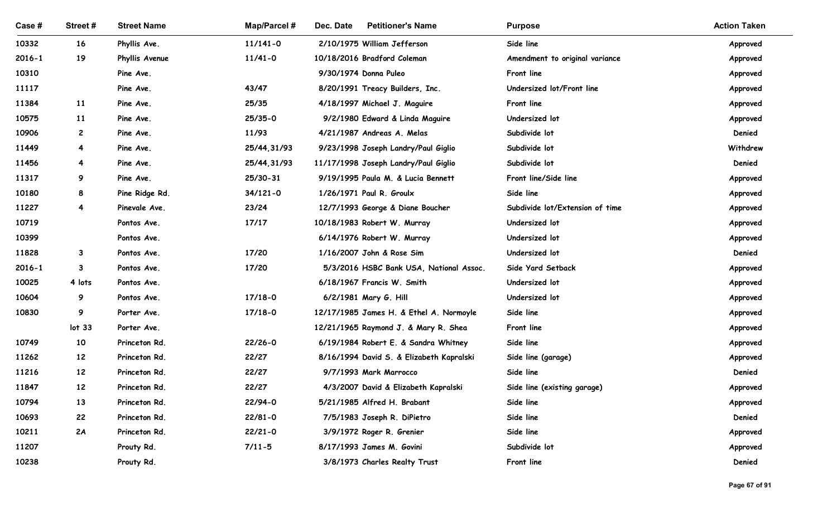| Case #              | Street #                | <b>Street Name</b>          | Map/Parcel # | Dec. Date<br><b>Petitioner's Name</b>                | <b>Purpose</b>                               | <b>Action Taken</b>  |
|---------------------|-------------------------|-----------------------------|--------------|------------------------------------------------------|----------------------------------------------|----------------------|
|                     |                         |                             |              |                                                      |                                              |                      |
| 10332               | 16                      | Phyllis Ave.                | $11/141 - 0$ | 2/10/1975 William Jefferson                          | Side line                                    | Approved             |
| $2016 - 1$<br>10310 | 19                      | Phyllis Avenue<br>Pine Ave. | $11/41 - 0$  | 10/18/2016 Bradford Coleman<br>9/30/1974 Donna Puleo | Amendment to original variance<br>Front line | Approved<br>Approved |
| 11117               |                         | Pine Ave.                   | 43/47        | 8/20/1991 Treacy Builders, Inc.                      | Undersized lot/Front line                    | Approved             |
| 11384               | 11                      | Pine Ave.                   | 25/35        | 4/18/1997 Michael J. Maguire                         | Front line                                   | Approved             |
| 10575               | <b>11</b>               | Pine Ave.                   | 25/35-0      | 9/2/1980 Edward & Linda Maguire                      | Undersized lot                               | Approved             |
| 10906               | $\mathbf{2}$            | Pine Ave.                   | 11/93        | 4/21/1987 Andreas A. Melas                           | Subdivide lot                                | Denied               |
| 11449               | 4                       | Pine Ave.                   | 25/44,31/93  | 9/23/1998 Joseph Landry/Paul Giglio                  | Subdivide lot                                | Withdrew             |
| 11456               | 4                       | Pine Ave.                   | 25/44, 31/93 | 11/17/1998 Joseph Landry/Paul Giglio                 | Subdivide lot                                | Denied               |
| 11317               | 9                       | Pine Ave.                   | 25/30-31     | 9/19/1995 Paula M. & Lucia Bennett                   | Front line/Side line                         | Approved             |
| 10180               | 8                       | Pine Ridge Rd.              | $34/121 - 0$ | 1/26/1971 Paul R. Groulx                             | Side line                                    | Approved             |
| 11227               | $\overline{\mathbf{4}}$ | Pinevale Ave.               | 23/24        | 12/7/1993 George & Diane Boucher                     | Subdivide lot/Extension of time              | Approved             |
| 10719               |                         | Pontos Ave.                 | 17/17        | 10/18/1983 Robert W. Murray                          | Undersized lot                               | Approved             |
| 10399               |                         | Pontos Ave.                 |              | 6/14/1976 Robert W. Murray                           | Undersized lot                               | Approved             |
| 11828               | 3                       | Pontos Ave.                 | 17/20        | 1/16/2007 John & Rose Sim                            | Undersized lot                               | Denied               |
| $2016 - 1$          | $\mathbf{3}$            | Pontos Ave.                 | 17/20        | 5/3/2016 HSBC Bank USA, National Assoc.              | Side Yard Setback                            | Approved             |
| 10025               | 4 lots                  | Pontos Ave.                 |              | 6/18/1967 Francis W. Smith                           | Undersized lot                               | Approved             |
| 10604               | 9                       | Pontos Ave.                 | $17/18 - 0$  | 6/2/1981 Mary G. Hill                                | Undersized lot                               | Approved             |
| 10830               | 9                       | Porter Ave.                 | $17/18 - 0$  | 12/17/1985 James H. & Ethel A. Normoyle              | Side line                                    | Approved             |
|                     | lot <sub>33</sub>       | Porter Ave.                 |              | 12/21/1965 Raymond J. & Mary R. Shea                 | Front line                                   | Approved             |
| 10749               | 10                      | Princeton Rd.               | $22/26 - 0$  | 6/19/1984 Robert E. & Sandra Whitney                 | Side line                                    | Approved             |
| 11262               | 12                      | Princeton Rd.               | 22/27        | 8/16/1994 David S. & Elizabeth Kapralski             | Side line (garage)                           | Approved             |
| 11216               | 12                      | Princeton Rd.               | 22/27        | 9/7/1993 Mark Marrocco                               | Side line                                    | Denied               |
| 11847               | 12                      | Princeton Rd.               | 22/27        | 4/3/2007 David & Elizabeth Kapralski                 | Side line (existing garage)                  | Approved             |
| 10794               | 13                      | Princeton Rd.               | 22/94-0      | 5/21/1985 Alfred H. Brabant                          | Side line                                    | Approved             |
| 10693               | 22                      | Princeton Rd.               | $22/81 - 0$  | 7/5/1983 Joseph R. DiPietro                          | Side line                                    | Denied               |
| 10211               | 2A                      | Princeton Rd.               | $22/21 - 0$  | 3/9/1972 Roger R. Grenier                            | Side line                                    | Approved             |
| 11207               |                         | Prouty Rd.                  | $7/11 - 5$   | 8/17/1993 James M. Govini                            | Subdivide lot                                | Approved             |
| 10238               |                         | Prouty Rd.                  |              | 3/8/1973 Charles Realty Trust                        | Front line                                   | Denied               |
|                     |                         |                             |              |                                                      |                                              | Page 67 of 91        |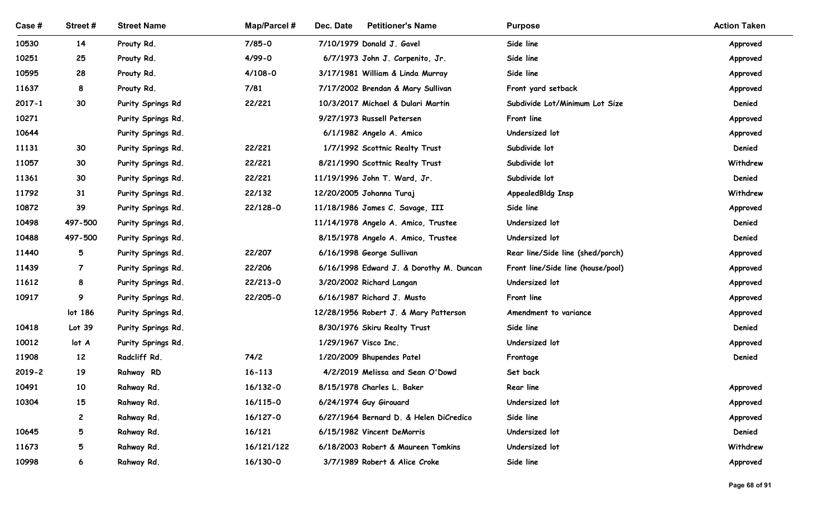| <b>Action Taken</b><br><b>Street Name</b><br><b>Map/Parcel#</b><br>Dec. Date<br><b>Petitioner's Name</b><br>Case #<br>Street#<br><b>Purpose</b><br>10530<br>14<br>Prouty Rd.<br>$7/85 - 0$<br>7/10/1979 Donald J. Gavel<br>Side line<br>Approved<br>Side line<br>10251<br>25<br>$4/99 - 0$<br>Prouty Rd.<br>6/7/1973 John J. Carpenito, Jr.<br>Approved<br>Side line<br>10595<br>28<br>$4/108 - 0$<br>3/17/1981 William & Linda Murray<br>Prouty Rd.<br>Approved<br>11637<br>8<br>Prouty Rd.<br>7/81<br>Front yard setback<br>7/17/2002 Brendan & Mary Sullivan<br>Approved<br>30<br>22/221<br>Denied<br>$2017 - 1$<br>Purity Springs Rd<br>10/3/2017 Michael & Dulari Martin<br>Subdivide Lot/Minimum Lot Size<br>10271<br>9/27/1973 Russell Petersen<br>Front line<br>Purity Springs Rd.<br>Approved<br>10644<br>Undersized lot<br>Purity Springs Rd.<br>6/1/1982 Angelo A. Amico<br>Approved<br>30<br>22/221<br>Subdivide lot<br>Denied<br>11131<br>Purity Springs Rd.<br>1/7/1992 Scottnic Realty Trust<br>11057<br>30<br>22/221<br>Subdivide lot<br>Withdrew<br>Purity Springs Rd.<br>8/21/1990 Scottnic Realty Trust<br>11361<br>30<br>22/221<br>Subdivide lot<br>Purity Springs Rd.<br>11/19/1996 John T. Ward, Jr.<br>Denied<br>22/132<br>AppealedBldg Insp<br>Withdrew<br>11792<br>31<br>12/20/2005 Johanna Turaj<br>Purity Springs Rd.<br>39<br>22/128-0<br>10872<br>Purity Springs Rd.<br>11/18/1986 James C. Savage, III<br>Side line<br>Approved<br>Denied<br>497-500<br>Purity Springs Rd.<br>11/14/1978 Angelo A. Amico, Trustee<br>Undersized lot<br>10498<br>497-500<br>Denied<br>10488<br>Purity Springs Rd.<br>8/15/1978 Angelo A. Amico, Trustee<br>Undersized lot<br>22/207<br>11440<br>5<br>Purity Springs Rd.<br>6/16/1998 George Sullivan<br>Rear line/Side line (shed/porch)<br>Approved<br>22/206<br>11439<br>Purity Springs Rd.<br>6/16/1998 Edward J. & Dorothy M. Duncan<br>Front line/Side line (house/pool)<br>$\overline{7}$<br>Approved<br>11612<br>8<br>Purity Springs Rd.<br>22/213-0<br>3/20/2002 Richard Langan<br>Undersized lot<br>Approved<br>22/205-0<br>10917<br>9<br>Purity Springs Rd.<br>6/16/1987 Richard J. Musto<br>Front line<br>Approved<br>lot 186<br>Purity Springs Rd.<br>12/28/1956 Robert J. & Mary Patterson<br>Amendment to variance<br>Approved<br>10418<br>Lot 39<br>Purity Springs Rd.<br>8/30/1976 Skiru Realty Trust<br>Side line<br>Denied<br>1/29/1967 Visco Inc.<br>10012<br>Purity Springs Rd.<br>Undersized lot<br>lot A<br>Approved<br>12<br>Radcliff Rd.<br>74/2<br>11908<br>1/20/2009 Bhupendes Patel<br>Denied<br>Frontage<br>19<br>$16 - 113$<br>2019-2<br>Rahway RD<br>4/2/2019 Melissa and Sean O'Dowd<br>Set back<br>10<br>16/132-0<br>10491<br>Rahway Rd.<br>8/15/1978 Charles L. Baker<br>Rear line<br>Approved<br>15<br>16/115-0<br>10304<br>Rahway Rd.<br>6/24/1974 Guy Girouard<br>Undersized lot<br>Approved<br>16/127-0<br>Rahway Rd.<br>6/27/1964 Bernard D. & Helen DiCredico<br>Side line<br>$\mathbf{2}$<br>Approved<br>5<br>Denied<br>10645<br>Rahway Rd.<br>16/121<br>6/15/1982 Vincent DeMorris<br>Undersized lot<br>11673<br>5<br>Rahway Rd.<br>16/121/122<br>6/18/2003 Robert & Maureen Tomkins<br>Undersized lot<br>Withdrew |       |   |            |          |                               |           |          |
|--------------------------------------------------------------------------------------------------------------------------------------------------------------------------------------------------------------------------------------------------------------------------------------------------------------------------------------------------------------------------------------------------------------------------------------------------------------------------------------------------------------------------------------------------------------------------------------------------------------------------------------------------------------------------------------------------------------------------------------------------------------------------------------------------------------------------------------------------------------------------------------------------------------------------------------------------------------------------------------------------------------------------------------------------------------------------------------------------------------------------------------------------------------------------------------------------------------------------------------------------------------------------------------------------------------------------------------------------------------------------------------------------------------------------------------------------------------------------------------------------------------------------------------------------------------------------------------------------------------------------------------------------------------------------------------------------------------------------------------------------------------------------------------------------------------------------------------------------------------------------------------------------------------------------------------------------------------------------------------------------------------------------------------------------------------------------------------------------------------------------------------------------------------------------------------------------------------------------------------------------------------------------------------------------------------------------------------------------------------------------------------------------------------------------------------------------------------------------------------------------------------------------------------------------------------------------------------------------------------------------------------------------------------------------------------------------------------------------------------------------------------------------------------------------------------------------------------------------------------------------------------------------------------------------------------------------------------------------------------------------------------------------------------------------------------------------------------------------------------------------------------------------------------------------------------------------------------------------|-------|---|------------|----------|-------------------------------|-----------|----------|
|                                                                                                                                                                                                                                                                                                                                                                                                                                                                                                                                                                                                                                                                                                                                                                                                                                                                                                                                                                                                                                                                                                                                                                                                                                                                                                                                                                                                                                                                                                                                                                                                                                                                                                                                                                                                                                                                                                                                                                                                                                                                                                                                                                                                                                                                                                                                                                                                                                                                                                                                                                                                                                                                                                                                                                                                                                                                                                                                                                                                                                                                                                                                                                                                                          |       |   |            |          |                               |           |          |
|                                                                                                                                                                                                                                                                                                                                                                                                                                                                                                                                                                                                                                                                                                                                                                                                                                                                                                                                                                                                                                                                                                                                                                                                                                                                                                                                                                                                                                                                                                                                                                                                                                                                                                                                                                                                                                                                                                                                                                                                                                                                                                                                                                                                                                                                                                                                                                                                                                                                                                                                                                                                                                                                                                                                                                                                                                                                                                                                                                                                                                                                                                                                                                                                                          |       |   |            |          |                               |           |          |
|                                                                                                                                                                                                                                                                                                                                                                                                                                                                                                                                                                                                                                                                                                                                                                                                                                                                                                                                                                                                                                                                                                                                                                                                                                                                                                                                                                                                                                                                                                                                                                                                                                                                                                                                                                                                                                                                                                                                                                                                                                                                                                                                                                                                                                                                                                                                                                                                                                                                                                                                                                                                                                                                                                                                                                                                                                                                                                                                                                                                                                                                                                                                                                                                                          |       |   |            |          |                               |           |          |
|                                                                                                                                                                                                                                                                                                                                                                                                                                                                                                                                                                                                                                                                                                                                                                                                                                                                                                                                                                                                                                                                                                                                                                                                                                                                                                                                                                                                                                                                                                                                                                                                                                                                                                                                                                                                                                                                                                                                                                                                                                                                                                                                                                                                                                                                                                                                                                                                                                                                                                                                                                                                                                                                                                                                                                                                                                                                                                                                                                                                                                                                                                                                                                                                                          |       |   |            |          |                               |           |          |
|                                                                                                                                                                                                                                                                                                                                                                                                                                                                                                                                                                                                                                                                                                                                                                                                                                                                                                                                                                                                                                                                                                                                                                                                                                                                                                                                                                                                                                                                                                                                                                                                                                                                                                                                                                                                                                                                                                                                                                                                                                                                                                                                                                                                                                                                                                                                                                                                                                                                                                                                                                                                                                                                                                                                                                                                                                                                                                                                                                                                                                                                                                                                                                                                                          |       |   |            |          |                               |           |          |
|                                                                                                                                                                                                                                                                                                                                                                                                                                                                                                                                                                                                                                                                                                                                                                                                                                                                                                                                                                                                                                                                                                                                                                                                                                                                                                                                                                                                                                                                                                                                                                                                                                                                                                                                                                                                                                                                                                                                                                                                                                                                                                                                                                                                                                                                                                                                                                                                                                                                                                                                                                                                                                                                                                                                                                                                                                                                                                                                                                                                                                                                                                                                                                                                                          |       |   |            |          |                               |           |          |
|                                                                                                                                                                                                                                                                                                                                                                                                                                                                                                                                                                                                                                                                                                                                                                                                                                                                                                                                                                                                                                                                                                                                                                                                                                                                                                                                                                                                                                                                                                                                                                                                                                                                                                                                                                                                                                                                                                                                                                                                                                                                                                                                                                                                                                                                                                                                                                                                                                                                                                                                                                                                                                                                                                                                                                                                                                                                                                                                                                                                                                                                                                                                                                                                                          |       |   |            |          |                               |           |          |
|                                                                                                                                                                                                                                                                                                                                                                                                                                                                                                                                                                                                                                                                                                                                                                                                                                                                                                                                                                                                                                                                                                                                                                                                                                                                                                                                                                                                                                                                                                                                                                                                                                                                                                                                                                                                                                                                                                                                                                                                                                                                                                                                                                                                                                                                                                                                                                                                                                                                                                                                                                                                                                                                                                                                                                                                                                                                                                                                                                                                                                                                                                                                                                                                                          |       |   |            |          |                               |           |          |
|                                                                                                                                                                                                                                                                                                                                                                                                                                                                                                                                                                                                                                                                                                                                                                                                                                                                                                                                                                                                                                                                                                                                                                                                                                                                                                                                                                                                                                                                                                                                                                                                                                                                                                                                                                                                                                                                                                                                                                                                                                                                                                                                                                                                                                                                                                                                                                                                                                                                                                                                                                                                                                                                                                                                                                                                                                                                                                                                                                                                                                                                                                                                                                                                                          |       |   |            |          |                               |           |          |
|                                                                                                                                                                                                                                                                                                                                                                                                                                                                                                                                                                                                                                                                                                                                                                                                                                                                                                                                                                                                                                                                                                                                                                                                                                                                                                                                                                                                                                                                                                                                                                                                                                                                                                                                                                                                                                                                                                                                                                                                                                                                                                                                                                                                                                                                                                                                                                                                                                                                                                                                                                                                                                                                                                                                                                                                                                                                                                                                                                                                                                                                                                                                                                                                                          |       |   |            |          |                               |           |          |
|                                                                                                                                                                                                                                                                                                                                                                                                                                                                                                                                                                                                                                                                                                                                                                                                                                                                                                                                                                                                                                                                                                                                                                                                                                                                                                                                                                                                                                                                                                                                                                                                                                                                                                                                                                                                                                                                                                                                                                                                                                                                                                                                                                                                                                                                                                                                                                                                                                                                                                                                                                                                                                                                                                                                                                                                                                                                                                                                                                                                                                                                                                                                                                                                                          |       |   |            |          |                               |           |          |
|                                                                                                                                                                                                                                                                                                                                                                                                                                                                                                                                                                                                                                                                                                                                                                                                                                                                                                                                                                                                                                                                                                                                                                                                                                                                                                                                                                                                                                                                                                                                                                                                                                                                                                                                                                                                                                                                                                                                                                                                                                                                                                                                                                                                                                                                                                                                                                                                                                                                                                                                                                                                                                                                                                                                                                                                                                                                                                                                                                                                                                                                                                                                                                                                                          |       |   |            |          |                               |           |          |
|                                                                                                                                                                                                                                                                                                                                                                                                                                                                                                                                                                                                                                                                                                                                                                                                                                                                                                                                                                                                                                                                                                                                                                                                                                                                                                                                                                                                                                                                                                                                                                                                                                                                                                                                                                                                                                                                                                                                                                                                                                                                                                                                                                                                                                                                                                                                                                                                                                                                                                                                                                                                                                                                                                                                                                                                                                                                                                                                                                                                                                                                                                                                                                                                                          |       |   |            |          |                               |           |          |
|                                                                                                                                                                                                                                                                                                                                                                                                                                                                                                                                                                                                                                                                                                                                                                                                                                                                                                                                                                                                                                                                                                                                                                                                                                                                                                                                                                                                                                                                                                                                                                                                                                                                                                                                                                                                                                                                                                                                                                                                                                                                                                                                                                                                                                                                                                                                                                                                                                                                                                                                                                                                                                                                                                                                                                                                                                                                                                                                                                                                                                                                                                                                                                                                                          |       |   |            |          |                               |           |          |
|                                                                                                                                                                                                                                                                                                                                                                                                                                                                                                                                                                                                                                                                                                                                                                                                                                                                                                                                                                                                                                                                                                                                                                                                                                                                                                                                                                                                                                                                                                                                                                                                                                                                                                                                                                                                                                                                                                                                                                                                                                                                                                                                                                                                                                                                                                                                                                                                                                                                                                                                                                                                                                                                                                                                                                                                                                                                                                                                                                                                                                                                                                                                                                                                                          |       |   |            |          |                               |           |          |
|                                                                                                                                                                                                                                                                                                                                                                                                                                                                                                                                                                                                                                                                                                                                                                                                                                                                                                                                                                                                                                                                                                                                                                                                                                                                                                                                                                                                                                                                                                                                                                                                                                                                                                                                                                                                                                                                                                                                                                                                                                                                                                                                                                                                                                                                                                                                                                                                                                                                                                                                                                                                                                                                                                                                                                                                                                                                                                                                                                                                                                                                                                                                                                                                                          |       |   |            |          |                               |           |          |
|                                                                                                                                                                                                                                                                                                                                                                                                                                                                                                                                                                                                                                                                                                                                                                                                                                                                                                                                                                                                                                                                                                                                                                                                                                                                                                                                                                                                                                                                                                                                                                                                                                                                                                                                                                                                                                                                                                                                                                                                                                                                                                                                                                                                                                                                                                                                                                                                                                                                                                                                                                                                                                                                                                                                                                                                                                                                                                                                                                                                                                                                                                                                                                                                                          |       |   |            |          |                               |           |          |
|                                                                                                                                                                                                                                                                                                                                                                                                                                                                                                                                                                                                                                                                                                                                                                                                                                                                                                                                                                                                                                                                                                                                                                                                                                                                                                                                                                                                                                                                                                                                                                                                                                                                                                                                                                                                                                                                                                                                                                                                                                                                                                                                                                                                                                                                                                                                                                                                                                                                                                                                                                                                                                                                                                                                                                                                                                                                                                                                                                                                                                                                                                                                                                                                                          |       |   |            |          |                               |           |          |
|                                                                                                                                                                                                                                                                                                                                                                                                                                                                                                                                                                                                                                                                                                                                                                                                                                                                                                                                                                                                                                                                                                                                                                                                                                                                                                                                                                                                                                                                                                                                                                                                                                                                                                                                                                                                                                                                                                                                                                                                                                                                                                                                                                                                                                                                                                                                                                                                                                                                                                                                                                                                                                                                                                                                                                                                                                                                                                                                                                                                                                                                                                                                                                                                                          |       |   |            |          |                               |           |          |
|                                                                                                                                                                                                                                                                                                                                                                                                                                                                                                                                                                                                                                                                                                                                                                                                                                                                                                                                                                                                                                                                                                                                                                                                                                                                                                                                                                                                                                                                                                                                                                                                                                                                                                                                                                                                                                                                                                                                                                                                                                                                                                                                                                                                                                                                                                                                                                                                                                                                                                                                                                                                                                                                                                                                                                                                                                                                                                                                                                                                                                                                                                                                                                                                                          |       |   |            |          |                               |           |          |
|                                                                                                                                                                                                                                                                                                                                                                                                                                                                                                                                                                                                                                                                                                                                                                                                                                                                                                                                                                                                                                                                                                                                                                                                                                                                                                                                                                                                                                                                                                                                                                                                                                                                                                                                                                                                                                                                                                                                                                                                                                                                                                                                                                                                                                                                                                                                                                                                                                                                                                                                                                                                                                                                                                                                                                                                                                                                                                                                                                                                                                                                                                                                                                                                                          |       |   |            |          |                               |           |          |
|                                                                                                                                                                                                                                                                                                                                                                                                                                                                                                                                                                                                                                                                                                                                                                                                                                                                                                                                                                                                                                                                                                                                                                                                                                                                                                                                                                                                                                                                                                                                                                                                                                                                                                                                                                                                                                                                                                                                                                                                                                                                                                                                                                                                                                                                                                                                                                                                                                                                                                                                                                                                                                                                                                                                                                                                                                                                                                                                                                                                                                                                                                                                                                                                                          |       |   |            |          |                               |           |          |
|                                                                                                                                                                                                                                                                                                                                                                                                                                                                                                                                                                                                                                                                                                                                                                                                                                                                                                                                                                                                                                                                                                                                                                                                                                                                                                                                                                                                                                                                                                                                                                                                                                                                                                                                                                                                                                                                                                                                                                                                                                                                                                                                                                                                                                                                                                                                                                                                                                                                                                                                                                                                                                                                                                                                                                                                                                                                                                                                                                                                                                                                                                                                                                                                                          |       |   |            |          |                               |           |          |
|                                                                                                                                                                                                                                                                                                                                                                                                                                                                                                                                                                                                                                                                                                                                                                                                                                                                                                                                                                                                                                                                                                                                                                                                                                                                                                                                                                                                                                                                                                                                                                                                                                                                                                                                                                                                                                                                                                                                                                                                                                                                                                                                                                                                                                                                                                                                                                                                                                                                                                                                                                                                                                                                                                                                                                                                                                                                                                                                                                                                                                                                                                                                                                                                                          |       |   |            |          |                               |           |          |
|                                                                                                                                                                                                                                                                                                                                                                                                                                                                                                                                                                                                                                                                                                                                                                                                                                                                                                                                                                                                                                                                                                                                                                                                                                                                                                                                                                                                                                                                                                                                                                                                                                                                                                                                                                                                                                                                                                                                                                                                                                                                                                                                                                                                                                                                                                                                                                                                                                                                                                                                                                                                                                                                                                                                                                                                                                                                                                                                                                                                                                                                                                                                                                                                                          |       |   |            |          |                               |           |          |
|                                                                                                                                                                                                                                                                                                                                                                                                                                                                                                                                                                                                                                                                                                                                                                                                                                                                                                                                                                                                                                                                                                                                                                                                                                                                                                                                                                                                                                                                                                                                                                                                                                                                                                                                                                                                                                                                                                                                                                                                                                                                                                                                                                                                                                                                                                                                                                                                                                                                                                                                                                                                                                                                                                                                                                                                                                                                                                                                                                                                                                                                                                                                                                                                                          |       |   |            |          |                               |           |          |
|                                                                                                                                                                                                                                                                                                                                                                                                                                                                                                                                                                                                                                                                                                                                                                                                                                                                                                                                                                                                                                                                                                                                                                                                                                                                                                                                                                                                                                                                                                                                                                                                                                                                                                                                                                                                                                                                                                                                                                                                                                                                                                                                                                                                                                                                                                                                                                                                                                                                                                                                                                                                                                                                                                                                                                                                                                                                                                                                                                                                                                                                                                                                                                                                                          |       |   |            |          |                               |           |          |
|                                                                                                                                                                                                                                                                                                                                                                                                                                                                                                                                                                                                                                                                                                                                                                                                                                                                                                                                                                                                                                                                                                                                                                                                                                                                                                                                                                                                                                                                                                                                                                                                                                                                                                                                                                                                                                                                                                                                                                                                                                                                                                                                                                                                                                                                                                                                                                                                                                                                                                                                                                                                                                                                                                                                                                                                                                                                                                                                                                                                                                                                                                                                                                                                                          |       |   |            |          |                               |           |          |
|                                                                                                                                                                                                                                                                                                                                                                                                                                                                                                                                                                                                                                                                                                                                                                                                                                                                                                                                                                                                                                                                                                                                                                                                                                                                                                                                                                                                                                                                                                                                                                                                                                                                                                                                                                                                                                                                                                                                                                                                                                                                                                                                                                                                                                                                                                                                                                                                                                                                                                                                                                                                                                                                                                                                                                                                                                                                                                                                                                                                                                                                                                                                                                                                                          |       |   |            |          |                               |           |          |
|                                                                                                                                                                                                                                                                                                                                                                                                                                                                                                                                                                                                                                                                                                                                                                                                                                                                                                                                                                                                                                                                                                                                                                                                                                                                                                                                                                                                                                                                                                                                                                                                                                                                                                                                                                                                                                                                                                                                                                                                                                                                                                                                                                                                                                                                                                                                                                                                                                                                                                                                                                                                                                                                                                                                                                                                                                                                                                                                                                                                                                                                                                                                                                                                                          |       |   |            |          |                               |           |          |
|                                                                                                                                                                                                                                                                                                                                                                                                                                                                                                                                                                                                                                                                                                                                                                                                                                                                                                                                                                                                                                                                                                                                                                                                                                                                                                                                                                                                                                                                                                                                                                                                                                                                                                                                                                                                                                                                                                                                                                                                                                                                                                                                                                                                                                                                                                                                                                                                                                                                                                                                                                                                                                                                                                                                                                                                                                                                                                                                                                                                                                                                                                                                                                                                                          |       |   |            |          |                               |           |          |
|                                                                                                                                                                                                                                                                                                                                                                                                                                                                                                                                                                                                                                                                                                                                                                                                                                                                                                                                                                                                                                                                                                                                                                                                                                                                                                                                                                                                                                                                                                                                                                                                                                                                                                                                                                                                                                                                                                                                                                                                                                                                                                                                                                                                                                                                                                                                                                                                                                                                                                                                                                                                                                                                                                                                                                                                                                                                                                                                                                                                                                                                                                                                                                                                                          | 10998 | 6 | Rahway Rd. | 16/130-0 | 3/7/1989 Robert & Alice Croke | Side line | Approved |
|                                                                                                                                                                                                                                                                                                                                                                                                                                                                                                                                                                                                                                                                                                                                                                                                                                                                                                                                                                                                                                                                                                                                                                                                                                                                                                                                                                                                                                                                                                                                                                                                                                                                                                                                                                                                                                                                                                                                                                                                                                                                                                                                                                                                                                                                                                                                                                                                                                                                                                                                                                                                                                                                                                                                                                                                                                                                                                                                                                                                                                                                                                                                                                                                                          |       |   |            |          |                               |           |          |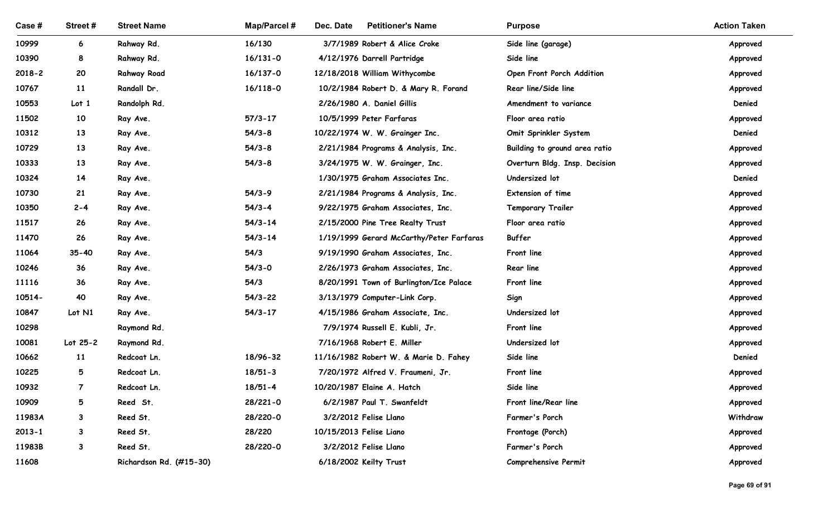| Case #         | Street #            | <b>Street Name</b>         | Map/Parcel #               | Dec. Date<br><b>Petitioner's Name</b>                           | <b>Purpose</b>                | <b>Action Taken</b>  |
|----------------|---------------------|----------------------------|----------------------------|-----------------------------------------------------------------|-------------------------------|----------------------|
| 10999          | 6                   | Rahway Rd.                 | 16/130                     | 3/7/1989 Robert & Alice Croke                                   | Side line (garage)            | Approved             |
| 10390          | 8                   | Rahway Rd.                 | $16/131 - 0$               | 4/12/1976 Darrell Partridge                                     | Side line                     | Approved             |
| $2018 - 2$     | 20                  | <b>Rahway Road</b>         | 16/137-0                   | 12/18/2018 William Withycombe                                   | Open Front Porch Addition     | Approved             |
| 10767          | <b>11</b>           | Randall Dr.                | $16/118 - 0$               | 10/2/1984 Robert D. & Mary R. Forand                            | Rear line/Side line           | Approved             |
| 10553          | Lot <sub>1</sub>    | Randolph Rd.               |                            | 2/26/1980 A. Daniel Gillis                                      | Amendment to variance         | Denied               |
| 11502          | 10                  | Ray Ave.                   | $57/3 - 17$                | 10/5/1999 Peter Farfaras                                        | Floor area ratio              | Approved             |
| 10312          | 13                  | Ray Ave.                   | $54/3 - 8$                 | 10/22/1974 W. W. Grainger Inc.                                  | Omit Sprinkler System         | Denied               |
| 10729          | 13                  | Ray Ave.                   | $54/3 - 8$                 | 2/21/1984 Programs & Analysis, Inc.                             | Building to ground area ratio | Approved             |
| 10333          | 13                  | Ray Ave.                   | $54/3 - 8$                 | 3/24/1975 W. W. Grainger, Inc.                                  | Overturn Bldg. Insp. Decision | Approved             |
| 10324          | 14                  | Ray Ave.                   |                            | 1/30/1975 Graham Associates Inc.                                | Undersized lot                | Denied               |
| 10730          | 21                  | Ray Ave.                   | $54/3-9$                   | 2/21/1984 Programs & Analysis, Inc.                             | Extension of time             | Approved             |
| 10350          | $2 - 4$             | Ray Ave.                   | $54/3 - 4$                 | 9/22/1975 Graham Associates, Inc.                               | <b>Temporary Trailer</b>      | Approved             |
| 11517          | 26                  | Ray Ave.                   | $54/3 - 14$                | 2/15/2000 Pine Tree Realty Trust                                | Floor area ratio              | Approved             |
| 11470          | 26                  | Ray Ave.                   | $54/3 - 14$                | 1/19/1999 Gerard McCarthy/Peter Farfaras                        | Buffer                        | Approved             |
| 11064          | $35 - 40$           | Ray Ave.                   | 54/3                       | 9/19/1990 Graham Associates, Inc.                               | Front line                    | Approved             |
| 10246          | 36                  | Ray Ave.                   | $54/3 - 0$                 | 2/26/1973 Graham Associates, Inc.                               | <b>Rear line</b>              | Approved             |
| 11116          | 36                  | Ray Ave.                   | 54/3                       | 8/20/1991 Town of Burlington/Ice Palace                         | Front line                    | Approved             |
| 10514-         | 40                  | Ray Ave.                   | $54/3 - 22$                | 3/13/1979 Computer-Link Corp.                                   | Sign                          | Approved             |
| 10847          | Lot N1              | Ray Ave.                   | $54/3 - 17$                | 4/15/1986 Graham Associate, Inc.                                | Undersized lot                | Approved             |
| 10298          |                     | Raymond Rd.                |                            | 7/9/1974 Russell E. Kubli, Jr.                                  | Front line                    | Approved             |
| 10081          | Lot $25-2$          | Raymond Rd.                |                            | 7/16/1968 Robert E. Miller                                      | Undersized lot                | Approved             |
| 10662<br>10225 | <b>11</b>           | Redcoat Ln.                | 18/96-32                   | 11/16/1982 Robert W. & Marie D. Fahey                           | Side line                     | Denied               |
| 10932          | 5<br>$\overline{7}$ | Redcoat Ln.<br>Redcoat Ln. | $18/51 - 3$<br>$18/51 - 4$ | 7/20/1972 Alfred V. Fraumeni, Jr.<br>10/20/1987 Elaine A. Hatch | Front line<br>Side line       | Approved<br>Approved |
| 10909          | 5                   | Reed St.                   | 28/221-0                   | 6/2/1987 Paul T. Swanfeldt                                      | Front line/Rear line          | Approved             |
| 11983A         | 3                   | Reed St.                   | 28/220-0                   | 3/2/2012 Felise Llano                                           | Farmer's Porch                | Withdraw             |
| $2013 - 1$     | 3                   | Reed St.                   | 28/220                     | 10/15/2013 Felise Liano                                         | Frontage (Porch)              | Approved             |
| 11983B         | 3                   | Reed St.                   | 28/220-0                   | 3/2/2012 Felise Llano                                           | Farmer's Porch                | Approved             |
| 11608          |                     | Richardson Rd. (#15-30)    |                            | 6/18/2002 Keilty Trust                                          | Comprehensive Permit          | Approved             |
|                |                     |                            |                            |                                                                 |                               |                      |
|                |                     |                            |                            |                                                                 |                               | Page 69 of 91        |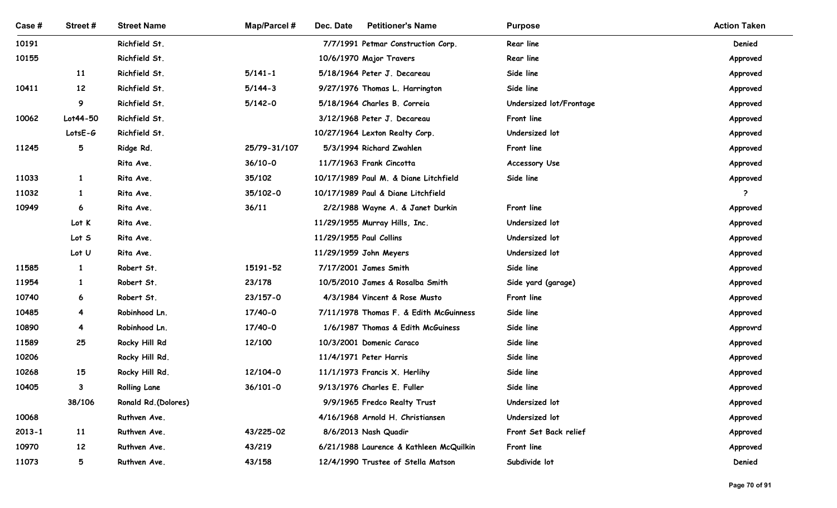| Case#      | Street#                 | <b>Street Name</b>             | Map/Parcel # | Dec. Date<br><b>Petitioner's Name</b>                       | <b>Purpose</b>                        | <b>Action Taken</b>              |
|------------|-------------------------|--------------------------------|--------------|-------------------------------------------------------------|---------------------------------------|----------------------------------|
| 10191      |                         | Richfield St.                  |              | 7/7/1991 Petmar Construction Corp.                          | Rear line                             | Denied                           |
| 10155      |                         | Richfield St.                  |              | 10/6/1970 Major Travers                                     | Rear line                             | Approved                         |
|            | <b>11</b>               | Richfield St.                  | $5/141 - 1$  | 5/18/1964 Peter J. Decareau                                 | Side line                             | Approved                         |
| 10411      | 12                      | Richfield St.                  | $5/144-3$    | 9/27/1976 Thomas L. Harrington                              | Side line                             | Approved                         |
| 10062      | 9<br>Lot44-50           | Richfield St.<br>Richfield St. | $5/142 - 0$  | 5/18/1964 Charles B. Correia<br>3/12/1968 Peter J. Decareau | Undersized lot/Frontage<br>Front line | Approved                         |
|            | LotsE-G                 | Richfield St.                  |              | 10/27/1964 Lexton Realty Corp.                              | Undersized lot                        | Approved<br>Approved             |
| 11245      | 5                       | Ridge Rd.                      | 25/79-31/107 | 5/3/1994 Richard Zwahlen                                    | Front line                            | Approved                         |
|            |                         | Rita Ave.                      | $36/10-0$    | 11/7/1963 Frank Cincotta                                    | <b>Accessory Use</b>                  | Approved                         |
| 11033      |                         | Rita Ave.                      | 35/102       | 10/17/1989 Paul M. & Diane Litchfield                       | Side line                             | Approved                         |
| 11032      | $\mathbf{1}$            | Rita Ave.                      | 35/102-0     | 10/17/1989 Paul & Diane Litchfield                          |                                       | $\cdots$<br>$\ddot{\phantom{0}}$ |
| 10949      | 6                       | Rita Ave.                      | 36/11        | 2/2/1988 Wayne A. & Janet Durkin                            | Front line                            | Approved                         |
|            | Lot K                   | Rita Ave.                      |              | 11/29/1955 Murray Hills, Inc.                               | Undersized lot                        | Approved                         |
|            | Lot S                   | Rita Ave.                      |              | 11/29/1955 Paul Collins                                     | Undersized lot                        | Approved                         |
|            | Lot U                   | Rita Ave.                      |              | 11/29/1959 John Meyers                                      | Undersized lot                        | Approved                         |
| 11585      | $\mathbf{1}$            | Robert St.                     | 15191-52     | 7/17/2001 James Smith                                       | Side line                             | Approved                         |
| 11954      | $\mathbf{1}$            | Robert St.                     | 23/178       | 10/5/2010 James & Rosalba Smith                             | Side yard (garage)                    | Approved                         |
| 10740      | 6                       | Robert St.                     | 23/157-0     | 4/3/1984 Vincent & Rose Musto                               | Front line                            | Approved                         |
| 10485      | $\overline{\mathbf{4}}$ | Robinhood Ln.                  | 17/40-0      | 7/11/1978 Thomas F. & Edith McGuinness                      | Side line                             | Approved                         |
| 10890      | $\overline{\mathbf{4}}$ | Robinhood Ln.                  | 17/40-0      | 1/6/1987 Thomas & Edith McGuiness                           | Side line                             | Approvrd                         |
| 11589      | 25                      | Rocky Hill Rd                  | 12/100       | 10/3/2001 Domenic Caraco                                    | Side line                             | Approved                         |
| 10206      |                         | Rocky Hill Rd.                 |              | 11/4/1971 Peter Harris                                      | Side line                             | Approved                         |
| 10268      | 15                      | Rocky Hill Rd.                 | 12/104-0     | 11/1/1973 Francis X. Herlihy                                | Side line                             | Approved                         |
| 10405      | $\mathbf{3}$            | <b>Rolling Lane</b>            | $36/101 - 0$ | 9/13/1976 Charles E. Fuller                                 | Side line                             | Approved                         |
|            | 38/106                  | Ronald Rd. (Dolores)           |              | 9/9/1965 Fredco Realty Trust                                | Undersized lot                        | Approved                         |
| 10068      |                         | Ruthven Ave.                   |              | 4/16/1968 Arnold H. Christiansen                            | Undersized lot                        | Approved                         |
| $2013 - 1$ | <b>11</b>               | Ruthven Ave.                   | 43/225-02    | 8/6/2013 Nash Quadir                                        | Front Set Back relief                 | Approved                         |
| 10970      | 12                      | Ruthven Ave.                   | 43/219       | 6/21/1988 Laurence & Kathleen McQuilkin                     | Front line                            | Approved                         |
| 11073      | $5\overline{)}$         | Ruthven Ave.                   | 43/158       | 12/4/1990 Trustee of Stella Matson                          | Subdivide lot                         | Denied                           |
|            |                         |                                |              |                                                             |                                       | Page 70 of 91                    |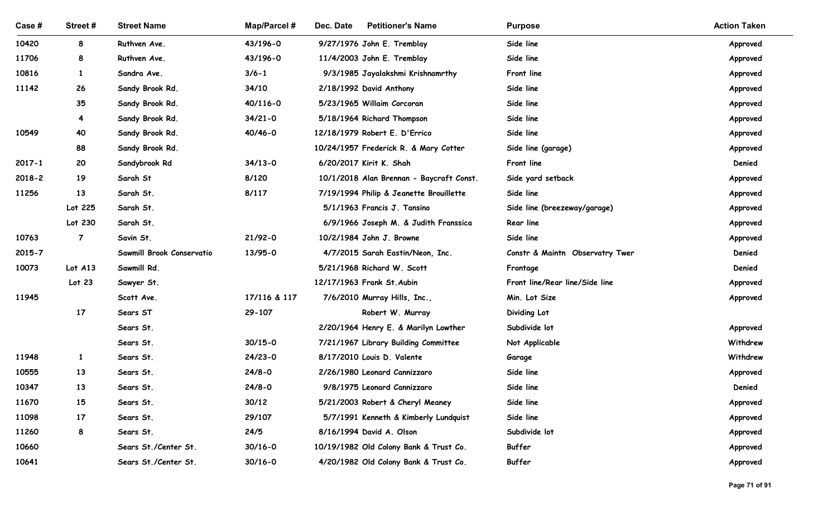| Case #         | Street#        | <b>Street Name</b>               | <b>Map/Parcel#</b>  | Dec. Date<br><b>Petitioner's Name</b>                                     | <b>Purpose</b>                   | <b>Action Taken</b>  |
|----------------|----------------|----------------------------------|---------------------|---------------------------------------------------------------------------|----------------------------------|----------------------|
| 10420          | 8              | Ruthven Ave.                     | 43/196-0            | 9/27/1976 John E. Tremblay                                                | Side line                        | Approved             |
| 11706          | 8              | Ruthven Ave.                     | 43/196-0            | 11/4/2003 John E. Tremblay                                                | Side line                        | Approved             |
| 10816          | $\mathbf{1}$   | Sandra Ave.                      | $3/6 - 1$           | 9/3/1985 Jayalakshmi Krishnamrthy                                         | Front line                       | Approved             |
| 11142          | 26             | Sandy Brook Rd.                  | 34/10               | 2/18/1992 David Anthony                                                   | Side line                        | Approved             |
|                | 35             | Sandy Brook Rd.                  | 40/116-0            | 5/23/1965 Willaim Corcoran                                                | Side line                        | Approved             |
|                | -4             | Sandy Brook Rd.                  | $34/21 - 0$         | 5/18/1964 Richard Thompson                                                | Side line                        | Approved             |
| 10549          | 40             | Sandy Brook Rd.                  | 40/46-0             | 12/18/1979 Robert E. D'Errico                                             | Side line                        | Approved             |
| 2017-1         | 88<br>20       | Sandy Brook Rd.<br>Sandybrook Rd | $34/13 - 0$         | 10/24/1957 Frederick R. & Mary Cotter<br>6/20/2017 Kirit K. Shah          | Side line (garage)<br>Front line | Approved<br>Denied   |
| $2018 - 2$     | 19             | Sarah St                         | 8/120               | 10/1/2018 Alan Brennan - Baycraft Const.                                  | Side yard setback                | Approved             |
| 11256          | 13             | Sarah St.                        | 8/117               | 7/19/1994 Philip & Jeanette Brouillette                                   | Side line                        | Approved             |
|                | Lot 225        | Sarah St.                        |                     | 5/1/1963 Francis J. Tansino                                               | Side line (breezeway/garage)     | Approved             |
|                | Lot 230        | Sarah St.                        |                     | 6/9/1966 Joseph M. & Judith Franssica                                     | Rear line                        | Approved             |
| 10763          | $\overline{7}$ | Savin St.                        | $21/92 - 0$         | 10/2/1984 John J. Browne                                                  | Side line                        | Approved             |
| $2015 - 7$     |                | Sawmill Brook Conservatio        | 13/95-0             | 4/7/2015 Sarah Eastin/Neon, Inc.                                          | Constr & Maintn Observatry Twer  | Denied               |
| 10073          | Lot $A13$      | Sawmill Rd.                      |                     | 5/21/1968 Richard W. Scott                                                | Frontage                         | Denied               |
|                | Lot 23         | Sawyer St.                       |                     | 12/17/1963 Frank St. Aubin                                                | Front line/Rear line/Side line   | Approved             |
| 11945          |                | Scott Ave.                       | 17/116 & 117        | 7/6/2010 Murray Hills, Inc.,                                              | Min. Lot Size                    | Approved             |
|                | 17             | Sears ST                         | 29-107              | Robert W. Murray                                                          | Dividing Lot                     |                      |
|                |                | Sears St.                        |                     | 2/20/1964 Henry E. & Marilyn Lowther                                      | Subdivide lot                    | Approved             |
|                |                | Sears St.                        | $30/15 - 0$         | 7/21/1967 Library Building Committee                                      | Not Applicable                   | Withdrew             |
| 11948          | $\mathbf{1}$   | Sears St.                        | $24/23-0$           | 8/17/2010 Louis D. Valente                                                | Garage                           | Withdrew             |
| 10555          | 13             | Sears St.                        | $24/8 - 0$          | 2/26/1980 Leonard Cannizzaro                                              | Side line                        | Approved             |
| 10347<br>11670 | 13<br>15       | Sears St.                        | $24/8 - 0$<br>30/12 | 9/8/1975 Leonard Cannizzaro                                               | Side line<br>Side line           | Denied               |
| 11098          | 17             | Sears St.<br>Sears St.           | 29/107              | 5/21/2003 Robert & Cheryl Meaney<br>5/7/1991 Kenneth & Kimberly Lundquist | Side line                        | Approved<br>Approved |
| 11260          | 8              | Sears St.                        | 24/5                | 8/16/1994 David A. Olson                                                  | Subdivide lot                    | Approved             |
| 10660          |                | Sears St./Center St.             | $30/16 - 0$         | 10/19/1982 Old Colony Bank & Trust Co.                                    | Buffer                           | Approved             |
| 10641          |                | Sears St./Center St.             | $30/16 - 0$         | 4/20/1982 Old Colony Bank & Trust Co.                                     | Buffer                           | Approved             |
|                |                |                                  |                     |                                                                           |                                  |                      |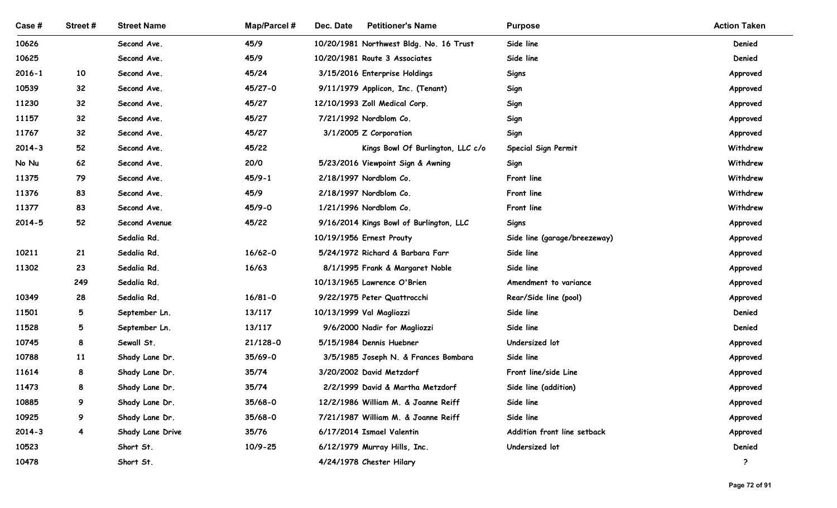| Case#               | Street#                 | <b>Street Name</b>           | <b>Map/Parcel#</b>  | Dec. Date<br><b>Petitioner's Name</b>                             | <b>Purpose</b>                        | <b>Action Taken</b>  |
|---------------------|-------------------------|------------------------------|---------------------|-------------------------------------------------------------------|---------------------------------------|----------------------|
| 10626               |                         | Second Ave.                  | 45/9                | 10/20/1981 Northwest Bldg. No. 16 Trust                           | Side line                             | Denied               |
| 10625               |                         | Second Ave.                  | 45/9                | 10/20/1981 Route 3 Associates                                     | Side line                             | Denied               |
| $2016 - 1$          | 10                      | Second Ave.                  | 45/24               | 3/15/2016 Enterprise Holdings                                     | Signs                                 | Approved             |
| 10539               | 32                      | Second Ave.                  | 45/27-0             | 9/11/1979 Applicon, Inc. (Tenant)                                 | Sign                                  | Approved             |
| 11230               | 32                      | Second Ave.                  | 45/27               | 12/10/1993 Zoll Medical Corp.                                     | Sign                                  | Approved             |
| 11157               | 32                      | Second Ave.                  | 45/27               | 7/21/1992 Nordblom Co.                                            | Sign                                  | Approved             |
| 11767               | 32 <sub>2</sub>         | Second Ave.                  | 45/27               | 3/1/2005 Z Corporation                                            | Sign                                  | Approved             |
| $2014 - 3$          | 52                      | Second Ave.                  | 45/22               | Kings Bowl Of Burlington, LLC c/o                                 | Special Sign Permit                   | Withdrew             |
| No Nu               | 62                      | Second Ave.                  | 20/0                | 5/23/2016 Viewpoint Sign & Awning                                 | Sign                                  | Withdrew             |
| 11375               | 79                      | Second Ave.                  | $45/9 - 1$          | 2/18/1997 Nordblom Co.                                            | Front line                            | Withdrew             |
| 11376               | 83                      | Second Ave.                  | 45/9                | 2/18/1997 Nordblom Co.                                            | Front line                            | Withdrew             |
| 11377<br>$2014 - 5$ | 83<br>52                | Second Ave.<br>Second Avenue | $45/9 - 0$<br>45/22 | 1/21/1996 Nordblom Co.<br>9/16/2014 Kings Bowl of Burlington, LLC | Front line                            | Withdrew             |
|                     |                         | Sedalia Rd.                  |                     | 10/19/1956 Ernest Prouty                                          | Signs<br>Side line (garage/breezeway) | Approved<br>Approved |
| 10211               | 21                      | Sedalia Rd.                  | $16/62 - 0$         | 5/24/1972 Richard & Barbara Farr                                  | Side line                             | Approved             |
| 11302               | 23                      | Sedalia Rd.                  | 16/63               | 8/1/1995 Frank & Margaret Noble                                   | Side line                             | Approved             |
|                     | 249                     | Sedalia Rd.                  |                     | 10/13/1965 Lawrence O'Brien                                       | Amendment to variance                 | Approved             |
| 10349               | 28                      | Sedalia Rd.                  | $16/81 - 0$         | 9/22/1975 Peter Quattrocchi                                       | Rear/Side line (pool)                 | Approved             |
| 11501               | 5                       | September Ln.                | 13/117              | 10/13/1999 Val Magliozzi                                          | Side line                             | Denied               |
| 11528               | 5 <sub>5</sub>          | September Ln.                | 13/117              | 9/6/2000 Nadir for Magliozzi                                      | Side line                             | Denied               |
| 10745               | 8                       | Sewall St.                   | 21/128-0            | 5/15/1984 Dennis Huebner                                          | Undersized lot                        | Approved             |
| 10788               | 11                      | Shady Lane Dr.               | $35/69 - 0$         | 3/5/1985 Joseph N. & Frances Bombara                              | Side line                             | Approved             |
| 11614               | 8                       | Shady Lane Dr.               | 35/74               | 3/20/2002 David Metzdorf                                          | Front line/side Line                  | Approved             |
| 11473               | 8                       | Shady Lane Dr.               | 35/74               | 2/2/1999 David & Martha Metzdorf                                  | Side line (addition)                  | Approved             |
| 10885               | 9                       | Shady Lane Dr.               | $35/68 - 0$         | 12/2/1986 William M. & Joanne Reiff                               | Side line                             | Approved             |
| 10925               | 9                       | Shady Lane Dr.               | $35/68 - 0$         | 7/21/1987 William M. & Joanne Reiff                               | Side line                             | Approved             |
| $2014 - 3$          | $\overline{\mathbf{4}}$ | Shady Lane Drive             | 35/76               | 6/17/2014 Ismael Valentin                                         | Addition front line setback           | Approved             |
| 10523               |                         | Short St.                    | $10/9 - 25$         | 6/12/1979 Murray Hills, Inc.                                      | Undersized lot                        | Denied               |
| 10478               |                         | Short St.                    |                     | 4/24/1978 Chester Hilary                                          |                                       | $\ddot{\phantom{0}}$ |
|                     |                         |                              |                     |                                                                   |                                       |                      |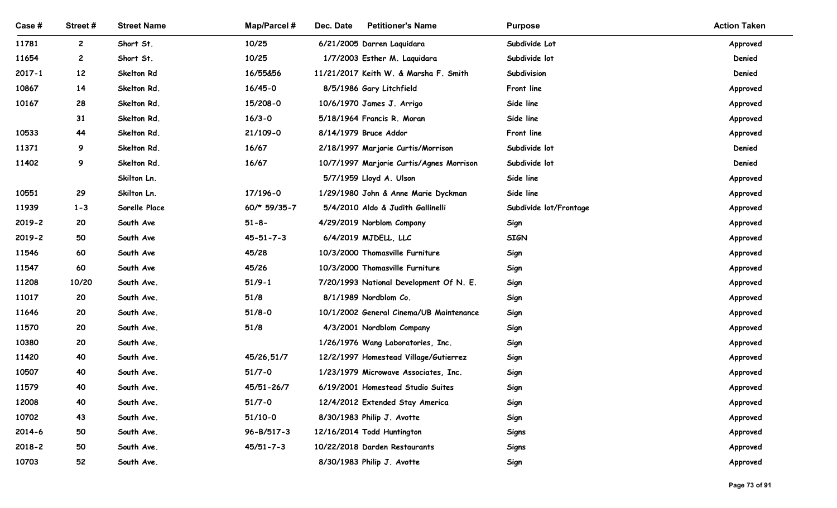| Case #         | Street#        | <b>Street Name</b>           | <b>Map/Parcel#</b>       | Dec. Date<br><b>Petitioner's Name</b>                                    | <b>Purpose</b>                      | <b>Action Taken</b>  |
|----------------|----------------|------------------------------|--------------------------|--------------------------------------------------------------------------|-------------------------------------|----------------------|
| 11781          | $\mathbf{2}$   | Short St.                    | 10/25                    | 6/21/2005 Darren Laquidara                                               | Subdivide Lot                       | Approved             |
| 11654          | $\overline{c}$ | Short St.                    | 10/25                    | 1/7/2003 Esther M. Laquidara                                             | Subdivide lot                       | Denied               |
| $2017 - 1$     | 12             | Skelton Rd                   | 16/55&56                 | 11/21/2017 Keith W. & Marsha F. Smith                                    | Subdivision                         | Denied               |
| 10867          | 14             | Skelton Rd.                  | $16/45 - 0$              | 8/5/1986 Gary Litchfield                                                 | Front line                          | Approved             |
| 10167          | 28             | Skelton Rd.                  | 15/208-0                 | 10/6/1970 James J. Arrigo                                                | Side line                           | Approved             |
|                | 31             | Skelton Rd.                  | $16/3 - 0$               | 5/18/1964 Francis R. Moran                                               | Side line                           | Approved             |
| 10533          | 44             | Skelton Rd.                  | 21/109-0                 | 8/14/1979 Bruce Addor                                                    | Front line                          | Approved             |
| 11371          | 9              | Skelton Rd.                  | 16/67                    | 2/18/1997 Marjorie Curtis/Morrison                                       | Subdivide lot                       | Denied               |
| 11402          | 9              | Skelton Rd.                  | 16/67                    | 10/7/1997 Marjorie Curtis/Agnes Morrison                                 | Subdivide lot                       | Denied               |
|                |                | Skilton Ln.                  |                          | 5/7/1959 Lloyd A. Ulson                                                  | Side line                           | Approved             |
| 10551<br>11939 | 29<br>$1 - 3$  | Skilton Ln.<br>Sorelle Place | 17/196-0<br>60/* 59/35-7 | 1/29/1980 John & Anne Marie Dyckman<br>5/4/2010 Aldo & Judith Gallinelli | Side line<br>Subdivide lot/Frontage | Approved             |
| 2019-2         | 20             | South Ave                    | $51 - 8 -$               | 4/29/2019 Norblom Company                                                | Sign                                | Approved<br>Approved |
| 2019-2         | 50             | South Ave                    | $45 - 51 - 7 - 3$        | 6/4/2019 MJDELL, LLC                                                     | <b>SIGN</b>                         | Approved             |
| 11546          | 60             | South Ave                    | 45/28                    | 10/3/2000 Thomasville Furniture                                          | Sign                                | Approved             |
| 11547          | 60             | South Ave                    | 45/26                    | 10/3/2000 Thomasville Furniture                                          | Sign                                | Approved             |
| 11208          | 10/20          | South Ave.                   | $51/9 - 1$               | 7/20/1993 National Development Of N. E.                                  | Sign                                | Approved             |
| 11017          | 20             | South Ave.                   | 51/8                     | 8/1/1989 Nordblom Co.                                                    | Sign                                | Approved             |
| 11646          | 20             | South Ave.                   | $51/8 - 0$               | 10/1/2002 General Cinema/UB Maintenance                                  | Sign                                | Approved             |
| 11570          | 20             | South Ave.                   | 51/8                     | 4/3/2001 Nordblom Company                                                | Sign                                | Approved             |
| 10380          | 20             | South Ave.                   |                          | 1/26/1976 Wang Laboratories, Inc.                                        | Sign                                | Approved             |
| 11420          | 40             | South Ave.                   | 45/26,51/7               | 12/2/1997 Homestead Village/Gutierrez                                    | Sign                                | Approved             |
| 10507          | 40             | South Ave.                   | $51/7 - 0$               | 1/23/1979 Microwave Associates, Inc.                                     | Sign                                | Approved             |
| 11579          | 40             | South Ave.                   | 45/51-26/7               | 6/19/2001 Homestead Studio Suites                                        | Sign                                | Approved             |
| 12008          | 40             | South Ave.                   | $51/7 - 0$               | 12/4/2012 Extended Stay America                                          | Sign                                | Approved             |
| 10702          | 43             | South Ave.                   | 51/10-0                  | 8/30/1983 Philip J. Avotte                                               | Sign                                | Approved             |
| 2014-6         | 50             | South Ave.                   | 96-B/517-3               | 12/16/2014 Todd Huntington                                               | <b>Signs</b>                        | Approved             |
| 2018-2         | 50             | South Ave.                   | $45/51 - 7 - 3$          | 10/22/2018 Darden Restaurants                                            | <b>Signs</b>                        | Approved             |
| 10703          | 52             | South Ave.                   |                          | 8/30/1983 Philip J. Avotte                                               | Sign                                | Approved             |
|                |                |                              |                          |                                                                          |                                     | Page 73 of 91        |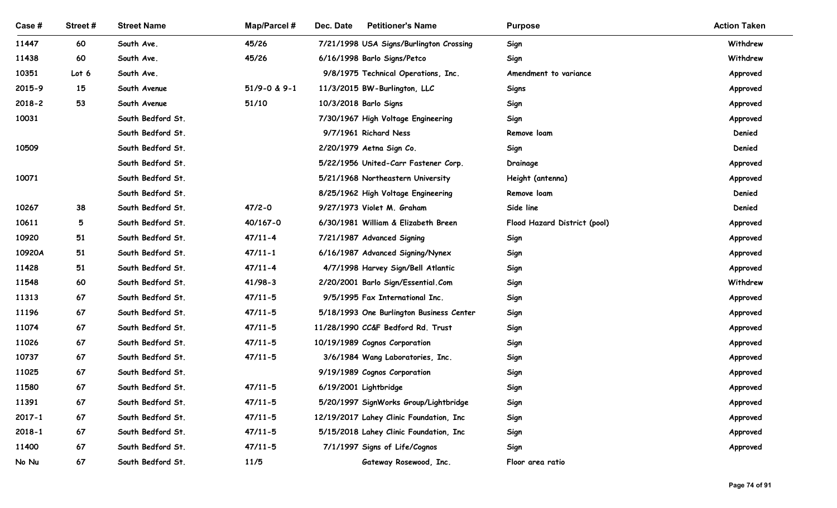| Case #              | Street#         | <b>Street Name</b>                     | <b>Map/Parcel#</b>         | Dec. Date<br><b>Petitioner's Name</b>                             | <b>Purpose</b>               | <b>Action Taken</b>  |
|---------------------|-----------------|----------------------------------------|----------------------------|-------------------------------------------------------------------|------------------------------|----------------------|
| 11447               | 60              | South Ave.                             | 45/26                      | 7/21/1998 USA Signs/Burlington Crossing                           | Sign                         | Withdrew             |
| 11438               | 60              | South Ave.                             | 45/26                      | 6/16/1998 Barlo Signs/Petco                                       | Sign                         | Withdrew             |
| 10351               | Lot 6           | South Ave.                             |                            | 9/8/1975 Technical Operations, Inc.                               | Amendment to variance        | Approved             |
| 2015-9              | 15              | South Avenue                           | 51/9-0 & 9-1               | 11/3/2015 BW-Burlington, LLC                                      | Signs                        | Approved             |
| $2018 - 2$<br>10031 | 53              | South Avenue<br>South Bedford St.      | 51/10                      | 10/3/2018 Barlo Signs                                             | Sign                         | Approved             |
|                     |                 | South Bedford St.                      |                            | 7/30/1967 High Voltage Engineering<br>9/7/1961 Richard Ness       | Sign<br>Remove loam          | Approved<br>Denied   |
| 10509               |                 | South Bedford St.                      |                            | 2/20/1979 Aetna Sign Co.                                          | Sign                         | Denied               |
|                     |                 | South Bedford St.                      |                            | 5/22/1956 United-Carr Fastener Corp.                              | Drainage                     | Approved             |
| 10071               |                 | South Bedford St.                      |                            | 5/21/1968 Northeastern University                                 | Height (antenna)             | Approved             |
|                     |                 | South Bedford St.                      |                            | 8/25/1962 High Voltage Engineering                                | Remove loam                  | Denied               |
| 10267               | 38              | South Bedford St.                      | $47/2 - 0$                 | 9/27/1973 Violet M. Graham                                        | Side line                    | Denied               |
| 10611               | $5\overline{)}$ | South Bedford St.                      | 40/167-0                   | 6/30/1981 William & Elizabeth Breen                               | Flood Hazard District (pool) | Approved             |
| 10920               | 51              | South Bedford St.                      | $47/11 - 4$                | 7/21/1987 Advanced Signing                                        | Sign                         | Approved             |
| 10920A              | 51              | South Bedford St.                      | $47/11 - 1$                | 6/16/1987 Advanced Signing/Nynex                                  | Sign                         | Approved             |
| 11428               | 51              | South Bedford St.                      | $47/11 - 4$                | 4/7/1998 Harvey Sign/Bell Atlantic                                | Sign                         | Approved             |
| 11548               | 60              | South Bedford St.                      | $41/98-3$                  | 2/20/2001 Barlo Sign/Essential.Com                                | Sign                         | Withdrew             |
| 11313               | 67              | South Bedford St.                      | $47/11 - 5$                | 9/5/1995 Fax International Inc.                                   | Sign                         | Approved             |
| 11196               | 67              | South Bedford St.                      | $47/11 - 5$                | 5/18/1993 One Burlington Business Center                          | Sign                         | Approved             |
| 11074<br>11026      | 67<br>67        | South Bedford St.<br>South Bedford St. | $47/11 - 5$<br>$47/11 - 5$ | 11/28/1990 CC&F Bedford Rd. Trust                                 | Sign                         | Approved             |
| 10737               | 67              | South Bedford St.                      | $47/11 - 5$                | 10/19/1989 Cognos Corporation<br>3/6/1984 Wang Laboratories, Inc. | Sign<br>Sign                 | Approved<br>Approved |
| 11025               | 67              | South Bedford St.                      |                            | 9/19/1989 Cognos Corporation                                      | Sign                         | Approved             |
| 11580               | 67              | South Bedford St.                      | $47/11 - 5$                | 6/19/2001 Lightbridge                                             | Sign                         | Approved             |
| 11391               | 67              | South Bedford St.                      | $47/11 - 5$                | 5/20/1997 SignWorks Group/Lightbridge                             | Sign                         | Approved             |
| $2017 - 1$          | 67              | South Bedford St.                      | $47/11 - 5$                | 12/19/2017 Lahey Clinic Foundation, Inc                           | Sign                         | Approved             |
| $2018 - 1$          | 67              | South Bedford St.                      | $47/11 - 5$                | 5/15/2018 Lahey Clinic Foundation, Inc                            | Sign                         | Approved             |
| 11400               | 67              | South Bedford St.                      | $47/11 - 5$                | 7/1/1997 Signs of Life/Cognos                                     | Sign                         | Approved             |
|                     | 67              | South Bedford St.                      | 11/5                       | Gateway Rosewood, Inc.                                            | Floor area ratio             |                      |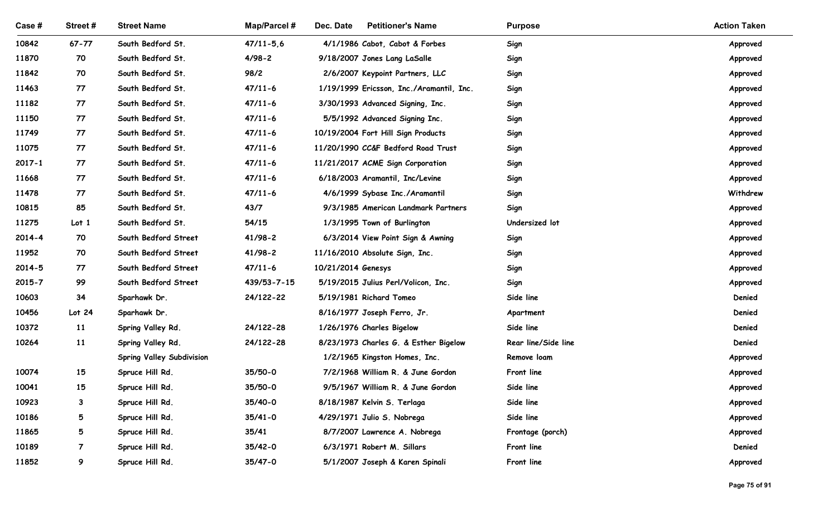| Case #         | Street#             | <b>Street Name</b>                | <b>Map/Parcel#</b> | Dec. Date<br><b>Petitioner's Name</b>                    | <b>Purpose</b>         | <b>Action Taken</b> |  |
|----------------|---------------------|-----------------------------------|--------------------|----------------------------------------------------------|------------------------|---------------------|--|
| 10842          | $67 - 77$           | South Bedford St.                 | $47/11 - 5.6$      | 4/1/1986 Cabot, Cabot & Forbes                           | Sign                   | Approved            |  |
| 11870          | 70                  | South Bedford St.                 | $4/98 - 2$         | 9/18/2007 Jones Lang LaSalle                             | Sign                   | Approved            |  |
| 11842          | 70                  | South Bedford St.                 | 98/2               | 2/6/2007 Keypoint Partners, LLC                          | Sign                   | Approved            |  |
| 11463          | 77                  | South Bedford St.                 | $47/11-6$          | 1/19/1999 Ericsson, Inc./Aramantil, Inc.                 | Sign                   | Approved            |  |
| 11182          | 77                  | South Bedford St.                 | $47/11-6$          | 3/30/1993 Advanced Signing, Inc.                         | Sign                   | Approved            |  |
| 11150          | 77                  | South Bedford St.                 | $47/11-6$          | 5/5/1992 Advanced Signing Inc.                           | Sign                   | Approved            |  |
| 11749          | 77                  | South Bedford St.                 | $47/11-6$          | 10/19/2004 Fort Hill Sign Products                       | Sign                   | Approved            |  |
| 11075          | 77                  | South Bedford St.                 | $47/11-6$          | 11/20/1990 CC&F Bedford Road Trust                       | Sign                   | Approved            |  |
| $2017 - 1$     | 77                  | South Bedford St.                 | $47/11-6$          | 11/21/2017 ACME Sign Corporation                         | Sign                   | Approved            |  |
| 11668          | 77                  | South Bedford St.                 | $47/11-6$          | 6/18/2003 Aramantil, Inc/Levine                          | Sign                   | Approved            |  |
| 11478          | 77                  | South Bedford St.                 | $47/11-6$          | 4/6/1999 Sybase Inc./Aramantil                           | Sign                   | Withdrew            |  |
| 10815          | 85                  | South Bedford St.                 | 43/7               | 9/3/1985 American Landmark Partners                      | Sign                   | Approved            |  |
| 11275          | Lot <sub>1</sub>    | South Bedford St.                 | 54/15              | 1/3/1995 Town of Burlington                              | Undersized lot         | Approved            |  |
| $2014 - 4$     | 70                  | South Bedford Street              | $41/98 - 2$        | 6/3/2014 View Point Sign & Awning                        | Sign                   | Approved            |  |
| 11952          | 70                  | South Bedford Street              | $41/98 - 2$        | 11/16/2010 Absolute Sign, Inc.                           | Sign                   | Approved            |  |
| $2014 - 5$     | 77                  | South Bedford Street              | $47/11 - 6$        | 10/21/2014 Genesys                                       | Sign                   | Approved            |  |
| $2015 - 7$     | 99                  | South Bedford Street              | 439/53-7-15        | 5/19/2015 Julius Perl/Volicon, Inc.                      | Sign                   | Approved            |  |
| 10603          | 34                  | Sparhawk Dr.                      | 24/122-22          | 5/19/1981 Richard Tomeo                                  | Side line              | Denied              |  |
| 10456<br>10372 | Lot 24<br><b>11</b> | Sparhawk Dr.<br>Spring Valley Rd. | 24/122-28          | 8/16/1977 Joseph Ferro, Jr.<br>1/26/1976 Charles Bigelow | Apartment<br>Side line | Denied<br>Denied    |  |
| 10264          | 11                  | Spring Valley Rd.                 | 24/122-28          | 8/23/1973 Charles G. & Esther Bigelow                    | Rear line/Side line    | Denied              |  |
|                |                     | <b>Spring Valley Subdivision</b>  |                    | 1/2/1965 Kingston Homes, Inc.                            | Remove loam            | Approved            |  |
| 10074          | 15                  | Spruce Hill Rd.                   | 35/50-0            | 7/2/1968 William R. & June Gordon                        | Front line             | Approved            |  |
| 10041          | 15                  | Spruce Hill Rd.                   | 35/50-0            | 9/5/1967 William R. & June Gordon                        | Side line              | Approved            |  |
| 10923          | $\mathbf{3}$        | Spruce Hill Rd.                   | 35/40-0            | 8/18/1987 Kelvin S. Terlaga                              | Side line              | Approved            |  |
| 10186          | $5\overline{)}$     | Spruce Hill Rd.                   | $35/41 - 0$        | 4/29/1971 Julio S. Nobrega                               | Side line              | Approved            |  |
| 11865          | $5\overline{5}$     | Spruce Hill Rd.                   | 35/41              | 8/7/2007 Lawrence A. Nobrega                             | Frontage (porch)       | Approved            |  |
| 10189          | 7                   | Spruce Hill Rd.                   | $35/42 - 0$        | 6/3/1971 Robert M. Sillars                               | Front line             | Denied              |  |
| 11852          | 9                   | Spruce Hill Rd.                   | $35/47 - 0$        | 5/1/2007 Joseph & Karen Spinali                          | Front line             | Approved            |  |
|                |                     |                                   |                    |                                                          |                        |                     |  |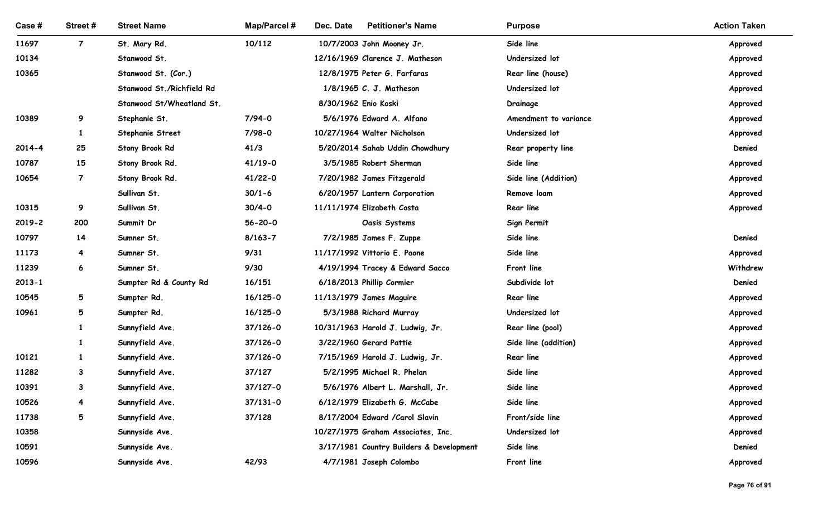| Street #<br>$\overline{7}$<br>9<br>-1<br>25<br>15 | <b>Street Name</b><br>St. Mary Rd.<br>Stanwood St.<br>Stanwood St. (Cor.)<br>Stanwood St./Richfield Rd<br>Stanwood St/Wheatland St.<br>Stephanie St.<br>Stephanie Street<br>Stony Brook Rd | Map/Parcel #<br>10/112<br>7/94-0<br>7/98-0                                                                                                                                                                 | Dec. Date<br><b>Petitioner's Name</b><br>10/7/2003 John Mooney Jr.<br>12/16/1969 Clarence J. Matheson<br>12/8/1975 Peter G. Farfaras<br>1/8/1965 C. J. Matheson<br>8/30/1962 Enio Koski<br>5/6/1976 Edward A. Alfano | <b>Purpose</b><br>Side line<br>Undersized lot<br>Rear line (house)<br>Undersized lot<br>Drainage                                                                                                                                                                                                                                                                    | <b>Action Taken</b><br>Approved<br>Approved<br>Approved<br>Approved                                                                                                              |
|---------------------------------------------------|--------------------------------------------------------------------------------------------------------------------------------------------------------------------------------------------|------------------------------------------------------------------------------------------------------------------------------------------------------------------------------------------------------------|----------------------------------------------------------------------------------------------------------------------------------------------------------------------------------------------------------------------|---------------------------------------------------------------------------------------------------------------------------------------------------------------------------------------------------------------------------------------------------------------------------------------------------------------------------------------------------------------------|----------------------------------------------------------------------------------------------------------------------------------------------------------------------------------|
|                                                   |                                                                                                                                                                                            |                                                                                                                                                                                                            |                                                                                                                                                                                                                      |                                                                                                                                                                                                                                                                                                                                                                     |                                                                                                                                                                                  |
|                                                   |                                                                                                                                                                                            |                                                                                                                                                                                                            |                                                                                                                                                                                                                      |                                                                                                                                                                                                                                                                                                                                                                     |                                                                                                                                                                                  |
|                                                   |                                                                                                                                                                                            |                                                                                                                                                                                                            |                                                                                                                                                                                                                      |                                                                                                                                                                                                                                                                                                                                                                     |                                                                                                                                                                                  |
|                                                   |                                                                                                                                                                                            |                                                                                                                                                                                                            |                                                                                                                                                                                                                      |                                                                                                                                                                                                                                                                                                                                                                     |                                                                                                                                                                                  |
|                                                   |                                                                                                                                                                                            |                                                                                                                                                                                                            |                                                                                                                                                                                                                      |                                                                                                                                                                                                                                                                                                                                                                     |                                                                                                                                                                                  |
|                                                   |                                                                                                                                                                                            |                                                                                                                                                                                                            |                                                                                                                                                                                                                      |                                                                                                                                                                                                                                                                                                                                                                     | Approved                                                                                                                                                                         |
|                                                   |                                                                                                                                                                                            |                                                                                                                                                                                                            |                                                                                                                                                                                                                      | Amendment to variance                                                                                                                                                                                                                                                                                                                                               | Approved                                                                                                                                                                         |
|                                                   |                                                                                                                                                                                            |                                                                                                                                                                                                            | 10/27/1964 Walter Nicholson                                                                                                                                                                                          | Undersized lot                                                                                                                                                                                                                                                                                                                                                      | Approved                                                                                                                                                                         |
|                                                   |                                                                                                                                                                                            | 41/3                                                                                                                                                                                                       | 5/20/2014 Sahab Uddin Chowdhury                                                                                                                                                                                      | Rear property line                                                                                                                                                                                                                                                                                                                                                  | Denied                                                                                                                                                                           |
|                                                   | Stony Brook Rd.                                                                                                                                                                            | $41/19-0$                                                                                                                                                                                                  | 3/5/1985 Robert Sherman                                                                                                                                                                                              | Side line                                                                                                                                                                                                                                                                                                                                                           | Approved                                                                                                                                                                         |
| $\overline{7}$                                    | Stony Brook Rd.                                                                                                                                                                            | $41/22 - 0$                                                                                                                                                                                                | 7/20/1982 James Fitzgerald                                                                                                                                                                                           | Side line (Addition)                                                                                                                                                                                                                                                                                                                                                | Approved                                                                                                                                                                         |
|                                                   | Sullivan St.                                                                                                                                                                               | $30/1 - 6$                                                                                                                                                                                                 | 6/20/1957 Lantern Corporation                                                                                                                                                                                        | Remove loam                                                                                                                                                                                                                                                                                                                                                         | Approved                                                                                                                                                                         |
| 9                                                 | Sullivan St.                                                                                                                                                                               | $30/4 - 0$                                                                                                                                                                                                 | 11/11/1974 Elizabeth Costa                                                                                                                                                                                           | Rear line                                                                                                                                                                                                                                                                                                                                                           | Approved                                                                                                                                                                         |
|                                                   |                                                                                                                                                                                            |                                                                                                                                                                                                            |                                                                                                                                                                                                                      |                                                                                                                                                                                                                                                                                                                                                                     |                                                                                                                                                                                  |
|                                                   |                                                                                                                                                                                            |                                                                                                                                                                                                            |                                                                                                                                                                                                                      |                                                                                                                                                                                                                                                                                                                                                                     | Denied                                                                                                                                                                           |
|                                                   |                                                                                                                                                                                            |                                                                                                                                                                                                            |                                                                                                                                                                                                                      |                                                                                                                                                                                                                                                                                                                                                                     | Approved<br>Withdrew                                                                                                                                                             |
|                                                   |                                                                                                                                                                                            |                                                                                                                                                                                                            |                                                                                                                                                                                                                      |                                                                                                                                                                                                                                                                                                                                                                     | Denied                                                                                                                                                                           |
|                                                   |                                                                                                                                                                                            |                                                                                                                                                                                                            |                                                                                                                                                                                                                      |                                                                                                                                                                                                                                                                                                                                                                     |                                                                                                                                                                                  |
|                                                   |                                                                                                                                                                                            |                                                                                                                                                                                                            |                                                                                                                                                                                                                      |                                                                                                                                                                                                                                                                                                                                                                     | Approved<br>Approved                                                                                                                                                             |
|                                                   |                                                                                                                                                                                            |                                                                                                                                                                                                            |                                                                                                                                                                                                                      |                                                                                                                                                                                                                                                                                                                                                                     | Approved                                                                                                                                                                         |
|                                                   |                                                                                                                                                                                            |                                                                                                                                                                                                            |                                                                                                                                                                                                                      |                                                                                                                                                                                                                                                                                                                                                                     | Approved                                                                                                                                                                         |
|                                                   |                                                                                                                                                                                            |                                                                                                                                                                                                            |                                                                                                                                                                                                                      |                                                                                                                                                                                                                                                                                                                                                                     | Approved                                                                                                                                                                         |
| 3                                                 |                                                                                                                                                                                            |                                                                                                                                                                                                            |                                                                                                                                                                                                                      |                                                                                                                                                                                                                                                                                                                                                                     | Approved                                                                                                                                                                         |
| 3                                                 |                                                                                                                                                                                            | 37/127-0                                                                                                                                                                                                   |                                                                                                                                                                                                                      | Side line                                                                                                                                                                                                                                                                                                                                                           | Approved                                                                                                                                                                         |
| 4                                                 | Sunnyfield Ave.                                                                                                                                                                            | $37/131 - 0$                                                                                                                                                                                               | 6/12/1979 Elizabeth G. McCabe                                                                                                                                                                                        | Side line                                                                                                                                                                                                                                                                                                                                                           | Approved                                                                                                                                                                         |
| $5\overline{)}$                                   | Sunnyfield Ave.                                                                                                                                                                            | 37/128                                                                                                                                                                                                     | 8/17/2004 Edward /Carol Slavin                                                                                                                                                                                       | Front/side line                                                                                                                                                                                                                                                                                                                                                     | Approved                                                                                                                                                                         |
|                                                   | Sunnyside Ave.                                                                                                                                                                             |                                                                                                                                                                                                            | 10/27/1975 Graham Associates, Inc.                                                                                                                                                                                   | Undersized lot                                                                                                                                                                                                                                                                                                                                                      | Approved                                                                                                                                                                         |
|                                                   | Sunnyside Ave.                                                                                                                                                                             |                                                                                                                                                                                                            | 3/17/1981 Country Builders & Development                                                                                                                                                                             | Side line                                                                                                                                                                                                                                                                                                                                                           | Denied                                                                                                                                                                           |
|                                                   | Sunnyside Ave.                                                                                                                                                                             | 42/93                                                                                                                                                                                                      | 4/7/1981 Joseph Colombo                                                                                                                                                                                              | Front line                                                                                                                                                                                                                                                                                                                                                          | Approved                                                                                                                                                                         |
|                                                   | 200<br>14<br>4<br>6<br>5<br>5                                                                                                                                                              | Summit Dr<br>Sumner St.<br>Sumner St.<br>Sumner St.<br>Sumpter Rd & County Rd<br>Sumpter Rd.<br>Sumpter Rd.<br>Sunnyfield Ave.<br>Sunnyfield Ave.<br>Sunnyfield Ave.<br>Sunnyfield Ave.<br>Sunnyfield Ave. | $56 - 20 - 0$<br>$8/163 - 7$<br>9/31<br>9/30<br>16/151<br>$16/125 - 0$<br>$16/125 - 0$<br>37/126-0<br>37/126-0<br>37/126-0<br>37/127                                                                                 | Oasis Systems<br>7/2/1985 James F. Zuppe<br>11/17/1992 Vittorio E. Paone<br>4/19/1994 Tracey & Edward Sacco<br>6/18/2013 Phillip Cormier<br>11/13/1979 James Maguire<br>5/3/1988 Richard Murray<br>10/31/1963 Harold J. Ludwig, Jr.<br>3/22/1960 Gerard Pattie<br>7/15/1969 Harold J. Ludwig, Jr.<br>5/2/1995 Michael R. Phelan<br>5/6/1976 Albert L. Marshall, Jr. | Sign Permit<br>Side line<br>Side line<br>Front line<br>Subdivide lot<br>Rear line<br>Undersized lot<br>Rear line (pool)<br>Side line (addition)<br><b>Rear line</b><br>Side line |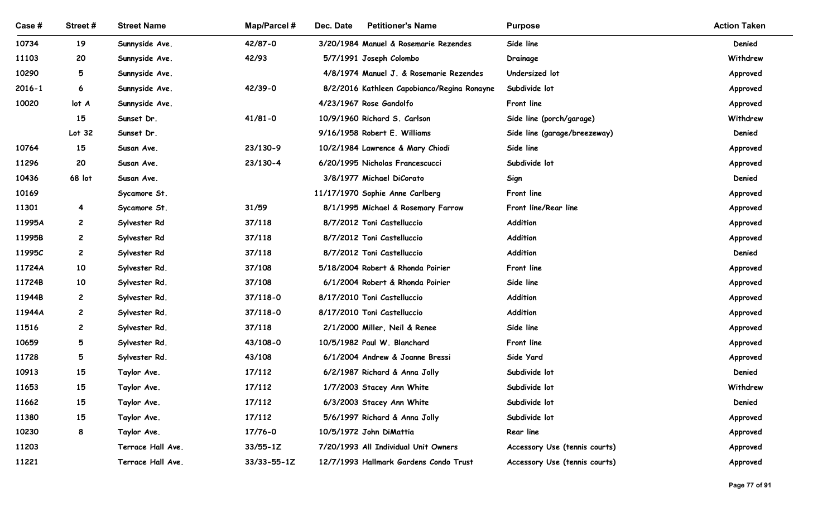| Case #           | Street#        | <b>Street Name</b>             | <b>Map/Parcel#</b> | Dec. Date<br><b>Petitioner's Name</b>                                 | <b>Purpose</b>                | <b>Action Taken</b>  |
|------------------|----------------|--------------------------------|--------------------|-----------------------------------------------------------------------|-------------------------------|----------------------|
| 10734            | 19             | Sunnyside Ave.                 | 42/87-0            | 3/20/1984 Manuel & Rosemarie Rezendes                                 | Side line                     | Denied               |
| 11103            | 20             | Sunnyside Ave.                 | 42/93              | 5/7/1991 Joseph Colombo                                               | Drainage                      | Withdrew             |
| 10290            | 5              | Sunnyside Ave.                 |                    | 4/8/1974 Manuel J. & Rosemarie Rezendes                               | Undersized lot                | Approved             |
| 2016-1           | 6              | Sunnyside Ave.                 | 42/39-0            | 8/2/2016 Kathleen Capobianco/Regina Ronayne                           | Subdivide lot                 | Approved             |
| 10020            | lot A          | Sunnyside Ave.                 |                    | 4/23/1967 Rose Gandolfo                                               | Front line                    | Approved             |
|                  | 15             | Sunset Dr.                     | $41/81 - 0$        | 10/9/1960 Richard S. Carlson                                          | Side line (porch/garage)      | Withdrew             |
|                  | Lot 32         | Sunset Dr.                     |                    | 9/16/1958 Robert E. Williams                                          | Side line (garage/breezeway)  | Denied               |
| 10764            | 15             | Susan Ave.                     | 23/130-9           | 10/2/1984 Lawrence & Mary Chiodi                                      | Side line                     | Approved             |
| 11296            | 20             | Susan Ave.                     | 23/130-4           | 6/20/1995 Nicholas Francescucci                                       | Subdivide lot                 | Approved             |
| 10436            | 68 lot         | Susan Ave.                     |                    | 3/8/1977 Michael DiCorato                                             | Sign                          | Denied               |
| 10169            |                | Sycamore St.                   |                    | 11/17/1970 Sophie Anne Carlberg                                       | Front line                    | Approved             |
| 11301            | $\overline{4}$ | Sycamore St.                   | 31/59              | 8/1/1995 Michael & Rosemary Farrow                                    | Front line/Rear line          | Approved             |
| 11995A           | $\mathbf{2}$   | Sylvester Rd                   | 37/118             | 8/7/2012 Toni Castelluccio                                            | Addition                      | Approved             |
| 11995B           | $\mathbf{2}$   | Sylvester Rd                   | 37/118             | 8/7/2012 Toni Castelluccio                                            | Addition                      | Approved             |
| 11995C           | $\mathbf{2}$   | Sylvester Rd                   | 37/118             | 8/7/2012 Toni Castelluccio                                            | Addition                      | Denied               |
| 11724A<br>11724B | 10<br>10       | Sylvester Rd.                  | 37/108<br>37/108   | 5/18/2004 Robert & Rhonda Poirier<br>6/1/2004 Robert & Rhonda Poirier | Front line<br>Side line       | Approved             |
| 11944B           | $\mathbf{2}$   | Sylvester Rd.<br>Sylvester Rd. | $37/118 - 0$       | 8/17/2010 Toni Castelluccio                                           | Addition                      | Approved<br>Approved |
| 11944A           | $\mathbf{2}$   | Sylvester Rd.                  | $37/118 - 0$       | 8/17/2010 Toni Castelluccio                                           | Addition                      | Approved             |
| 11516            | $\mathbf{2}$   | Sylvester Rd.                  | 37/118             | 2/1/2000 Miller, Neil & Renee                                         | Side line                     | Approved             |
| 10659            | 5              | Sylvester Rd.                  | 43/108-0           | 10/5/1982 Paul W. Blanchard                                           | Front line                    | Approved             |
| 11728            | 5              | Sylvester Rd.                  | 43/108             | 6/1/2004 Andrew & Joanne Bressi                                       | Side Yard                     | Approved             |
| 10913            | 15             | Taylor Ave.                    | 17/112             | 6/2/1987 Richard & Anna Jolly                                         | Subdivide lot                 | Denied               |
| 11653            | 15             | Taylor Ave.                    | 17/112             | 1/7/2003 Stacey Ann White                                             | Subdivide lot                 | Withdrew             |
| 11662            | 15             | Taylor Ave.                    | 17/112             | 6/3/2003 Stacey Ann White                                             | Subdivide lot                 | Denied               |
| 11380            | 15             | Taylor Ave.                    | 17/112             | 5/6/1997 Richard & Anna Jolly                                         | Subdivide lot                 | Approved             |
| 10230            | 8              | Taylor Ave.                    | 17/76-0            | 10/5/1972 John DiMattia                                               | <b>Rear line</b>              | Approved             |
| 11203            |                | Terrace Hall Ave.              | $33/55 - 1Z$       | 7/20/1993 All Individual Unit Owners                                  | Accessory Use (tennis courts) | Approved             |
| 11221            |                | Terrace Hall Ave.              | $33/33 - 55 - 1Z$  | 12/7/1993 Hallmark Gardens Condo Trust                                | Accessory Use (tennis courts) | Approved             |
|                  |                |                                |                    |                                                                       |                               |                      |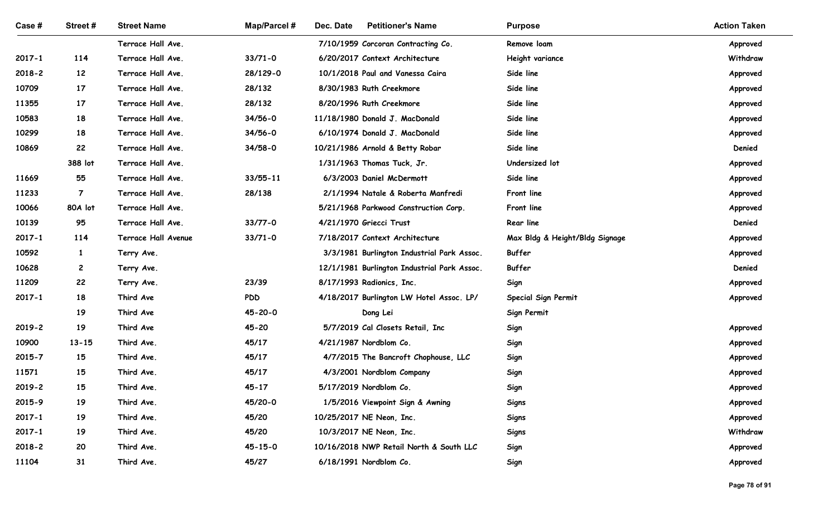| Case #                   | Street#                   | <b>Street Name</b>                     | <b>Map/Parcel#</b> | Dec. Date<br><b>Petitioner's Name</b>                            | <b>Purpose</b>                 | <b>Action Taken</b>  |
|--------------------------|---------------------------|----------------------------------------|--------------------|------------------------------------------------------------------|--------------------------------|----------------------|
|                          |                           | Terrace Hall Ave.                      |                    | 7/10/1959 Corcoran Contracting Co.                               | Remove loam                    | Approved             |
| 2017-1                   | 114                       | Terrace Hall Ave.                      | $33/71 - 0$        | 6/20/2017 Context Architecture                                   | Height variance                | Withdraw             |
| 2018-2                   | 12                        | Terrace Hall Ave.                      | 28/129-0           | 10/1/2018 Paul and Vanessa Caira                                 | Side line                      | Approved             |
| 10709                    | 17                        | Terrace Hall Ave.                      | 28/132             | 8/30/1983 Ruth Creekmore                                         | Side line                      | Approved             |
| 11355                    | 17                        | Terrace Hall Ave.                      | 28/132             | 8/20/1996 Ruth Creekmore                                         | Side line                      | Approved             |
| 10583                    | 18                        | Terrace Hall Ave.                      | $34/56 - 0$        | 11/18/1980 Donald J. MacDonald                                   | Side line                      | Approved             |
| 10299                    | 18                        | Terrace Hall Ave.                      | $34/56 - 0$        | 6/10/1974 Donald J. MacDonald                                    | Side line                      | Approved             |
| 10869                    | 22                        | Terrace Hall Ave.                      | $34/58-0$          | 10/21/1986 Arnold & Betty Robar                                  | Side line                      | Denied               |
|                          | 388 lot                   | Terrace Hall Ave.                      |                    | 1/31/1963 Thomas Tuck, Jr.                                       | Undersized lot                 | Approved             |
| 11669                    | 55                        | Terrace Hall Ave.                      | 33/55-11           | 6/3/2003 Daniel McDermott                                        | Side line                      | Approved             |
| 11233<br>10066           | $\overline{7}$<br>80A lot | Terrace Hall Ave.<br>Terrace Hall Ave. | 28/138             | 2/1/1994 Natale & Roberta Manfredi                               | Front line                     | Approved             |
| 10139                    | 95                        | Terrace Hall Ave.                      | $33/77 - 0$        | 5/21/1968 Parkwood Construction Corp.<br>4/21/1970 Griecci Trust | Front line<br>Rear line        | Approved<br>Denied   |
| $2017 - 1$               | 114                       | Terrace Hall Avenue                    | $33/71 - 0$        | 7/18/2017 Context Architecture                                   | Max Bldg & Height/Bldg Signage | Approved             |
| 10592                    | $\mathbf{1}$              | Terry Ave.                             |                    | 3/3/1981 Burlington Industrial Park Assoc.                       | Buffer                         | Approved             |
| 10628                    | $\overline{c}$            | Terry Ave.                             |                    | 12/1/1981 Burlington Industrial Park Assoc.                      | Buffer                         | Denied               |
| 11209                    | 22                        | Terry Ave.                             | 23/39              | 8/17/1993 Radionics, Inc.                                        | Sign                           | Approved             |
| $2017 - 1$               | 18                        | Third Ave                              | <b>PDD</b>         | 4/18/2017 Burlington LW Hotel Assoc. LP/                         | Special Sign Permit            | Approved             |
|                          | 19                        | Third Ave                              | $45 - 20 - 0$      | Dong Lei                                                         | Sign Permit                    |                      |
| 2019-2                   | 19                        | Third Ave                              | $45 - 20$          | 5/7/2019 Cal Closets Retail, Inc                                 | Sign                           | Approved             |
| 10900                    | $13 - 15$                 | Third Ave.                             | 45/17              | 4/21/1987 Nordblom Co.                                           | Sign                           | Approved             |
| 2015-7                   | 15                        | Third Ave.                             | 45/17              | 4/7/2015 The Bancroft Chophouse, LLC                             | Sign                           | Approved             |
| 11571                    | 15                        | Third Ave.                             | 45/17              | 4/3/2001 Nordblom Company                                        | Sign                           | Approved             |
| 2019-2                   | 15                        | Third Ave.                             | $45 - 17$          | 5/17/2019 Nordblom Co.                                           | Sign                           | Approved             |
| 2015-9                   | 19                        | Third Ave.                             | 45/20-0            | 1/5/2016 Viewpoint Sign & Awning                                 | <b>Signs</b>                   | Approved             |
| $2017 - 1$<br>$2017 - 1$ | 19<br>19                  | Third Ave.<br>Third Ave.               | 45/20<br>45/20     | 10/25/2017 NE Neon, Inc.<br>10/3/2017 NE Neon, Inc.              | <b>Signs</b>                   | Approved<br>Withdraw |
| 2018-2                   | 20                        | Third Ave.                             | $45 - 15 - 0$      | 10/16/2018 NWP Retail North & South LLC                          | <b>Signs</b><br>Sign           | Approved             |
| 11104                    | 31                        | Third Ave.                             | 45/27              | 6/18/1991 Nordblom Co.                                           | Sign                           | Approved             |
|                          |                           |                                        |                    |                                                                  |                                |                      |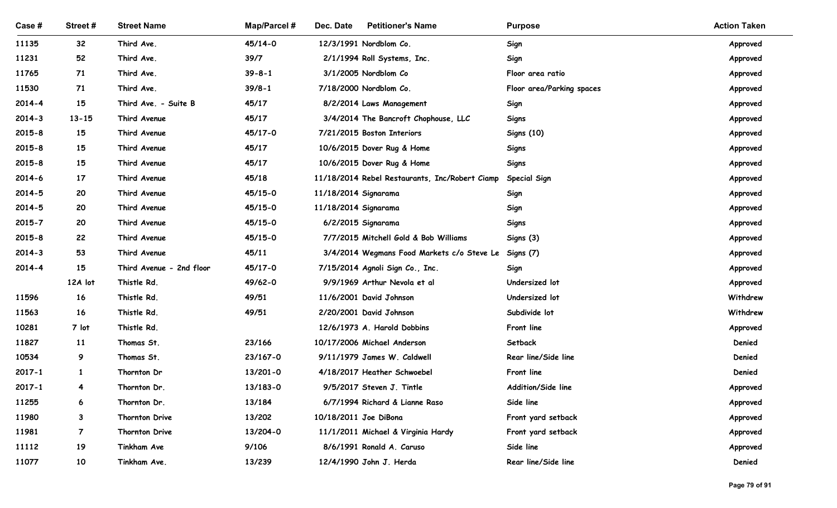| Case #     | Street#         | <b>Street Name</b>         | Map/Parcel #       | Dec. Date<br><b>Petitioner's Name</b>                       | <b>Purpose</b>            | <b>Action Taken</b>  |
|------------|-----------------|----------------------------|--------------------|-------------------------------------------------------------|---------------------------|----------------------|
| 11135      | 32 <sub>2</sub> | Third Ave.                 | 45/14-0            | 12/3/1991 Nordblom Co.                                      | Sign                      | Approved             |
| 11231      | 52              | Third Ave.                 | 39/7               | 2/1/1994 Roll Systems, Inc.                                 | Sign                      | Approved             |
| 11765      | 71              | Third Ave.                 | $39 - 8 - 1$       | 3/1/2005 Nordblom Co                                        | Floor area ratio          | Approved             |
| 11530      | 71              | Third Ave.                 | $39/8 - 1$         | 7/18/2000 Nordblom Co.                                      | Floor area/Parking spaces | Approved             |
| 2014-4     | 15              | Third Ave. - Suite B       | 45/17              | 8/2/2014 Laws Management                                    | Sign                      | Approved             |
| 2014-3     | $13 - 15$       | Third Avenue               | 45/17              | 3/4/2014 The Bancroft Chophouse, LLC                        | Signs                     | Approved             |
| $2015 - 8$ | 15              | Third Avenue               | 45/17-0            | 7/21/2015 Boston Interiors                                  | <b>Signs (10)</b>         | Approved             |
| $2015 - 8$ | 15              | Third Avenue               | 45/17              | 10/6/2015 Dover Rug & Home                                  | Signs                     | Approved             |
| $2015 - 8$ | 15              | Third Avenue               | 45/17              | 10/6/2015 Dover Rug & Home                                  | <b>Signs</b>              | Approved             |
| $2014 - 6$ | 17              | Third Avenue               | 45/18              | 11/18/2014 Rebel Restaurants, Inc/Robert Ciamp Special Sign |                           | Approved             |
| $2014 - 5$ | 20              | Third Avenue               | 45/15-0            | 11/18/2014 Signarama                                        | Sign                      | Approved             |
| $2014 - 5$ | 20              | Third Avenue               | 45/15-0            | 11/18/2014 Signarama                                        | Sign                      | Approved             |
| $2015 - 7$ | 20              | Third Avenue               | 45/15-0            | 6/2/2015 Signarama                                          | <b>Signs</b>              | Approved             |
| $2015 - 8$ | 22              | Third Avenue               | $45/15 - 0$        | 7/7/2015 Mitchell Gold & Bob Williams                       | Signs (3)                 | Approved             |
| $2014 - 3$ | 53              | Third Avenue               | 45/11              | 3/4/2014 Wegmans Food Markets c/o Steve Le                  | Signs (7)                 | Approved             |
| $2014 - 4$ | 15              | Third Avenue - 2nd floor   | 45/17-0<br>49/62-0 | 7/15/2014 Agnoli Sign Co., Inc.                             | Sign<br>Undersized lot    | Approved             |
| 11596      | 12A lot<br>16   | Thistle Rd.<br>Thistle Rd. | 49/51              | 9/9/1969 Arthur Nevola et al<br>11/6/2001 David Johnson     | Undersized lot            | Approved<br>Withdrew |
| 11563      | 16              | Thistle Rd.                | 49/51              | 2/20/2001 David Johnson                                     | Subdivide lot             | Withdrew             |
| 10281      | 7 lot           | Thistle Rd.                |                    | 12/6/1973 A. Harold Dobbins                                 | Front line                | Approved             |
| 11827      | 11              | Thomas St.                 | 23/166             | 10/17/2006 Michael Anderson                                 | Setback                   | Denied               |
| 10534      | 9               | Thomas St.                 | 23/167-0           | 9/11/1979 James W. Caldwell                                 | Rear line/Side line       | Denied               |
| $2017 - 1$ | $\mathbf{1}$    | Thornton Dr                | 13/201-0           | 4/18/2017 Heather Schwoebel                                 | Front line                | Denied               |
| $2017 - 1$ | 4               | Thornton Dr.               | 13/183-0           | 9/5/2017 Steven J. Tintle                                   | Addition/Side line        | Approved             |
| 11255      | 6               | Thornton Dr.               | 13/184             | 6/7/1994 Richard & Lianne Raso                              | Side line                 | Approved             |
| 11980      | $\mathbf{3}$    | Thornton Drive             | 13/202             | 10/18/2011 Joe DiBona                                       | Front yard setback        | Approved             |
| 11981      | $\overline{7}$  | Thornton Drive             | 13/204-0           | 11/1/2011 Michael & Virginia Hardy                          | Front yard setback        | Approved             |
| 11112      | 19              | Tinkham Ave                | 9/106              | 8/6/1991 Ronald A. Caruso                                   | Side line                 | Approved             |
| 11077      | 10              | Tinkham Ave.               | 13/239             | 12/4/1990 John J. Herda                                     | Rear line/Side line       | Denied               |
|            |                 |                            |                    |                                                             |                           |                      |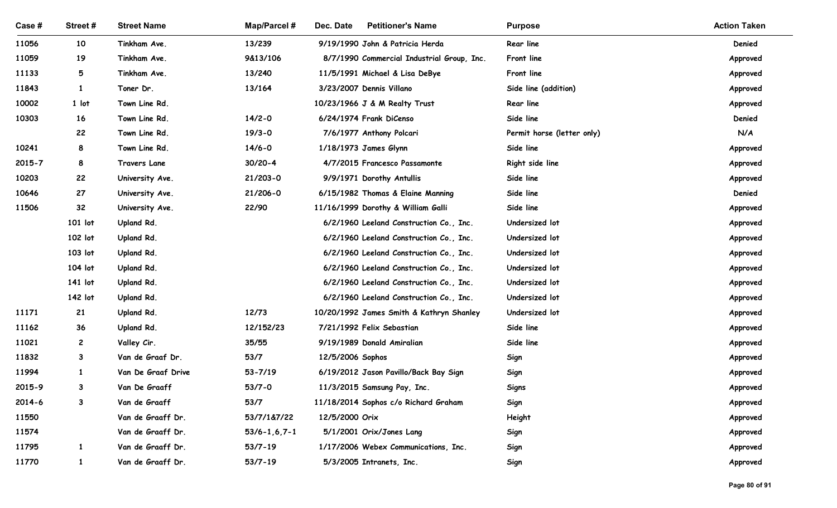| Case #         | Street #          | <b>Street Name</b>                     | <b>Map/Parcel#</b>   | Dec. Date<br><b>Petitioner's Name</b>                     | <b>Purpose</b>             | <b>Action Taken</b>  |
|----------------|-------------------|----------------------------------------|----------------------|-----------------------------------------------------------|----------------------------|----------------------|
| 11056          | 10                | Tinkham Ave.                           | 13/239               | 9/19/1990 John & Patricia Herda                           | Rear line                  | Denied               |
| 11059          | 19                | Tinkham Ave.                           | 9&13/106             | 8/7/1990 Commercial Industrial Group, Inc.                | Front line                 | Approved             |
| 11133          | 5                 | Tinkham Ave.                           | 13/240               | 11/5/1991 Michael & Lisa DeBye                            | Front line                 | Approved             |
| 11843          | $\mathbf{1}$      | Toner Dr.                              | 13/164               | 3/23/2007 Dennis Villano                                  | Side line (addition)       | Approved             |
| 10002          | 1 lot             | Town Line Rd.                          |                      | 10/23/1966 J & M Realty Trust                             | <b>Rear line</b>           | Approved             |
| 10303          | 16                | Town Line Rd.                          | $14/2 - 0$           | 6/24/1974 Frank DiCenso                                   | Side line                  | Denied               |
|                | 22                | Town Line Rd.                          | $19/3 - 0$           | 7/6/1977 Anthony Polcari                                  | Permit horse (letter only) | N/A                  |
| 10241          | 8                 | Town Line Rd.                          | $14/6 - 0$           | 1/18/1973 James Glynn                                     | Side line                  | Approved             |
| 2015-7         | 8                 | Travers Lane                           | $30/20 - 4$          | 4/7/2015 Francesco Passamonte                             | Right side line            | Approved             |
| 10203          | 22                | University Ave.                        | $21/203 - 0$         | 9/9/1971 Dorothy Antullis                                 | Side line                  | Approved             |
| 10646          | 27                | University Ave.                        | 21/206-0             | 6/15/1982 Thomas & Elaine Manning                         | Side line                  | Denied               |
| 11506          | 32                | University Ave.                        | 22/90                | 11/16/1999 Dorothy & William Galli                        | Side line                  | Approved             |
|                | 101 lot           | Upland Rd.                             |                      | 6/2/1960 Leeland Construction Co., Inc.                   | Undersized lot             | Approved             |
|                | 102 lot           | Upland Rd.                             |                      | 6/2/1960 Leeland Construction Co., Inc.                   | Undersized lot             | Approved             |
|                | 103 lot           | Upland Rd.                             |                      | 6/2/1960 Leeland Construction Co., Inc.                   | Undersized lot             | Approved             |
|                | 104 lot           | Upland Rd.                             |                      | 6/2/1960 Leeland Construction Co., Inc.                   | Undersized lot             | Approved             |
|                | 141 lot           | Upland Rd.                             |                      | 6/2/1960 Leeland Construction Co., Inc.                   | Undersized lot             | Approved             |
|                | 142 lot           | Upland Rd.                             |                      | 6/2/1960 Leeland Construction Co., Inc.                   | Undersized lot             | Approved             |
| 11171          | 21                | Upland Rd.                             | 12/73                | 10/20/1992 James Smith & Kathryn Shanley                  | Undersized lot             | Approved             |
| 11162          | 36                | Upland Rd.                             | 12/152/23            | 7/21/1992 Felix Sebastian                                 | Side line                  | Approved             |
| 11021          | $\overline{c}$    | Valley Cir.                            | 35/55                | 9/19/1989 Donald Amiralian                                | Side line                  | Approved             |
| 11832<br>11994 | 3<br>$\mathbf{1}$ | Van de Graaf Dr.<br>Van De Graaf Drive | 53/7<br>$53 - 7/19$  | 12/5/2006 Sophos<br>6/19/2012 Jason Pavillo/Back Bay Sign | Sign<br>Sign               | Approved<br>Approved |
| 2015-9         | 3                 | Van De Graaff                          | $53/7 - 0$           | 11/3/2015 Samsung Pay, Inc.                               | Signs                      | Approved             |
| $2014 - 6$     | $\mathbf{3}$      | Van de Graaff                          | 53/7                 | 11/18/2014 Sophos c/o Richard Graham                      | Sign                       | Approved             |
| 11550          |                   | Van de Graaff Dr.                      | 53/7/1&7/22          | 12/5/2000 Orix                                            | Height                     | Approved             |
| 11574          |                   | Van de Graaff Dr.                      | $53/6 - 1, 6, 7 - 1$ | 5/1/2001 Orix/Jones Lang                                  | Sign                       | Approved             |
| 11795          | $\mathbf{1}$      | Van de Graaff Dr.                      | $53/7 - 19$          | 1/17/2006 Webex Communications, Inc.                      | Sign                       | Approved             |
| 11770          | $\mathbf{1}$      | Van de Graaff Dr.                      | $53/7 - 19$          | 5/3/2005 Intranets, Inc.                                  | Sign                       | Approved             |
|                |                   |                                        |                      |                                                           |                            |                      |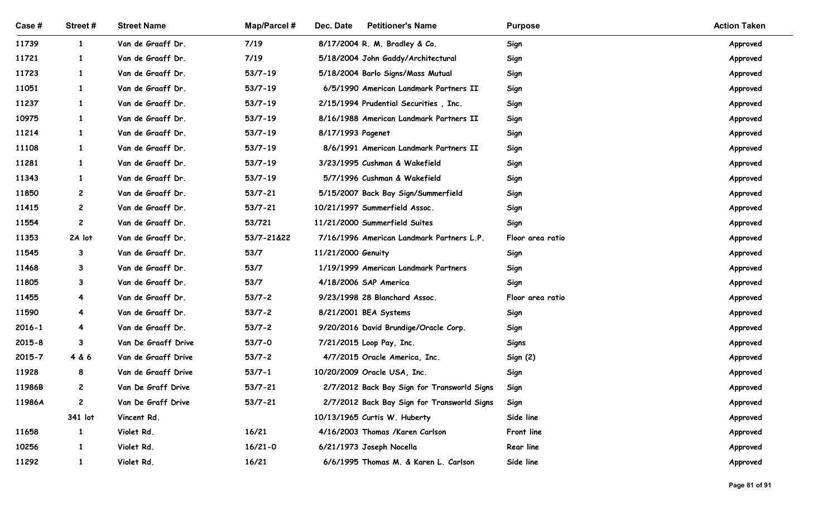| Case #     | Street#        | <b>Street Name</b>  | <b>Map/Parcel#</b> | <b>Petitioner's Name</b><br>Dec. Date       | <b>Purpose</b>   | <b>Action Taken</b> |
|------------|----------------|---------------------|--------------------|---------------------------------------------|------------------|---------------------|
| 11739      | $\mathbf{1}$   | Van de Graaff Dr.   | 7/19               | 8/17/2004 R. M. Bradley & Co.               | Sign             | Approved            |
| 11721      | $\mathbf{1}$   | Van de Graaff Dr.   | 7/19               | 5/18/2004 John Gaddy/Architectural          | Sign             | Approved            |
| 11723      | $\mathbf{1}$   | Van de Graaff Dr.   | $53/7 - 19$        | 5/18/2004 Barlo Signs/Mass Mutual           | Sign             | Approved            |
| 11051      | $\mathbf{1}$   | Van de Graaff Dr.   | $53/7 - 19$        | 6/5/1990 American Landmark Partners II      | Sign             | Approved            |
| 11237      | $\mathbf{1}$   | Van de Graaff Dr.   | $53/7 - 19$        | 2/15/1994 Prudential Securities, Inc.       | Sign             | Approved            |
| 10975      | $\mathbf{1}$   | Van de Graaff Dr.   | $53/7 - 19$        | 8/16/1988 American Landmark Partners II     | Sign             | Approved            |
| 11214      | $\mathbf{1}$   | Van de Graaff Dr.   | $53/7 - 19$        | 8/17/1993 Pagenet                           | Sign             | Approved            |
| 11108      | $\mathbf{1}$   | Van de Graaff Dr.   | $53/7 - 19$        | 8/6/1991 American Landmark Partners II      | Sign             | Approved            |
| 11281      | -1             | Van de Graaff Dr.   | $53/7 - 19$        | 3/23/1995 Cushman & Wakefield               | Sign             | Approved            |
| 11343      |                | Van de Graaff Dr.   | 53/7-19            | 5/7/1996 Cushman & Wakefield                | Sign             | Approved            |
| 11850      | $\overline{c}$ | Van de Graaff Dr.   | $53/7 - 21$        | 5/15/2007 Back Bay Sign/Summerfield         | Sign             | Approved            |
| 11415      | $\mathbf{2}$   | Van de Graaff Dr.   | $53/7 - 21$        | 10/21/1997 Summerfield Assoc.               | Sign             | Approved            |
| 11554      | $\mathbf{2}$   | Van de Graaff Dr.   | 53/721             | 11/21/2000 Summerfield Suites               | Sign             | Approved            |
| 11353      | 2A lot         | Van de Graaff Dr.   | 53/7-21&22         | 7/16/1996 American Landmark Partners L.P.   | Floor area ratio | Approved            |
| 11545      | $\mathbf{3}$   | Van de Graaff Dr.   | 53/7               | 11/21/2000 Genuity                          | Sign             | Approved            |
| 11468      | $3^{\circ}$    | Van de Graaff Dr.   | 53/7               | 1/19/1999 American Landmark Partners        | Sign             | Approved            |
| 11805      | $\mathbf{3}$   | Van de Graaff Dr.   | 53/7               | 4/18/2006 SAP America                       | Sign             | Approved            |
| 11455      | 4              | Van de Graaff Dr.   | $53/7 - 2$         | 9/23/1998 28 Blanchard Assoc.               | Floor area ratio | Approved            |
| 11590      | 4              | Van de Graaff Dr.   | $53/7 - 2$         | 8/21/2001 BEA Systems                       | Sign             | Approved            |
| $2016 - 1$ | 4              | Van de Graaff Dr.   | $53/7 - 2$         | 9/20/2016 David Brundige/Oracle Corp.       | Sign             | Approved            |
| $2015 - 8$ | $\mathbf{3}$   | Van De Graaff Drive | $53/7 - 0$         | 7/21/2015 Loop Pay, Inc.                    | Signs            | Approved            |
| $2015 - 7$ | 4 & 6          | Van de Graaff Drive | $53/7 - 2$         | 4/7/2015 Oracle America, Inc.               | Sign (2)         | Approved            |
| 11928      | 8              | Van de Graaff Drive | $53/7 - 1$         | 10/20/2009 Oracle USA, Inc.                 | Sign             | Approved            |
| 11986B     | $\mathbf{2}$   | Van De Graff Drive  | $53/7 - 21$        | 2/7/2012 Back Bay Sign for Transworld Signs | Sign             | Approved            |
| 11986A     | $\overline{2}$ | Van De Graff Drive  | $53/7 - 21$        | 2/7/2012 Back Bay Sign for Transworld Signs | Sign             | Approved            |
|            | 341 lot        | Vincent Rd.         |                    | 10/13/1965 Curtis W. Huberty                | Side line        | Approved            |
| 11658      | $\mathbf{1}$   | Violet Rd.          | 16/21              | 4/16/2003 Thomas /Karen Carlson             | Front line       | Approved            |
| 10256      | $\mathbf{1}$   | Violet Rd.          | $16/21 - 0$        | 6/21/1973 Joseph Nocella                    | Rear line        | Approved            |
| 11292      | $\mathbf{1}$   | Violet Rd.          | 16/21              | 6/6/1995 Thomas M. & Karen L. Carlson       | Side line        | Approved            |
|            |                |                     |                    |                                             |                  | Page 81 of 91       |
|            |                |                     |                    |                                             |                  |                     |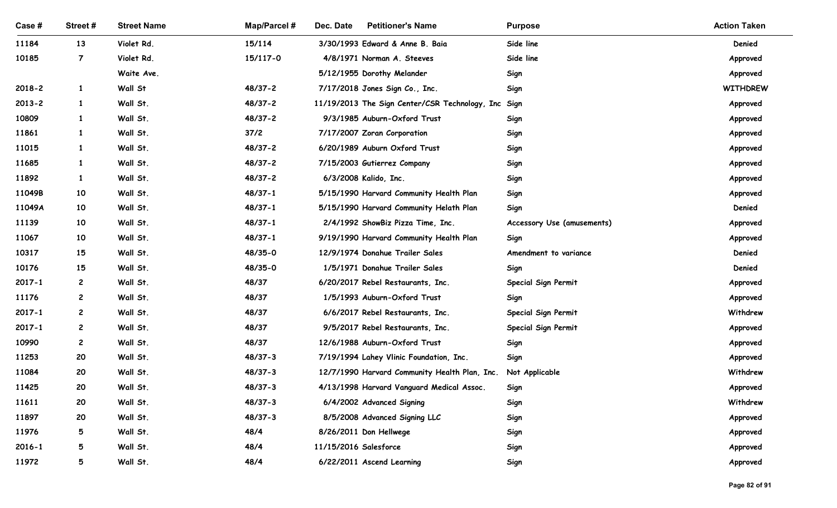| Case#          | Street#        | <b>Street Name</b>   | Map/Parcel #           | <b>Petitioner's Name</b><br>Dec. Date                                      | <b>Purpose</b>                | <b>Action Taken</b> |  |
|----------------|----------------|----------------------|------------------------|----------------------------------------------------------------------------|-------------------------------|---------------------|--|
| 11184          | 13             | Violet Rd.           | 15/114                 | 3/30/1993 Edward & Anne B. Baia                                            | Side line                     | Denied              |  |
| 10185          | $\overline{7}$ | Violet Rd.           | 15/117-0               | 4/8/1971 Norman A. Steeves                                                 | Side line                     | Approved            |  |
|                |                | Waite Ave.           |                        | 5/12/1955 Dorothy Melander                                                 | Sign                          | Approved            |  |
| $2018 - 2$     | $\mathbf{1}$   | Wall St              | 48/37-2                | 7/17/2018 Jones Sign Co., Inc.                                             | Sign                          | <b>WITHDREW</b>     |  |
| $2013 - 2$     | $\mathbf{1}$   | Wall St.             | 48/37-2                | 11/19/2013 The Sign Center/CSR Technology, Inc Sign                        |                               | Approved            |  |
| 10809          | $\mathbf{1}$   | Wall St.             | 48/37-2                | 9/3/1985 Auburn-Oxford Trust                                               | Sign                          | Approved            |  |
| 11861          | $\mathbf{1}$   | Wall St.             | 37/2                   | 7/17/2007 Zoran Corporation                                                | Sign                          | Approved            |  |
| 11015          | $\mathbf{1}$   | Wall St.             | 48/37-2                | 6/20/1989 Auburn Oxford Trust                                              | Sign                          | Approved            |  |
| 11685          | 1              | Wall St.             | 48/37-2                | 7/15/2003 Gutierrez Company                                                | Sign                          | Approved            |  |
| 11892          |                | Wall St.             | $48/37 - 2$            | 6/3/2008 Kalido, Inc.                                                      | Sign                          | Approved            |  |
| 11049B         | 10             | Wall St.             | $48/37 - 1$            | 5/15/1990 Harvard Community Health Plan                                    | Sign                          | Approved            |  |
| 11049A         | 10             | Wall St.             | $48/37 - 1$            | 5/15/1990 Harvard Community Helath Plan                                    | Sign                          | Denied              |  |
| 11139          | 10             | Wall St.             | $48/37 - 1$            | 2/4/1992 ShowBiz Pizza Time, Inc.                                          | Accessory Use (amusements)    | Approved            |  |
| 11067<br>10317 | 10<br>15       | Wall St.<br>Wall St. | $48/37 - 1$<br>48/35-0 | 9/19/1990 Harvard Community Health Plan<br>12/9/1974 Donahue Trailer Sales | Sign<br>Amendment to variance | Approved<br>Denied  |  |
| 10176          | 15             | Wall St.             | 48/35-0                | 1/5/1971 Donahue Trailer Sales                                             |                               | Denied              |  |
| 2017-1         | $\mathbf{2}$   | Wall St.             | 48/37                  | 6/20/2017 Rebel Restaurants, Inc.                                          | Sign<br>Special Sign Permit   | Approved            |  |
| 11176          | $\mathbf{2}$   | Wall St.             | 48/37                  | 1/5/1993 Auburn-Oxford Trust                                               | Sign                          | Approved            |  |
| $2017 - 1$     | $\mathbf{2}$   | Wall St.             | 48/37                  | 6/6/2017 Rebel Restaurants, Inc.                                           | Special Sign Permit           | Withdrew            |  |
| $2017 - 1$     | $\mathbf{2}$   | Wall St.             | 48/37                  | 9/5/2017 Rebel Restaurants, Inc.                                           | Special Sign Permit           | Approved            |  |
| 10990          | $\mathbf{2}$   | Wall St.             | 48/37                  | 12/6/1988 Auburn-Oxford Trust                                              | Sign                          | Approved            |  |
| 11253          | 20             | Wall St.             | $48/37 - 3$            | 7/19/1994 Lahey Vlinic Foundation, Inc.                                    | Sign                          | Approved            |  |
| 11084          | 20             | Wall St.             | $48/37 - 3$            | 12/7/1990 Harvard Community Health Plan, Inc.                              | Not Applicable                | Withdrew            |  |
| 11425          | 20             | Wall St.             | $48/37 - 3$            | 4/13/1998 Harvard Vanguard Medical Assoc.                                  | Sign                          | Approved            |  |
| 11611          | 20             | Wall St.             | $48/37 - 3$            | 6/4/2002 Advanced Signing                                                  | Sign                          | Withdrew            |  |
| 11897          | 20             | Wall St.             | $48/37 - 3$            | 8/5/2008 Advanced Signing LLC                                              | Sign                          | Approved            |  |
| 11976          | 5              | Wall St.             | 48/4                   | 8/26/2011 Don Hellwege                                                     | Sign                          | Approved            |  |
| $2016 - 1$     | 5              | Wall St.             | 48/4                   | 11/15/2016 Salesforce                                                      | Sign                          | Approved            |  |
|                | 5 <sub>1</sub> | Wall St.             | 48/4                   | 6/22/2011 Ascend Learning                                                  | Sign                          |                     |  |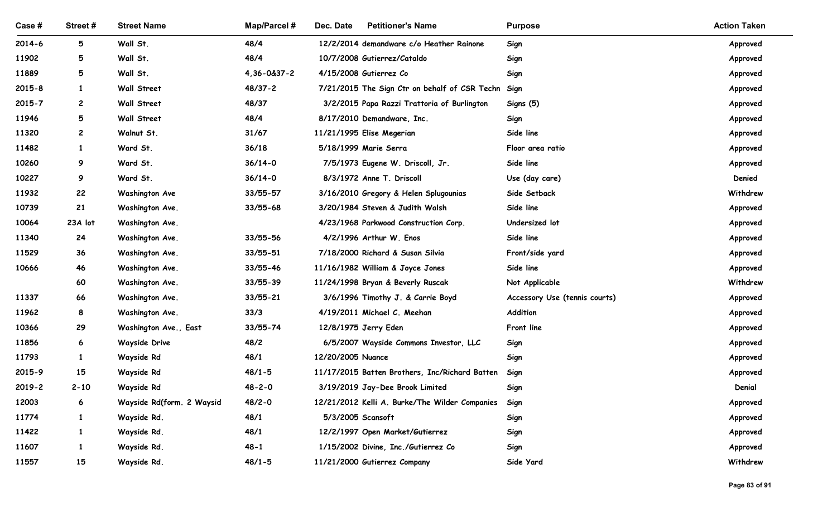| Case#          | Street#           | <b>Street Name</b>        | <b>Map/Parcel#</b> | Dec. Date<br><b>Petitioner's Name</b>                         | <b>Purpose</b>                 | <b>Action Taken</b> |
|----------------|-------------------|---------------------------|--------------------|---------------------------------------------------------------|--------------------------------|---------------------|
| $2014 - 6$     | 5                 | Wall St.                  | 48/4               | 12/2/2014 demandware c/o Heather Rainone                      | Sign                           | Approved            |
| 11902          | 5                 | Wall St.                  | 48/4               | 10/7/2008 Gutierrez/Cataldo                                   | Sign                           | Approved            |
| 11889          | 5                 | Wall St.                  | 4,36-0&37-2        | 4/15/2008 Gutierrez Co                                        | Sign                           | Approved            |
| $2015 - 8$     | $\mathbf{1}$      | Wall Street               | 48/37-2            | 7/21/2015 The Sign Ctr on behalf of CSR Techn Sign            |                                | Approved            |
| $2015 - 7$     | $\mathbf{2}$      | Wall Street               | 48/37              | 3/2/2015 Papa Razzi Trattoria of Burlington                   | Signs (5)                      | Approved            |
| 11946          | 5                 | Wall Street               | 48/4               | 8/17/2010 Demandware, Inc.                                    | Sign                           | Approved            |
| 11320          | $\overline{c}$    | Walnut St.                | 31/67              | 11/21/1995 Elise Megerian<br>5/18/1999 Marie Serra            | Side line                      | Approved            |
| 11482<br>10260 | $\mathbf{1}$<br>9 | Ward St.<br>Ward St.      | 36/18<br>$36/14-0$ |                                                               | Floor area ratio<br>Side line  | Approved            |
| 10227          | 9                 | Ward St.                  | $36/14-0$          | 7/5/1973 Eugene W. Driscoll, Jr.<br>8/3/1972 Anne T. Driscoll |                                | Approved<br>Denied  |
| 11932          | 22                | <b>Washington Ave</b>     | 33/55-57           | 3/16/2010 Gregory & Helen Splugounias                         | Use (day care)<br>Side Setback | Withdrew            |
| 10739          | 21                | Washington Ave.           | $33/55 - 68$       | 3/20/1984 Steven & Judith Walsh                               | Side line                      | Approved            |
| 10064          | 23A lot           | Washington Ave.           |                    | 4/23/1968 Parkwood Construction Corp.                         | Undersized lot                 | Approved            |
| 11340          | 24                | Washington Ave.           | 33/55-56           | 4/2/1996 Arthur W. Enos                                       | Side line                      | Approved            |
| 11529          | 36                | Washington Ave.           | 33/55-51           | 7/18/2000 Richard & Susan Silvia                              | Front/side yard                | Approved            |
| 10666          | 46                | Washington Ave.           | 33/55-46           | 11/16/1982 William & Joyce Jones                              | Side line                      | Approved            |
|                | 60                | Washington Ave.           | 33/55-39           | 11/24/1998 Bryan & Beverly Ruscak                             | Not Applicable                 | Withdrew            |
| 11337          | 66                | Washington Ave.           | 33/55-21           | 3/6/1996 Timothy J. & Carrie Boyd                             | Accessory Use (tennis courts)  | Approved            |
| 11962          | 8                 | Washington Ave.           | 33/3               | 4/19/2011 Michael C. Meehan                                   | Addition                       | Approved            |
| 10366          | 29                | Washington Ave., East     | 33/55-74           | 12/8/1975 Jerry Eden                                          | Front line                     | Approved            |
| 11856          | $6\overline{6}$   | Wayside Drive             | 48/2               | 6/5/2007 Wayside Commons Investor, LLC                        | Sign                           | Approved            |
| 11793          | $\mathbf{1}$      | Wayside Rd                | 48/1               | 12/20/2005 Nuance                                             | Sign                           | Approved            |
| 2015-9         | 15                | Wayside Rd                | $48/1 - 5$         | 11/17/2015 Batten Brothers, Inc/Richard Batten                | Sign                           | Approved            |
| $2019 - 2$     | $2 - 10$          | Wayside Rd                | $48 - 2 - 0$       | 3/19/2019 Jay-Dee Brook Limited                               | Sign                           | Denial              |
| 12003          | $6\overline{6}$   | Wayside Rd(form. 2 Waysid | $48/2 - 0$         | 12/21/2012 Kelli A. Burke/The Wilder Companies                | Sign                           | Approved            |
| 11774          | $\mathbf{1}$      | Wayside Rd.               | 48/1               | 5/3/2005 Scansoft                                             | Sign                           | Approved            |
| 11422          | $\mathbf{1}$      | Wayside Rd.               | 48/1               | 12/2/1997 Open Market/Gutierrez                               | Sign                           | Approved            |
|                | $\mathbf{1}$      | Wayside Rd.               | $48 - 1$           | 1/15/2002 Divine, Inc./Gutierrez Co                           | Sign                           | Approved            |
| 11607          | 15                | Wayside Rd.               | $48/1 - 5$         | 11/21/2000 Gutierrez Company                                  | Side Yard                      | Withdrew            |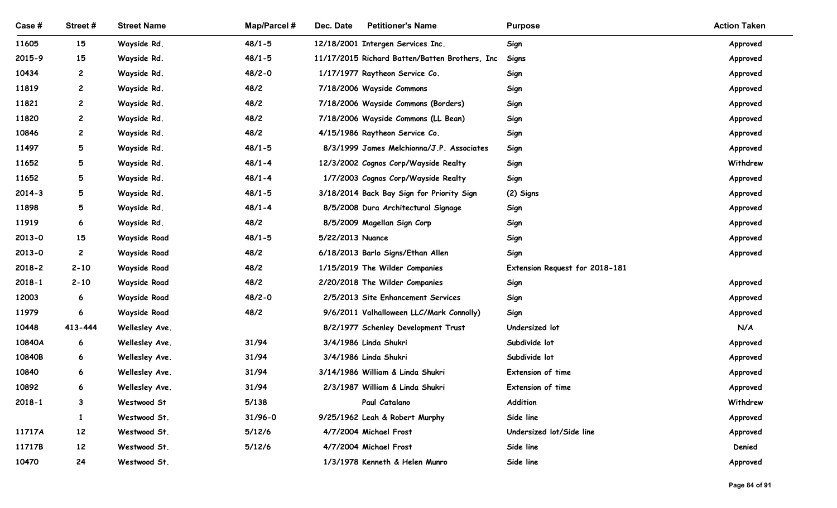| Case#           | Street#      | <b>Street Name</b>               | Map/Parcel # | <b>Petitioner's Name</b><br>Dec. Date                        | <b>Purpose</b>                  | <b>Action Taken</b>  |
|-----------------|--------------|----------------------------------|--------------|--------------------------------------------------------------|---------------------------------|----------------------|
| 11605           | 15           | Wayside Rd.                      | $48/1 - 5$   | 12/18/2001 Intergen Services Inc.                            | Sign                            | Approved             |
| 2015-9          | 15           | Wayside Rd.                      | $48/1 - 5$   | 11/17/2015 Richard Batten/Batten Brothers, Inc               | Signs                           | Approved             |
| 10434           | $\mathbf{2}$ | Wayside Rd.                      | $48/2 - 0$   | 1/17/1977 Raytheon Service Co.                               | Sign                            | Approved             |
| 11819           | $\mathbf{2}$ | Wayside Rd.                      | 48/2         | 7/18/2006 Wayside Commons                                    | Sign                            | Approved             |
| 11821           | $\mathbf{2}$ | Wayside Rd.                      | 48/2         | 7/18/2006 Wayside Commons (Borders)                          | Sign                            | Approved             |
| 11820           | $\mathbf{2}$ | Wayside Rd.                      | 48/2         | 7/18/2006 Wayside Commons (LL Bean)                          | Sign                            | Approved             |
| 10846           | $\mathbf{2}$ | Wayside Rd.                      | 48/2         | 4/15/1986 Raytheon Service Co.                               | Sign                            | Approved             |
| 11497           | 5            | Wayside Rd.                      | $48/1 - 5$   | 8/3/1999 James Melchionna/J.P. Associates                    | Sign                            | Approved             |
| 11652           | 5            | Wayside Rd.                      | $48/1 - 4$   | 12/3/2002 Cognos Corp/Wayside Realty                         | Sign                            | Withdrew             |
| 11652           | 5            | Wayside Rd.                      | $48/1 - 4$   | 1/7/2003 Cognos Corp/Wayside Realty                          | Sign                            | Approved             |
| $2014 - 3$      | 5            | Wayside Rd.                      | $48/1 - 5$   | 3/18/2014 Back Bay Sign for Priority Sign                    | (2) Signs                       | Approved             |
| 11898           | 5            | Wayside Rd.                      | $48/1 - 4$   | 8/5/2008 Dura Architectural Signage                          | Sign                            | Approved             |
| 11919           | 6            | Wayside Rd.                      | 48/2         | 8/5/2009 Magellan Sign Corp                                  | Sign                            | Approved             |
| $2013 - 0$      | 15           | <b>Wayside Road</b>              | $48/1 - 5$   | 5/22/2013 Nuance                                             | Sign                            | Approved             |
| $2013 - 0$      | $\mathbf{2}$ | <b>Wayside Road</b>              | 48/2         | 6/18/2013 Barlo Signs/Ethan Allen                            | Sign                            | Approved             |
| $2018 - 2$      | $2 - 10$     | <b>Wayside Road</b>              | 48/2         | 1/15/2019 The Wilder Companies                               | Extension Request for 2018-181  |                      |
| $2018 - 1$      | $2 - 10$     | <b>Wayside Road</b>              | 48/2         | 2/20/2018 The Wilder Companies                               | Sign                            | Approved             |
| 12003           | 6            | <b>Wayside Road</b>              | $48/2 - 0$   | 2/5/2013 Site Enhancement Services                           | Sign                            | Approved             |
| 11979           | 6            | <b>Wayside Road</b>              | 48/2         | 9/6/2011 Valhalloween LLC/Mark Connolly)                     | Sign                            | Approved<br>N/A      |
| 10448<br>10840A | 413-444      | Wellesley Ave.<br>Wellesley Ave. | 31/94        | 8/2/1977 Schenley Development Trust<br>3/4/1986 Linda Shukri | Undersized lot<br>Subdivide lot |                      |
| 10840B          | 6<br>6       | Wellesley Ave.                   | 31/94        | 3/4/1986 Linda Shukri                                        | Subdivide lot                   | Approved             |
| 10840           | 6            | Wellesley Ave.                   | 31/94        | 3/14/1986 William & Linda Shukri                             | Extension of time               | Approved<br>Approved |
| 10892           | 6            | Wellesley Ave.                   | 31/94        | 2/3/1987 William & Linda Shukri                              | Extension of time               | Approved             |
| $2018 - 1$      | 3            | Westwood St                      | 5/138        | Paul Catalano                                                | Addition                        | Withdrew             |
|                 | -1           | Westwood St.                     | $31/96 - 0$  | 9/25/1962 Leah & Robert Murphy                               | Side line                       | Approved             |
| 11717A          | 12           | Westwood St.                     | 5/12/6       | 4/7/2004 Michael Frost                                       | Undersized lot/Side line        | Approved             |
| 11717B          | 12           | Westwood St.                     | 5/12/6       | 4/7/2004 Michael Frost                                       | Side line                       | Denied               |
| 10470           | 24           | Westwood St.                     |              | 1/3/1978 Kenneth & Helen Munro                               | Side line                       | Approved             |
|                 |              |                                  |              |                                                              |                                 |                      |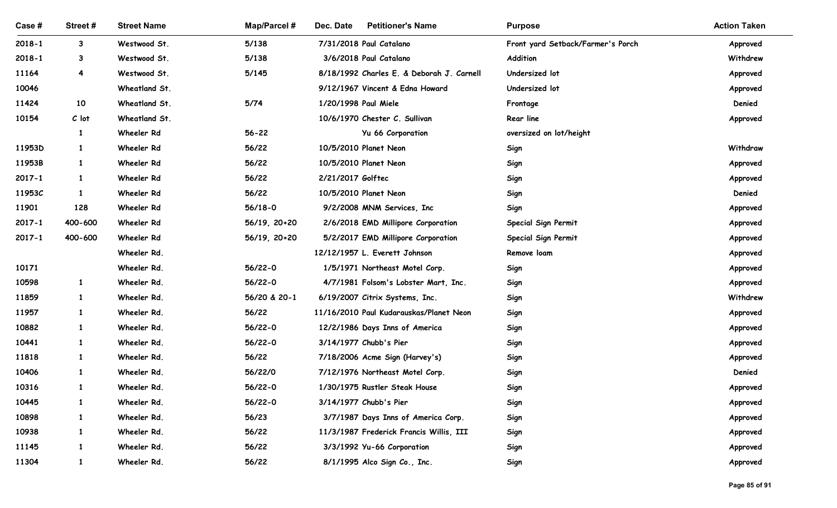| Case #         | Street #                     | <b>Street Name</b>         | Map/Parcel #     | Dec. Date<br><b>Petitioner's Name</b>                             | <b>Purpose</b>                    | <b>Action Taken</b> |
|----------------|------------------------------|----------------------------|------------------|-------------------------------------------------------------------|-----------------------------------|---------------------|
| $2018 - 1$     | $\mathbf{3}$                 | Westwood St.               | 5/138            | 7/31/2018 Paul Catalano                                           | Front yard Setback/Farmer's Porch | Approved            |
| $2018 - 1$     | $\mathbf{3}$                 | Westwood St.               | 5/138            | 3/6/2018 Paul Catalano                                            | Addition                          | Withdrew            |
| 11164          | 4                            | Westwood St.               | 5/145            | 8/18/1992 Charles E. & Deborah J. Carnell                         | Undersized lot                    | Approved            |
| 10046          |                              | Wheatland St.              |                  | 9/12/1967 Vincent & Edna Howard                                   | Undersized lot                    | Approved            |
| 11424          | 10                           | Wheatland St.              | $5/74$           | 1/20/1998 Paul Miele                                              | Frontage                          | Denied              |
| 10154          | $C$ lot                      | Wheatland St.              |                  | 10/6/1970 Chester C. Sullivan                                     | Rear line                         | Approved            |
|                | 1                            | Wheeler Rd                 | $56 - 22$        | Yu 66 Corporation                                                 | oversized on lot/height           |                     |
| 11953D         | 1                            | Wheeler Rd                 | 56/22            | 10/5/2010 Planet Neon                                             | Sign                              | Withdraw            |
| 11953B         | -1                           | Wheeler Rd                 | 56/22            | 10/5/2010 Planet Neon                                             | Sign                              | Approved            |
| $2017 - 1$     |                              | Wheeler Rd                 | 56/22            | 2/21/2017 Golftec                                                 | Sign                              | Approved            |
| 11953C         | $\mathbf{1}$                 | Wheeler Rd                 | 56/22            | 10/5/2010 Planet Neon                                             | Sign                              | Denied              |
| 11901          | 128                          | Wheeler Rd                 | 56/18-0          | 9/2/2008 MNM Services, Inc                                        | Sign                              | Approved            |
| $2017 - 1$     | 400-600                      | Wheeler Rd                 | $56/19, 20+20$   | 2/6/2018 EMD Millipore Corporation                                | Special Sign Permit               | Approved            |
| $2017 - 1$     | 400-600                      | Wheeler Rd                 | 56/19, 20+20     | 5/2/2017 EMD Millipore Corporation                                | Special Sign Permit               | Approved            |
|                |                              | Wheeler Rd.                |                  | 12/12/1957 L. Everett Johnson                                     | Remove loam                       | Approved            |
| 10171          |                              | Wheeler Rd.                | 56/22-0          | 1/5/1971 Northeast Motel Corp.                                    | Sign                              | Approved            |
| 10598          | $\mathbf{1}$                 | Wheeler Rd.                | 56/22-0          | 4/7/1981 Folsom's Lobster Mart, Inc.                              | Sign                              | Approved            |
| 11859          | $\mathbf{1}$                 | Wheeler Rd.                | 56/20 & 20-1     | 6/19/2007 Citrix Systems, Inc.                                    | Sign                              | Withdrew            |
| 11957          | $\mathbf{1}$                 | Wheeler Rd.                | 56/22            | 11/16/2010 Paul Kudarauskas/Planet Neon                           | Sign                              | Approved            |
| 10882          | $\mathbf{1}$                 | Wheeler Rd.                | 56/22-0          | 12/2/1986 Days Inns of America                                    | Sign                              | Approved            |
| 10441<br>11818 | $\mathbf{1}$<br>$\mathbf{1}$ | Wheeler Rd.<br>Wheeler Rd. | 56/22-0<br>56/22 | 3/14/1977 Chubb's Pier                                            | Sign                              | Approved            |
| 10406          | $\mathbf{1}$                 | Wheeler Rd.                | 56/22/0          | 7/18/2006 Acme Sign (Harvey's)<br>7/12/1976 Northeast Motel Corp. | Sign<br>Sign                      | Approved<br>Denied  |
| 10316          | $\mathbf{1}$                 | Wheeler Rd.                | 56/22-0          | 1/30/1975 Rustler Steak House                                     | Sign                              | Approved            |
| 10445          | $\mathbf{1}$                 | Wheeler Rd.                | 56/22-0          | 3/14/1977 Chubb's Pier                                            | Sign                              | Approved            |
| 10898          | $\mathbf{1}$                 | Wheeler Rd.                | 56/23            | 3/7/1987 Days Inns of America Corp.                               | Sign                              | Approved            |
| 10938          | $\mathbf{1}$                 | Wheeler Rd.                | 56/22            | 11/3/1987 Frederick Francis Willis, III                           | Sign                              | Approved            |
| 11145          | $\mathbf{1}$                 | Wheeler Rd.                | 56/22            | 3/3/1992 Yu-66 Corporation                                        | Sign                              | Approved            |
| 11304          | $\mathbf{1}$                 | Wheeler Rd.                | 56/22            | 8/1/1995 Alco Sign Co., Inc.                                      | Sign                              | Approved            |
|                |                              |                            |                  |                                                                   |                                   |                     |
|                |                              |                            |                  |                                                                   |                                   | Page 85 of 91       |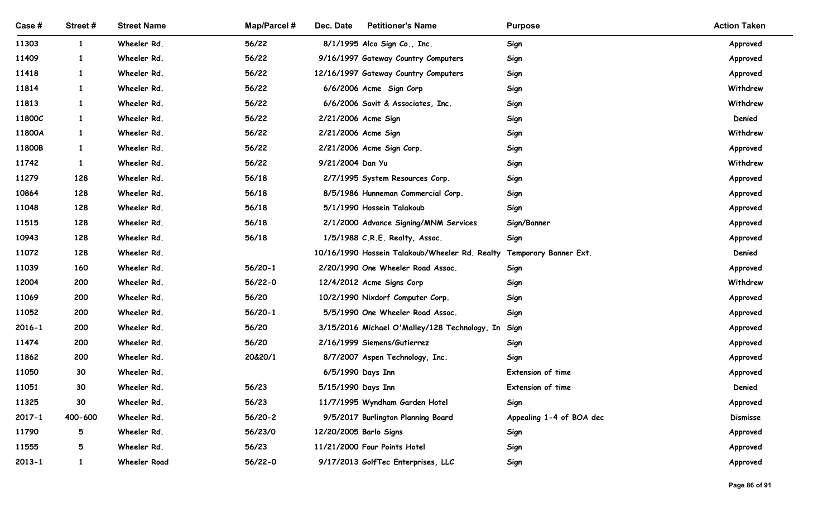| Case #         | Street#         | <b>Street Name</b>         | <b>Map/Parcel#</b> | Dec. Date<br><b>Petitioner's Name</b>                                | <b>Purpose</b>           | <b>Action Taken</b>  |
|----------------|-----------------|----------------------------|--------------------|----------------------------------------------------------------------|--------------------------|----------------------|
| 11303          | $\mathbf{1}$    | Wheeler Rd.                | 56/22              | 8/1/1995 Alco Sign Co., Inc.                                         | Sign                     | Approved             |
| 11409          | $\mathbf{1}$    | Wheeler Rd.                | 56/22              | 9/16/1997 Gateway Country Computers                                  | Sign                     | Approved             |
| 11418<br>11814 | $\mathbf{1}$    | Wheeler Rd.<br>Wheeler Rd. | 56/22<br>56/22     | 12/16/1997 Gateway Country Computers<br>6/6/2006 Acme Sign Corp      | Sign<br>Sign             | Approved<br>Withdrew |
| 11813          |                 | Wheeler Rd.                | 56/22              | 6/6/2006 Savit & Associates, Inc.                                    | Sign                     | Withdrew             |
| 11800C         | $\mathbf{1}$    | Wheeler Rd.                | 56/22              | 2/21/2006 Acme Sign                                                  | Sign                     | Denied               |
| 11800A         |                 | Wheeler Rd.                | 56/22              | 2/21/2006 Acme Sign                                                  | Sign                     | Withdrew             |
| 11800B         | $\mathbf{1}$    | Wheeler Rd.                | 56/22              | 2/21/2006 Acme Sign Corp.                                            | Sign                     | Approved             |
| 11742          |                 | Wheeler Rd.                | 56/22              | 9/21/2004 Dan Yu                                                     | Sign                     | Withdrew             |
| 11279          | 128             | Wheeler Rd.                | 56/18              | 2/7/1995 System Resources Corp.                                      | Sign                     | Approved             |
| 10864          | 128             | Wheeler Rd.                | 56/18              | 8/5/1986 Hunneman Commercial Corp.                                   | Sign                     | Approved             |
| 11048          | 128             | Wheeler Rd.                | 56/18              | 5/1/1990 Hossein Talakoub                                            | Sign                     | Approved             |
| 11515          | 128             | Wheeler Rd.                | 56/18              | 2/1/2000 Advance Signing/MNM Services                                | Sign/Banner              | Approved             |
| 10943          | 128             | Wheeler Rd.                | 56/18              | 1/5/1988 C.R.E. Realty, Assoc.                                       | Sign                     | Approved             |
| 11072          | 128             | Wheeler Rd.                |                    | 10/16/1990 Hossein Talakoub/Wheeler Rd. Realty Temporary Banner Ext. |                          | Denied               |
| 11039          | 160             | Wheeler Rd.                | $56/20-1$          | 2/20/1990 One Wheeler Road Assoc.                                    | Sign                     | Approved             |
| 12004          | 200             | Wheeler Rd.                | $56/22-0$          | 12/4/2012 Acme Signs Corp                                            | Sign                     | Withdrew             |
| 11069          | 200             | Wheeler Rd.                | 56/20              | 10/2/1990 Nixdorf Computer Corp.                                     | Sign                     | Approved             |
| 11052          | 200             | Wheeler Rd.                | $56/20-1$          | 5/5/1990 One Wheeler Road Assoc.                                     | Sign                     | Approved             |
| $2016 - 1$     | 200             | Wheeler Rd.                | 56/20              | 3/15/2016 Michael O'Malley/128 Technology, In Sign                   |                          | Approved             |
| 11474          | 200             | Wheeler Rd.                | 56/20              | 2/16/1999 Siemens/Gutierrez                                          | Sign                     | Approved             |
| 11862          | 200             | Wheeler Rd.                | 20&20/1            | 8/7/2007 Aspen Technology, Inc.                                      | Sign                     | Approved             |
| 11050          | 30              | Wheeler Rd.                |                    | 6/5/1990 Days Inn                                                    | Extension of time        | Approved             |
| 11051          | 30 <sup>°</sup> | Wheeler Rd.                | 56/23              | 5/15/1990 Days Inn                                                   | Extension of time        | Denied               |
| 11325          | 30 <sup>°</sup> | Wheeler Rd.                | 56/23              | 11/7/1995 Wyndham Garden Hotel                                       | Sign                     | Approved             |
| $2017 - 1$     | 400-600         | Wheeler Rd.                | $56/20-2$          | 9/5/2017 Burlington Planning Board                                   | Appealing 1-4 of BOA dec | <b>Dismisse</b>      |
| 11790          | $5\phantom{.0}$ | Wheeler Rd.                | 56/23/0            | 12/20/2005 Barlo Signs                                               | Sign                     | Approved             |
| 11555          | 5               | Wheeler Rd.                | 56/23              | 11/21/2000 Four Points Hotel                                         | Sign                     | Approved             |
| $2013 - 1$     | $\mathbf{1}$    | <b>Wheeler Road</b>        | $56/22-0$          | 9/17/2013 GolfTec Enterprises, LLC                                   | Sign                     | Approved             |
|                |                 |                            |                    |                                                                      |                          | Page 86 of 91        |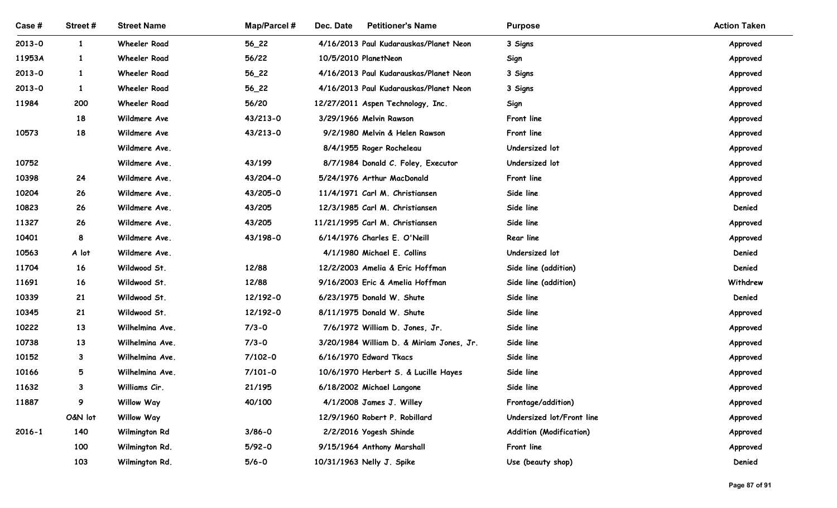| Case#          | Street #     | <b>Street Name</b>                     | Map/Parcel # | Dec. Date<br><b>Petitioner's Name</b>                     | <b>Purpose</b>                                  | <b>Action Taken</b>  |
|----------------|--------------|----------------------------------------|--------------|-----------------------------------------------------------|-------------------------------------------------|----------------------|
| $2013 - 0$     | $\mathbf{1}$ | <b>Wheeler Road</b>                    | $56_22$      | 4/16/2013 Paul Kudarauskas/Planet Neon                    | 3 Signs                                         | Approved             |
| 11953A         | $\mathbf{1}$ | <b>Wheeler Road</b>                    | 56/22        | 10/5/2010 PlanetNeon                                      | Sign                                            | Approved             |
| $2013 - 0$     | $\mathbf{1}$ | <b>Wheeler Road</b>                    | $56_22$      | 4/16/2013 Paul Kudarauskas/Planet Neon                    | 3 Signs                                         | Approved             |
| $2013 - 0$     | $\mathbf{1}$ | <b>Wheeler Road</b>                    | $56_22$      | 4/16/2013 Paul Kudarauskas/Planet Neon                    | 3 Signs                                         | Approved             |
| 11984          | 200          | <b>Wheeler Road</b>                    | 56/20        | 12/27/2011 Aspen Technology, Inc.                         | Sign                                            | Approved             |
|                | 18           | Wildmere Ave                           | 43/213-0     | 3/29/1966 Melvin Rawson                                   | Front line                                      | Approved             |
| 10573          | 18           | Wildmere Ave                           | 43/213-0     | 9/2/1980 Melvin & Helen Rawson                            | Front line                                      | Approved             |
|                |              | Wildmere Ave.                          |              | 8/4/1955 Roger Rocheleau                                  | Undersized lot                                  | Approved             |
| 10752          |              | Wildmere Ave.                          | 43/199       | 8/7/1984 Donald C. Foley, Executor                        | Undersized lot                                  | Approved             |
| 10398          | 24           | Wildmere Ave.                          | 43/204-0     | 5/24/1976 Arthur MacDonald                                | Front line                                      | Approved             |
| 10204          | 26           | Wildmere Ave.                          | 43/205-0     | 11/4/1971 Carl M. Christiansen                            | Side line                                       | Approved             |
| 10823          | 26           | Wildmere Ave.                          | 43/205       | 12/3/1985 Carl M. Christiansen                            | Side line                                       | Denied               |
| 11327          | 26           | Wildmere Ave.                          | 43/205       | 11/21/1995 Carl M. Christiansen                           | Side line                                       | Approved             |
| 10401          | 8            | Wildmere Ave.                          | 43/198-0     | 6/14/1976 Charles E. O'Neill                              | Rear line                                       | Approved             |
| 10563          | A lot        | Wildmere Ave.                          |              | 4/1/1980 Michael E. Collins                               | Undersized lot                                  | Denied               |
| 11704          | 16           | Wildwood St.                           | 12/88        | 12/2/2003 Amelia & Eric Hoffman                           | Side line (addition)                            | Denied               |
| 11691          | 16           | Wildwood St.                           | 12/88        | 9/16/2003 Eric & Amelia Hoffman                           | Side line (addition)                            | Withdrew             |
| 10339          | 21           | Wildwood St.                           | 12/192-0     | 6/23/1975 Donald W. Shute                                 | Side line                                       | Denied               |
| 10345          | 21           | Wildwood St.                           | 12/192-0     | 8/11/1975 Donald W. Shute                                 | Side line                                       | Approved             |
| 10222          | 13           | Wilhelmina Ave.                        | $7/3 - 0$    | 7/6/1972 William D. Jones, Jr.                            | Side line                                       | Approved             |
| 10738          | 13           | Wilhelmina Ave.                        | $7/3 - 0$    | 3/20/1984 William D. & Miriam Jones, Jr.                  | Side line                                       | Approved             |
| 10152          | $\mathbf{3}$ | Wilhelmina Ave.                        | $7/102 - 0$  | 6/16/1970 Edward Tkacs                                    | Side line                                       | Approved             |
| 10166          | 5            | Wilhelmina Ave.                        | $7/101 - 0$  | 10/6/1970 Herbert S. & Lucille Hayes                      | Side line                                       | Approved             |
| 11632<br>11887 | $\mathbf{3}$ | Williams Cir.                          | 21/195       | 6/18/2002 Michael Langone                                 | Side line                                       | Approved             |
|                | 9<br>O&N lot | <b>Willow Way</b><br><b>Willow Way</b> | 40/100       | 4/1/2008 James J. Willey<br>12/9/1960 Robert P. Robillard | Frontage/addition)<br>Undersized lot/Front line | Approved             |
| $2016 - 1$     | 140          | Wilmington Rd                          | $3/86 - 0$   | 2/2/2016 Yogesh Shinde                                    | <b>Addition (Modification)</b>                  | Approved<br>Approved |
|                | 100          | Wilmington Rd.                         | $5/92-0$     | 9/15/1964 Anthony Marshall                                | Front line                                      | Approved             |
|                | 103          | Wilmington Rd.                         | $5/6 - 0$    | 10/31/1963 Nelly J. Spike                                 | Use (beauty shop)                               | Denied               |
|                |              |                                        |              |                                                           |                                                 |                      |
|                |              |                                        |              |                                                           |                                                 | Page 87 of 91        |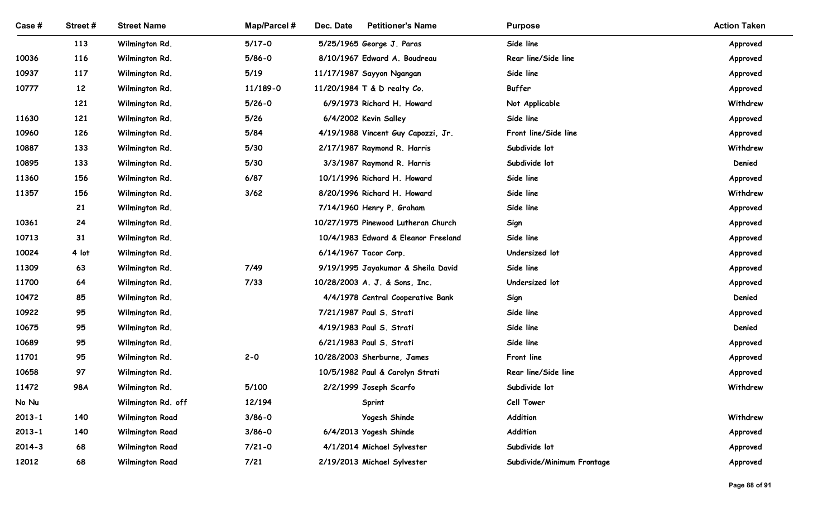| Case #         | Street#  | <b>Street Name</b>               | <b>Map/Parcel#</b> | Dec. Date<br><b>Petitioner's Name</b>                         | <b>Purpose</b>              | <b>Action Taken</b> |
|----------------|----------|----------------------------------|--------------------|---------------------------------------------------------------|-----------------------------|---------------------|
|                | 113      | Wilmington Rd.                   | $5/17 - 0$         | 5/25/1965 George J. Paras                                     | Side line                   | Approved            |
| 10036          | 116      | Wilmington Rd.                   | $5/86 - 0$         | 8/10/1967 Edward A. Boudreau                                  | Rear line/Side line         | Approved            |
| 10937          | 117      | Wilmington Rd.                   | $5/19$             | 11/17/1987 Sayyon Ngangan                                     | Side line                   | Approved            |
| 10777          | 12       | Wilmington Rd.                   | 11/189-0           | 11/20/1984 T & D realty Co.                                   | Buffer                      | Approved            |
|                | 121      | Wilmington Rd.                   | $5/26 - 0$         | 6/9/1973 Richard H. Howard                                    | Not Applicable              | Withdrew            |
| 11630          | 121      | Wilmington Rd.                   | $5/26$             | 6/4/2002 Kevin Salley                                         | Side line                   | Approved            |
| 10960          | 126      | Wilmington Rd.                   | 5/84               | 4/19/1988 Vincent Guy Capozzi, Jr.                            | Front line/Side line        | Approved            |
| 10887          | 133      | Wilmington Rd.                   | 5/30               | 2/17/1987 Raymond R. Harris                                   | Subdivide lot               | Withdrew            |
| 10895          | 133      | Wilmington Rd.                   | 5/30               | 3/3/1987 Raymond R. Harris                                    | Subdivide lot               | Denied              |
| 11360          | 156      | Wilmington Rd.                   | 6/87               | 10/1/1996 Richard H. Howard                                   | Side line                   | Approved            |
| 11357          | 156      | Wilmington Rd.                   | 3/62               | 8/20/1996 Richard H. Howard                                   | Side line                   | Withdrew            |
|                | 21       | Wilmington Rd.                   |                    | 7/14/1960 Henry P. Graham                                     | Side line                   | Approved            |
| 10361          | 24       | Wilmington Rd.                   |                    | 10/27/1975 Pinewood Lutheran Church                           | Sign                        | Approved            |
| 10713          | 31       | Wilmington Rd.                   |                    | 10/4/1983 Edward & Eleanor Freeland                           | Side line                   | Approved            |
| 10024          | 4 lot    | Wilmington Rd.                   |                    | 6/14/1967 Tacor Corp.                                         | Undersized lot              | Approved            |
| 11309          | 63       | Wilmington Rd.                   | 7/49               | 9/19/1995 Jayakumar & Sheila David                            | Side line<br>Undersized lot | Approved            |
| 11700<br>10472 | 64<br>85 | Wilmington Rd.                   | $7/33$             | 10/28/2003 A. J. & Sons, Inc.                                 |                             | Approved<br>Denied  |
| 10922          | 95       | Wilmington Rd.<br>Wilmington Rd. |                    | 4/4/1978 Central Cooperative Bank<br>7/21/1987 Paul S. Strati | Sign<br>Side line           |                     |
| 10675          | 95       | Wilmington Rd.                   |                    | 4/19/1983 Paul S. Strati                                      | Side line                   | Approved<br>Denied  |
| 10689          | 95       | Wilmington Rd.                   |                    | 6/21/1983 Paul S. Strati                                      | Side line                   | Approved            |
| 11701          | 95       | Wilmington Rd.                   | $2 - 0$            | 10/28/2003 Sherburne, James                                   | Front line                  | Approved            |
| 10658          | 97       | Wilmington Rd.                   |                    | 10/5/1982 Paul & Carolyn Strati                               | Rear line/Side line         | Approved            |
| 11472          | 98A      | Wilmington Rd.                   | 5/100              | 2/2/1999 Joseph Scarfo                                        | Subdivide lot               | Withdrew            |
| No Nu          |          | Wilmington Rd. off               | 12/194             | Sprint                                                        | Cell Tower                  |                     |
| $2013 - 1$     | 140      | <b>Wilmington Road</b>           | $3/86 - 0$         | Yogesh Shinde                                                 | Addition                    | Withdrew            |
| $2013 - 1$     | 140      | <b>Wilmington Road</b>           | $3/86 - 0$         | 6/4/2013 Yogesh Shinde                                        | Addition                    | Approved            |
| $2014 - 3$     | 68       | <b>Wilmington Road</b>           | $7/21 - 0$         | 4/1/2014 Michael Sylvester                                    | Subdivide lot               | Approved            |
| 12012          | 68       | <b>Wilmington Road</b>           | 7/21               | 2/19/2013 Michael Sylvester                                   | Subdivide/Minimum Frontage  | Approved            |
|                |          |                                  |                    |                                                               |                             |                     |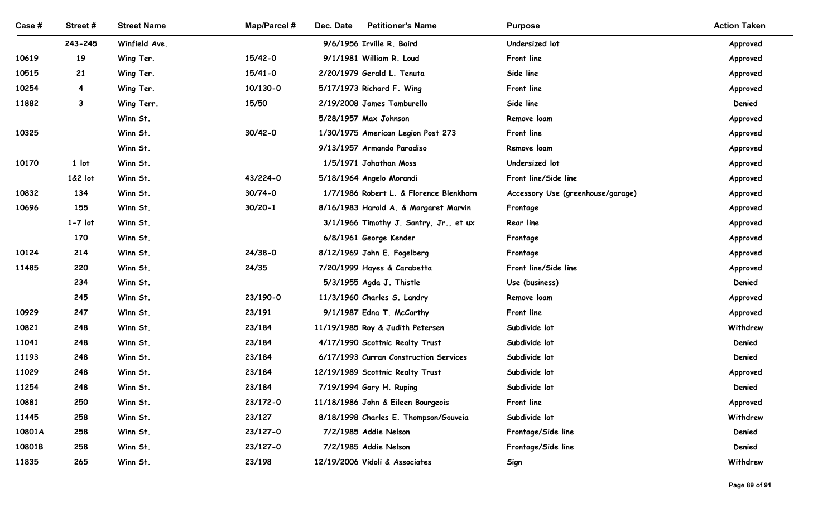| Case #         | Street#                 | <b>Street Name</b>     | <b>Map/Parcel#</b> | Dec. Date<br><b>Petitioner's Name</b>                                     | <b>Purpose</b>                    | <b>Action Taken</b> |
|----------------|-------------------------|------------------------|--------------------|---------------------------------------------------------------------------|-----------------------------------|---------------------|
|                | 243-245                 | Winfield Ave.          |                    | 9/6/1956 Irville R. Baird                                                 | Undersized lot                    | Approved            |
| 10619          | 19                      | Wing Ter.              | 15/42-0            | 9/1/1981 William R. Loud                                                  | Front line                        | Approved            |
| 10515          | 21                      | Wing Ter.              | $15/41 - 0$        | 2/20/1979 Gerald L. Tenuta                                                | Side line                         | Approved            |
| 10254          | $\overline{\mathbf{4}}$ | Wing Ter.              | 10/130-0           | 5/17/1973 Richard F. Wing                                                 | Front line                        | Approved            |
| 11882          | $\mathbf{3}$            | Wing Terr.<br>Winn St. | 15/50              | 2/19/2008 James Tamburello<br>5/28/1957 Max Johnson                       | Side line<br>Remove loam          | Denied<br>Approved  |
| 10325          |                         | Winn St.               | $30/42 - 0$        | 1/30/1975 American Legion Post 273                                        | Front line                        | Approved            |
|                |                         | Winn St.               |                    | 9/13/1957 Armando Paradiso                                                | Remove loam                       | Approved            |
| 10170          | 1 lot                   | Winn St.               |                    | 1/5/1971 Johathan Moss                                                    | Undersized lot                    | Approved            |
|                | 1&2 lot                 | Winn St.               | 43/224-0           | 5/18/1964 Angelo Morandi                                                  | Front line/Side line              | Approved            |
| 10832          | 134                     | Winn St.               | $30/74 - 0$        | 1/7/1986 Robert L. & Florence Blenkhorn                                   | Accessory Use (greenhouse/garage) | Approved            |
| 10696          | 155                     | Winn St.               | $30/20 - 1$        | 8/16/1983 Harold A. & Margaret Marvin                                     | Frontage                          | Approved            |
|                | $1-7$ lot               | Winn St.               |                    | 3/1/1966 Timothy J. Santry, Jr., et ux                                    | Rear line                         | Approved            |
|                | 170                     | Winn St.               |                    | 6/8/1961 George Kender                                                    | Frontage                          | Approved            |
| 10124          | 214                     | Winn St.               | $24/38-0$          | 8/12/1969 John E. Fogelberg                                               | Frontage                          | Approved            |
| 11485          | 220                     | Winn St.               | 24/35              | 7/20/1999 Hayes & Carabetta                                               | Front line/Side line              | Approved            |
|                | 234                     | Winn St.               |                    | 5/3/1955 Agda J. Thistle                                                  | Use (business)                    | Denied              |
|                | 245                     | Winn St.               | 23/190-0           | 11/3/1960 Charles S. Landry                                               | Remove loam                       | Approved            |
| 10929          | 247                     | Winn St.               | 23/191             | 9/1/1987 Edna T. McCarthy                                                 | Front line                        | Approved            |
| 10821          | 248                     | Winn St.               | 23/184             | 11/19/1985 Roy & Judith Petersen                                          | Subdivide lot                     | Withdrew            |
| 11041<br>11193 | 248<br>248              | Winn St.<br>Winn St.   | 23/184<br>23/184   | 4/17/1990 Scottnic Realty Trust<br>6/17/1993 Curran Construction Services | Subdivide lot<br>Subdivide lot    | Denied<br>Denied    |
| 11029          | 248                     | Winn St.               | 23/184             | 12/19/1989 Scottnic Realty Trust                                          | Subdivide lot                     | Approved            |
| 11254          | 248                     | Winn St.               | 23/184             | 7/19/1994 Gary H. Ruping                                                  | Subdivide lot                     | Denied              |
| 10881          | 250                     | Winn St.               | 23/172-0           | 11/18/1986 John & Eileen Bourgeois                                        | Front line                        | Approved            |
| 11445          | 258                     | Winn St.               | 23/127             | 8/18/1998 Charles E. Thompson/Gouveia                                     | Subdivide lot                     | Withdrew            |
| 10801A         | 258                     | Winn St.               | 23/127-0           | 7/2/1985 Addie Nelson                                                     | Frontage/Side line                | Denied              |
| 10801B         | 258                     | Winn St.               | 23/127-0           | 7/2/1985 Addie Nelson                                                     | Frontage/Side line                | Denied              |
| 11835          | 265                     | Winn St.               | 23/198             | 12/19/2006 Vidoli & Associates                                            | Sign                              | Withdrew            |
|                |                         |                        |                    |                                                                           |                                   |                     |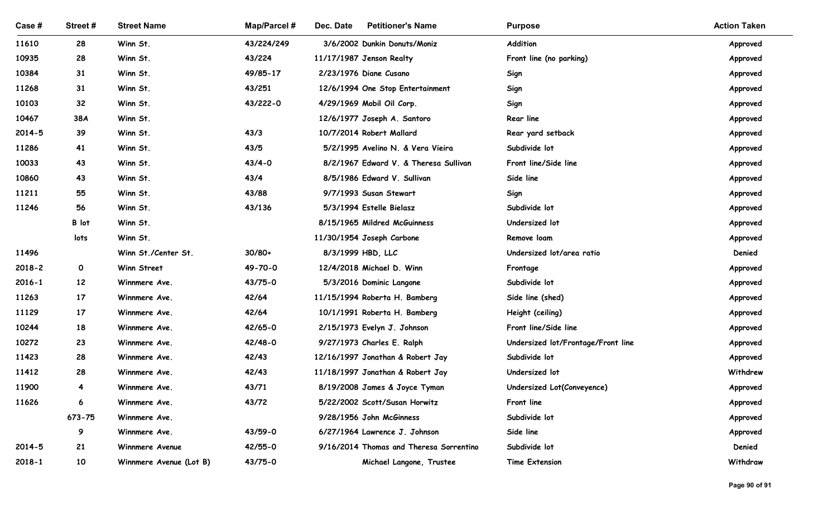| Case #         | Street #                | <b>Street Name</b>      | Map/Parcel #    | Dec. Date<br><b>Petitioner's Name</b>              | <b>Purpose</b>                     | <b>Action Taken</b>  |
|----------------|-------------------------|-------------------------|-----------------|----------------------------------------------------|------------------------------------|----------------------|
| 11610          | 28                      | Winn St.                | 43/224/249      | 3/6/2002 Dunkin Donuts/Moniz                       | Addition                           | Approved             |
| 10935          | 28                      | Winn St.                | 43/224          | 11/17/1987 Jenson Realty                           | Front line (no parking)            | Approved             |
| 10384          | 31                      | Winn St.                | 49/85-17        | 2/23/1976 Diane Cusano                             | Sign                               | Approved             |
| 11268          | 31                      | Winn St.                | 43/251          | 12/6/1994 One Stop Entertainment                   | Sign                               | Approved             |
| 10103          | 32                      | Winn St.                | 43/222-0        | 4/29/1969 Mobil Oil Corp.                          | Sign                               | Approved             |
| 10467          | 38A                     | Winn St.                |                 | 12/6/1977 Joseph A. Santoro                        | <b>Rear line</b>                   | Approved             |
| $2014 - 5$     | 39                      | Winn St.                | 43/3            | 10/7/2014 Robert Mallard                           | Rear yard setback                  | Approved             |
| 11286          | 41                      | Winn St.                | 43/5            | 5/2/1995 Avelino N. & Vera Vieira                  | Subdivide lot                      | Approved             |
| 10033          | 43                      | Winn St.                | $43/4 - 0$      | 8/2/1967 Edward V. & Theresa Sullivan              | Front line/Side line               | Approved             |
| 10860          | 43                      | Winn St.                | 43/4            | 8/5/1986 Edward V. Sullivan                        | Side line                          | Approved             |
| 11211<br>11246 | 55<br>56                | Winn St.                | 43/88<br>43/136 | 9/7/1993 Susan Stewart<br>5/3/1994 Estelle Bielasz | Sign<br>Subdivide lot              | Approved             |
|                | B lot                   | Winn St.<br>Winn St.    |                 | 8/15/1965 Mildred McGuinness                       | Undersized lot                     | Approved<br>Approved |
|                | lots                    | Winn St.                |                 | 11/30/1954 Joseph Carbone                          | Remove loam                        | Approved             |
| 11496          |                         | Winn St./Center St.     | $30/80+$        | 8/3/1999 HBD, LLC                                  | Undersized lot/area ratio          | Denied               |
| $2018 - 2$     | $\mathbf{O}$            | Winn Street             | 49-70-0         | 12/4/2018 Michael D. Winn                          | Frontage                           | Approved             |
| $2016 - 1$     | 12                      | Winnmere Ave.           | 43/75-0         | 5/3/2016 Dominic Langone                           | Subdivide lot                      | Approved             |
| 11263          | 17                      | Winnmere Ave.           | 42/64           | 11/15/1994 Roberta H. Bamberg                      | Side line (shed)                   | Approved             |
| 11129          | 17                      | Winnmere Ave.           | 42/64           | 10/1/1991 Roberta H. Bamberg                       | Height (ceiling)                   | Approved             |
| 10244          | 18                      | Winnmere Ave.           | 42/65-0         | 2/15/1973 Evelyn J. Johnson                        | Front line/Side line               | Approved             |
| 10272          | 23                      | Winnmere Ave.           | 42/48-0         | 9/27/1973 Charles E. Ralph                         | Undersized lot/Frontage/Front line | Approved             |
| 11423          | 28                      | Winnmere Ave.           | 42/43           | 12/16/1997 Jonathan & Robert Jay                   | Subdivide lot                      | Approved             |
| 11412          | 28                      | Winnmere Ave.           | 42/43           | 11/18/1997 Jonathan & Robert Jay                   | Undersized lot                     | Withdrew             |
| 11900          | $\overline{\mathbf{4}}$ | Winnmere Ave.           | 43/71           | 8/19/2008 James & Joyce Tyman                      | Undersized Lot(Conveyence)         | Approved             |
| 11626          | 6                       | Winnmere Ave.           | 43/72           | 5/22/2002 Scott/Susan Horwitz                      | Front line                         | Approved             |
|                | 673-75                  | Winnmere Ave.           |                 | 9/28/1956 John McGinness                           | Subdivide lot                      | Approved             |
|                | 9                       | Winnmere Ave.           | 43/59-0         | 6/27/1964 Lawrence J. Johnson                      | Side line                          | Approved             |
| $2014 - 5$     | 21                      | Winnmere Avenue         | 42/55-0         | 9/16/2014 Thomas and Theresa Sorrentino            | Subdivide lot                      | Denied               |
| $2018 - 1$     | 10                      | Winnmere Avenue (Lot B) | 43/75-0         | Michael Langone, Trustee                           | Time Extension                     | Withdraw             |
|                |                         |                         |                 |                                                    |                                    |                      |